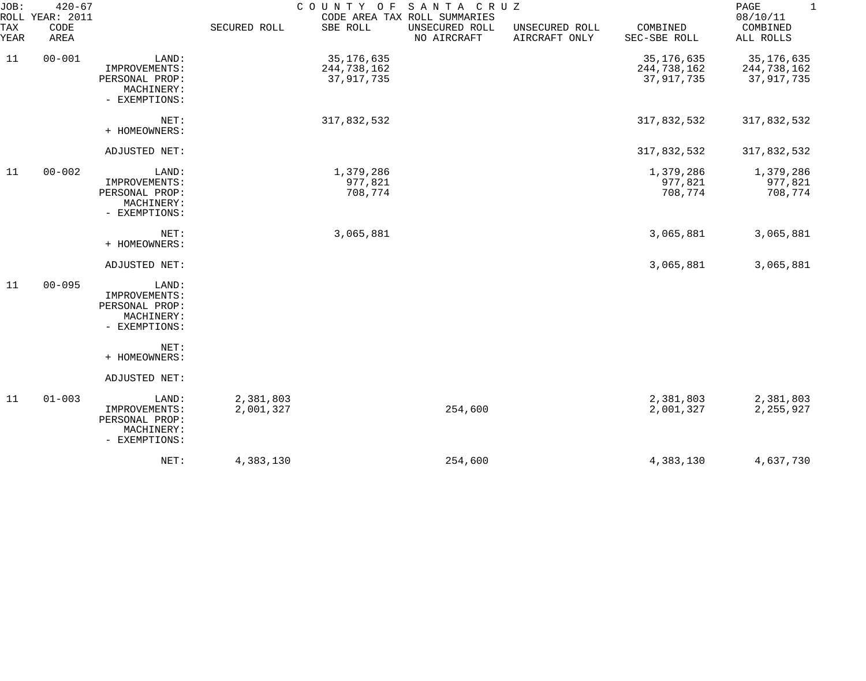| JOB:        | $420 - 67$<br>ROLL YEAR: 2011 |                                                                         |                        |                                           | COUNTY OF SANTA CRUZ<br>CODE AREA TAX ROLL SUMMARIES |                                 |                                         | $\mathbf{1}$<br>PAGE<br>08/10/11        |
|-------------|-------------------------------|-------------------------------------------------------------------------|------------------------|-------------------------------------------|------------------------------------------------------|---------------------------------|-----------------------------------------|-----------------------------------------|
| TAX<br>YEAR | CODE<br>AREA                  |                                                                         | SECURED ROLL           | SBE ROLL                                  | UNSECURED ROLL<br>NO AIRCRAFT                        | UNSECURED ROLL<br>AIRCRAFT ONLY | COMBINED<br>SEC-SBE ROLL                | COMBINED<br>ALL ROLLS                   |
| 11          | $00 - 001$                    | LAND:<br>IMPROVEMENTS:<br>PERSONAL PROP:<br>MACHINERY:<br>- EXEMPTIONS: |                        | 35, 176, 635<br>244,738,162<br>37,917,735 |                                                      |                                 | 35,176,635<br>244,738,162<br>37,917,735 | 35,176,635<br>244,738,162<br>37,917,735 |
|             |                               | NET:<br>+ HOMEOWNERS:                                                   |                        | 317,832,532                               |                                                      |                                 | 317,832,532                             | 317,832,532                             |
|             |                               | ADJUSTED NET:                                                           |                        |                                           |                                                      |                                 | 317,832,532                             | 317,832,532                             |
| 11          | $00 - 002$                    | LAND:<br>IMPROVEMENTS:<br>PERSONAL PROP:<br>MACHINERY:<br>- EXEMPTIONS: |                        | 1,379,286<br>977,821<br>708,774           |                                                      |                                 | 1,379,286<br>977,821<br>708,774         | 1,379,286<br>977,821<br>708,774         |
|             |                               | NET:<br>+ HOMEOWNERS:                                                   |                        | 3,065,881                                 |                                                      |                                 | 3,065,881                               | 3,065,881                               |
|             |                               | ADJUSTED NET:                                                           |                        |                                           |                                                      |                                 | 3,065,881                               | 3,065,881                               |
| 11          | $00 - 095$                    | LAND:<br>IMPROVEMENTS:<br>PERSONAL PROP:<br>MACHINERY:<br>- EXEMPTIONS: |                        |                                           |                                                      |                                 |                                         |                                         |
|             |                               | NET:<br>+ HOMEOWNERS:                                                   |                        |                                           |                                                      |                                 |                                         |                                         |
|             |                               | ADJUSTED NET:                                                           |                        |                                           |                                                      |                                 |                                         |                                         |
| 11          | $01 - 003$                    | LAND:<br>IMPROVEMENTS:<br>PERSONAL PROP:<br>MACHINERY:<br>- EXEMPTIONS: | 2,381,803<br>2,001,327 |                                           | 254,600                                              |                                 | 2,381,803<br>2,001,327                  | 2,381,803<br>2,255,927                  |
|             |                               | NET:                                                                    | 4,383,130              |                                           | 254,600                                              |                                 | 4,383,130                               | 4,637,730                               |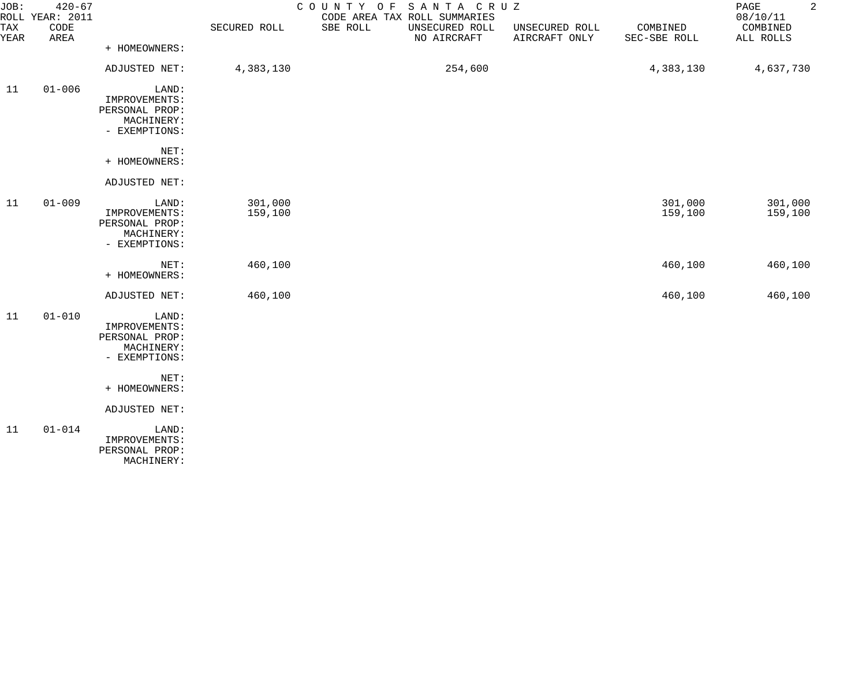| JOB:               | $420 - 67$<br>ROLL YEAR: 2011 |                                                                                                  |                    | SANTA CRUZ<br>COUNTY<br>O F<br>CODE AREA TAX ROLL SUMMARIES |                                 |                          | $\overline{a}$<br>PAGE<br>08/10/11 |
|--------------------|-------------------------------|--------------------------------------------------------------------------------------------------|--------------------|-------------------------------------------------------------|---------------------------------|--------------------------|------------------------------------|
| <b>TAX</b><br>YEAR | CODE<br>AREA                  |                                                                                                  | SECURED ROLL       | SBE ROLL<br>UNSECURED ROLL<br>NO AIRCRAFT                   | UNSECURED ROLL<br>AIRCRAFT ONLY | COMBINED<br>SEC-SBE ROLL | COMBINED<br>ALL ROLLS              |
|                    |                               | + HOMEOWNERS:                                                                                    |                    |                                                             |                                 |                          |                                    |
|                    |                               | ADJUSTED NET:                                                                                    | 4,383,130          | 254,600                                                     |                                 | 4,383,130                | 4,637,730                          |
| 11                 | $01 - 006$                    | LAND:<br>IMPROVEMENTS:<br>PERSONAL PROP:<br>MACHINERY:<br>- EXEMPTIONS:                          |                    |                                                             |                                 |                          |                                    |
|                    |                               | NET:<br>+ HOMEOWNERS:                                                                            |                    |                                                             |                                 |                          |                                    |
|                    |                               | ADJUSTED NET:                                                                                    |                    |                                                             |                                 |                          |                                    |
| 11                 | $01 - 009$                    | LAND:<br>IMPROVEMENTS:<br>PERSONAL PROP:<br>MACHINERY:<br>- EXEMPTIONS:                          | 301,000<br>159,100 |                                                             |                                 | 301,000<br>159,100       | 301,000<br>159,100                 |
|                    |                               | NET:<br>+ HOMEOWNERS:                                                                            | 460,100            |                                                             |                                 | 460,100                  | 460,100                            |
|                    |                               | ADJUSTED NET:                                                                                    | 460,100            |                                                             |                                 | 460,100                  | 460,100                            |
| 11                 | $01 - 010$                    | LAND:<br>IMPROVEMENTS:<br>PERSONAL PROP:<br>MACHINERY:<br>- EXEMPTIONS:<br>NET:<br>+ HOMEOWNERS: |                    |                                                             |                                 |                          |                                    |
|                    |                               | ADJUSTED NET:                                                                                    |                    |                                                             |                                 |                          |                                    |
| 11                 | $01 - 014$                    | LAND:<br>IMPROVEMENTS:<br>PERSONAL PROP:<br>MACHINERY:                                           |                    |                                                             |                                 |                          |                                    |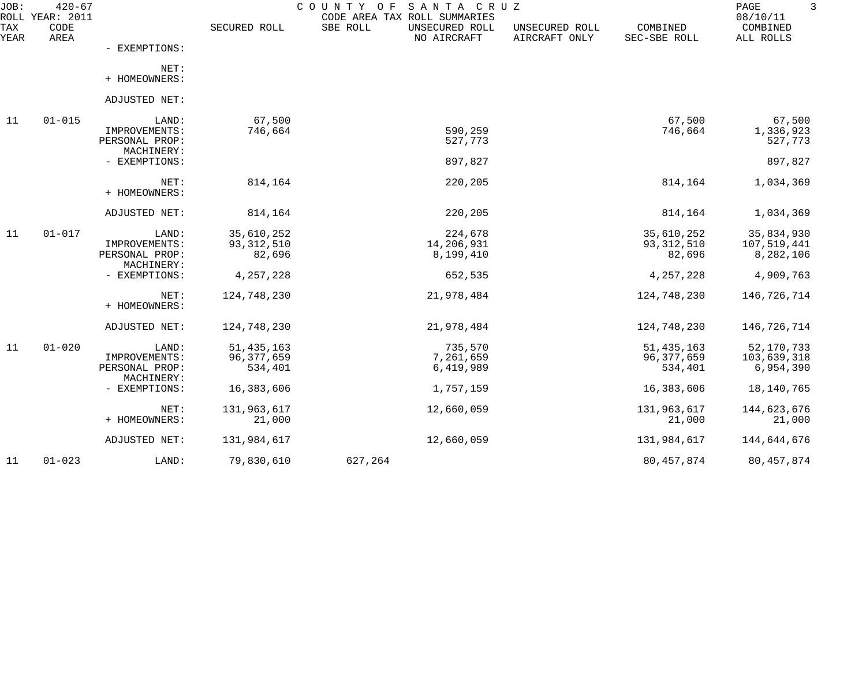| JOB:<br>ROLL | $420 - 67$<br><b>YEAR: 2011</b> |                                                        |                                         | COUNTY<br>O F<br>SANTA CRUZ<br>CODE AREA TAX ROLL SUMMARIES |                                 |                                       | PAGE<br>08/10/11                         |
|--------------|---------------------------------|--------------------------------------------------------|-----------------------------------------|-------------------------------------------------------------|---------------------------------|---------------------------------------|------------------------------------------|
| TAX<br>YEAR  | CODE<br>AREA                    |                                                        | SECURED ROLL                            | SBE ROLL<br>UNSECURED ROLL<br>NO AIRCRAFT                   | UNSECURED ROLL<br>AIRCRAFT ONLY | COMBINED<br>SEC-SBE ROLL              | COMBINED<br>ALL ROLLS                    |
|              |                                 | - EXEMPTIONS:                                          |                                         |                                                             |                                 |                                       |                                          |
|              |                                 | NET:<br>+ HOMEOWNERS:                                  |                                         |                                                             |                                 |                                       |                                          |
|              |                                 | ADJUSTED NET:                                          |                                         |                                                             |                                 |                                       |                                          |
| 11           | $01 - 015$                      | LAND:                                                  | 67,500                                  |                                                             |                                 | 67,500                                | 67,500                                   |
|              |                                 | IMPROVEMENTS:<br>PERSONAL PROP:                        | 746,664                                 | 590,259<br>527,773                                          |                                 | 746,664                               | 1,336,923<br>527,773                     |
|              |                                 | MACHINERY:<br>- EXEMPTIONS:                            |                                         | 897,827                                                     |                                 |                                       | 897,827                                  |
|              |                                 | NET:<br>+ HOMEOWNERS:                                  | 814,164                                 | 220,205                                                     |                                 | 814,164                               | 1,034,369                                |
|              |                                 | ADJUSTED NET:                                          | 814,164                                 | 220,205                                                     |                                 | 814,164                               | 1,034,369                                |
| 11           | $01 - 017$                      | LAND:<br>IMPROVEMENTS:<br>PERSONAL PROP:               | 35,610,252<br>93, 312, 510<br>82,696    | 224,678<br>14,206,931<br>8,199,410                          |                                 | 35,610,252<br>93,312,510<br>82,696    | 35,834,930<br>107,519,441<br>8,282,106   |
|              |                                 | MACHINERY:<br>- EXEMPTIONS:                            | 4,257,228                               | 652,535                                                     |                                 | 4,257,228                             | 4,909,763                                |
|              |                                 | NET:<br>+ HOMEOWNERS:                                  | 124,748,230                             | 21,978,484                                                  |                                 | 124,748,230                           | 146,726,714                              |
|              |                                 | ADJUSTED NET:                                          | 124,748,230                             | 21,978,484                                                  |                                 | 124,748,230                           | 146,726,714                              |
| 11           | $01 - 020$                      | LAND:<br>IMPROVEMENTS:<br>PERSONAL PROP:<br>MACHINERY: | 51, 435, 163<br>96, 377, 659<br>534,401 | 735,570<br>7,261,659<br>6,419,989                           |                                 | 51, 435, 163<br>96,377,659<br>534,401 | 52, 170, 733<br>103,639,318<br>6,954,390 |
|              |                                 | - EXEMPTIONS:                                          | 16,383,606                              | 1,757,159                                                   |                                 | 16,383,606                            | 18, 140, 765                             |
|              |                                 | NET:<br>+ HOMEOWNERS:                                  | 131,963,617<br>21,000                   | 12,660,059                                                  |                                 | 131,963,617<br>21,000                 | 144,623,676<br>21,000                    |
|              |                                 | ADJUSTED NET:                                          | 131,984,617                             | 12,660,059                                                  |                                 | 131,984,617                           | 144,644,676                              |
| 11           | $01 - 023$                      | LAND:                                                  | 79,830,610                              | 627,264                                                     |                                 | 80, 457, 874                          | 80, 457, 874                             |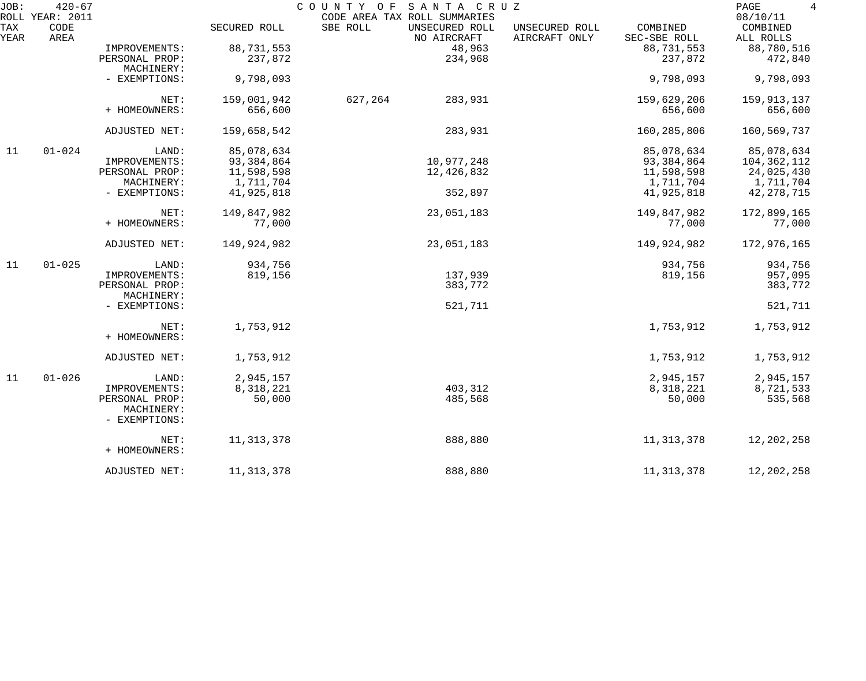| JOB:        | $420 - 67$<br>ROLL YEAR: 2011 |                             |              | COUNTY<br>SANTA CRUZ<br>O F<br>CODE AREA TAX ROLL SUMMARIES |                                 |                          | PAGE<br>4<br>08/10/11 |
|-------------|-------------------------------|-----------------------------|--------------|-------------------------------------------------------------|---------------------------------|--------------------------|-----------------------|
| TAX<br>YEAR | CODE<br>AREA                  |                             | SECURED ROLL | SBE ROLL<br>UNSECURED ROLL<br>NO AIRCRAFT                   | UNSECURED ROLL<br>AIRCRAFT ONLY | COMBINED<br>SEC-SBE ROLL | COMBINED<br>ALL ROLLS |
|             |                               | IMPROVEMENTS:               | 88,731,553   | 48,963                                                      |                                 | 88,731,553               | 88,780,516            |
|             |                               | PERSONAL PROP:              | 237,872      | 234,968                                                     |                                 | 237,872                  | 472,840               |
|             |                               | MACHINERY:                  |              |                                                             |                                 |                          |                       |
|             |                               | - EXEMPTIONS:               | 9,798,093    |                                                             |                                 | 9,798,093                | 9,798,093             |
|             |                               | NET:                        | 159,001,942  | 627,264<br>283,931                                          |                                 | 159,629,206              | 159,913,137           |
|             |                               | + HOMEOWNERS:               | 656,600      |                                                             |                                 | 656,600                  | 656,600               |
|             |                               | ADJUSTED NET:               | 159,658,542  | 283,931                                                     |                                 | 160,285,806              | 160,569,737           |
| 11          | $01 - 024$                    | LAND:                       | 85,078,634   |                                                             |                                 | 85,078,634               | 85,078,634            |
|             |                               | IMPROVEMENTS:               | 93,384,864   | 10,977,248                                                  |                                 | 93,384,864               | 104,362,112           |
|             |                               | PERSONAL PROP:              | 11,598,598   | 12,426,832                                                  |                                 | 11,598,598               | 24,025,430            |
|             |                               | MACHINERY:                  | 1,711,704    |                                                             |                                 | 1,711,704                | 1,711,704             |
|             |                               | - EXEMPTIONS:               | 41,925,818   | 352,897                                                     |                                 | 41,925,818               | 42, 278, 715          |
|             |                               | NET:                        | 149,847,982  | 23,051,183                                                  |                                 | 149,847,982              | 172,899,165           |
|             |                               | + HOMEOWNERS:               | 77,000       |                                                             |                                 | 77,000                   | 77,000                |
|             |                               | ADJUSTED NET:               | 149,924,982  | 23,051,183                                                  |                                 | 149,924,982              | 172,976,165           |
| 11          | $01 - 025$                    | LAND:                       | 934,756      |                                                             |                                 | 934,756                  | 934,756               |
|             |                               | IMPROVEMENTS:               | 819,156      | 137,939                                                     |                                 | 819,156                  | 957,095               |
|             |                               | PERSONAL PROP:              |              | 383,772                                                     |                                 |                          | 383,772               |
|             |                               | MACHINERY:                  |              |                                                             |                                 |                          |                       |
|             |                               | - EXEMPTIONS:               |              | 521,711                                                     |                                 |                          | 521,711               |
|             |                               | NET:                        | 1,753,912    |                                                             |                                 | 1,753,912                | 1,753,912             |
|             |                               | + HOMEOWNERS:               |              |                                                             |                                 |                          |                       |
|             |                               | ADJUSTED NET:               | 1,753,912    |                                                             |                                 | 1,753,912                | 1,753,912             |
| 11          | $01 - 026$                    | LAND:                       | 2,945,157    |                                                             |                                 | 2,945,157                | 2,945,157             |
|             |                               | IMPROVEMENTS:               | 8,318,221    | 403,312                                                     |                                 | 8,318,221                | 8,721,533             |
|             |                               | PERSONAL PROP:              | 50,000       | 485,568                                                     |                                 | 50,000                   | 535,568               |
|             |                               | MACHINERY:<br>- EXEMPTIONS: |              |                                                             |                                 |                          |                       |
|             |                               | NET:                        | 11, 313, 378 | 888,880                                                     |                                 | 11,313,378               | 12, 202, 258          |
|             |                               | + HOMEOWNERS:               |              |                                                             |                                 |                          |                       |
|             |                               | ADJUSTED NET:               | 11, 313, 378 | 888,880                                                     |                                 | 11,313,378               | 12, 202, 258          |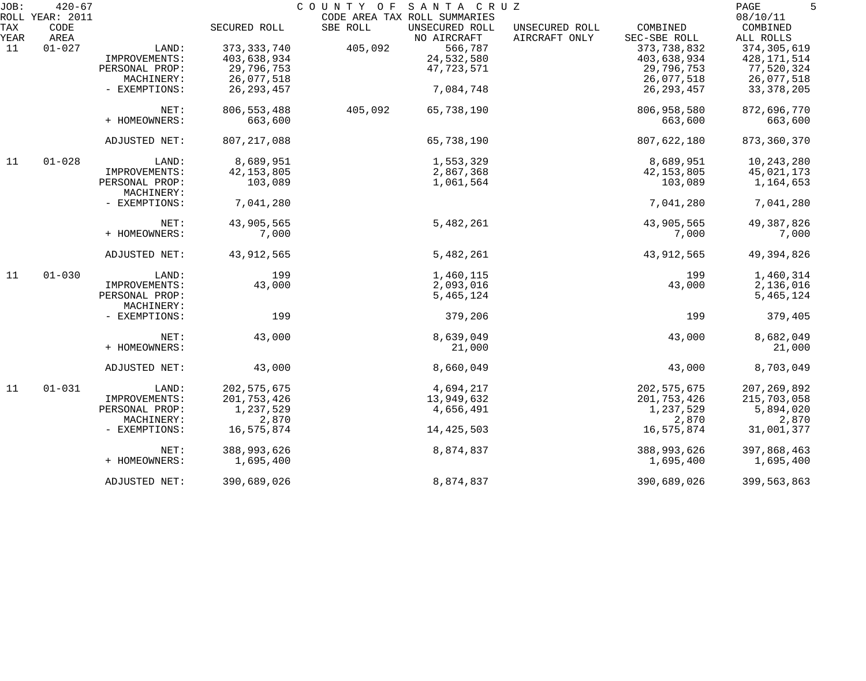| JOB:        | $420 - 67$      |                             |               | SANTA CRUZ<br>COUNTY OF                   |                                 |                          | 5<br>PAGE             |
|-------------|-----------------|-----------------------------|---------------|-------------------------------------------|---------------------------------|--------------------------|-----------------------|
|             | ROLL YEAR: 2011 |                             |               | CODE AREA TAX ROLL SUMMARIES              |                                 |                          | 08/10/11              |
| TAX<br>YEAR | CODE<br>AREA    |                             | SECURED ROLL  | SBE ROLL<br>UNSECURED ROLL<br>NO AIRCRAFT | UNSECURED ROLL<br>AIRCRAFT ONLY | COMBINED<br>SEC-SBE ROLL | COMBINED<br>ALL ROLLS |
| 11          | $01 - 027$      | LAND:                       | 373, 333, 740 | 405,092<br>566,787                        |                                 | 373,738,832              | 374, 305, 619         |
|             |                 | IMPROVEMENTS:               | 403,638,934   | 24,532,580                                |                                 | 403,638,934              | 428, 171, 514         |
|             |                 | PERSONAL PROP:              | 29,796,753    | 47,723,571                                |                                 | 29,796,753               | 77,520,324            |
|             |                 | MACHINERY:                  | 26,077,518    |                                           |                                 | 26,077,518               | 26,077,518            |
|             |                 | - EXEMPTIONS:               | 26, 293, 457  | 7,084,748                                 |                                 | 26, 293, 457             | 33, 378, 205          |
|             |                 | NET:                        | 806, 553, 488 | 405,092<br>65,738,190                     |                                 | 806,958,580              | 872,696,770           |
|             |                 | + HOMEOWNERS:               | 663,600       |                                           |                                 | 663,600                  | 663,600               |
|             |                 | ADJUSTED NET:               | 807, 217, 088 | 65,738,190                                |                                 | 807,622,180              | 873,360,370           |
| 11          | $01 - 028$      | LAND:                       | 8,689,951     | 1,553,329                                 |                                 | 8,689,951                | 10,243,280            |
|             |                 | IMPROVEMENTS:               | 42, 153, 805  | 2,867,368                                 |                                 | 42, 153, 805             | 45,021,173            |
|             |                 | PERSONAL PROP:              | 103,089       | 1,061,564                                 |                                 | 103,089                  | 1,164,653             |
|             |                 | MACHINERY:                  |               |                                           |                                 |                          |                       |
|             |                 | - EXEMPTIONS:               | 7,041,280     |                                           |                                 | 7,041,280                | 7,041,280             |
|             |                 | NET:                        | 43,905,565    | 5,482,261                                 |                                 | 43,905,565               | 49, 387, 826          |
|             |                 | + HOMEOWNERS:               | 7,000         |                                           |                                 | 7,000                    | 7,000                 |
|             |                 | ADJUSTED NET:               | 43, 912, 565  | 5,482,261                                 |                                 | 43, 912, 565             | 49,394,826            |
| 11          | $01 - 030$      | LAND:                       | 199           | 1,460,115                                 |                                 | 199                      | 1,460,314             |
|             |                 | IMPROVEMENTS:               | 43,000        | 2,093,016                                 |                                 | 43,000                   | 2,136,016             |
|             |                 | PERSONAL PROP:              |               | 5,465,124                                 |                                 |                          | 5,465,124             |
|             |                 | MACHINERY:<br>- EXEMPTIONS: | 199           | 379,206                                   |                                 | 199                      | 379,405               |
|             |                 |                             |               |                                           |                                 |                          |                       |
|             |                 | NET:                        | 43,000        | 8,639,049                                 |                                 | 43,000                   | 8,682,049             |
|             |                 | + HOMEOWNERS:               |               | 21,000                                    |                                 |                          | 21,000                |
|             |                 | ADJUSTED NET:               | 43,000        | 8,660,049                                 |                                 | 43,000                   | 8,703,049             |
| 11          | $01 - 031$      | LAND:                       | 202, 575, 675 | 4,694,217                                 |                                 | 202, 575, 675            | 207, 269, 892         |
|             |                 | IMPROVEMENTS:               | 201,753,426   | 13,949,632                                |                                 | 201,753,426              | 215,703,058           |
|             |                 | PERSONAL PROP:              | 1,237,529     | 4,656,491                                 |                                 | 1,237,529                | 5,894,020             |
|             |                 | MACHINERY:                  | 2,870         |                                           |                                 | 2,870                    | 2,870                 |
|             |                 | - EXEMPTIONS:               | 16,575,874    | 14, 425, 503                              |                                 | 16,575,874               | 31,001,377            |
|             |                 | NET:                        | 388,993,626   | 8,874,837                                 |                                 | 388,993,626              | 397,868,463           |
|             |                 | + HOMEOWNERS:               | 1,695,400     |                                           |                                 | 1,695,400                | 1,695,400             |
|             |                 | ADJUSTED NET:               | 390,689,026   | 8,874,837                                 |                                 | 390,689,026              | 399,563,863           |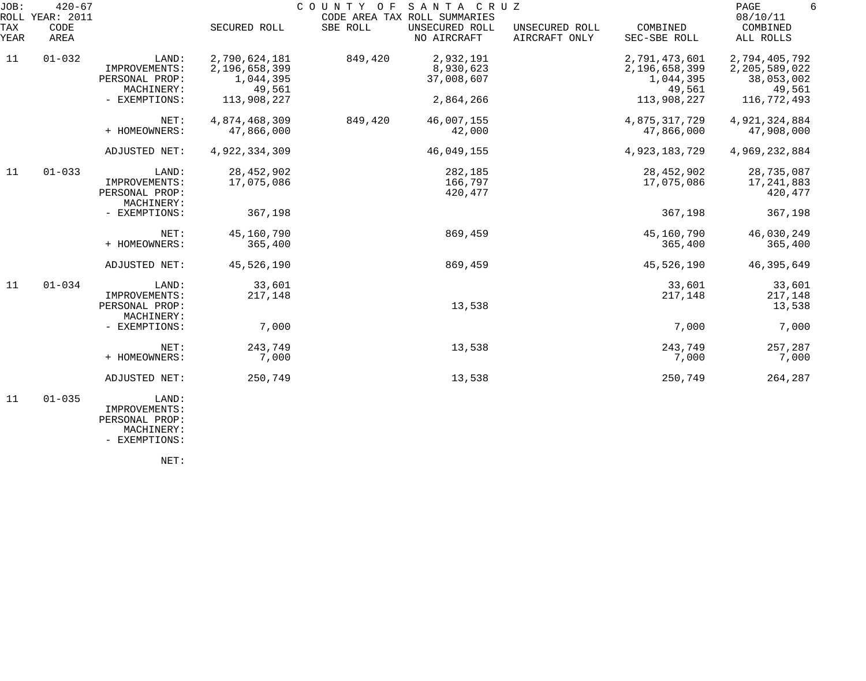| JOB:        | $420 - 67$<br>ROLL YEAR: 2011 |                                                        |                                                       | COUNTY OF | SANTA CRUZ<br>CODE AREA TAX ROLL SUMMARIES |                                 |                                                       | PAGE<br>6<br>08/10/11                                  |
|-------------|-------------------------------|--------------------------------------------------------|-------------------------------------------------------|-----------|--------------------------------------------|---------------------------------|-------------------------------------------------------|--------------------------------------------------------|
| TAX<br>YEAR | <b>CODE</b><br>AREA           |                                                        | SECURED ROLL                                          | SBE ROLL  | UNSECURED ROLL<br>NO AIRCRAFT              | UNSECURED ROLL<br>AIRCRAFT ONLY | COMBINED<br>SEC-SBE ROLL                              | COMBINED<br>ALL ROLLS                                  |
| 11          | $01 - 032$                    | LAND:<br>IMPROVEMENTS:<br>PERSONAL PROP:<br>MACHINERY: | 2,790,624,181<br>2,196,658,399<br>1,044,395<br>49,561 | 849,420   | 2,932,191<br>8,930,623<br>37,008,607       |                                 | 2,791,473,601<br>2,196,658,399<br>1,044,395<br>49,561 | 2,794,405,792<br>2,205,589,022<br>38,053,002<br>49,561 |
|             |                               | - EXEMPTIONS:                                          | 113,908,227                                           |           | 2,864,266                                  |                                 | 113,908,227                                           | 116,772,493                                            |
|             |                               | NET:<br>+ HOMEOWNERS:                                  | 4,874,468,309<br>47,866,000                           | 849,420   | 46,007,155<br>42,000                       |                                 | 4,875,317,729<br>47,866,000                           | 4,921,324,884<br>47,908,000                            |
|             |                               | ADJUSTED NET:                                          | 4,922,334,309                                         |           | 46,049,155                                 |                                 | 4,923,183,729                                         | 4,969,232,884                                          |
| 11          | $01 - 033$                    | LAND:<br>IMPROVEMENTS:<br>PERSONAL PROP:<br>MACHINERY: | 28, 452, 902<br>17,075,086                            |           | 282,185<br>166,797<br>420,477              |                                 | 28, 452, 902<br>17,075,086                            | 28,735,087<br>17, 241, 883<br>420,477                  |
|             |                               | - EXEMPTIONS:                                          | 367,198                                               |           |                                            |                                 | 367,198                                               | 367,198                                                |
|             |                               | NET:<br>+ HOMEOWNERS:                                  | 45,160,790<br>365,400                                 |           | 869,459                                    |                                 | 45,160,790<br>365,400                                 | 46,030,249<br>365,400                                  |
|             |                               | ADJUSTED NET:                                          | 45,526,190                                            |           | 869,459                                    |                                 | 45,526,190                                            | 46, 395, 649                                           |
| 11          | $01 - 034$                    | LAND:<br>IMPROVEMENTS:<br>PERSONAL PROP:<br>MACHINERY: | 33,601<br>217,148                                     |           | 13,538                                     |                                 | 33,601<br>217,148                                     | 33,601<br>217,148<br>13,538                            |
|             |                               | - EXEMPTIONS:                                          | 7,000                                                 |           |                                            |                                 | 7,000                                                 | 7,000                                                  |
|             |                               | NET:<br>+ HOMEOWNERS:                                  | 243,749<br>7,000                                      |           | 13,538                                     |                                 | 243,749<br>7,000                                      | 257,287<br>7,000                                       |
|             |                               | ADJUSTED NET:                                          | 250,749                                               |           | 13,538                                     |                                 | 250,749                                               | 264,287                                                |
| 11          | $01 - 035$                    | LAND:<br>IMPROVEMENTS:                                 |                                                       |           |                                            |                                 |                                                       |                                                        |

 PERSONAL PROP: MACHINERY:

- EXEMPTIONS: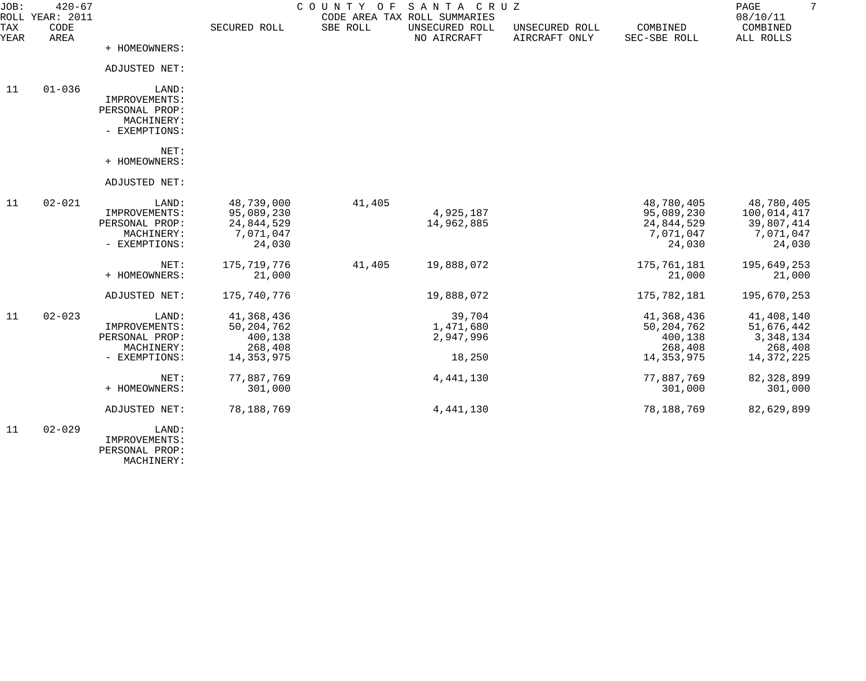| JOB:        | $420 - 67$<br>ROLL YEAR: 2011 |                                                                         |                                                                | COUNTY<br>O F | SANTA CRUZ<br>CODE AREA TAX ROLL SUMMARIES |                                 |                                                                  | 7<br>PAGE<br>08/10/11                                            |
|-------------|-------------------------------|-------------------------------------------------------------------------|----------------------------------------------------------------|---------------|--------------------------------------------|---------------------------------|------------------------------------------------------------------|------------------------------------------------------------------|
| TAX<br>YEAR | CODE<br>AREA                  |                                                                         | SECURED ROLL                                                   | SBE ROLL      | UNSECURED ROLL<br>NO AIRCRAFT              | UNSECURED ROLL<br>AIRCRAFT ONLY | COMBINED<br>SEC-SBE ROLL                                         | COMBINED<br>ALL ROLLS                                            |
|             |                               | + HOMEOWNERS:                                                           |                                                                |               |                                            |                                 |                                                                  |                                                                  |
|             |                               | ADJUSTED NET:                                                           |                                                                |               |                                            |                                 |                                                                  |                                                                  |
| 11          | $01 - 036$                    | LAND:<br>IMPROVEMENTS:<br>PERSONAL PROP:<br>MACHINERY:<br>- EXEMPTIONS: |                                                                |               |                                            |                                 |                                                                  |                                                                  |
|             |                               | NET:<br>+ HOMEOWNERS:                                                   |                                                                |               |                                            |                                 |                                                                  |                                                                  |
|             |                               | ADJUSTED NET:                                                           |                                                                |               |                                            |                                 |                                                                  |                                                                  |
| 11          | $02 - 021$                    | LAND:<br>IMPROVEMENTS:<br>PERSONAL PROP:<br>MACHINERY:<br>- EXEMPTIONS: | 48,739,000<br>95,089,230<br>24,844,529<br>7,071,047<br>24,030  | 41,405        | 4,925,187<br>14,962,885                    |                                 | 48,780,405<br>95,089,230<br>24,844,529<br>7,071,047<br>24,030    | 48,780,405<br>100,014,417<br>39,807,414<br>7,071,047<br>24,030   |
|             |                               | NET:<br>+ HOMEOWNERS:                                                   | 175,719,776<br>21,000                                          | 41,405        | 19,888,072                                 |                                 | 175,761,181<br>21,000                                            | 195,649,253<br>21,000                                            |
|             |                               | ADJUSTED NET:                                                           | 175,740,776                                                    |               | 19,888,072                                 |                                 | 175,782,181                                                      | 195,670,253                                                      |
| 11          | $02 - 023$                    | LAND:<br>IMPROVEMENTS:<br>PERSONAL PROP:<br>MACHINERY:<br>- EXEMPTIONS: | 41,368,436<br>50, 204, 762<br>400,138<br>268,408<br>14,353,975 |               | 39,704<br>1,471,680<br>2,947,996<br>18,250 |                                 | 41,368,436<br>50, 204, 762<br>400,138<br>268,408<br>14, 353, 975 | 41,408,140<br>51,676,442<br>3,348,134<br>268,408<br>14, 372, 225 |
|             |                               |                                                                         |                                                                |               |                                            |                                 |                                                                  |                                                                  |
|             |                               | NET:<br>+ HOMEOWNERS:                                                   | 77,887,769<br>301,000                                          |               | 4, 441, 130                                |                                 | 77,887,769<br>301,000                                            | 82, 328, 899<br>301,000                                          |
|             |                               | ADJUSTED NET:                                                           | 78,188,769                                                     |               | 4, 441, 130                                |                                 | 78,188,769                                                       | 82,629,899                                                       |
| 11          | $02 - 029$                    | LAND:<br>IMPROVEMENTS:<br>PERSONAL PROP:                                |                                                                |               |                                            |                                 |                                                                  |                                                                  |

MACHINERY: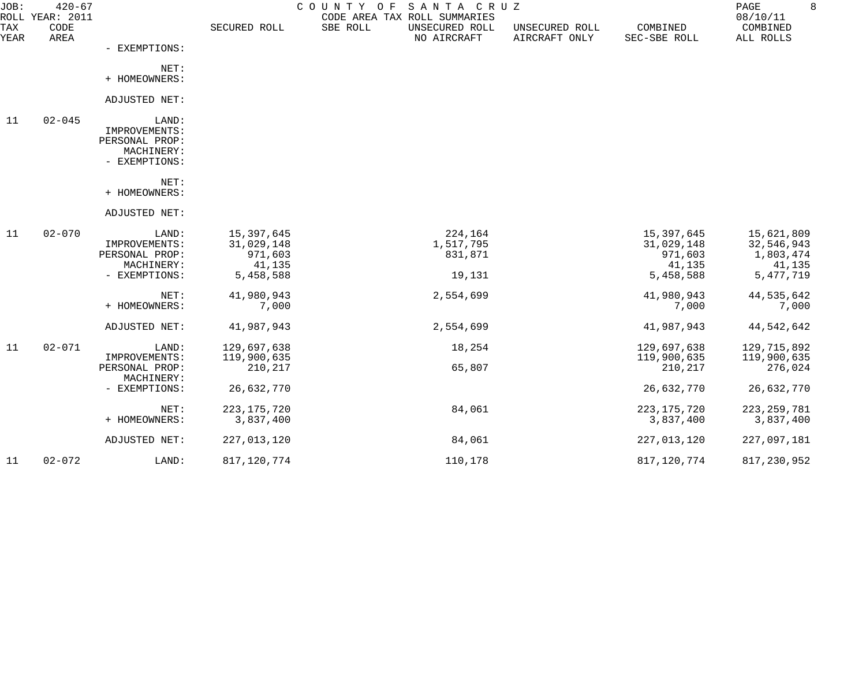| JOB:               | $420 - 67$<br>ROLL YEAR: 2011 |                                                                         |                                                            | COUNTY OF SANTA CRUZ<br>CODE AREA TAX ROLL SUMMARIES |                                 |                                                            | PAGE<br>08/10/11                                               | 8 |
|--------------------|-------------------------------|-------------------------------------------------------------------------|------------------------------------------------------------|------------------------------------------------------|---------------------------------|------------------------------------------------------------|----------------------------------------------------------------|---|
| <b>TAX</b><br>YEAR | CODE<br>AREA                  |                                                                         | SECURED ROLL                                               | SBE ROLL<br>UNSECURED ROLL<br>NO AIRCRAFT            | UNSECURED ROLL<br>AIRCRAFT ONLY | COMBINED<br>SEC-SBE ROLL                                   | COMBINED<br>ALL ROLLS                                          |   |
|                    |                               | - EXEMPTIONS:                                                           |                                                            |                                                      |                                 |                                                            |                                                                |   |
|                    |                               | NET:<br>+ HOMEOWNERS:                                                   |                                                            |                                                      |                                 |                                                            |                                                                |   |
|                    |                               | ADJUSTED NET:                                                           |                                                            |                                                      |                                 |                                                            |                                                                |   |
|                    |                               |                                                                         |                                                            |                                                      |                                 |                                                            |                                                                |   |
| 11                 | $02 - 045$                    | LAND:<br>IMPROVEMENTS:<br>PERSONAL PROP:<br>MACHINERY:<br>- EXEMPTIONS: |                                                            |                                                      |                                 |                                                            |                                                                |   |
|                    |                               | NET:<br>+ HOMEOWNERS:                                                   |                                                            |                                                      |                                 |                                                            |                                                                |   |
|                    |                               | ADJUSTED NET:                                                           |                                                            |                                                      |                                 |                                                            |                                                                |   |
| 11                 | $02 - 070$                    | LAND:<br>IMPROVEMENTS:<br>PERSONAL PROP:<br>MACHINERY:<br>- EXEMPTIONS: | 15,397,645<br>31,029,148<br>971,603<br>41,135<br>5,458,588 | 224,164<br>1,517,795<br>831,871<br>19,131            |                                 | 15,397,645<br>31,029,148<br>971,603<br>41,135<br>5,458,588 | 15,621,809<br>32,546,943<br>1,803,474<br>41,135<br>5, 477, 719 |   |
|                    |                               | NET:<br>+ HOMEOWNERS:                                                   | 41,980,943<br>7,000                                        | 2,554,699                                            |                                 | 41,980,943<br>7,000                                        | 44,535,642<br>7,000                                            |   |
|                    |                               | ADJUSTED NET:                                                           | 41,987,943                                                 | 2,554,699                                            |                                 | 41,987,943                                                 | 44,542,642                                                     |   |
| 11                 | $02 - 071$                    | LAND:<br>IMPROVEMENTS:<br>PERSONAL PROP:                                | 129,697,638<br>119,900,635<br>210,217                      | 18,254<br>65,807                                     |                                 | 129,697,638<br>119,900,635<br>210,217                      | 129,715,892<br>119,900,635<br>276,024                          |   |
|                    |                               | MACHINERY:<br>- EXEMPTIONS:                                             | 26,632,770                                                 |                                                      |                                 | 26,632,770                                                 | 26,632,770                                                     |   |
|                    |                               | NET:<br>+ HOMEOWNERS:                                                   | 223, 175, 720<br>3,837,400                                 | 84,061                                               |                                 | 223, 175, 720<br>3,837,400                                 | 223, 259, 781<br>3,837,400                                     |   |
|                    |                               | ADJUSTED NET:                                                           | 227,013,120                                                | 84,061                                               |                                 | 227,013,120                                                | 227,097,181                                                    |   |
| 11                 | $02 - 072$                    | LAND:                                                                   | 817, 120, 774                                              | 110,178                                              |                                 | 817, 120, 774                                              | 817,230,952                                                    |   |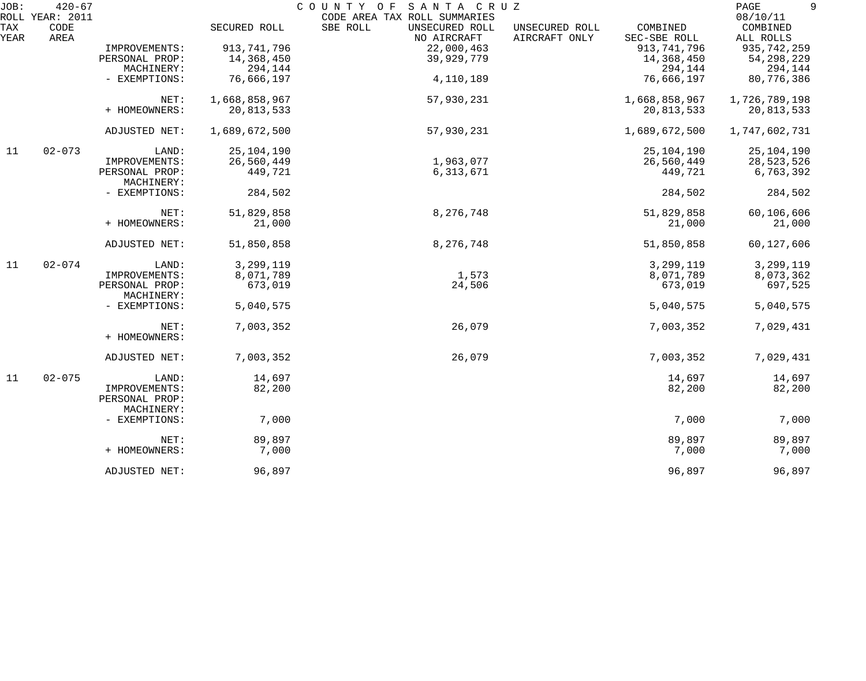| JOB:                | $420 - 67$                 |                                               |               | COUNTY OF<br>SANTA CRUZ                                                   |                                 |                          | 9<br>PAGE<br>08/10/11 |
|---------------------|----------------------------|-----------------------------------------------|---------------|---------------------------------------------------------------------------|---------------------------------|--------------------------|-----------------------|
| ROLL<br>TAX<br>YEAR | YEAR: 2011<br>CODE<br>AREA |                                               | SECURED ROLL  | CODE AREA TAX ROLL SUMMARIES<br>SBE ROLL<br>UNSECURED ROLL<br>NO AIRCRAFT | UNSECURED ROLL<br>AIRCRAFT ONLY | COMBINED<br>SEC-SBE ROLL | COMBINED<br>ALL ROLLS |
|                     |                            | IMPROVEMENTS:                                 | 913, 741, 796 | 22,000,463                                                                |                                 | 913, 741, 796            | 935, 742, 259         |
|                     |                            | PERSONAL PROP:                                | 14,368,450    | 39,929,779                                                                |                                 | 14,368,450               | 54, 298, 229          |
|                     |                            | MACHINERY:                                    | 294,144       |                                                                           |                                 | 294,144                  | 294,144               |
|                     |                            | - EXEMPTIONS:                                 | 76,666,197    | 4,110,189                                                                 |                                 | 76,666,197               | 80,776,386            |
|                     |                            | NET:                                          | 1,668,858,967 | 57,930,231                                                                |                                 | 1,668,858,967            | 1,726,789,198         |
|                     |                            | + HOMEOWNERS:                                 | 20,813,533    |                                                                           |                                 | 20,813,533               | 20,813,533            |
|                     |                            | ADJUSTED NET:                                 | 1,689,672,500 | 57,930,231                                                                |                                 | 1,689,672,500            | 1,747,602,731         |
| 11                  | $02 - 073$                 | LAND:                                         | 25, 104, 190  |                                                                           |                                 | 25,104,190               | 25,104,190            |
|                     |                            | IMPROVEMENTS:                                 | 26,560,449    | 1,963,077                                                                 |                                 | 26,560,449               | 28,523,526            |
|                     |                            | PERSONAL PROP:<br>MACHINERY:                  | 449,721       | 6, 313, 671                                                               |                                 | 449,721                  | 6,763,392             |
|                     |                            | - EXEMPTIONS:                                 | 284,502       |                                                                           |                                 | 284,502                  | 284,502               |
|                     |                            | NET:                                          | 51,829,858    | 8,276,748                                                                 |                                 | 51,829,858               | 60,106,606            |
|                     |                            | + HOMEOWNERS:                                 | 21,000        |                                                                           |                                 | 21,000                   | 21,000                |
|                     |                            | ADJUSTED NET:                                 | 51,850,858    | 8,276,748                                                                 |                                 | 51,850,858               | 60,127,606            |
| 11                  | $02 - 074$                 | LAND:                                         | 3,299,119     |                                                                           |                                 | 3,299,119                | 3,299,119             |
|                     |                            | IMPROVEMENTS:                                 | 8,071,789     | 1,573                                                                     |                                 | 8,071,789                | 8,073,362             |
|                     |                            | PERSONAL PROP:<br>MACHINERY:                  | 673,019       | 24,506                                                                    |                                 | 673,019                  | 697,525               |
|                     |                            | - EXEMPTIONS:                                 | 5,040,575     |                                                                           |                                 | 5,040,575                | 5,040,575             |
|                     |                            | NET:<br>+ HOMEOWNERS:                         | 7,003,352     | 26,079                                                                    |                                 | 7,003,352                | 7,029,431             |
|                     |                            | ADJUSTED NET:                                 | 7,003,352     | 26,079                                                                    |                                 | 7,003,352                | 7,029,431             |
| 11                  | $02 - 075$                 | LAND:                                         | 14,697        |                                                                           |                                 | 14,697                   | 14,697                |
|                     |                            | IMPROVEMENTS:<br>PERSONAL PROP:<br>MACHINERY: | 82,200        |                                                                           |                                 | 82,200                   | 82,200                |
|                     |                            | - EXEMPTIONS:                                 | 7,000         |                                                                           |                                 | 7,000                    | 7,000                 |
|                     |                            | NET:                                          | 89,897        |                                                                           |                                 | 89,897                   | 89,897                |
|                     |                            | + HOMEOWNERS:                                 | 7,000         |                                                                           |                                 | 7,000                    | 7,000                 |
|                     |                            | ADJUSTED NET:                                 | 96,897        |                                                                           |                                 | 96,897                   | 96,897                |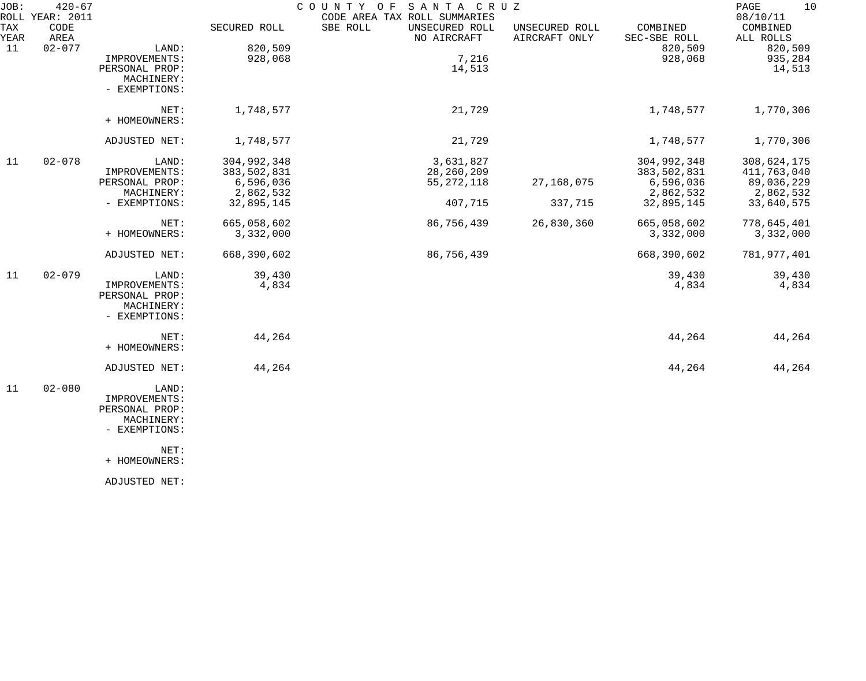| JOB:        | $420 - 67$<br>ROLL YEAR: 2011 |                |              | COUNTY OF<br>SANTA CRUZ<br>CODE AREA TAX ROLL SUMMARIES |                                 |                          | 10<br>PAGE<br>08/10/11 |
|-------------|-------------------------------|----------------|--------------|---------------------------------------------------------|---------------------------------|--------------------------|------------------------|
| TAX<br>YEAR | CODE<br>AREA                  |                | SECURED ROLL | SBE ROLL<br>UNSECURED ROLL<br>NO AIRCRAFT               | UNSECURED ROLL<br>AIRCRAFT ONLY | COMBINED<br>SEC-SBE ROLL | COMBINED<br>ALL ROLLS  |
| 11          | $02 - 077$                    | LAND:          | 820,509      |                                                         |                                 | 820,509                  | 820,509                |
|             |                               | IMPROVEMENTS:  | 928,068      | 7,216                                                   |                                 | 928,068                  | 935,284                |
|             |                               | PERSONAL PROP: |              | 14,513                                                  |                                 |                          | 14,513                 |
|             |                               | MACHINERY:     |              |                                                         |                                 |                          |                        |
|             |                               | - EXEMPTIONS:  |              |                                                         |                                 |                          |                        |
|             |                               | NET:           | 1,748,577    | 21,729                                                  |                                 | 1,748,577                | 1,770,306              |
|             |                               | + HOMEOWNERS:  |              |                                                         |                                 |                          |                        |
|             |                               | ADJUSTED NET:  | 1,748,577    | 21,729                                                  |                                 | 1,748,577                | 1,770,306              |
| 11          | $02 - 078$                    | LAND:          | 304,992,348  | 3,631,827                                               |                                 | 304,992,348              | 308,624,175            |
|             |                               | IMPROVEMENTS:  | 383,502,831  | 28,260,209                                              |                                 | 383,502,831              | 411,763,040            |
|             |                               | PERSONAL PROP: | 6,596,036    | 55, 272, 118                                            | 27, 168, 075                    | 6,596,036                | 89,036,229             |
|             |                               | MACHINERY:     | 2,862,532    |                                                         |                                 | 2,862,532                | 2,862,532              |
|             |                               | - EXEMPTIONS:  | 32,895,145   | 407,715                                                 | 337,715                         | 32,895,145               | 33,640,575             |
|             |                               | NET:           | 665,058,602  | 86,756,439                                              | 26,830,360                      | 665,058,602              | 778,645,401            |
|             |                               | + HOMEOWNERS:  | 3,332,000    |                                                         |                                 | 3,332,000                | 3,332,000              |
|             |                               | ADJUSTED NET:  | 668,390,602  | 86,756,439                                              |                                 | 668,390,602              | 781,977,401            |
| 11          | $02 - 079$                    | LAND:          | 39,430       |                                                         |                                 | 39,430                   | 39,430                 |
|             |                               | IMPROVEMENTS:  | 4,834        |                                                         |                                 | 4,834                    | 4,834                  |
|             |                               | PERSONAL PROP: |              |                                                         |                                 |                          |                        |
|             |                               | MACHINERY:     |              |                                                         |                                 |                          |                        |
|             |                               | - EXEMPTIONS:  |              |                                                         |                                 |                          |                        |
|             |                               | NET:           | 44,264       |                                                         |                                 | 44,264                   | 44,264                 |
|             |                               | + HOMEOWNERS:  |              |                                                         |                                 |                          |                        |
|             |                               | ADJUSTED NET:  | 44,264       |                                                         |                                 | 44,264                   | 44,264                 |
| 11          | $02 - 080$                    | LAND:          |              |                                                         |                                 |                          |                        |
|             |                               | IMPROVEMENTS:  |              |                                                         |                                 |                          |                        |
|             |                               | PERSONAL PROP: |              |                                                         |                                 |                          |                        |
|             |                               | MACHINERY:     |              |                                                         |                                 |                          |                        |
|             |                               | - EXEMPTIONS:  |              |                                                         |                                 |                          |                        |
|             |                               | NET:           |              |                                                         |                                 |                          |                        |
|             |                               | + HOMEOWNERS:  |              |                                                         |                                 |                          |                        |
|             |                               |                |              |                                                         |                                 |                          |                        |

ADJUSTED NET: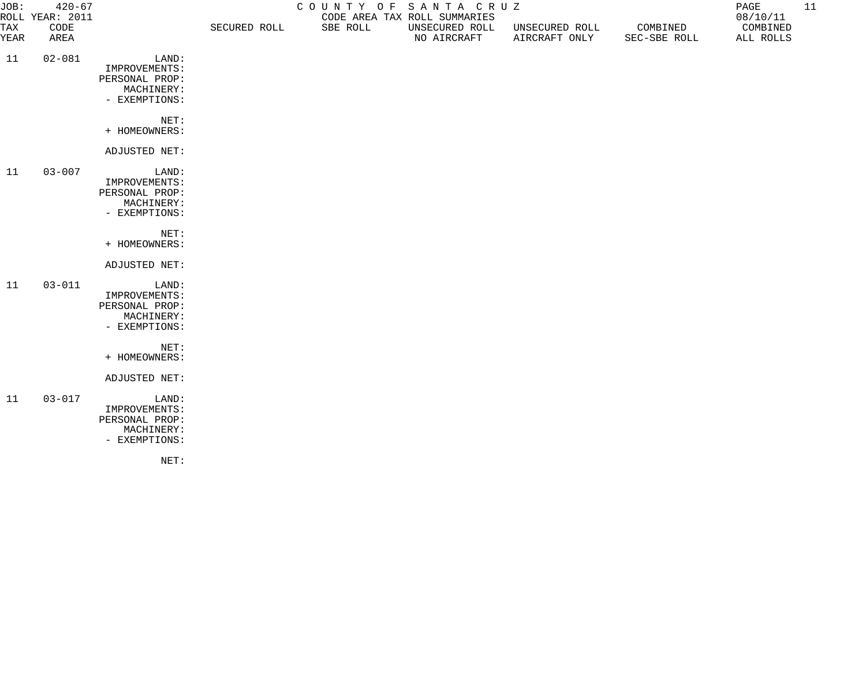| JOB:<br>$420 - 67$<br>ROLL YEAR: 2011 |              |                                                                         | COUNTY OF SANTA CRUZ<br>CODE AREA TAX ROLL SUMMARIES |          |                               |                                 |                          | 11<br>PAGE<br>08/10/11 |  |
|---------------------------------------|--------------|-------------------------------------------------------------------------|------------------------------------------------------|----------|-------------------------------|---------------------------------|--------------------------|------------------------|--|
| TAX<br>YEAR                           | CODE<br>AREA |                                                                         | SECURED ROLL                                         | SBE ROLL | UNSECURED ROLL<br>NO AIRCRAFT | UNSECURED ROLL<br>AIRCRAFT ONLY | COMBINED<br>SEC-SBE ROLL | COMBINED<br>ALL ROLLS  |  |
| 11                                    | $02 - 081$   | LAND:<br>IMPROVEMENTS:<br>PERSONAL PROP:<br>MACHINERY:<br>- EXEMPTIONS: |                                                      |          |                               |                                 |                          |                        |  |
|                                       |              | NET:<br>+ HOMEOWNERS:                                                   |                                                      |          |                               |                                 |                          |                        |  |
|                                       |              | ADJUSTED NET:                                                           |                                                      |          |                               |                                 |                          |                        |  |
| 11                                    | $03 - 007$   | LAND:<br>IMPROVEMENTS:<br>PERSONAL PROP:<br>MACHINERY:<br>- EXEMPTIONS: |                                                      |          |                               |                                 |                          |                        |  |
|                                       |              | NET:<br>+ HOMEOWNERS:                                                   |                                                      |          |                               |                                 |                          |                        |  |
|                                       |              | ADJUSTED NET:                                                           |                                                      |          |                               |                                 |                          |                        |  |
| 11                                    | $03 - 011$   | LAND:<br>IMPROVEMENTS:<br>PERSONAL PROP:<br>MACHINERY:<br>- EXEMPTIONS: |                                                      |          |                               |                                 |                          |                        |  |
|                                       |              | NET:<br>+ HOMEOWNERS:                                                   |                                                      |          |                               |                                 |                          |                        |  |
|                                       |              | ADJUSTED NET:                                                           |                                                      |          |                               |                                 |                          |                        |  |
| 11                                    | $03 - 017$   | LAND:<br>IMPROVEMENTS:<br>PERSONAL PROP:<br>MACHINERY:<br>- EXEMPTIONS: |                                                      |          |                               |                                 |                          |                        |  |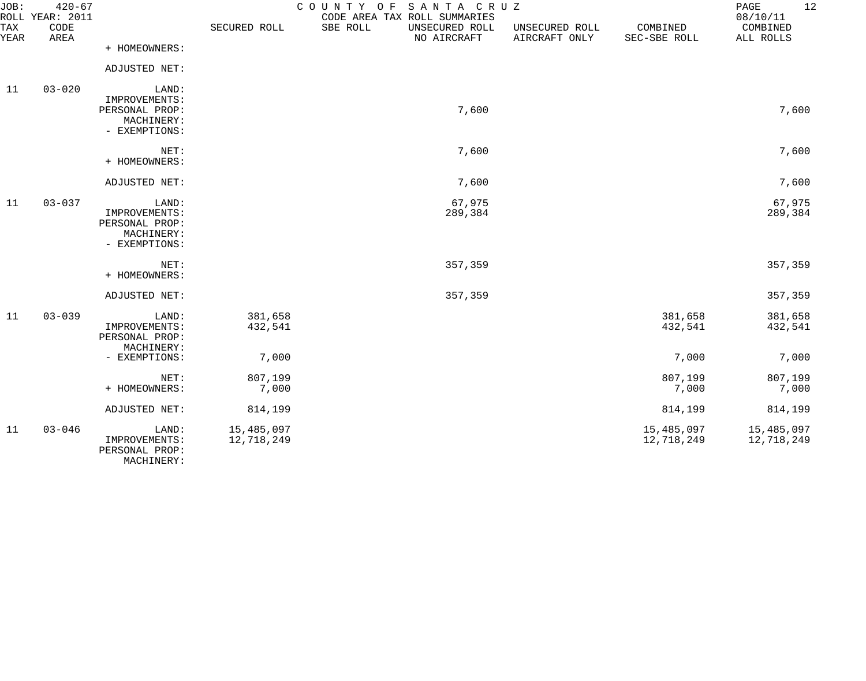| JOB:        | $420 - 67$<br>ROLL YEAR: 2011 |                                                                         |                          | COUNTY OF SANTA CRUZ<br>CODE AREA TAX ROLL SUMMARIES |                                 |                          | 12<br>PAGE<br>08/10/11   |
|-------------|-------------------------------|-------------------------------------------------------------------------|--------------------------|------------------------------------------------------|---------------------------------|--------------------------|--------------------------|
| TAX<br>YEAR | CODE<br>AREA                  |                                                                         | SECURED ROLL             | SBE ROLL<br>UNSECURED ROLL<br>NO AIRCRAFT            | UNSECURED ROLL<br>AIRCRAFT ONLY | COMBINED<br>SEC-SBE ROLL | COMBINED<br>ALL ROLLS    |
|             |                               | + HOMEOWNERS:                                                           |                          |                                                      |                                 |                          |                          |
|             |                               | ADJUSTED NET:                                                           |                          |                                                      |                                 |                          |                          |
| 11          | $03 - 020$                    | LAND:<br>IMPROVEMENTS:<br>PERSONAL PROP:<br>MACHINERY:<br>- EXEMPTIONS: |                          | 7,600                                                |                                 |                          | 7,600                    |
|             |                               | NET:<br>+ HOMEOWNERS:                                                   |                          | 7,600                                                |                                 |                          | 7,600                    |
|             |                               | ADJUSTED NET:                                                           |                          | 7,600                                                |                                 |                          | 7,600                    |
| 11          | $03 - 037$                    | LAND:<br>IMPROVEMENTS:<br>PERSONAL PROP:<br>MACHINERY:<br>- EXEMPTIONS: |                          | 67,975<br>289,384                                    |                                 |                          | 67,975<br>289,384        |
|             |                               | NET:<br>+ HOMEOWNERS:                                                   |                          | 357,359                                              |                                 |                          | 357,359                  |
|             |                               | ADJUSTED NET:                                                           |                          | 357,359                                              |                                 |                          | 357,359                  |
| 11          | $03 - 039$                    | LAND:<br>IMPROVEMENTS:<br>PERSONAL PROP:<br>MACHINERY:                  | 381,658<br>432,541       |                                                      |                                 | 381,658<br>432,541       | 381,658<br>432,541       |
|             |                               | - EXEMPTIONS:                                                           | 7,000                    |                                                      |                                 | 7,000                    | 7,000                    |
|             |                               | NET:<br>+ HOMEOWNERS:                                                   | 807,199<br>7,000         |                                                      |                                 | 807,199<br>7,000         | 807,199<br>7,000         |
|             |                               | ADJUSTED NET:                                                           | 814,199                  |                                                      |                                 | 814,199                  | 814,199                  |
| 11          | $03 - 046$                    | LAND:<br>IMPROVEMENTS:<br>PERSONAL PROP:<br>MACHINERY:                  | 15,485,097<br>12,718,249 |                                                      |                                 | 15,485,097<br>12,718,249 | 15,485,097<br>12,718,249 |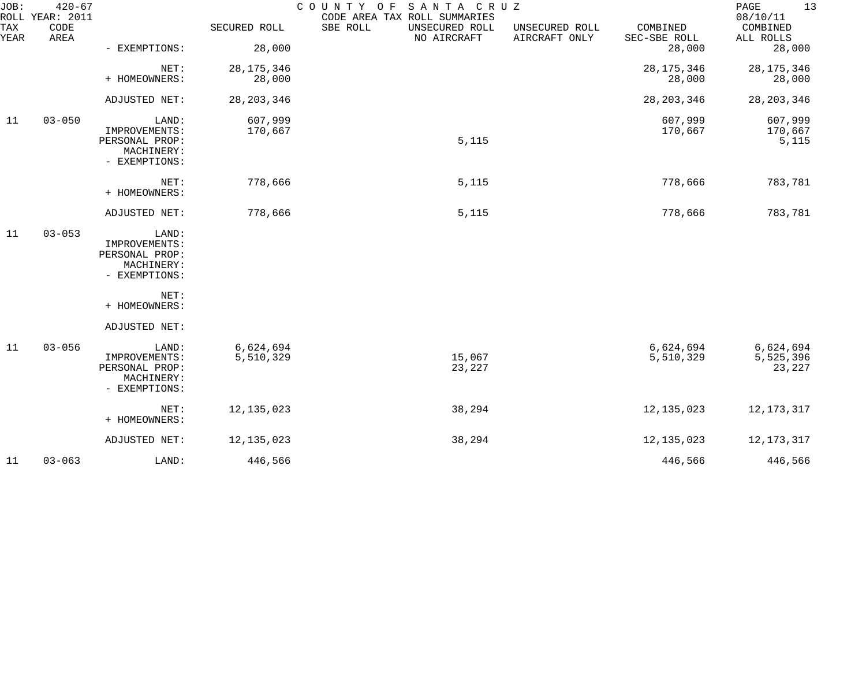| JOB:        | $420 - 67$<br>ROLL YEAR: 2011 |                                                                         |                        | COUNTY OF<br>SANTA CRUZ<br>CODE AREA TAX ROLL SUMMARIES |                                 |                          | PAGE<br>13<br>08/10/11           |
|-------------|-------------------------------|-------------------------------------------------------------------------|------------------------|---------------------------------------------------------|---------------------------------|--------------------------|----------------------------------|
| TAX<br>YEAR | CODE<br>AREA                  |                                                                         | SECURED ROLL           | SBE ROLL<br>UNSECURED ROLL<br>NO AIRCRAFT               | UNSECURED ROLL<br>AIRCRAFT ONLY | COMBINED<br>SEC-SBE ROLL | COMBINED<br>ALL ROLLS            |
|             |                               | - EXEMPTIONS:                                                           | 28,000                 |                                                         |                                 | 28,000                   | 28,000                           |
|             |                               | NET:<br>+ HOMEOWNERS:                                                   | 28, 175, 346<br>28,000 |                                                         |                                 | 28, 175, 346<br>28,000   | 28, 175, 346<br>28,000           |
|             |                               | ADJUSTED NET:                                                           | 28, 203, 346           |                                                         |                                 | 28, 203, 346             | 28, 203, 346                     |
| 11          | $03 - 050$                    | LAND:<br>IMPROVEMENTS:<br>PERSONAL PROP:<br>MACHINERY:<br>- EXEMPTIONS: | 607,999<br>170,667     | 5,115                                                   |                                 | 607,999<br>170,667       | 607,999<br>170,667<br>5,115      |
|             |                               | NET:<br>+ HOMEOWNERS:                                                   | 778,666                | 5,115                                                   |                                 | 778,666                  | 783,781                          |
|             |                               | ADJUSTED NET:                                                           | 778,666                | 5,115                                                   |                                 | 778,666                  | 783,781                          |
| 11          | $03 - 053$                    | LAND:<br>IMPROVEMENTS:<br>PERSONAL PROP:<br>MACHINERY:<br>- EXEMPTIONS: |                        |                                                         |                                 |                          |                                  |
|             |                               | NET:<br>+ HOMEOWNERS:                                                   |                        |                                                         |                                 |                          |                                  |
|             |                               | ADJUSTED NET:                                                           |                        |                                                         |                                 |                          |                                  |
| 11          | $03 - 056$                    | LAND:<br>IMPROVEMENTS:<br>PERSONAL PROP:<br>MACHINERY:<br>- EXEMPTIONS: | 6,624,694<br>5,510,329 | 15,067<br>23,227                                        |                                 | 6,624,694<br>5,510,329   | 6,624,694<br>5,525,396<br>23,227 |
|             |                               | NET:<br>+ HOMEOWNERS:                                                   | 12, 135, 023           | 38,294                                                  |                                 | 12, 135, 023             | 12, 173, 317                     |
|             |                               | ADJUSTED NET:                                                           | 12, 135, 023           | 38,294                                                  |                                 | 12, 135, 023             | 12, 173, 317                     |
| 11          | $03 - 063$                    | LAND:                                                                   | 446,566                |                                                         |                                 | 446,566                  | 446,566                          |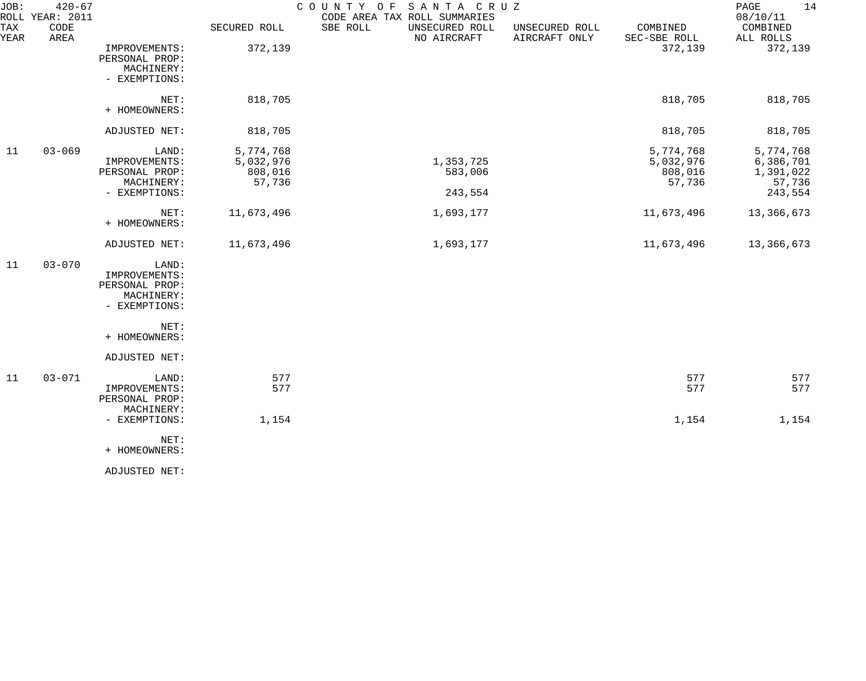| JOB:        | $420 - 67$<br>ROLL YEAR: 2011 |                                                                         |                                             | SANTA CRUZ<br>COUNTY OF<br>CODE AREA TAX ROLL SUMMARIES |                                 |                                             | 14<br>PAGE<br>08/10/11                                   |
|-------------|-------------------------------|-------------------------------------------------------------------------|---------------------------------------------|---------------------------------------------------------|---------------------------------|---------------------------------------------|----------------------------------------------------------|
| TAX<br>YEAR | CODE<br>AREA                  |                                                                         | SECURED ROLL                                | SBE ROLL<br>UNSECURED ROLL<br>NO AIRCRAFT               | UNSECURED ROLL<br>AIRCRAFT ONLY | COMBINED<br>SEC-SBE ROLL                    | COMBINED<br>ALL ROLLS                                    |
|             |                               | IMPROVEMENTS:<br>PERSONAL PROP:<br>MACHINERY:<br>- EXEMPTIONS:          | 372,139                                     |                                                         |                                 | 372,139                                     | 372,139                                                  |
|             |                               | NET:<br>+ HOMEOWNERS:                                                   | 818,705                                     |                                                         |                                 | 818,705                                     | 818,705                                                  |
|             |                               | ADJUSTED NET:                                                           | 818,705                                     |                                                         |                                 | 818,705                                     | 818,705                                                  |
| 11          | $03 - 069$                    | LAND:<br>IMPROVEMENTS:<br>PERSONAL PROP:<br>MACHINERY:<br>- EXEMPTIONS: | 5,774,768<br>5,032,976<br>808,016<br>57,736 | 1,353,725<br>583,006<br>243,554                         |                                 | 5,774,768<br>5,032,976<br>808,016<br>57,736 | 5,774,768<br>6,386,701<br>1,391,022<br>57,736<br>243,554 |
|             |                               | NET:<br>+ HOMEOWNERS:                                                   | 11,673,496                                  | 1,693,177                                               |                                 | 11,673,496                                  | 13,366,673                                               |
|             |                               | ADJUSTED NET:                                                           | 11,673,496                                  | 1,693,177                                               |                                 | 11,673,496                                  | 13,366,673                                               |
| 11          | $03 - 070$                    | LAND:<br>IMPROVEMENTS:<br>PERSONAL PROP:<br>MACHINERY:<br>- EXEMPTIONS: |                                             |                                                         |                                 |                                             |                                                          |
|             |                               | NET:<br>+ HOMEOWNERS:                                                   |                                             |                                                         |                                 |                                             |                                                          |
|             |                               | ADJUSTED NET:                                                           |                                             |                                                         |                                 |                                             |                                                          |
| 11          | $03 - 071$                    | LAND:<br>IMPROVEMENTS:<br>PERSONAL PROP:<br>MACHINERY:                  | 577<br>577                                  |                                                         |                                 | 577<br>577                                  | 577<br>577                                               |
|             |                               | - EXEMPTIONS:                                                           | 1,154                                       |                                                         |                                 | 1,154                                       | 1,154                                                    |
|             |                               | NET:<br>+ HOMEOWNERS:                                                   |                                             |                                                         |                                 |                                             |                                                          |
|             |                               | ADJUSTED NET:                                                           |                                             |                                                         |                                 |                                             |                                                          |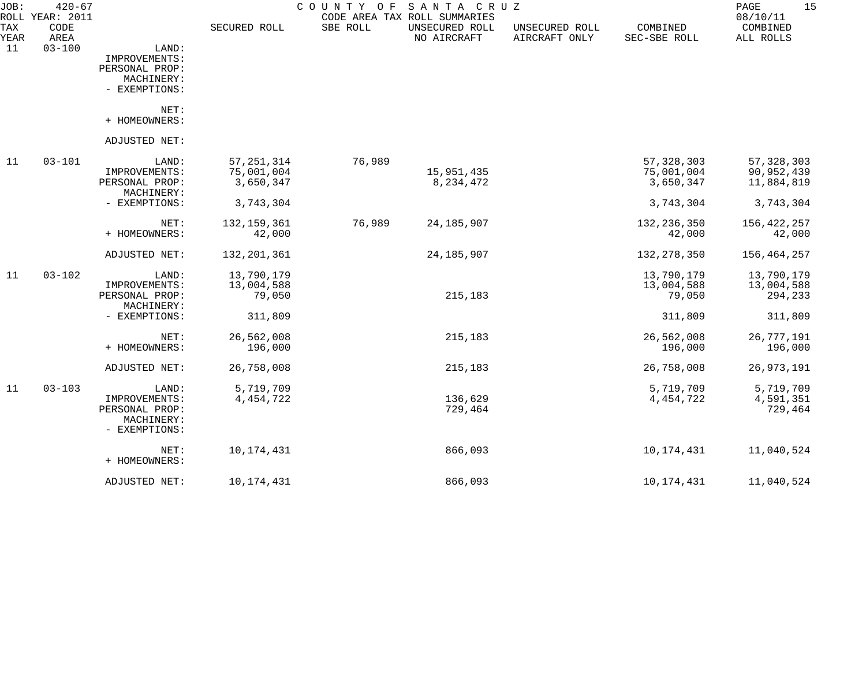| JOB:        | $420 - 67$<br>ROLL YEAR: 2011 |                              |               | COUNTY OF | SANTA CRUZ<br>CODE AREA TAX ROLL SUMMARIES |                                 |                          | 15<br>PAGE<br>08/10/11 |
|-------------|-------------------------------|------------------------------|---------------|-----------|--------------------------------------------|---------------------------------|--------------------------|------------------------|
| TAX<br>YEAR | CODE<br>AREA                  |                              | SECURED ROLL  | SBE ROLL  | UNSECURED ROLL<br>NO AIRCRAFT              | UNSECURED ROLL<br>AIRCRAFT ONLY | COMBINED<br>SEC-SBE ROLL | COMBINED<br>ALL ROLLS  |
| 11          | $03 - 100$                    | LAND:<br>IMPROVEMENTS:       |               |           |                                            |                                 |                          |                        |
|             |                               | PERSONAL PROP:               |               |           |                                            |                                 |                          |                        |
|             |                               | MACHINERY:                   |               |           |                                            |                                 |                          |                        |
|             |                               | - EXEMPTIONS:                |               |           |                                            |                                 |                          |                        |
|             |                               | NET:<br>+ HOMEOWNERS:        |               |           |                                            |                                 |                          |                        |
|             |                               |                              |               |           |                                            |                                 |                          |                        |
|             |                               | ADJUSTED NET:                |               |           |                                            |                                 |                          |                        |
| 11          | $03 - 101$                    | LAND:                        | 57, 251, 314  | 76,989    |                                            |                                 | 57, 328, 303             | 57, 328, 303           |
|             |                               | IMPROVEMENTS:                | 75,001,004    |           | 15,951,435                                 |                                 | 75,001,004               | 90,952,439             |
|             |                               | PERSONAL PROP:<br>MACHINERY: | 3,650,347     |           | 8, 234, 472                                |                                 | 3,650,347                | 11,884,819             |
|             |                               | - EXEMPTIONS:                | 3,743,304     |           |                                            |                                 | 3,743,304                | 3,743,304              |
|             |                               |                              |               |           |                                            |                                 |                          |                        |
|             |                               | NET:                         | 132, 159, 361 | 76,989    | 24, 185, 907                               |                                 | 132, 236, 350            | 156, 422, 257          |
|             |                               | + HOMEOWNERS:                | 42,000        |           |                                            |                                 | 42,000                   | 42,000                 |
|             |                               | ADJUSTED NET:                | 132,201,361   |           | 24, 185, 907                               |                                 | 132, 278, 350            | 156,464,257            |
| 11          | $03 - 102$                    | LAND:                        | 13,790,179    |           |                                            |                                 | 13,790,179               | 13,790,179             |
|             |                               | IMPROVEMENTS:                | 13,004,588    |           |                                            |                                 | 13,004,588               | 13,004,588             |
|             |                               | PERSONAL PROP:               | 79,050        |           | 215,183                                    |                                 | 79,050                   | 294,233                |
|             |                               | MACHINERY:                   |               |           |                                            |                                 |                          |                        |
|             |                               | - EXEMPTIONS:                | 311,809       |           |                                            |                                 | 311,809                  | 311,809                |
|             |                               | NET:                         | 26,562,008    |           | 215,183                                    |                                 | 26,562,008               | 26,777,191             |
|             |                               | + HOMEOWNERS:                | 196,000       |           |                                            |                                 | 196,000                  | 196,000                |
|             |                               | ADJUSTED NET:                | 26,758,008    |           | 215,183                                    |                                 | 26,758,008               | 26, 973, 191           |
| 11          | $03 - 103$                    | LAND:                        | 5,719,709     |           |                                            |                                 | 5,719,709                | 5,719,709              |
|             |                               | IMPROVEMENTS:                | 4, 454, 722   |           | 136,629                                    |                                 | 4, 454, 722              | 4,591,351              |
|             |                               | PERSONAL PROP:               |               |           | 729,464                                    |                                 |                          | 729,464                |
|             |                               | MACHINERY:<br>- EXEMPTIONS:  |               |           |                                            |                                 |                          |                        |
|             |                               | NET:                         | 10,174,431    |           | 866,093                                    |                                 | 10,174,431               | 11,040,524             |
|             |                               | + HOMEOWNERS:                |               |           |                                            |                                 |                          |                        |
|             |                               | ADJUSTED NET:                | 10, 174, 431  |           | 866,093                                    |                                 | 10,174,431               | 11,040,524             |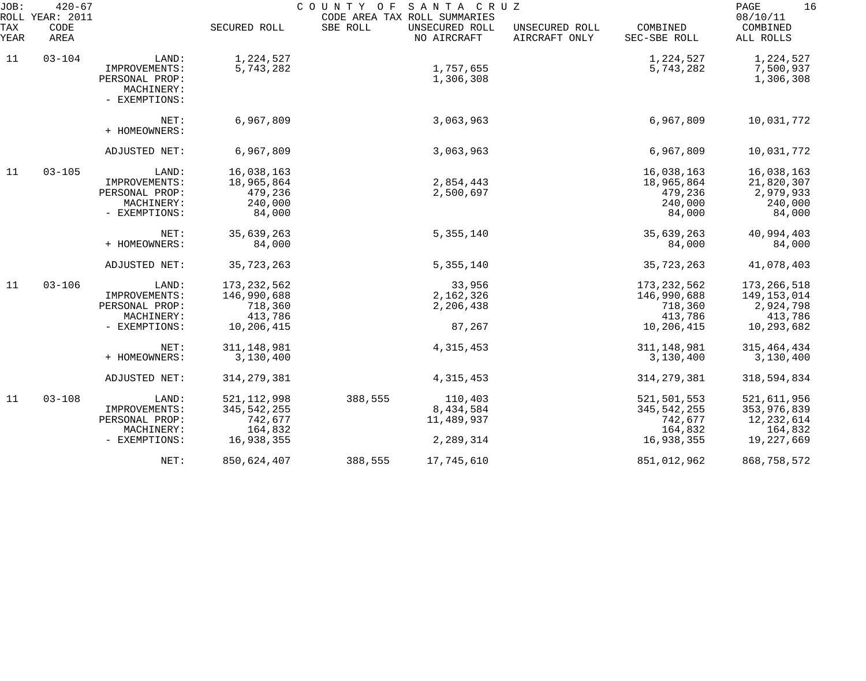| JOB:               | $420 - 67$<br>ROLL YEAR: 2011 |                                               |                        | COUNTY OF SANTA CRUZ | CODE AREA TAX ROLL SUMMARIES  |                                 |                          | 16<br>PAGE<br>08/10/11 |
|--------------------|-------------------------------|-----------------------------------------------|------------------------|----------------------|-------------------------------|---------------------------------|--------------------------|------------------------|
| <b>TAX</b><br>YEAR | CODE<br>AREA                  |                                               | SECURED ROLL           | SBE ROLL             | UNSECURED ROLL<br>NO AIRCRAFT | UNSECURED ROLL<br>AIRCRAFT ONLY | COMBINED<br>SEC-SBE ROLL | COMBINED<br>ALL ROLLS  |
| 11                 | $03 - 104$                    | LAND:<br>IMPROVEMENTS:                        | 1,224,527<br>5,743,282 |                      | 1,757,655                     |                                 | 1,224,527<br>5,743,282   | 1,224,527<br>7,500,937 |
|                    |                               | PERSONAL PROP:<br>MACHINERY:<br>- EXEMPTIONS: |                        |                      | 1,306,308                     |                                 |                          | 1,306,308              |
|                    |                               | NET:<br>+ HOMEOWNERS:                         | 6,967,809              |                      | 3,063,963                     |                                 | 6,967,809                | 10,031,772             |
|                    |                               | ADJUSTED NET:                                 | 6,967,809              |                      | 3,063,963                     |                                 | 6,967,809                | 10,031,772             |
| 11                 | $03 - 105$                    | LAND:                                         | 16,038,163             |                      |                               |                                 | 16,038,163               | 16,038,163             |
|                    |                               | IMPROVEMENTS:                                 | 18,965,864             |                      | 2,854,443                     |                                 | 18,965,864               | 21,820,307             |
|                    |                               | PERSONAL PROP:                                | 479,236                |                      | 2,500,697                     |                                 | 479,236<br>240,000       | 2,979,933              |
|                    |                               | MACHINERY:<br>- EXEMPTIONS:                   | 240,000<br>84,000      |                      |                               |                                 | 84,000                   | 240,000<br>84,000      |
|                    |                               | NET:                                          | 35,639,263             |                      | 5, 355, 140                   |                                 | 35,639,263               | 40,994,403             |
|                    |                               | + HOMEOWNERS:                                 | 84,000                 |                      |                               |                                 | 84,000                   | 84,000                 |
|                    |                               | ADJUSTED NET:                                 | 35,723,263             |                      | 5, 355, 140                   |                                 | 35,723,263               | 41,078,403             |
| 11                 | $03 - 106$                    | LAND:                                         | 173, 232, 562          |                      | 33,956                        |                                 | 173, 232, 562            | 173,266,518            |
|                    |                               | IMPROVEMENTS:                                 | 146,990,688            |                      | 2,162,326                     |                                 | 146,990,688              | 149,153,014            |
|                    |                               | PERSONAL PROP:                                | 718,360                |                      | 2,206,438                     |                                 | 718,360                  | 2,924,798              |
|                    |                               | MACHINERY:                                    | 413,786                |                      |                               |                                 | 413,786                  | 413,786                |
|                    |                               | - EXEMPTIONS:                                 | 10,206,415             |                      | 87,267                        |                                 | 10,206,415               | 10,293,682             |
|                    |                               | NET:                                          | 311, 148, 981          |                      | 4, 315, 453                   |                                 | 311, 148, 981            | 315, 464, 434          |
|                    |                               | + HOMEOWNERS:                                 | 3,130,400              |                      |                               |                                 | 3,130,400                | 3,130,400              |
|                    |                               | ADJUSTED NET:                                 | 314, 279, 381          |                      | 4, 315, 453                   |                                 | 314, 279, 381            | 318,594,834            |
| 11                 | $03 - 108$                    | LAND:                                         | 521, 112, 998          | 388,555              | 110,403                       |                                 | 521,501,553              | 521,611,956            |
|                    |                               | IMPROVEMENTS:                                 | 345, 542, 255          |                      | 8,434,584                     |                                 | 345,542,255              | 353,976,839            |
|                    |                               | PERSONAL PROP:                                | 742,677                |                      | 11,489,937                    |                                 | 742,677                  | 12, 232, 614           |
|                    |                               | MACHINERY:                                    | 164,832                |                      |                               |                                 | 164,832                  | 164,832                |
|                    |                               | - EXEMPTIONS:                                 | 16,938,355             |                      | 2,289,314                     |                                 | 16,938,355               | 19,227,669             |
|                    |                               | NET:                                          | 850,624,407            | 388,555              | 17,745,610                    |                                 | 851,012,962              | 868,758,572            |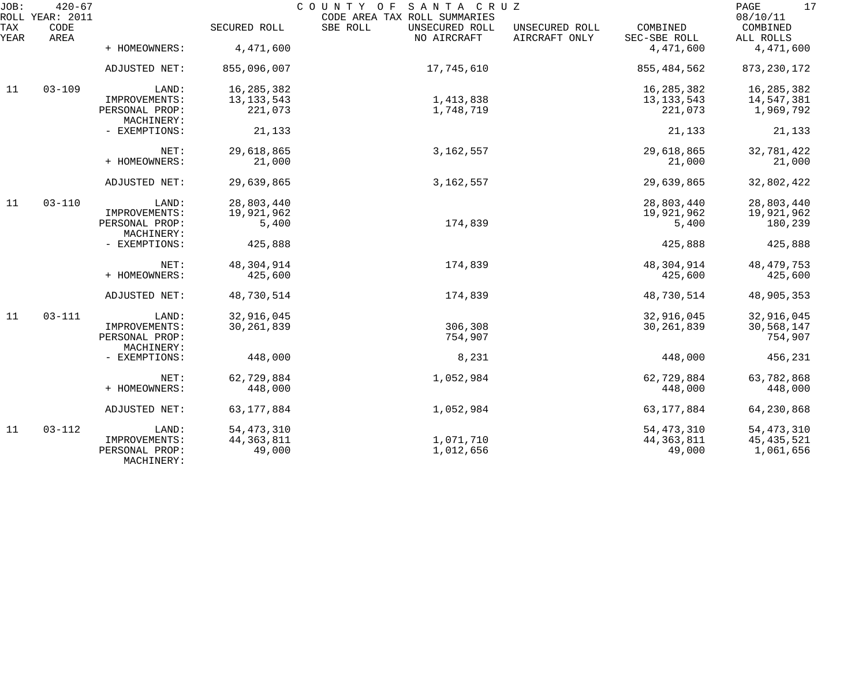| JOB:        | $420 - 67$<br>ROLL YEAR: 2011 |                              |              | COUNTY OF SANTA CRUZ<br>CODE AREA TAX ROLL SUMMARIES |                                 |                          | 17<br>PAGE<br>08/10/11 |
|-------------|-------------------------------|------------------------------|--------------|------------------------------------------------------|---------------------------------|--------------------------|------------------------|
| TAX<br>YEAR | CODE<br>AREA                  |                              | SECURED ROLL | SBE ROLL<br>UNSECURED ROLL<br>NO AIRCRAFT            | UNSECURED ROLL<br>AIRCRAFT ONLY | COMBINED<br>SEC-SBE ROLL | COMBINED<br>ALL ROLLS  |
|             |                               | + HOMEOWNERS:                | 4,471,600    |                                                      |                                 | 4,471,600                | 4,471,600              |
|             |                               | ADJUSTED NET:                | 855,096,007  | 17,745,610                                           |                                 | 855, 484, 562            | 873, 230, 172          |
| 11          | $03 - 109$                    | LAND:                        | 16, 285, 382 |                                                      |                                 | 16, 285, 382             | 16,285,382             |
|             |                               | IMPROVEMENTS:                | 13, 133, 543 | 1,413,838                                            |                                 | 13, 133, 543             | 14,547,381             |
|             |                               | PERSONAL PROP:<br>MACHINERY: | 221,073      | 1,748,719                                            |                                 | 221,073                  | 1,969,792              |
|             |                               | - EXEMPTIONS:                | 21,133       |                                                      |                                 | 21,133                   | 21,133                 |
|             |                               | NET:                         | 29,618,865   | 3, 162, 557                                          |                                 | 29,618,865               | 32,781,422             |
|             |                               | + HOMEOWNERS:                | 21,000       |                                                      |                                 | 21,000                   | 21,000                 |
|             |                               | ADJUSTED NET:                | 29,639,865   | 3, 162, 557                                          |                                 | 29,639,865               | 32,802,422             |
| 11          | $03 - 110$                    | LAND:                        | 28,803,440   |                                                      |                                 | 28,803,440               | 28,803,440             |
|             |                               | IMPROVEMENTS:                | 19,921,962   |                                                      |                                 | 19,921,962               | 19,921,962             |
|             |                               | PERSONAL PROP:<br>MACHINERY: | 5,400        | 174,839                                              |                                 | 5,400                    | 180,239                |
|             |                               | - EXEMPTIONS:                | 425,888      |                                                      |                                 | 425,888                  | 425,888                |
|             |                               | NET:                         | 48,304,914   | 174,839                                              |                                 | 48,304,914               | 48, 479, 753           |
|             |                               | + HOMEOWNERS:                | 425,600      |                                                      |                                 | 425,600                  | 425,600                |
|             |                               | ADJUSTED NET:                | 48,730,514   | 174,839                                              |                                 | 48,730,514               | 48,905,353             |
| 11          | $03 - 111$                    | LAND:                        | 32,916,045   |                                                      |                                 | 32,916,045               | 32,916,045             |
|             |                               | IMPROVEMENTS:                | 30, 261, 839 | 306,308                                              |                                 | 30, 261, 839             | 30,568,147             |
|             |                               | PERSONAL PROP:<br>MACHINERY: |              | 754,907                                              |                                 |                          | 754,907                |
|             |                               | - EXEMPTIONS:                | 448,000      | 8,231                                                |                                 | 448,000                  | 456,231                |
|             |                               | NET:                         | 62,729,884   | 1,052,984                                            |                                 | 62,729,884               | 63,782,868             |
|             |                               | + HOMEOWNERS:                | 448,000      |                                                      |                                 | 448,000                  | 448,000                |
|             |                               | ADJUSTED NET:                | 63, 177, 884 | 1,052,984                                            |                                 | 63, 177, 884             | 64,230,868             |
| 11          | $03 - 112$                    | LAND:                        | 54, 473, 310 |                                                      |                                 | 54, 473, 310             | 54, 473, 310           |
|             |                               | IMPROVEMENTS:                | 44, 363, 811 | 1,071,710                                            |                                 | 44, 363, 811             | 45, 435, 521           |
|             |                               | PERSONAL PROP:<br>MACHINERY: | 49,000       | 1,012,656                                            |                                 | 49,000                   | 1,061,656              |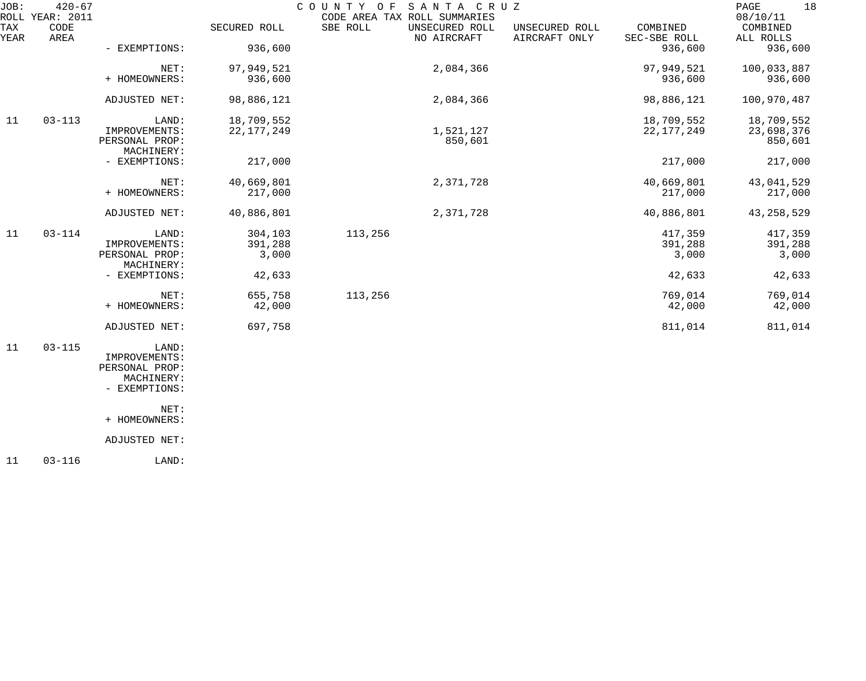| JOB:<br>ROLL | $420 - 67$<br>YEAR: 2011 |                              |              | COUNTY<br>O F | SANTA CRUZ<br>CODE AREA TAX ROLL SUMMARIES |                                 |                          | 18<br>PAGE<br>08/10/11 |
|--------------|--------------------------|------------------------------|--------------|---------------|--------------------------------------------|---------------------------------|--------------------------|------------------------|
| TAX<br>YEAR  | CODE<br>AREA             |                              | SECURED ROLL | SBE ROLL      | UNSECURED ROLL<br>NO AIRCRAFT              | UNSECURED ROLL<br>AIRCRAFT ONLY | COMBINED<br>SEC-SBE ROLL | COMBINED<br>ALL ROLLS  |
|              |                          | - EXEMPTIONS:                | 936,600      |               |                                            |                                 | 936,600                  | 936,600                |
|              |                          | NET:                         | 97,949,521   |               | 2,084,366                                  |                                 | 97,949,521               | 100,033,887            |
|              |                          | + HOMEOWNERS:                | 936,600      |               |                                            |                                 | 936,600                  | 936,600                |
|              |                          | ADJUSTED NET:                | 98,886,121   |               | 2,084,366                                  |                                 | 98,886,121               | 100,970,487            |
| 11           | $03 - 113$               | LAND:                        | 18,709,552   |               |                                            |                                 | 18,709,552               | 18,709,552             |
|              |                          | IMPROVEMENTS:                | 22, 177, 249 |               | 1,521,127                                  |                                 | 22, 177, 249             | 23,698,376             |
|              |                          | PERSONAL PROP:<br>MACHINERY: |              |               | 850,601                                    |                                 |                          | 850,601                |
|              |                          | - EXEMPTIONS:                | 217,000      |               |                                            |                                 | 217,000                  | 217,000                |
|              |                          | NET:                         | 40,669,801   |               | 2,371,728                                  |                                 | 40,669,801               | 43,041,529             |
|              |                          | + HOMEOWNERS:                | 217,000      |               |                                            |                                 | 217,000                  | 217,000                |
|              |                          | ADJUSTED NET:                | 40,886,801   |               | 2,371,728                                  |                                 | 40,886,801               | 43, 258, 529           |
| 11           | $03 - 114$               | LAND:                        | 304,103      | 113,256       |                                            |                                 | 417,359                  | 417,359                |
|              |                          | IMPROVEMENTS:                | 391,288      |               |                                            |                                 | 391,288                  | 391,288                |
|              |                          | PERSONAL PROP:<br>MACHINERY: | 3,000        |               |                                            |                                 | 3,000                    | 3,000                  |
|              |                          | - EXEMPTIONS:                | 42,633       |               |                                            |                                 | 42,633                   | 42,633                 |
|              |                          | NET:                         | 655,758      | 113,256       |                                            |                                 | 769,014                  | 769,014                |
|              |                          | + HOMEOWNERS:                | 42,000       |               |                                            |                                 | 42,000                   | 42,000                 |
|              |                          | ADJUSTED NET:                | 697,758      |               |                                            |                                 | 811,014                  | 811,014                |
| 11           | $03 - 115$               | LAND:                        |              |               |                                            |                                 |                          |                        |
|              |                          | IMPROVEMENTS:                |              |               |                                            |                                 |                          |                        |
|              |                          | PERSONAL PROP:               |              |               |                                            |                                 |                          |                        |
|              |                          | MACHINERY:<br>- EXEMPTIONS:  |              |               |                                            |                                 |                          |                        |
|              |                          | NET:                         |              |               |                                            |                                 |                          |                        |
|              |                          | + HOMEOWNERS:                |              |               |                                            |                                 |                          |                        |
|              |                          | ADJUSTED NET:                |              |               |                                            |                                 |                          |                        |
|              |                          |                              |              |               |                                            |                                 |                          |                        |

11 03-116 LAND: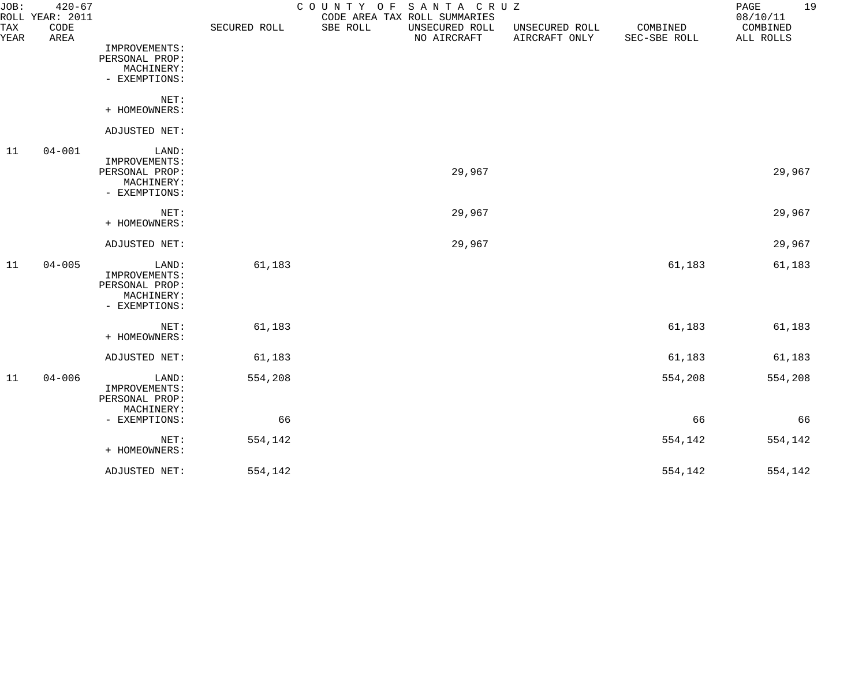| JOB:        | $420 - 67$<br>ROLL YEAR: 2011 |                                                                         |              | COUNTY OF<br>CODE AREA TAX ROLL SUMMARIES | SANTA CRUZ                    |                                 |                          | 19<br>PAGE<br>08/10/11 |
|-------------|-------------------------------|-------------------------------------------------------------------------|--------------|-------------------------------------------|-------------------------------|---------------------------------|--------------------------|------------------------|
| TAX<br>YEAR | CODE<br>AREA                  |                                                                         | SECURED ROLL | SBE ROLL                                  | UNSECURED ROLL<br>NO AIRCRAFT | UNSECURED ROLL<br>AIRCRAFT ONLY | COMBINED<br>SEC-SBE ROLL | COMBINED<br>ALL ROLLS  |
|             |                               | IMPROVEMENTS:<br>PERSONAL PROP:<br>MACHINERY:<br>- EXEMPTIONS:          |              |                                           |                               |                                 |                          |                        |
|             |                               | NET:<br>+ HOMEOWNERS:                                                   |              |                                           |                               |                                 |                          |                        |
|             |                               | ADJUSTED NET:                                                           |              |                                           |                               |                                 |                          |                        |
| 11          | $04 - 001$                    | LAND:<br>IMPROVEMENTS:<br>PERSONAL PROP:<br>MACHINERY:<br>- EXEMPTIONS: |              |                                           | 29,967                        |                                 |                          | 29,967                 |
|             |                               | NET:<br>+ HOMEOWNERS:                                                   |              |                                           | 29,967                        |                                 |                          | 29,967                 |
|             |                               | ADJUSTED NET:                                                           |              |                                           | 29,967                        |                                 |                          | 29,967                 |
| 11          | $04 - 005$                    | LAND:<br>IMPROVEMENTS:<br>PERSONAL PROP:<br>MACHINERY:<br>- EXEMPTIONS: | 61,183       |                                           |                               |                                 | 61,183                   | 61,183                 |
|             |                               | NET:<br>+ HOMEOWNERS:                                                   | 61,183       |                                           |                               |                                 | 61,183                   | 61,183                 |
|             |                               | ADJUSTED NET:                                                           | 61,183       |                                           |                               |                                 | 61,183                   | 61,183                 |
| 11          | $04 - 006$                    | LAND:<br>IMPROVEMENTS:<br>PERSONAL PROP:<br>MACHINERY:                  | 554,208      |                                           |                               |                                 | 554,208                  | 554,208                |
|             |                               | - EXEMPTIONS:                                                           | 66           |                                           |                               |                                 | 66                       | 66                     |
|             |                               | NET:<br>+ HOMEOWNERS:                                                   | 554,142      |                                           |                               |                                 | 554,142                  | 554,142                |
|             |                               | ADJUSTED NET:                                                           | 554,142      |                                           |                               |                                 | 554,142                  | 554,142                |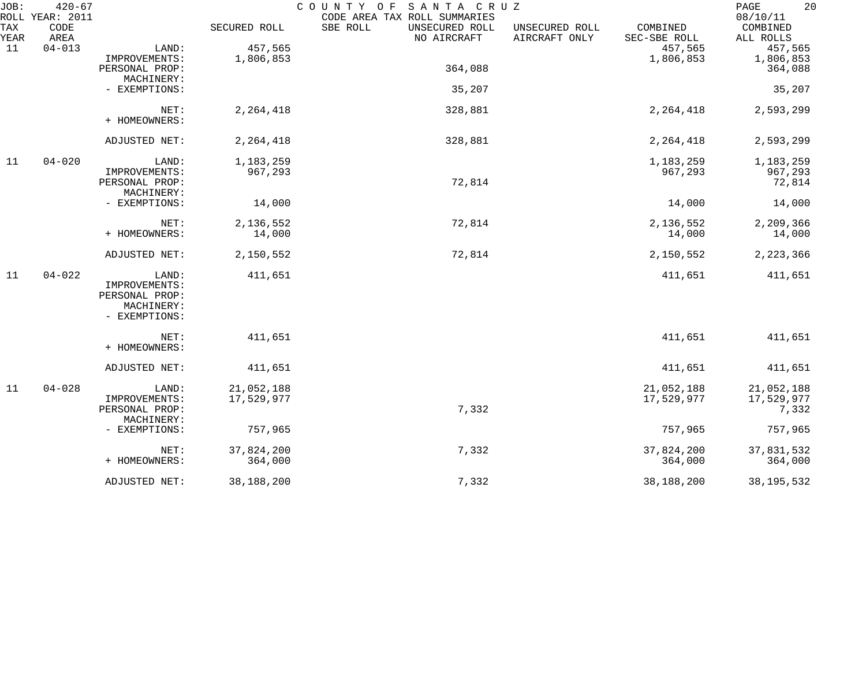| JOB:<br>ROLL | $420 - 67$<br>YEAR: 2011 |                |              | COUNTY OF SANTA CRUZ<br>CODE AREA TAX ROLL SUMMARIES |                                 |                          | 20<br>PAGE<br>08/10/11 |
|--------------|--------------------------|----------------|--------------|------------------------------------------------------|---------------------------------|--------------------------|------------------------|
| TAX<br>YEAR  | CODE<br>AREA             |                | SECURED ROLL | SBE ROLL<br>UNSECURED ROLL<br>NO AIRCRAFT            | UNSECURED ROLL<br>AIRCRAFT ONLY | COMBINED<br>SEC-SBE ROLL | COMBINED<br>ALL ROLLS  |
| 11           | $04 - 013$               | LAND:          | 457,565      |                                                      |                                 | 457,565                  | 457,565                |
|              |                          | IMPROVEMENTS:  | 1,806,853    |                                                      |                                 | 1,806,853                | 1,806,853              |
|              |                          | PERSONAL PROP: |              | 364,088                                              |                                 |                          | 364,088                |
|              |                          | MACHINERY:     |              |                                                      |                                 |                          |                        |
|              |                          | - EXEMPTIONS:  |              | 35,207                                               |                                 |                          | 35,207                 |
|              |                          | NET:           | 2, 264, 418  | 328,881                                              |                                 | 2, 264, 418              | 2,593,299              |
|              |                          | + HOMEOWNERS:  |              |                                                      |                                 |                          |                        |
|              |                          | ADJUSTED NET:  | 2, 264, 418  | 328,881                                              |                                 | 2, 264, 418              | 2,593,299              |
|              |                          |                |              |                                                      |                                 |                          |                        |
| 11           | $04 - 020$               | LAND:          | 1,183,259    |                                                      |                                 | 1,183,259                | 1,183,259              |
|              |                          | IMPROVEMENTS:  | 967,293      |                                                      |                                 | 967,293                  | 967,293                |
|              |                          | PERSONAL PROP: |              | 72,814                                               |                                 |                          | 72,814                 |
|              |                          | MACHINERY:     |              |                                                      |                                 |                          |                        |
|              |                          | - EXEMPTIONS:  | 14,000       |                                                      |                                 | 14,000                   | 14,000                 |
|              |                          | NET:           | 2,136,552    | 72,814                                               |                                 | 2,136,552                | 2,209,366              |
|              |                          | + HOMEOWNERS:  | 14,000       |                                                      |                                 | 14,000                   | 14,000                 |
|              |                          |                |              |                                                      |                                 |                          |                        |
|              |                          | ADJUSTED NET:  | 2,150,552    | 72,814                                               |                                 | 2,150,552                | 2, 223, 366            |
| 11           | $04 - 022$               | LAND:          | 411,651      |                                                      |                                 | 411,651                  | 411,651                |
|              |                          | IMPROVEMENTS:  |              |                                                      |                                 |                          |                        |
|              |                          | PERSONAL PROP: |              |                                                      |                                 |                          |                        |
|              |                          | MACHINERY:     |              |                                                      |                                 |                          |                        |
|              |                          | - EXEMPTIONS:  |              |                                                      |                                 |                          |                        |
|              |                          | NET:           | 411,651      |                                                      |                                 | 411,651                  | 411,651                |
|              |                          | + HOMEOWNERS:  |              |                                                      |                                 |                          |                        |
|              |                          | ADJUSTED NET:  | 411,651      |                                                      |                                 | 411,651                  | 411,651                |
|              |                          |                |              |                                                      |                                 |                          |                        |
| 11           | $04 - 028$               | LAND:          | 21,052,188   |                                                      |                                 | 21,052,188               | 21,052,188             |
|              |                          | IMPROVEMENTS:  | 17,529,977   |                                                      |                                 | 17,529,977               | 17,529,977             |
|              |                          | PERSONAL PROP: |              | 7,332                                                |                                 |                          | 7,332                  |
|              |                          | MACHINERY:     |              |                                                      |                                 |                          |                        |
|              |                          | - EXEMPTIONS:  | 757,965      |                                                      |                                 | 757,965                  | 757,965                |
|              |                          | NET:           | 37,824,200   | 7,332                                                |                                 | 37,824,200               | 37,831,532             |
|              |                          | + HOMEOWNERS:  | 364,000      |                                                      |                                 | 364,000                  | 364,000                |
|              |                          |                |              |                                                      |                                 |                          |                        |
|              |                          | ADJUSTED NET:  | 38,188,200   | 7,332                                                |                                 | 38,188,200               | 38, 195, 532           |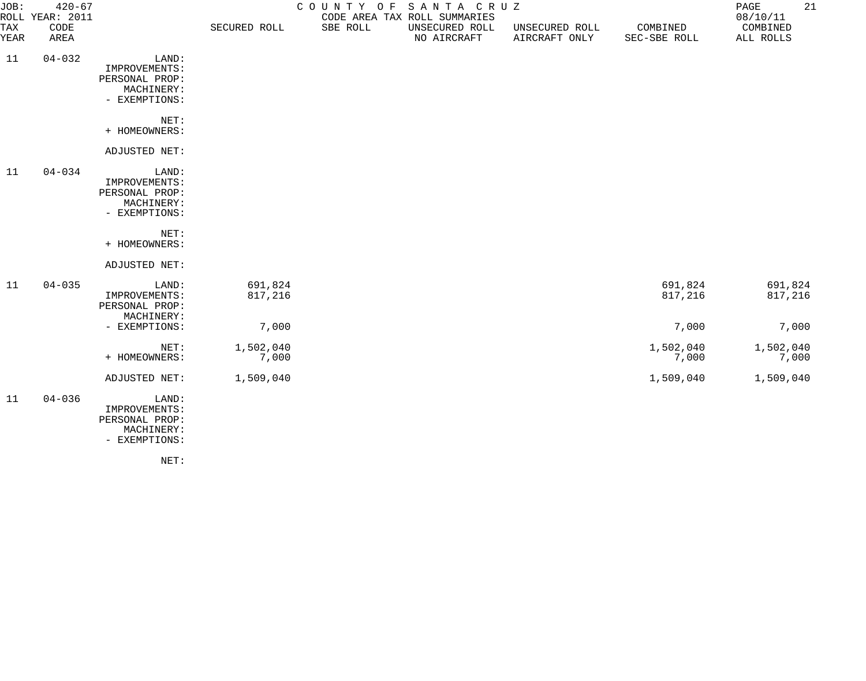| JOB:        | $420 - 67$<br>ROLL YEAR: 2011 |                                                                         |                    | COUNTY OF SANTA CRUZ<br>CODE AREA TAX ROLL SUMMARIES |                               |                                 | 21<br>$\mathop{\mathtt{PAGE}}$<br>08/10/11 |                       |
|-------------|-------------------------------|-------------------------------------------------------------------------|--------------------|------------------------------------------------------|-------------------------------|---------------------------------|--------------------------------------------|-----------------------|
| TAX<br>YEAR | CODE<br>AREA                  |                                                                         | SECURED ROLL       | SBE ROLL                                             | UNSECURED ROLL<br>NO AIRCRAFT | UNSECURED ROLL<br>AIRCRAFT ONLY | COMBINED<br>SEC-SBE ROLL                   | COMBINED<br>ALL ROLLS |
| 11          | $04 - 032$                    | LAND:<br>IMPROVEMENTS:<br>PERSONAL PROP:<br>MACHINERY:<br>- EXEMPTIONS: |                    |                                                      |                               |                                 |                                            |                       |
|             |                               | NET:<br>+ HOMEOWNERS:                                                   |                    |                                                      |                               |                                 |                                            |                       |
|             |                               | ADJUSTED NET:                                                           |                    |                                                      |                               |                                 |                                            |                       |
| 11          | $04 - 034$                    | LAND:<br>IMPROVEMENTS:<br>PERSONAL PROP:<br>MACHINERY:<br>- EXEMPTIONS: |                    |                                                      |                               |                                 |                                            |                       |
|             |                               | NET:<br>+ HOMEOWNERS:                                                   |                    |                                                      |                               |                                 |                                            |                       |
|             |                               | ADJUSTED NET:                                                           |                    |                                                      |                               |                                 |                                            |                       |
| 11          | $04 - 035$                    | LAND:<br>IMPROVEMENTS:<br>PERSONAL PROP:<br>MACHINERY:                  | 691,824<br>817,216 |                                                      |                               |                                 | 691,824<br>817,216                         | 691,824<br>817,216    |
|             |                               | - EXEMPTIONS:                                                           | 7,000              |                                                      |                               |                                 | 7,000                                      | 7,000                 |
|             |                               | NET:<br>+ HOMEOWNERS:                                                   | 1,502,040<br>7,000 |                                                      |                               |                                 | 1,502,040<br>7,000                         | 1,502,040<br>7,000    |
|             |                               | ADJUSTED NET:                                                           | 1,509,040          |                                                      |                               |                                 | 1,509,040                                  | 1,509,040             |
| 11          | $04 - 036$                    | LAND:<br>IMPROVEMENTS:<br>PERSONAL PROP:<br>MACHINERY:<br>- EXEMPTIONS: |                    |                                                      |                               |                                 |                                            |                       |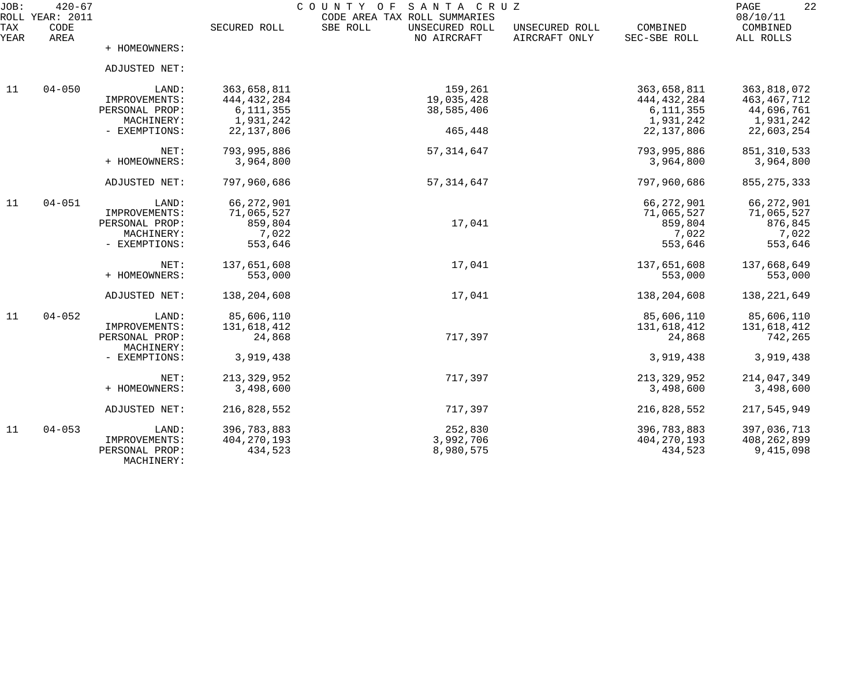| JOB:<br>ROLL | $420 - 67$<br><b>YEAR: 2011</b> |                              |               | COUNTY<br>SANTA CRUZ<br>O F<br>CODE AREA TAX ROLL SUMMARIES | 22<br>PAGE<br>08/10/11          |                          |                       |
|--------------|---------------------------------|------------------------------|---------------|-------------------------------------------------------------|---------------------------------|--------------------------|-----------------------|
| TAX<br>YEAR  | CODE<br>AREA                    |                              | SECURED ROLL  | SBE ROLL<br>UNSECURED ROLL<br>NO AIRCRAFT                   | UNSECURED ROLL<br>AIRCRAFT ONLY | COMBINED<br>SEC-SBE ROLL | COMBINED<br>ALL ROLLS |
|              |                                 | + HOMEOWNERS:                |               |                                                             |                                 |                          |                       |
|              |                                 | ADJUSTED NET:                |               |                                                             |                                 |                          |                       |
| 11           | $04 - 050$                      | LAND:                        | 363,658,811   | 159,261                                                     |                                 | 363,658,811              | 363,818,072           |
|              |                                 | IMPROVEMENTS:                | 444, 432, 284 | 19,035,428                                                  |                                 | 444, 432, 284            | 463, 467, 712         |
|              |                                 | PERSONAL PROP:               | 6, 111, 355   | 38,585,406                                                  |                                 | 6, 111, 355              | 44,696,761            |
|              |                                 | MACHINERY:                   | 1,931,242     |                                                             |                                 | 1,931,242                | 1,931,242             |
|              |                                 | - EXEMPTIONS:                | 22, 137, 806  | 465,448                                                     |                                 | 22, 137, 806             | 22,603,254            |
|              |                                 | $NET$ :                      | 793,995,886   | 57, 314, 647                                                |                                 | 793,995,886              | 851, 310, 533         |
|              |                                 | + HOMEOWNERS:                | 3,964,800     |                                                             |                                 | 3,964,800                | 3,964,800             |
|              |                                 | ADJUSTED NET:                | 797,960,686   | 57, 314, 647                                                |                                 | 797,960,686              | 855, 275, 333         |
| 11           | $04 - 051$                      | LAND:                        | 66, 272, 901  |                                                             |                                 | 66, 272, 901             | 66,272,901            |
|              |                                 | IMPROVEMENTS:                | 71,065,527    |                                                             |                                 | 71,065,527               | 71,065,527            |
|              |                                 | PERSONAL PROP:               | 859,804       | 17,041                                                      |                                 | 859,804                  | 876,845               |
|              |                                 | MACHINERY:                   | 7,022         |                                                             |                                 | 7,022                    | 7,022                 |
|              |                                 | - EXEMPTIONS:                | 553,646       |                                                             |                                 | 553,646                  | 553,646               |
|              |                                 | NET:                         | 137,651,608   | 17,041                                                      |                                 | 137,651,608              | 137,668,649           |
|              |                                 | + HOMEOWNERS:                | 553,000       |                                                             |                                 | 553,000                  | 553,000               |
|              |                                 | ADJUSTED NET:                | 138,204,608   | 17,041                                                      |                                 | 138,204,608              | 138,221,649           |
| 11           | $04 - 052$                      | LAND:                        | 85,606,110    |                                                             |                                 | 85,606,110               | 85,606,110            |
|              |                                 | IMPROVEMENTS:                | 131,618,412   |                                                             |                                 | 131,618,412              | 131,618,412           |
|              |                                 | PERSONAL PROP:               | 24,868        | 717,397                                                     |                                 | 24,868                   | 742,265               |
|              |                                 | MACHINERY:                   |               |                                                             |                                 |                          |                       |
|              |                                 | - EXEMPTIONS:                | 3,919,438     |                                                             |                                 | 3,919,438                | 3,919,438             |
|              |                                 | NET:                         | 213, 329, 952 | 717,397                                                     |                                 | 213, 329, 952            | 214,047,349           |
|              |                                 | + HOMEOWNERS:                | 3,498,600     |                                                             |                                 | 3,498,600                | 3,498,600             |
|              |                                 | ADJUSTED NET:                | 216,828,552   | 717,397                                                     |                                 | 216,828,552              | 217,545,949           |
| 11           | $04 - 053$                      | LAND:                        | 396,783,883   | 252,830                                                     |                                 | 396,783,883              | 397,036,713           |
|              |                                 | IMPROVEMENTS:                | 404, 270, 193 | 3,992,706                                                   |                                 | 404, 270, 193            | 408, 262, 899         |
|              |                                 | PERSONAL PROP:<br>MACHINERY: | 434,523       | 8,980,575                                                   |                                 | 434,523                  | 9,415,098             |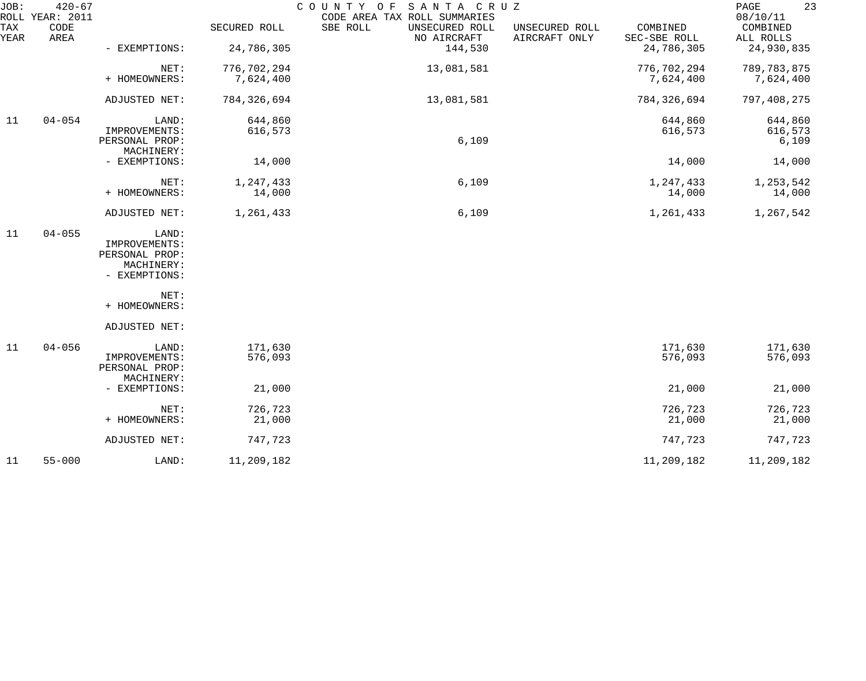| JOB:        | $420 - 67$<br>ROLL YEAR: 2011 |                                 |                          | COUNTY OF<br>SANTA CRUZ<br>CODE AREA TAX ROLL SUMMARIES |                                 |                          | 23<br>PAGE<br>08/10/11     |
|-------------|-------------------------------|---------------------------------|--------------------------|---------------------------------------------------------|---------------------------------|--------------------------|----------------------------|
| TAX<br>YEAR | CODE<br>AREA                  |                                 | SECURED ROLL             | SBE ROLL<br>UNSECURED ROLL<br>NO AIRCRAFT               | UNSECURED ROLL<br>AIRCRAFT ONLY | COMBINED<br>SEC-SBE ROLL | COMBINED<br>ALL ROLLS      |
|             |                               | - EXEMPTIONS:                   | 24,786,305               | 144,530                                                 |                                 | 24,786,305               | 24,930,835                 |
|             |                               | NET:<br>+ HOMEOWNERS:           | 776,702,294<br>7,624,400 | 13,081,581                                              |                                 | 776,702,294<br>7,624,400 | 789, 783, 875<br>7,624,400 |
|             |                               |                                 |                          |                                                         |                                 |                          |                            |
|             |                               | ADJUSTED NET:                   | 784, 326, 694            | 13,081,581                                              |                                 | 784,326,694              | 797,408,275                |
| 11          | $04 - 054$                    | LAND:                           | 644,860                  |                                                         |                                 | 644,860                  | 644,860                    |
|             |                               | IMPROVEMENTS:<br>PERSONAL PROP: | 616,573                  | 6,109                                                   |                                 | 616,573                  | 616,573<br>6,109           |
|             |                               | MACHINERY:                      |                          |                                                         |                                 |                          |                            |
|             |                               | - EXEMPTIONS:                   | 14,000                   |                                                         |                                 | 14,000                   | 14,000                     |
|             |                               | NET:                            | 1,247,433                | 6,109                                                   |                                 | 1,247,433                | 1,253,542                  |
|             |                               | + HOMEOWNERS:                   | 14,000                   |                                                         |                                 | 14,000                   | 14,000                     |
|             |                               | ADJUSTED NET:                   | 1,261,433                | 6,109                                                   |                                 | 1,261,433                | 1,267,542                  |
| 11          | $04 - 055$                    | LAND:                           |                          |                                                         |                                 |                          |                            |
|             |                               | IMPROVEMENTS:<br>PERSONAL PROP: |                          |                                                         |                                 |                          |                            |
|             |                               | MACHINERY:                      |                          |                                                         |                                 |                          |                            |
|             |                               | - EXEMPTIONS:                   |                          |                                                         |                                 |                          |                            |
|             |                               | NET:                            |                          |                                                         |                                 |                          |                            |
|             |                               | + HOMEOWNERS:                   |                          |                                                         |                                 |                          |                            |
|             |                               | ADJUSTED NET:                   |                          |                                                         |                                 |                          |                            |
| 11          | $04 - 056$                    | LAND:                           | 171,630                  |                                                         |                                 | 171,630                  | 171,630                    |
|             |                               | IMPROVEMENTS:<br>PERSONAL PROP: | 576,093                  |                                                         |                                 | 576,093                  | 576,093                    |
|             |                               | MACHINERY:                      |                          |                                                         |                                 |                          |                            |
|             |                               | - EXEMPTIONS:                   | 21,000                   |                                                         |                                 | 21,000                   | 21,000                     |
|             |                               | NET:                            | 726,723                  |                                                         |                                 | 726,723                  | 726,723                    |
|             |                               | + HOMEOWNERS:                   | 21,000                   |                                                         |                                 | 21,000                   | 21,000                     |
|             |                               | ADJUSTED NET:                   | 747,723                  |                                                         |                                 | 747,723                  | 747,723                    |
| 11          | $55 - 000$                    | LAND:                           | 11,209,182               |                                                         |                                 | 11,209,182               | 11,209,182                 |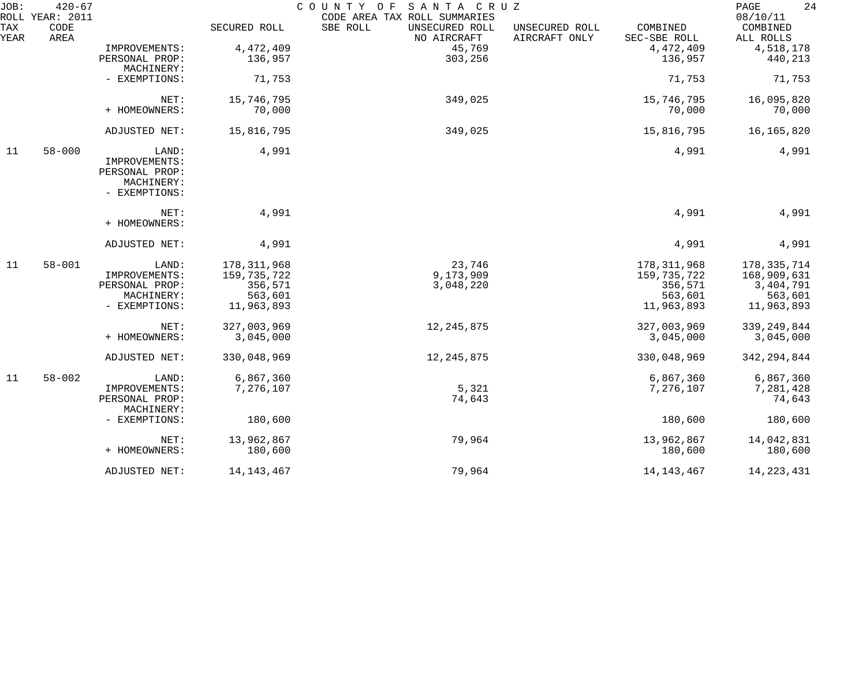| JOB:        | $420 - 67$<br>ROLL YEAR: 2011 |                |               | COUNTY OF<br>SANTA CRUZ<br>CODE AREA TAX ROLL SUMMARIES |                                 |                          | 24<br>PAGE<br>08/10/11 |
|-------------|-------------------------------|----------------|---------------|---------------------------------------------------------|---------------------------------|--------------------------|------------------------|
| TAX<br>YEAR | CODE<br>AREA                  |                | SECURED ROLL  | SBE ROLL<br>UNSECURED ROLL<br>NO AIRCRAFT               | UNSECURED ROLL<br>AIRCRAFT ONLY | COMBINED<br>SEC-SBE ROLL | COMBINED<br>ALL ROLLS  |
|             |                               | IMPROVEMENTS:  | 4,472,409     | 45,769                                                  |                                 | 4,472,409                | 4,518,178              |
|             |                               | PERSONAL PROP: | 136,957       | 303,256                                                 |                                 | 136,957                  | 440,213                |
|             |                               | MACHINERY:     |               |                                                         |                                 |                          |                        |
|             |                               | - EXEMPTIONS:  | 71,753        |                                                         |                                 | 71,753                   | 71,753                 |
|             |                               | NET:           | 15,746,795    | 349,025                                                 |                                 | 15,746,795               | 16,095,820             |
|             |                               | + HOMEOWNERS:  | 70,000        |                                                         |                                 | 70,000                   | 70,000                 |
|             |                               |                |               |                                                         |                                 |                          |                        |
|             |                               | ADJUSTED NET:  | 15,816,795    | 349,025                                                 |                                 | 15,816,795               | 16,165,820             |
| 11          | $58 - 000$                    | LAND:          | 4,991         |                                                         |                                 | 4,991                    | 4,991                  |
|             |                               | IMPROVEMENTS:  |               |                                                         |                                 |                          |                        |
|             |                               | PERSONAL PROP: |               |                                                         |                                 |                          |                        |
|             |                               | MACHINERY:     |               |                                                         |                                 |                          |                        |
|             |                               | - EXEMPTIONS:  |               |                                                         |                                 |                          |                        |
|             |                               | NET:           | 4,991         |                                                         |                                 | 4,991                    | 4,991                  |
|             |                               | + HOMEOWNERS:  |               |                                                         |                                 |                          |                        |
|             |                               | ADJUSTED NET:  | 4,991         |                                                         |                                 | 4,991                    | 4,991                  |
| 11          | $58 - 001$                    | LAND:          | 178, 311, 968 | 23,746                                                  |                                 | 178, 311, 968            | 178, 335, 714          |
|             |                               | IMPROVEMENTS:  | 159,735,722   | 9,173,909                                               |                                 | 159, 735, 722            | 168,909,631            |
|             |                               | PERSONAL PROP: | 356,571       | 3,048,220                                               |                                 | 356,571                  | 3,404,791              |
|             |                               | MACHINERY:     | 563,601       |                                                         |                                 | 563,601                  | 563,601                |
|             |                               | - EXEMPTIONS:  | 11,963,893    |                                                         |                                 | 11,963,893               | 11,963,893             |
|             |                               | NET:           | 327,003,969   | 12, 245, 875                                            |                                 | 327,003,969              | 339, 249, 844          |
|             |                               | + HOMEOWNERS:  | 3,045,000     |                                                         |                                 | 3,045,000                | 3,045,000              |
|             |                               | ADJUSTED NET:  | 330,048,969   | 12, 245, 875                                            |                                 | 330,048,969              | 342, 294, 844          |
| 11          | $58 - 002$                    | LAND:          | 6,867,360     |                                                         |                                 | 6,867,360                | 6,867,360              |
|             |                               | IMPROVEMENTS:  | 7,276,107     | 5,321                                                   |                                 | 7,276,107                | 7,281,428              |
|             |                               | PERSONAL PROP: |               | 74,643                                                  |                                 |                          | 74,643                 |
|             |                               | MACHINERY:     |               |                                                         |                                 |                          |                        |
|             |                               | - EXEMPTIONS:  | 180,600       |                                                         |                                 | 180,600                  | 180,600                |
|             |                               | NET:           | 13,962,867    | 79,964                                                  |                                 | 13,962,867               | 14,042,831             |
|             |                               | + HOMEOWNERS:  | 180,600       |                                                         |                                 | 180,600                  | 180,600                |
|             |                               | ADJUSTED NET:  | 14, 143, 467  | 79,964                                                  |                                 | 14, 143, 467             | 14, 223, 431           |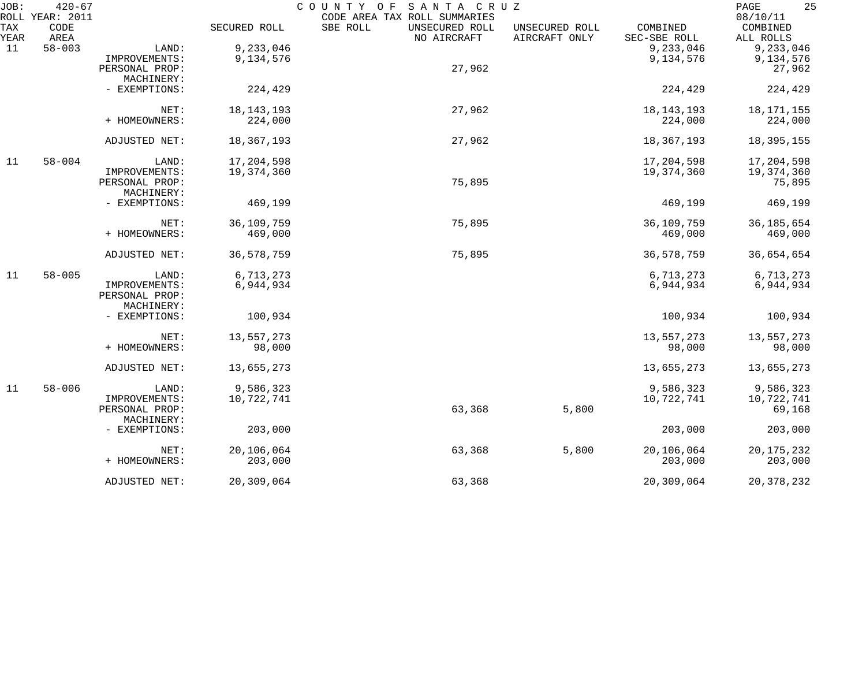| JOB:        | $420 - 67$<br>ROLL YEAR: 2011 |                |              | COUNTY OF<br>SANTA CRUZ<br>CODE AREA TAX ROLL SUMMARIES |                                 |                          | 25<br>PAGE<br>08/10/11 |
|-------------|-------------------------------|----------------|--------------|---------------------------------------------------------|---------------------------------|--------------------------|------------------------|
| TAX<br>YEAR | CODE<br>AREA                  |                | SECURED ROLL | SBE ROLL<br>UNSECURED ROLL<br>NO AIRCRAFT               | UNSECURED ROLL<br>AIRCRAFT ONLY | COMBINED<br>SEC-SBE ROLL | COMBINED<br>ALL ROLLS  |
| 11          | $58 - 003$                    | LAND:          | 9,233,046    |                                                         |                                 | 9,233,046                | 9,233,046              |
|             |                               | IMPROVEMENTS:  | 9,134,576    |                                                         |                                 | 9,134,576                | 9,134,576              |
|             |                               | PERSONAL PROP: |              | 27,962                                                  |                                 |                          | 27,962                 |
|             |                               | MACHINERY:     |              |                                                         |                                 |                          |                        |
|             |                               | - EXEMPTIONS:  | 224,429      |                                                         |                                 | 224,429                  | 224,429                |
|             |                               | NET:           | 18, 143, 193 | 27,962                                                  |                                 | 18, 143, 193             | 18, 171, 155           |
|             |                               | + HOMEOWNERS:  | 224,000      |                                                         |                                 | 224,000                  | 224,000                |
|             |                               | ADJUSTED NET:  | 18,367,193   | 27,962                                                  |                                 | 18,367,193               | 18, 395, 155           |
| 11          | $58 - 004$                    | LAND:          | 17,204,598   |                                                         |                                 | 17,204,598               | 17,204,598             |
|             |                               | IMPROVEMENTS:  | 19,374,360   |                                                         |                                 | 19,374,360               | 19,374,360             |
|             |                               | PERSONAL PROP: |              | 75,895                                                  |                                 |                          | 75,895                 |
|             |                               | MACHINERY:     |              |                                                         |                                 |                          |                        |
|             |                               | - EXEMPTIONS:  | 469,199      |                                                         |                                 | 469,199                  | 469,199                |
|             |                               | NET:           | 36,109,759   | 75,895                                                  |                                 | 36,109,759               | 36, 185, 654           |
|             |                               | + HOMEOWNERS:  | 469,000      |                                                         |                                 | 469,000                  | 469,000                |
|             |                               | ADJUSTED NET:  | 36,578,759   | 75,895                                                  |                                 | 36,578,759               | 36,654,654             |
| 11          | $58 - 005$                    | LAND:          | 6,713,273    |                                                         |                                 | 6,713,273                | 6,713,273              |
|             |                               | IMPROVEMENTS:  | 6,944,934    |                                                         |                                 | 6,944,934                | 6,944,934              |
|             |                               | PERSONAL PROP: |              |                                                         |                                 |                          |                        |
|             |                               | MACHINERY:     |              |                                                         |                                 |                          |                        |
|             |                               | - EXEMPTIONS:  | 100,934      |                                                         |                                 | 100,934                  | 100,934                |
|             |                               | NET:           | 13,557,273   |                                                         |                                 | 13,557,273               | 13,557,273             |
|             |                               | + HOMEOWNERS:  | 98,000       |                                                         |                                 | 98,000                   | 98,000                 |
|             |                               | ADJUSTED NET:  | 13,655,273   |                                                         |                                 | 13,655,273               | 13,655,273             |
| 11          | $58 - 006$                    | LAND:          | 9,586,323    |                                                         |                                 | 9,586,323                | 9,586,323              |
|             |                               | IMPROVEMENTS:  | 10,722,741   |                                                         |                                 | 10,722,741               | 10,722,741             |
|             |                               | PERSONAL PROP: |              | 63,368                                                  | 5,800                           |                          | 69,168                 |
|             |                               | MACHINERY:     |              |                                                         |                                 |                          |                        |
|             |                               | - EXEMPTIONS:  | 203,000      |                                                         |                                 | 203,000                  | 203,000                |
|             |                               | NET:           | 20,106,064   | 63,368                                                  | 5,800                           | 20,106,064               | 20, 175, 232           |
|             |                               | + HOMEOWNERS:  | 203,000      |                                                         |                                 | 203,000                  | 203,000                |
|             |                               | ADJUSTED NET:  | 20,309,064   | 63,368                                                  |                                 | 20,309,064               | 20, 378, 232           |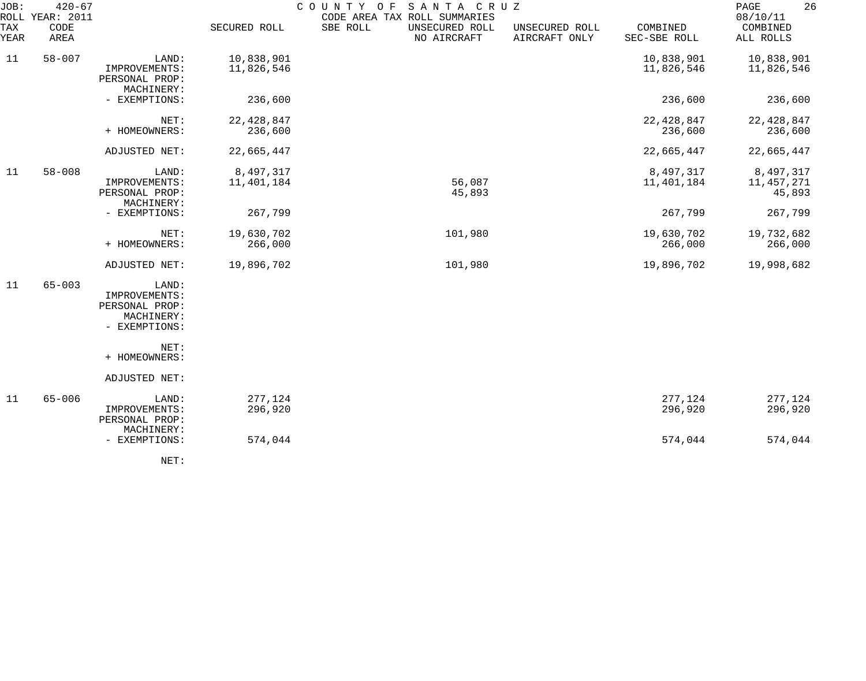| JOB:<br>ROLL | $420 - 67$<br>YEAR: 2011 |                                                                         | COUNTY OF<br>SANTA CRUZ<br>CODE AREA TAX ROLL SUMMARIES |                                           |                                 |                          |                                   |  |  |
|--------------|--------------------------|-------------------------------------------------------------------------|---------------------------------------------------------|-------------------------------------------|---------------------------------|--------------------------|-----------------------------------|--|--|
| TAX<br>YEAR  | CODE<br>AREA             |                                                                         | SECURED ROLL                                            | SBE ROLL<br>UNSECURED ROLL<br>NO AIRCRAFT | UNSECURED ROLL<br>AIRCRAFT ONLY | COMBINED<br>SEC-SBE ROLL | COMBINED<br>ALL ROLLS             |  |  |
| 11           | $58 - 007$               | LAND:<br>IMPROVEMENTS:<br>PERSONAL PROP:<br>MACHINERY:                  | 10,838,901<br>11,826,546                                |                                           |                                 | 10,838,901<br>11,826,546 | 10,838,901<br>11,826,546          |  |  |
|              |                          | - EXEMPTIONS:                                                           | 236,600                                                 |                                           |                                 | 236,600                  | 236,600                           |  |  |
|              |                          | NET:<br>+ HOMEOWNERS:                                                   | 22, 428, 847<br>236,600                                 |                                           |                                 | 22, 428, 847<br>236,600  | 22, 428, 847<br>236,600           |  |  |
|              |                          | ADJUSTED NET:                                                           | 22,665,447                                              |                                           |                                 | 22,665,447               | 22,665,447                        |  |  |
| 11           | $58 - 008$               | LAND:<br>IMPROVEMENTS:<br>PERSONAL PROP:                                | 8,497,317<br>11,401,184                                 | 56,087<br>45,893                          |                                 | 8,497,317<br>11,401,184  | 8,497,317<br>11,457,271<br>45,893 |  |  |
|              |                          | MACHINERY:<br>- EXEMPTIONS:                                             | 267,799                                                 |                                           |                                 | 267,799                  | 267,799                           |  |  |
|              |                          | NET:<br>+ HOMEOWNERS:                                                   | 19,630,702<br>266,000                                   | 101,980                                   |                                 | 19,630,702<br>266,000    | 19,732,682<br>266,000             |  |  |
|              |                          | ADJUSTED NET:                                                           | 19,896,702                                              | 101,980                                   |                                 | 19,896,702               | 19,998,682                        |  |  |
| 11           | $65 - 003$               | LAND:<br>IMPROVEMENTS:<br>PERSONAL PROP:<br>MACHINERY:<br>- EXEMPTIONS: |                                                         |                                           |                                 |                          |                                   |  |  |
|              |                          | NET:<br>+ HOMEOWNERS:                                                   |                                                         |                                           |                                 |                          |                                   |  |  |
|              |                          | ADJUSTED NET:                                                           |                                                         |                                           |                                 |                          |                                   |  |  |
| 11           | $65 - 006$               | LAND:<br>IMPROVEMENTS:<br>PERSONAL PROP:<br>MACHINERY:                  | 277,124<br>296,920                                      |                                           |                                 | 277,124<br>296,920       | 277,124<br>296,920                |  |  |
|              |                          | - EXEMPTIONS:                                                           | 574,044                                                 |                                           |                                 | 574,044                  | 574,044                           |  |  |
|              |                          |                                                                         |                                                         |                                           |                                 |                          |                                   |  |  |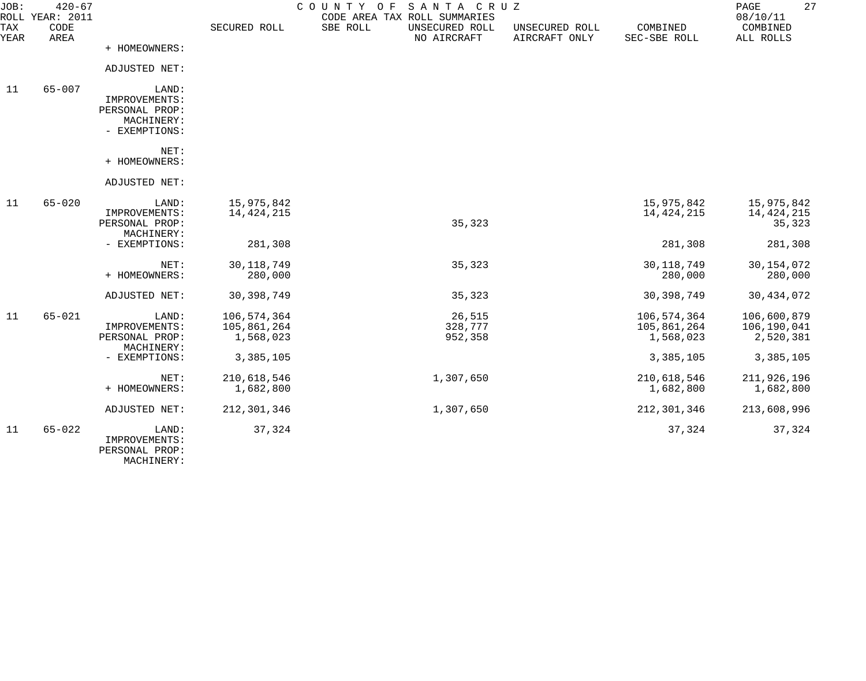| JOB:        | $420 - 67$<br>ROLL YEAR: 2011 |                                                                         |                                         | SANTA CRUZ<br>COUNTY<br>O F<br>CODE AREA TAX ROLL SUMMARIES |                                 |                                         | 27<br>PAGE<br>08/10/11                  |
|-------------|-------------------------------|-------------------------------------------------------------------------|-----------------------------------------|-------------------------------------------------------------|---------------------------------|-----------------------------------------|-----------------------------------------|
| TAX<br>YEAR | CODE<br>AREA                  |                                                                         | SECURED ROLL                            | SBE ROLL<br>UNSECURED ROLL<br>NO AIRCRAFT                   | UNSECURED ROLL<br>AIRCRAFT ONLY | COMBINED<br>SEC-SBE ROLL                | COMBINED<br>ALL ROLLS                   |
|             |                               | + HOMEOWNERS:                                                           |                                         |                                                             |                                 |                                         |                                         |
|             |                               | ADJUSTED NET:                                                           |                                         |                                                             |                                 |                                         |                                         |
| 11          | $65 - 007$                    | LAND:<br>IMPROVEMENTS:<br>PERSONAL PROP:<br>MACHINERY:<br>- EXEMPTIONS: |                                         |                                                             |                                 |                                         |                                         |
|             |                               | NET:<br>+ HOMEOWNERS:                                                   |                                         |                                                             |                                 |                                         |                                         |
|             |                               | ADJUSTED NET:                                                           |                                         |                                                             |                                 |                                         |                                         |
| 11          | $65 - 020$                    | LAND:<br>IMPROVEMENTS:<br>PERSONAL PROP:<br>MACHINERY:                  | 15,975,842<br>14, 424, 215              | 35,323                                                      |                                 | 15,975,842<br>14, 424, 215              | 15,975,842<br>14,424,215<br>35,323      |
|             |                               | - EXEMPTIONS:                                                           | 281,308                                 |                                                             |                                 | 281,308                                 | 281,308                                 |
|             |                               | NET:<br>+ HOMEOWNERS:                                                   | 30, 118, 749<br>280,000                 | 35,323                                                      |                                 | 30, 118, 749<br>280,000                 | 30, 154, 072<br>280,000                 |
|             |                               | ADJUSTED NET:                                                           | 30, 398, 749                            | 35,323                                                      |                                 | 30, 398, 749                            | 30, 434, 072                            |
| 11          | $65 - 021$                    | LAND:<br>IMPROVEMENTS:<br>PERSONAL PROP:<br>MACHINERY:                  | 106,574,364<br>105,861,264<br>1,568,023 | 26,515<br>328,777<br>952,358                                |                                 | 106,574,364<br>105,861,264<br>1,568,023 | 106,600,879<br>106,190,041<br>2,520,381 |
|             |                               | - EXEMPTIONS:                                                           | 3,385,105                               |                                                             |                                 | 3,385,105                               | 3,385,105                               |
|             |                               | NET:<br>+ HOMEOWNERS:                                                   | 210,618,546<br>1,682,800                | 1,307,650                                                   |                                 | 210,618,546<br>1,682,800                | 211,926,196<br>1,682,800                |
|             |                               | ADJUSTED NET:                                                           | 212, 301, 346                           | 1,307,650                                                   |                                 | 212, 301, 346                           | 213,608,996                             |
| 11          | $65 - 022$                    | LAND:<br>IMPROVEMENTS:<br>PERSONAL PROP:                                | 37,324                                  |                                                             |                                 | 37,324                                  | 37,324                                  |

MACHINERY: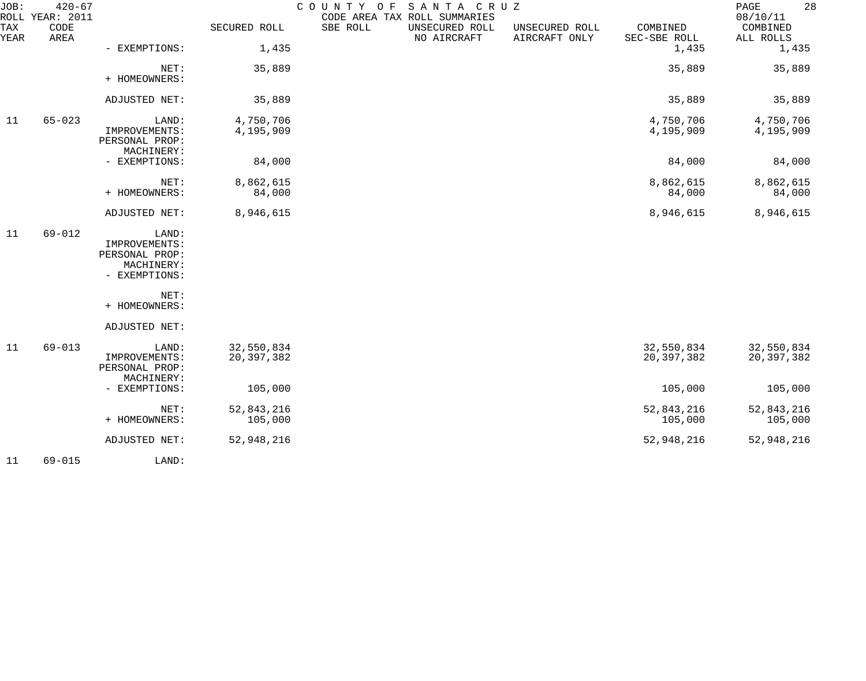| JOB:        | $420 - 67$<br>ROLL YEAR: 2011 |                                                                         |                            | COUNTY OF<br>CODE AREA TAX ROLL SUMMARIES | SANTA CRUZ                    |                                 |                          | 28<br>PAGE<br>08/10/11   |
|-------------|-------------------------------|-------------------------------------------------------------------------|----------------------------|-------------------------------------------|-------------------------------|---------------------------------|--------------------------|--------------------------|
| TAX<br>YEAR | CODE<br>AREA                  |                                                                         | SECURED ROLL               | SBE ROLL                                  | UNSECURED ROLL<br>NO AIRCRAFT | UNSECURED ROLL<br>AIRCRAFT ONLY | COMBINED<br>SEC-SBE ROLL | COMBINED<br>ALL ROLLS    |
|             |                               | - EXEMPTIONS:                                                           | 1,435                      |                                           |                               |                                 | 1,435                    | 1,435                    |
|             |                               | NET:<br>+ HOMEOWNERS:                                                   | 35,889                     |                                           |                               |                                 | 35,889                   | 35,889                   |
|             |                               | ADJUSTED NET:                                                           | 35,889                     |                                           |                               |                                 | 35,889                   | 35,889                   |
| 11          | $65 - 023$                    | LAND:<br>IMPROVEMENTS:<br>PERSONAL PROP:<br>MACHINERY:                  | 4,750,706<br>4,195,909     |                                           |                               |                                 | 4,750,706<br>4,195,909   | 4,750,706<br>4,195,909   |
|             |                               | - EXEMPTIONS:                                                           | 84,000                     |                                           |                               |                                 | 84,000                   | 84,000                   |
|             |                               | NET:<br>+ HOMEOWNERS:                                                   | 8,862,615<br>84,000        |                                           |                               |                                 | 8,862,615<br>84,000      | 8,862,615<br>84,000      |
|             |                               | ADJUSTED NET:                                                           | 8,946,615                  |                                           |                               |                                 | 8,946,615                | 8,946,615                |
| 11          | $69 - 012$                    | LAND:<br>IMPROVEMENTS:<br>PERSONAL PROP:<br>MACHINERY:<br>- EXEMPTIONS: |                            |                                           |                               |                                 |                          |                          |
|             |                               | NET:<br>+ HOMEOWNERS:                                                   |                            |                                           |                               |                                 |                          |                          |
|             |                               | ADJUSTED NET:                                                           |                            |                                           |                               |                                 |                          |                          |
| 11          | $69 - 013$                    | LAND:<br>IMPROVEMENTS:<br>PERSONAL PROP:<br>MACHINERY:                  | 32,550,834<br>20, 397, 382 |                                           |                               |                                 | 32,550,834<br>20,397,382 | 32,550,834<br>20,397,382 |
|             |                               | - EXEMPTIONS:                                                           | 105,000                    |                                           |                               |                                 | 105,000                  | 105,000                  |
|             |                               | NET:<br>+ HOMEOWNERS:                                                   | 52,843,216<br>105,000      |                                           |                               |                                 | 52,843,216<br>105,000    | 52,843,216<br>105,000    |
|             |                               | ADJUSTED NET:                                                           | 52,948,216                 |                                           |                               |                                 | 52,948,216               | 52,948,216               |
| 11          | $69 - 015$                    | LAND:                                                                   |                            |                                           |                               |                                 |                          |                          |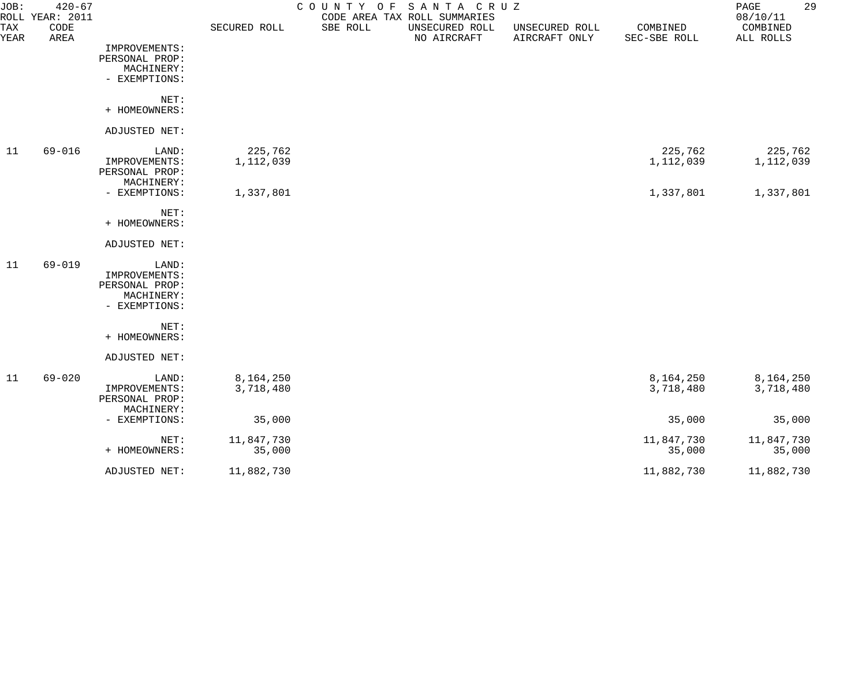| JOB:        | $420 - 67$<br>ROLL YEAR: 2011 |                |              |          | COUNTY OF SANTA CRUZ<br>CODE AREA TAX ROLL SUMMARIES |                                 |                          | 29<br>PAGE<br>08/10/11 |
|-------------|-------------------------------|----------------|--------------|----------|------------------------------------------------------|---------------------------------|--------------------------|------------------------|
| TAX<br>YEAR | CODE<br>AREA                  |                | SECURED ROLL | SBE ROLL | UNSECURED ROLL<br>NO AIRCRAFT                        | UNSECURED ROLL<br>AIRCRAFT ONLY | COMBINED<br>SEC-SBE ROLL | COMBINED<br>ALL ROLLS  |
|             |                               | IMPROVEMENTS:  |              |          |                                                      |                                 |                          |                        |
|             |                               | PERSONAL PROP: |              |          |                                                      |                                 |                          |                        |
|             |                               | MACHINERY:     |              |          |                                                      |                                 |                          |                        |
|             |                               | - EXEMPTIONS:  |              |          |                                                      |                                 |                          |                        |
|             |                               | NET:           |              |          |                                                      |                                 |                          |                        |
|             |                               | + HOMEOWNERS:  |              |          |                                                      |                                 |                          |                        |
|             |                               | ADJUSTED NET:  |              |          |                                                      |                                 |                          |                        |
| 11          | 69-016                        | LAND:          | 225,762      |          |                                                      |                                 | 225,762                  | 225,762                |
|             |                               | IMPROVEMENTS:  | 1,112,039    |          |                                                      |                                 | 1,112,039                | 1,112,039              |
|             |                               | PERSONAL PROP: |              |          |                                                      |                                 |                          |                        |
|             |                               | MACHINERY:     |              |          |                                                      |                                 |                          |                        |
|             |                               | - EXEMPTIONS:  | 1,337,801    |          |                                                      |                                 | 1,337,801                | 1,337,801              |
|             |                               | NET:           |              |          |                                                      |                                 |                          |                        |
|             |                               | + HOMEOWNERS:  |              |          |                                                      |                                 |                          |                        |
|             |                               | ADJUSTED NET:  |              |          |                                                      |                                 |                          |                        |
| 11          | $69 - 019$                    | LAND:          |              |          |                                                      |                                 |                          |                        |
|             |                               | IMPROVEMENTS:  |              |          |                                                      |                                 |                          |                        |
|             |                               | PERSONAL PROP: |              |          |                                                      |                                 |                          |                        |
|             |                               | MACHINERY:     |              |          |                                                      |                                 |                          |                        |
|             |                               | - EXEMPTIONS:  |              |          |                                                      |                                 |                          |                        |
|             |                               | NET:           |              |          |                                                      |                                 |                          |                        |
|             |                               | + HOMEOWNERS:  |              |          |                                                      |                                 |                          |                        |
|             |                               | ADJUSTED NET:  |              |          |                                                      |                                 |                          |                        |
| 11          | $69 - 020$                    | LAND:          | 8,164,250    |          |                                                      |                                 | 8,164,250                | 8,164,250              |
|             |                               | IMPROVEMENTS:  | 3,718,480    |          |                                                      |                                 | 3,718,480                | 3,718,480              |
|             |                               | PERSONAL PROP: |              |          |                                                      |                                 |                          |                        |
|             |                               | MACHINERY:     |              |          |                                                      |                                 |                          |                        |
|             |                               | - EXEMPTIONS:  | 35,000       |          |                                                      |                                 | 35,000                   | 35,000                 |
|             |                               | NET:           | 11,847,730   |          |                                                      |                                 | 11,847,730               | 11,847,730             |
|             |                               | + HOMEOWNERS:  | 35,000       |          |                                                      |                                 | 35,000                   | 35,000                 |
|             |                               | ADJUSTED NET:  | 11,882,730   |          |                                                      |                                 | 11,882,730               | 11,882,730             |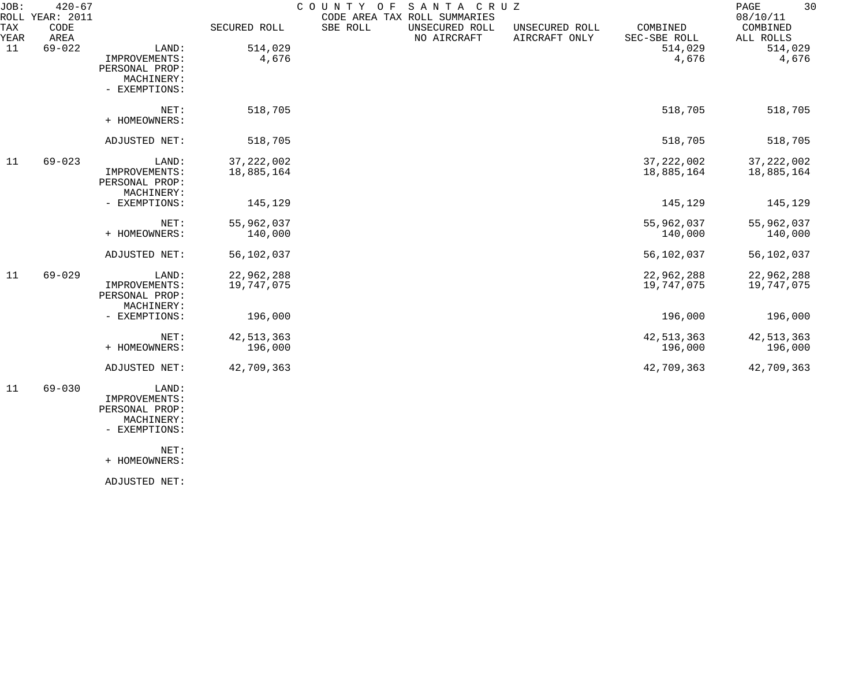| JOB:        | $420 - 67$<br>ROLL YEAR: 2011 |                                                                         |                            | COUNTY OF | SANTA CRUZ<br>CODE AREA TAX ROLL SUMMARIES |                                 |                            | 30<br>PAGE<br>08/10/11     |
|-------------|-------------------------------|-------------------------------------------------------------------------|----------------------------|-----------|--------------------------------------------|---------------------------------|----------------------------|----------------------------|
| TAX<br>YEAR | CODE<br>AREA                  |                                                                         | SECURED ROLL               | SBE ROLL  | UNSECURED ROLL<br>NO AIRCRAFT              | UNSECURED ROLL<br>AIRCRAFT ONLY | COMBINED<br>SEC-SBE ROLL   | COMBINED<br>ALL ROLLS      |
| 11          | $69 - 022$                    | LAND:<br>IMPROVEMENTS:<br>PERSONAL PROP:<br>MACHINERY:<br>- EXEMPTIONS: | 514,029<br>4,676           |           |                                            |                                 | 514,029<br>4,676           | 514,029<br>4,676           |
|             |                               | NET:<br>+ HOMEOWNERS:                                                   | 518,705                    |           |                                            |                                 | 518,705                    | 518,705                    |
|             |                               | ADJUSTED NET:                                                           | 518,705                    |           |                                            |                                 | 518,705                    | 518,705                    |
| 11          | $69 - 023$                    | LAND:<br>IMPROVEMENTS:<br>PERSONAL PROP:<br>MACHINERY:                  | 37, 222, 002<br>18,885,164 |           |                                            |                                 | 37, 222, 002<br>18,885,164 | 37, 222, 002<br>18,885,164 |
|             |                               | - EXEMPTIONS:                                                           | 145,129                    |           |                                            |                                 | 145,129                    | 145,129                    |
|             |                               | NET:<br>+ HOMEOWNERS:                                                   | 55,962,037<br>140,000      |           |                                            |                                 | 55,962,037<br>140,000      | 55,962,037<br>140,000      |
|             |                               | ADJUSTED NET:                                                           | 56,102,037                 |           |                                            |                                 | 56,102,037                 | 56,102,037                 |
| 11          | $69 - 029$                    | LAND:<br>IMPROVEMENTS:<br>PERSONAL PROP:                                | 22,962,288<br>19,747,075   |           |                                            |                                 | 22,962,288<br>19,747,075   | 22,962,288<br>19,747,075   |
|             |                               | MACHINERY:<br>- EXEMPTIONS:                                             | 196,000                    |           |                                            |                                 | 196,000                    | 196,000                    |
|             |                               | NET:<br>+ HOMEOWNERS:                                                   | 42, 513, 363<br>196,000    |           |                                            |                                 | 42, 513, 363<br>196,000    | 42, 513, 363<br>196,000    |
|             |                               | ADJUSTED NET:                                                           | 42,709,363                 |           |                                            |                                 | 42,709,363                 | 42,709,363                 |
| 11          | $69 - 030$                    | LAND:                                                                   |                            |           |                                            |                                 |                            |                            |

 IMPROVEMENTS: PERSONAL PROP: MACHINERY:

- EXEMPTIONS:

NET:

+ HOMEOWNERS:

ADJUSTED NET: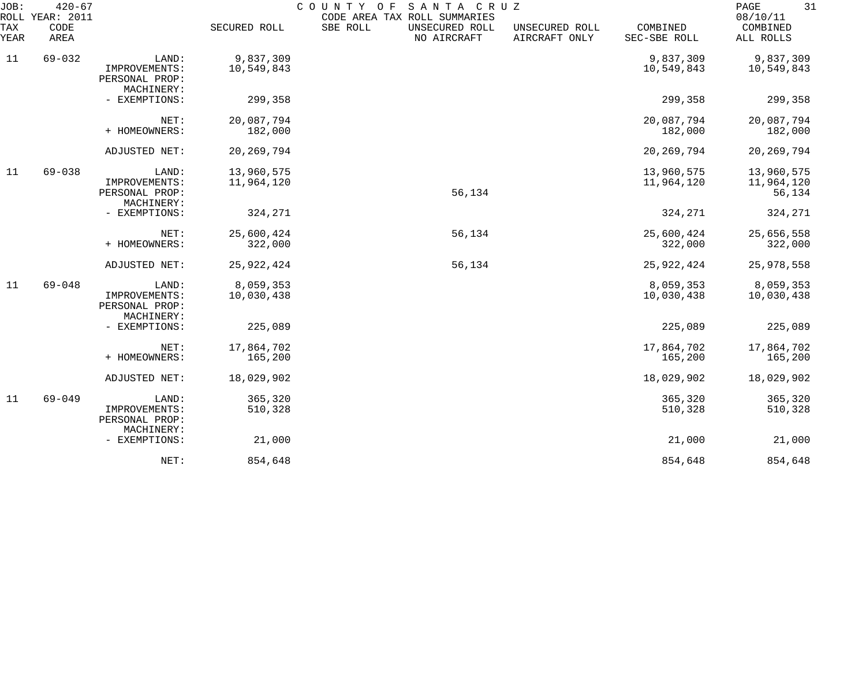| JOB:<br>ROLL | $420 - 67$<br>YEAR: 2011 |                                                        |                          | SANTA CRUZ<br>COUNTY OF<br>CODE AREA TAX ROLL SUMMARIES |                                 |                          | 31<br>PAGE<br>08/10/11             |
|--------------|--------------------------|--------------------------------------------------------|--------------------------|---------------------------------------------------------|---------------------------------|--------------------------|------------------------------------|
| TAX<br>YEAR  | CODE<br>AREA             |                                                        | SECURED ROLL             | SBE ROLL<br>UNSECURED ROLL<br>NO AIRCRAFT               | UNSECURED ROLL<br>AIRCRAFT ONLY | COMBINED<br>SEC-SBE ROLL | COMBINED<br>ALL ROLLS              |
| 11           | $69 - 032$               | LAND:                                                  | 9,837,309                |                                                         |                                 | 9,837,309                | 9,837,309                          |
|              |                          | IMPROVEMENTS:<br>PERSONAL PROP:<br>MACHINERY:          | 10,549,843               |                                                         |                                 | 10,549,843               | 10,549,843                         |
|              |                          | - EXEMPTIONS:                                          | 299,358                  |                                                         |                                 | 299,358                  | 299,358                            |
|              |                          | NET:<br>+ HOMEOWNERS:                                  | 20,087,794<br>182,000    |                                                         |                                 | 20,087,794<br>182,000    | 20,087,794<br>182,000              |
|              |                          | ADJUSTED NET:                                          | 20, 269, 794             |                                                         |                                 | 20, 269, 794             | 20, 269, 794                       |
| 11           | $69 - 038$               | LAND:<br>IMPROVEMENTS:<br>PERSONAL PROP:               | 13,960,575<br>11,964,120 | 56,134                                                  |                                 | 13,960,575<br>11,964,120 | 13,960,575<br>11,964,120<br>56,134 |
|              |                          | MACHINERY:<br>- EXEMPTIONS:                            | 324,271                  |                                                         |                                 | 324,271                  | 324,271                            |
|              |                          | NET:<br>+ HOMEOWNERS:                                  | 25,600,424<br>322,000    | 56,134                                                  |                                 | 25,600,424<br>322,000    | 25,656,558<br>322,000              |
|              |                          | ADJUSTED NET:                                          | 25, 922, 424             | 56,134                                                  |                                 | 25, 922, 424             | 25,978,558                         |
| 11           | $69 - 048$               | LAND:<br>IMPROVEMENTS:<br>PERSONAL PROP:<br>MACHINERY: | 8,059,353<br>10,030,438  |                                                         |                                 | 8,059,353<br>10,030,438  | 8,059,353<br>10,030,438            |
|              |                          | - EXEMPTIONS:                                          | 225,089                  |                                                         |                                 | 225,089                  | 225,089                            |
|              |                          | NET:<br>+ HOMEOWNERS:                                  | 17,864,702<br>165,200    |                                                         |                                 | 17,864,702<br>165,200    | 17,864,702<br>165,200              |
|              |                          | ADJUSTED NET:                                          | 18,029,902               |                                                         |                                 | 18,029,902               | 18,029,902                         |
| 11           | $69 - 049$               | LAND:<br>IMPROVEMENTS:<br>PERSONAL PROP:<br>MACHINERY: | 365,320<br>510,328       |                                                         |                                 | 365,320<br>510,328       | 365,320<br>510,328                 |
|              |                          | - EXEMPTIONS:                                          | 21,000                   |                                                         |                                 | 21,000                   | 21,000                             |
|              |                          | NET:                                                   | 854,648                  |                                                         |                                 | 854,648                  | 854,648                            |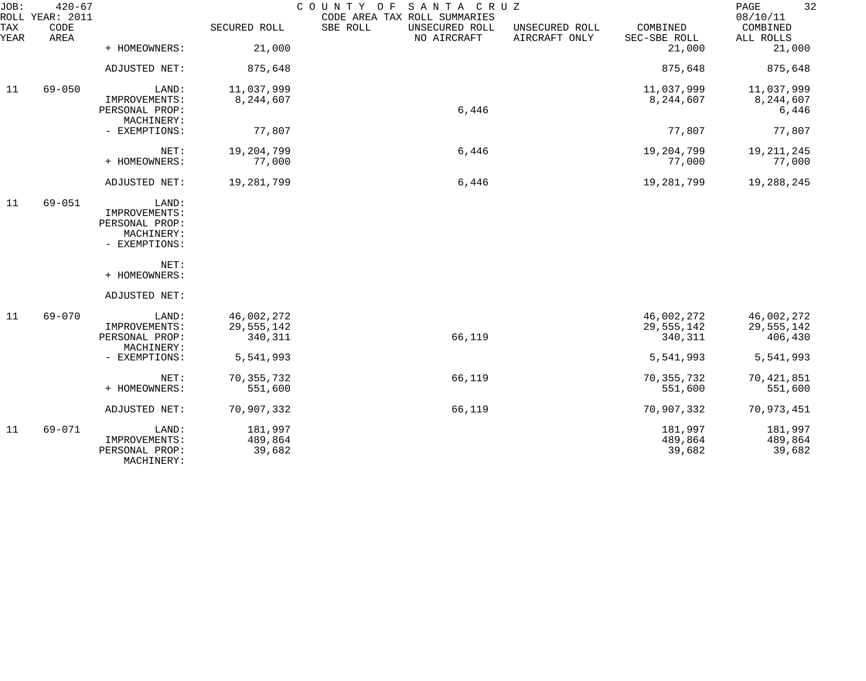| JOB:        | $420 - 67$<br>ROLL YEAR: 2011 |                                                                         |                                     | COUNTY OF<br>SANTA CRUZ<br>CODE AREA TAX ROLL SUMMARIES |                                 |                                     | 32<br>PAGE<br>08/10/11              |
|-------------|-------------------------------|-------------------------------------------------------------------------|-------------------------------------|---------------------------------------------------------|---------------------------------|-------------------------------------|-------------------------------------|
| TAX<br>YEAR | CODE<br>AREA                  |                                                                         | SECURED ROLL                        | SBE ROLL<br>UNSECURED ROLL<br>NO AIRCRAFT               | UNSECURED ROLL<br>AIRCRAFT ONLY | COMBINED<br>SEC-SBE ROLL            | COMBINED<br>ALL ROLLS               |
|             |                               | + HOMEOWNERS:                                                           | 21,000                              |                                                         |                                 | 21,000                              | 21,000                              |
|             |                               | ADJUSTED NET:                                                           | 875,648                             |                                                         |                                 | 875,648                             | 875,648                             |
| 11          | $69 - 050$                    | LAND:                                                                   | 11,037,999                          |                                                         |                                 | 11,037,999                          | 11,037,999                          |
|             |                               | IMPROVEMENTS:<br>PERSONAL PROP:<br>MACHINERY:                           | 8,244,607                           | 6,446                                                   |                                 | 8,244,607                           | 8,244,607<br>6,446                  |
|             |                               | - EXEMPTIONS:                                                           | 77,807                              |                                                         |                                 | 77,807                              | 77,807                              |
|             |                               | NET:<br>+ HOMEOWNERS:                                                   | 19,204,799<br>77,000                | 6,446                                                   |                                 | 19,204,799<br>77,000                | 19, 211, 245<br>77,000              |
|             |                               | ADJUSTED NET:                                                           | 19,281,799                          | 6,446                                                   |                                 | 19,281,799                          | 19,288,245                          |
| 11          | $69 - 051$                    | LAND:<br>IMPROVEMENTS:<br>PERSONAL PROP:<br>MACHINERY:<br>- EXEMPTIONS: |                                     |                                                         |                                 |                                     |                                     |
|             |                               | NET:<br>+ HOMEOWNERS:                                                   |                                     |                                                         |                                 |                                     |                                     |
|             |                               | ADJUSTED NET:                                                           |                                     |                                                         |                                 |                                     |                                     |
| 11          | $69 - 070$                    | LAND:<br>IMPROVEMENTS:<br>PERSONAL PROP:<br>MACHINERY:                  | 46,002,272<br>29,555,142<br>340,311 | 66,119                                                  |                                 | 46,002,272<br>29,555,142<br>340,311 | 46,002,272<br>29,555,142<br>406,430 |
|             |                               | - EXEMPTIONS:                                                           | 5,541,993                           |                                                         |                                 | 5,541,993                           | 5,541,993                           |
|             |                               | NET:<br>+ HOMEOWNERS:                                                   | 70, 355, 732<br>551,600             | 66,119                                                  |                                 | 70, 355, 732<br>551,600             | 70,421,851<br>551,600               |
|             |                               | ADJUSTED NET:                                                           | 70,907,332                          | 66,119                                                  |                                 | 70,907,332                          | 70,973,451                          |
| 11          | $69 - 071$                    | LAND:<br>IMPROVEMENTS:<br>PERSONAL PROP:<br>MACHINERY:                  | 181,997<br>489,864<br>39,682        |                                                         |                                 | 181,997<br>489,864<br>39,682        | 181,997<br>489,864<br>39,682        |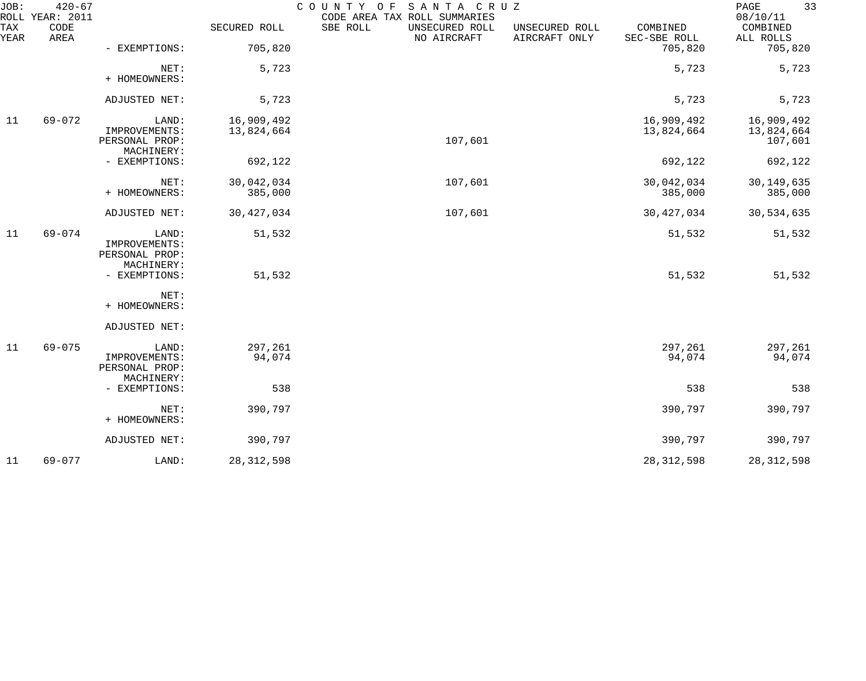| JOB:        | $420 - 67$<br>ROLL YEAR: 2011 |                                                        |                          | COUNTY OF<br>SANTA CRUZ<br>CODE AREA TAX ROLL SUMMARIES |                                 |                          | 33<br>PAGE<br>08/10/11              |
|-------------|-------------------------------|--------------------------------------------------------|--------------------------|---------------------------------------------------------|---------------------------------|--------------------------|-------------------------------------|
| TAX<br>YEAR | CODE<br>AREA                  |                                                        | SECURED ROLL             | SBE ROLL<br>UNSECURED ROLL<br>NO AIRCRAFT               | UNSECURED ROLL<br>AIRCRAFT ONLY | COMBINED<br>SEC-SBE ROLL | COMBINED<br>ALL ROLLS               |
|             |                               | - EXEMPTIONS:                                          | 705,820                  |                                                         |                                 | 705,820                  | 705,820                             |
|             |                               | NET:<br>+ HOMEOWNERS:                                  | 5,723                    |                                                         |                                 | 5,723                    | 5,723                               |
|             |                               | ADJUSTED NET:                                          | 5,723                    |                                                         |                                 | 5,723                    | 5,723                               |
| 11          | $69 - 072$                    | LAND:<br>IMPROVEMENTS:<br>PERSONAL PROP:               | 16,909,492<br>13,824,664 | 107,601                                                 |                                 | 16,909,492<br>13,824,664 | 16,909,492<br>13,824,664<br>107,601 |
|             |                               | MACHINERY:<br>- EXEMPTIONS:                            | 692,122                  |                                                         |                                 | 692,122                  | 692,122                             |
|             |                               | NET:<br>+ HOMEOWNERS:                                  | 30,042,034<br>385,000    | 107,601                                                 |                                 | 30,042,034<br>385,000    | 30, 149, 635<br>385,000             |
|             |                               | ADJUSTED NET:                                          | 30, 427, 034             | 107,601                                                 |                                 | 30, 427, 034             | 30,534,635                          |
| 11          | $69 - 074$                    | LAND:<br>IMPROVEMENTS:<br>PERSONAL PROP:               | 51,532                   |                                                         |                                 | 51,532                   | 51,532                              |
|             |                               | MACHINERY:<br>- EXEMPTIONS:                            | 51,532                   |                                                         |                                 | 51,532                   | 51,532                              |
|             |                               | NET:<br>+ HOMEOWNERS:                                  |                          |                                                         |                                 |                          |                                     |
|             |                               | ADJUSTED NET:                                          |                          |                                                         |                                 |                          |                                     |
| 11          | $69 - 075$                    | LAND:<br>IMPROVEMENTS:<br>PERSONAL PROP:<br>MACHINERY: | 297,261<br>94,074        |                                                         |                                 | 297,261<br>94,074        | 297,261<br>94,074                   |
|             |                               | - EXEMPTIONS:                                          | 538                      |                                                         |                                 | 538                      | 538                                 |
|             |                               | NET:<br>+ HOMEOWNERS:                                  | 390,797                  |                                                         |                                 | 390,797                  | 390,797                             |
|             |                               | ADJUSTED NET:                                          | 390,797                  |                                                         |                                 | 390,797                  | 390,797                             |
| 11          | $69 - 077$                    | LAND:                                                  | 28, 312, 598             |                                                         |                                 | 28, 312, 598             | 28, 312, 598                        |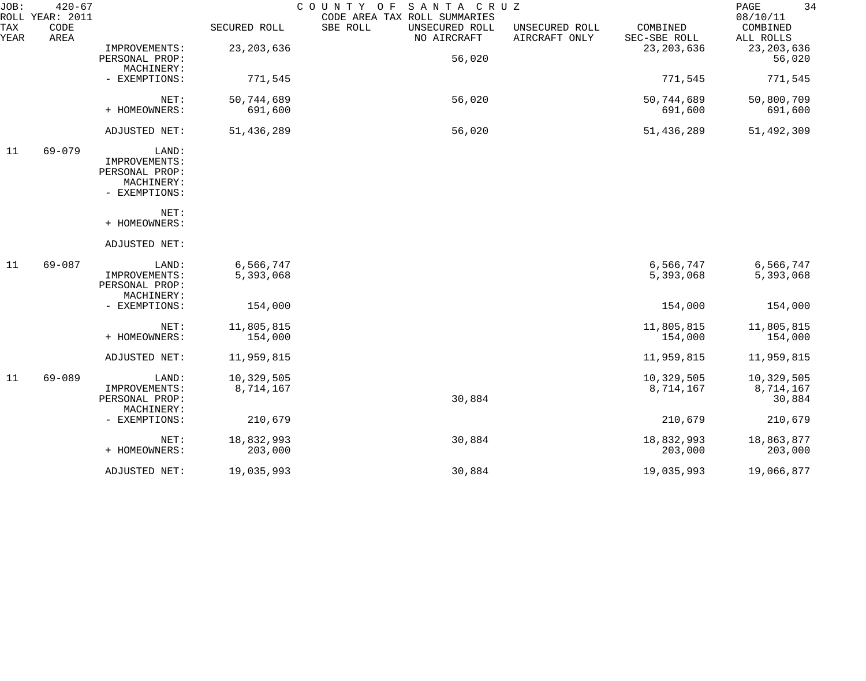| JOB:        | $420 - 67$<br>ROLL YEAR: 2011 |                |              | COUNTY OF SANTA CRUZ<br>CODE AREA TAX ROLL SUMMARIES |                                 |                          | 34<br>PAGE<br>08/10/11 |
|-------------|-------------------------------|----------------|--------------|------------------------------------------------------|---------------------------------|--------------------------|------------------------|
| TAX<br>YEAR | CODE<br>AREA                  |                | SECURED ROLL | SBE ROLL<br>UNSECURED ROLL<br>NO AIRCRAFT            | UNSECURED ROLL<br>AIRCRAFT ONLY | COMBINED<br>SEC-SBE ROLL | COMBINED<br>ALL ROLLS  |
|             |                               | IMPROVEMENTS:  | 23, 203, 636 |                                                      |                                 | 23, 203, 636             | 23, 203, 636           |
|             |                               | PERSONAL PROP: |              | 56,020                                               |                                 |                          | 56,020                 |
|             |                               | MACHINERY:     |              |                                                      |                                 |                          |                        |
|             |                               | - EXEMPTIONS:  | 771,545      |                                                      |                                 | 771,545                  | 771,545                |
|             |                               | NET:           | 50,744,689   | 56,020                                               |                                 | 50,744,689               | 50,800,709             |
|             |                               | + HOMEOWNERS:  | 691,600      |                                                      |                                 | 691,600                  | 691,600                |
|             |                               | ADJUSTED NET:  | 51,436,289   | 56,020                                               |                                 | 51,436,289               | 51,492,309             |
| 11          | $69 - 079$                    | LAND:          |              |                                                      |                                 |                          |                        |
|             |                               | IMPROVEMENTS:  |              |                                                      |                                 |                          |                        |
|             |                               | PERSONAL PROP: |              |                                                      |                                 |                          |                        |
|             |                               | MACHINERY:     |              |                                                      |                                 |                          |                        |
|             |                               | - EXEMPTIONS:  |              |                                                      |                                 |                          |                        |
|             |                               | NET:           |              |                                                      |                                 |                          |                        |
|             |                               | + HOMEOWNERS:  |              |                                                      |                                 |                          |                        |
|             |                               | ADJUSTED NET:  |              |                                                      |                                 |                          |                        |
| 11          | $69 - 087$                    | LAND:          | 6,566,747    |                                                      |                                 | 6,566,747                | 6,566,747              |
|             |                               | IMPROVEMENTS:  | 5,393,068    |                                                      |                                 | 5,393,068                | 5,393,068              |
|             |                               | PERSONAL PROP: |              |                                                      |                                 |                          |                        |
|             |                               | MACHINERY:     |              |                                                      |                                 |                          |                        |
|             |                               | - EXEMPTIONS:  | 154,000      |                                                      |                                 | 154,000                  | 154,000                |
|             |                               | NET:           | 11,805,815   |                                                      |                                 | 11,805,815               | 11,805,815             |
|             |                               | + HOMEOWNERS:  | 154,000      |                                                      |                                 | 154,000                  | 154,000                |
|             |                               | ADJUSTED NET:  | 11,959,815   |                                                      |                                 | 11,959,815               | 11,959,815             |
| 11          | $69 - 089$                    | LAND:          | 10,329,505   |                                                      |                                 | 10,329,505               | 10,329,505             |
|             |                               | IMPROVEMENTS:  | 8,714,167    |                                                      |                                 | 8,714,167                | 8,714,167              |
|             |                               | PERSONAL PROP: |              | 30,884                                               |                                 |                          | 30,884                 |
|             |                               | MACHINERY:     |              |                                                      |                                 |                          |                        |
|             |                               | - EXEMPTIONS:  | 210,679      |                                                      |                                 | 210,679                  | 210,679                |
|             |                               | NET:           | 18,832,993   | 30,884                                               |                                 | 18,832,993               | 18,863,877             |
|             |                               | + HOMEOWNERS:  | 203,000      |                                                      |                                 | 203,000                  | 203,000                |
|             |                               | ADJUSTED NET:  | 19,035,993   | 30,884                                               |                                 | 19,035,993               | 19,066,877             |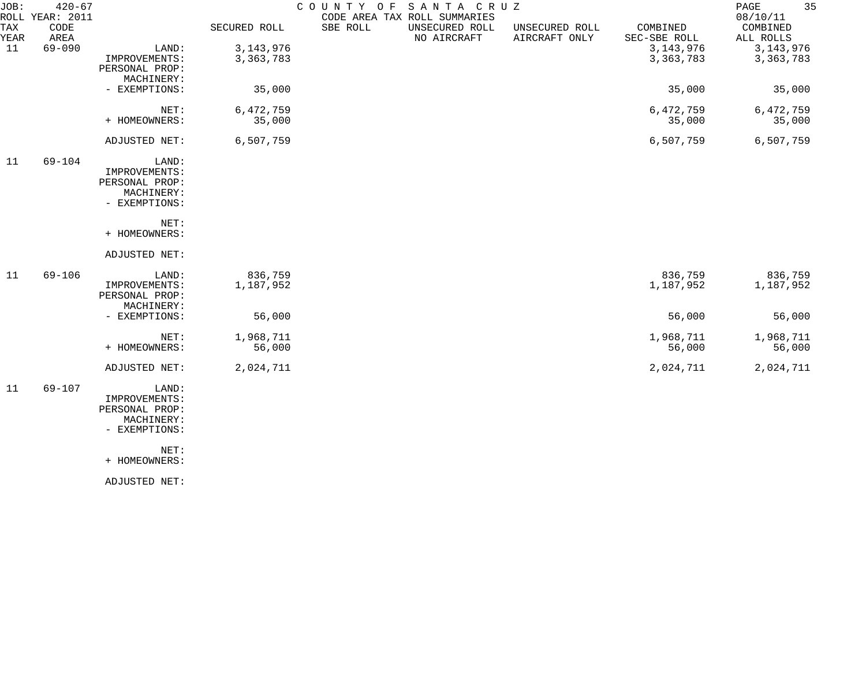| JOB:        | $420 - 67$<br>ROLL YEAR: 2011 |                                                                         |                      |          | COUNTY OF SANTA CRUZ<br>CODE AREA TAX ROLL SUMMARIES |                                 |                          | 35<br>PAGE<br>08/10/11 |
|-------------|-------------------------------|-------------------------------------------------------------------------|----------------------|----------|------------------------------------------------------|---------------------------------|--------------------------|------------------------|
| TAX<br>YEAR | CODE<br>AREA                  |                                                                         | SECURED ROLL         | SBE ROLL | UNSECURED ROLL<br>NO AIRCRAFT                        | UNSECURED ROLL<br>AIRCRAFT ONLY | COMBINED<br>SEC-SBE ROLL | COMBINED<br>ALL ROLLS  |
| 11          | $69 - 090$                    | LAND:                                                                   | 3, 143, 976          |          |                                                      |                                 | 3, 143, 976              | 3, 143, 976            |
|             |                               | IMPROVEMENTS:<br>PERSONAL PROP:<br>MACHINERY:                           | 3, 363, 783          |          |                                                      |                                 | 3, 363, 783              | 3, 363, 783            |
|             |                               | - EXEMPTIONS:                                                           | 35,000               |          |                                                      |                                 | 35,000                   | 35,000                 |
|             |                               | NET:<br>+ HOMEOWNERS:                                                   | 6,472,759<br>35,000  |          |                                                      |                                 | 6,472,759<br>35,000      | 6, 472, 759<br>35,000  |
|             |                               | ADJUSTED NET:                                                           | 6,507,759            |          |                                                      |                                 | 6,507,759                | 6,507,759              |
| 11          | $69 - 104$                    | LAND:<br>IMPROVEMENTS:<br>PERSONAL PROP:<br>MACHINERY:<br>- EXEMPTIONS: |                      |          |                                                      |                                 |                          |                        |
|             |                               | NET:<br>+ HOMEOWNERS:                                                   |                      |          |                                                      |                                 |                          |                        |
|             |                               | ADJUSTED NET:                                                           |                      |          |                                                      |                                 |                          |                        |
| 11          | $69 - 106$                    | LAND:<br>IMPROVEMENTS:<br>PERSONAL PROP:<br>MACHINERY:                  | 836,759<br>1,187,952 |          |                                                      |                                 | 836,759<br>1,187,952     | 836,759<br>1,187,952   |
|             |                               | - EXEMPTIONS:                                                           | 56,000               |          |                                                      |                                 | 56,000                   | 56,000                 |
|             |                               | NET:                                                                    | 1,968,711            |          |                                                      |                                 | 1,968,711                | 1,968,711              |
|             |                               | + HOMEOWNERS:                                                           | 56,000               |          |                                                      |                                 | 56,000                   | 56,000                 |
|             |                               | ADJUSTED NET:                                                           | 2,024,711            |          |                                                      |                                 | 2,024,711                | 2,024,711              |
| 11          | $69 - 107$                    | LAND:<br>IMPROVEMENTS:<br>PERSONAL PROP:<br>MACHINERY:<br>- EXEMPTIONS: |                      |          |                                                      |                                 |                          |                        |

+ HOMEOWNERS:

ADJUSTED NET: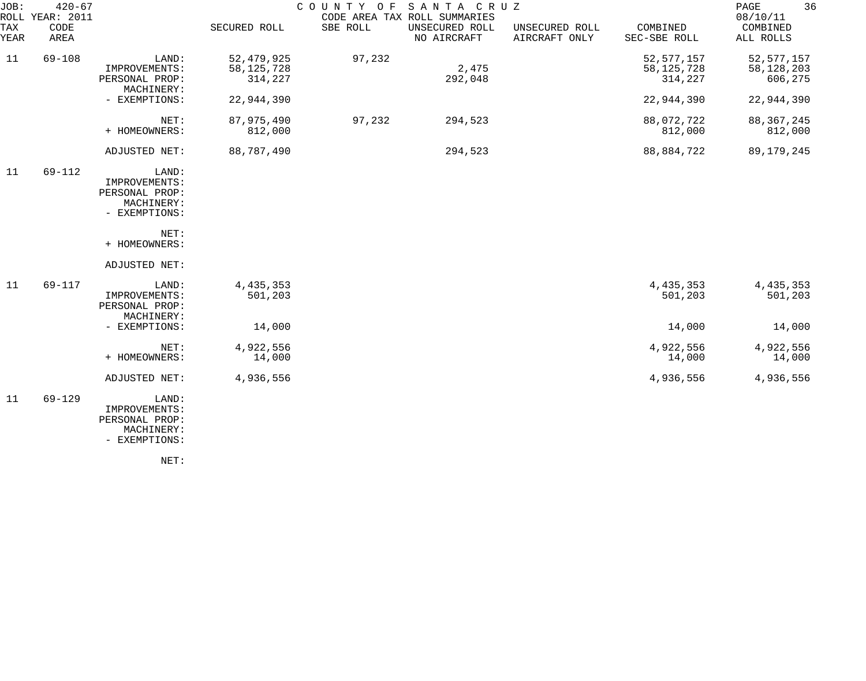| JOB:        | $420 - 67$<br>ROLL YEAR: 2011 |                                                                                 |                                         |          | COUNTY OF SANTA CRUZ<br>CODE AREA TAX ROLL SUMMARIES |                                 |                                         | 36<br>PAGE<br>08/10/11                  |
|-------------|-------------------------------|---------------------------------------------------------------------------------|-----------------------------------------|----------|------------------------------------------------------|---------------------------------|-----------------------------------------|-----------------------------------------|
| TAX<br>YEAR | CODE<br>AREA                  |                                                                                 | SECURED ROLL                            | SBE ROLL | UNSECURED ROLL<br>NO AIRCRAFT                        | UNSECURED ROLL<br>AIRCRAFT ONLY | COMBINED<br>SEC-SBE ROLL                | COMBINED<br>ALL ROLLS                   |
| 11          | $69 - 108$                    | LAND:<br>IMPROVEMENTS:<br>PERSONAL PROP:<br>MACHINERY:                          | 52, 479, 925<br>58, 125, 728<br>314,227 | 97,232   | 2,475<br>292,048                                     |                                 | 52, 577, 157<br>58, 125, 728<br>314,227 | 52, 577, 157<br>58, 128, 203<br>606,275 |
|             |                               | - EXEMPTIONS:                                                                   | 22,944,390                              |          |                                                      |                                 | 22,944,390                              | 22,944,390                              |
|             |                               | NET:<br>+ HOMEOWNERS:                                                           | 87,975,490<br>812,000                   | 97,232   | 294,523                                              |                                 | 88,072,722<br>812,000                   | 88, 367, 245<br>812,000                 |
|             |                               | ADJUSTED NET:                                                                   | 88,787,490                              |          | 294,523                                              |                                 | 88,884,722                              | 89, 179, 245                            |
| 11          | $69 - 112$                    | LAND:<br>IMPROVEMENTS:<br>PERSONAL PROP:<br>MACHINERY:<br>- EXEMPTIONS:<br>NET: |                                         |          |                                                      |                                 |                                         |                                         |
|             |                               | + HOMEOWNERS:<br>ADJUSTED NET:                                                  |                                         |          |                                                      |                                 |                                         |                                         |
| 11          | 69-117                        | LAND:<br>IMPROVEMENTS:<br>PERSONAL PROP:<br>MACHINERY:                          | 4, 435, 353<br>501,203                  |          |                                                      |                                 | 4, 435, 353<br>501,203                  | 4, 435, 353<br>501,203                  |
|             |                               | - EXEMPTIONS:                                                                   | 14,000                                  |          |                                                      |                                 | 14,000                                  | 14,000                                  |
|             |                               | NET:<br>+ HOMEOWNERS:                                                           | 4,922,556<br>14,000                     |          |                                                      |                                 | 4,922,556<br>14,000                     | 4,922,556<br>14,000                     |
|             |                               | ADJUSTED NET:                                                                   | 4,936,556                               |          |                                                      |                                 | 4,936,556                               | 4,936,556                               |
| 11          | $69 - 129$                    | LAND:<br>IMPROVEMENTS:<br>PERSONAL PROP:<br>MACHINERY:<br>- EXEMPTIONS:         |                                         |          |                                                      |                                 |                                         |                                         |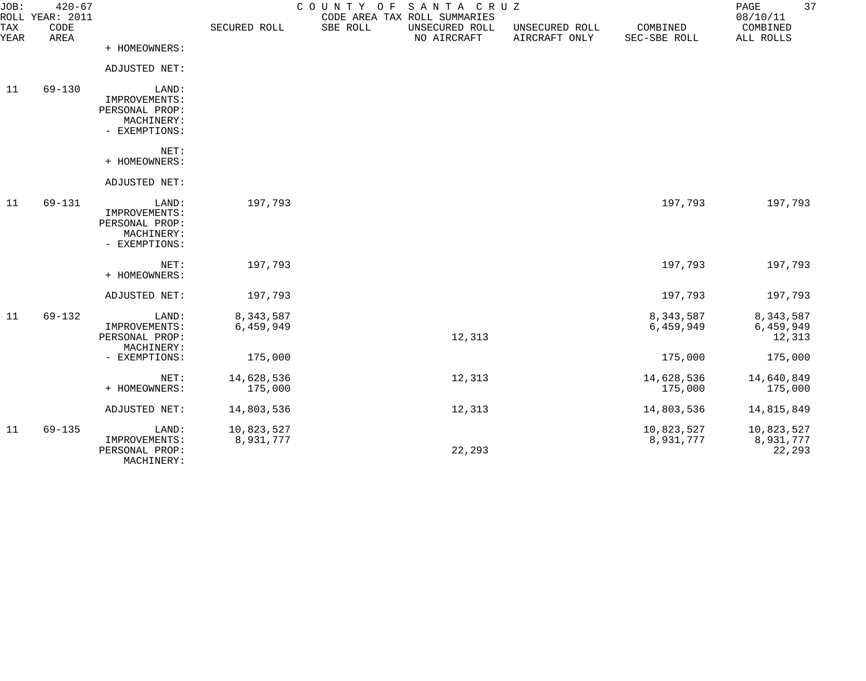| JOB:        | $420 - 67$<br>ROLL YEAR: 2011 |                              |              | COUNTY OF | SANTA CRUZ<br>CODE AREA TAX ROLL SUMMARIES |                                 |                          | PAGE<br>08/10/11      | 37 |
|-------------|-------------------------------|------------------------------|--------------|-----------|--------------------------------------------|---------------------------------|--------------------------|-----------------------|----|
| TAX<br>YEAR | CODE<br>AREA                  |                              | SECURED ROLL | SBE ROLL  | UNSECURED ROLL<br>NO AIRCRAFT              | UNSECURED ROLL<br>AIRCRAFT ONLY | COMBINED<br>SEC-SBE ROLL | COMBINED<br>ALL ROLLS |    |
|             |                               | + HOMEOWNERS:                |              |           |                                            |                                 |                          |                       |    |
|             |                               | ADJUSTED NET:                |              |           |                                            |                                 |                          |                       |    |
| 11          | $69 - 130$                    | LAND:<br>IMPROVEMENTS:       |              |           |                                            |                                 |                          |                       |    |
|             |                               | PERSONAL PROP:               |              |           |                                            |                                 |                          |                       |    |
|             |                               | MACHINERY:                   |              |           |                                            |                                 |                          |                       |    |
|             |                               | - EXEMPTIONS:                |              |           |                                            |                                 |                          |                       |    |
|             |                               | NET:                         |              |           |                                            |                                 |                          |                       |    |
|             |                               | + HOMEOWNERS:                |              |           |                                            |                                 |                          |                       |    |
|             |                               | ADJUSTED NET:                |              |           |                                            |                                 |                          |                       |    |
| 11          | $69 - 131$                    | LAND:                        | 197,793      |           |                                            |                                 | 197,793                  | 197,793               |    |
|             |                               | IMPROVEMENTS:                |              |           |                                            |                                 |                          |                       |    |
|             |                               | PERSONAL PROP:               |              |           |                                            |                                 |                          |                       |    |
|             |                               | MACHINERY:<br>- EXEMPTIONS:  |              |           |                                            |                                 |                          |                       |    |
|             |                               |                              |              |           |                                            |                                 |                          |                       |    |
|             |                               | NET:                         | 197,793      |           |                                            |                                 | 197,793                  | 197,793               |    |
|             |                               | + HOMEOWNERS:                |              |           |                                            |                                 |                          |                       |    |
|             |                               | ADJUSTED NET:                | 197,793      |           |                                            |                                 | 197,793                  | 197,793               |    |
| 11          | $69 - 132$                    | LAND:                        | 8,343,587    |           |                                            |                                 | 8,343,587                | 8,343,587             |    |
|             |                               | IMPROVEMENTS:                | 6,459,949    |           |                                            |                                 | 6,459,949                | 6,459,949             |    |
|             |                               | PERSONAL PROP:<br>MACHINERY: |              |           | 12,313                                     |                                 |                          | 12,313                |    |
|             |                               | - EXEMPTIONS:                | 175,000      |           |                                            |                                 | 175,000                  | 175,000               |    |
|             |                               |                              |              |           |                                            |                                 |                          |                       |    |
|             |                               | NET:                         | 14,628,536   |           | 12,313                                     |                                 | 14,628,536               | 14,640,849            |    |
|             |                               | + HOMEOWNERS:                | 175,000      |           |                                            |                                 | 175,000                  | 175,000               |    |
|             |                               | ADJUSTED NET:                | 14,803,536   |           | 12,313                                     |                                 | 14,803,536               | 14,815,849            |    |
| 11          | $69 - 135$                    | LAND:                        | 10,823,527   |           |                                            |                                 | 10,823,527               | 10,823,527            |    |
|             |                               | IMPROVEMENTS:                | 8,931,777    |           |                                            |                                 | 8,931,777                | 8,931,777             |    |
|             |                               | PERSONAL PROP:               |              |           | 22,293                                     |                                 |                          | 22,293                |    |
|             |                               | MACHINERY:                   |              |           |                                            |                                 |                          |                       |    |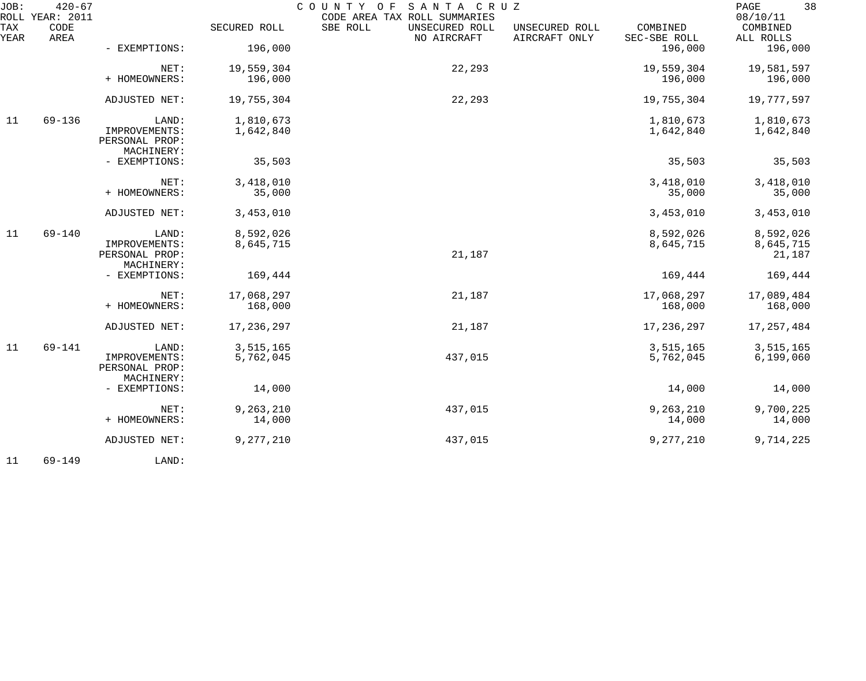| JOB:        | $420 - 67$<br>ROLL YEAR: 2011 |                                               |                       | SANTA CRUZ<br>COUNTY OF<br>CODE AREA TAX ROLL SUMMARIES |                                 |                          | 38<br>PAGE<br>08/10/11 |
|-------------|-------------------------------|-----------------------------------------------|-----------------------|---------------------------------------------------------|---------------------------------|--------------------------|------------------------|
| TAX<br>YEAR | CODE<br>AREA                  |                                               | SECURED ROLL          | SBE ROLL<br>UNSECURED ROLL<br>NO AIRCRAFT               | UNSECURED ROLL<br>AIRCRAFT ONLY | COMBINED<br>SEC-SBE ROLL | COMBINED<br>ALL ROLLS  |
|             |                               | - EXEMPTIONS:                                 | 196,000               |                                                         |                                 | 196,000                  | 196,000                |
|             |                               | NET:                                          | 19,559,304            | 22,293                                                  |                                 | 19,559,304               | 19,581,597             |
|             |                               | + HOMEOWNERS:                                 | 196,000               |                                                         |                                 | 196,000                  | 196,000                |
|             |                               | ADJUSTED NET:                                 | 19,755,304            | 22,293                                                  |                                 | 19,755,304               | 19,777,597             |
| 11          | $69 - 136$                    | LAND:                                         | 1,810,673             |                                                         |                                 | 1,810,673                | 1,810,673              |
|             |                               | IMPROVEMENTS:<br>PERSONAL PROP:<br>MACHINERY: | 1,642,840             |                                                         |                                 | 1,642,840                | 1,642,840              |
|             |                               | - EXEMPTIONS:                                 | 35,503                |                                                         |                                 | 35,503                   | 35,503                 |
|             |                               | NET:                                          | 3,418,010             |                                                         |                                 | 3,418,010                | 3,418,010              |
|             |                               | + HOMEOWNERS:                                 | 35,000                |                                                         |                                 | 35,000                   | 35,000                 |
|             |                               | ADJUSTED NET:                                 | 3,453,010             |                                                         |                                 | 3,453,010                | 3,453,010              |
| 11          | $69 - 140$                    | LAND:                                         | 8,592,026             |                                                         |                                 | 8,592,026                | 8,592,026              |
|             |                               | IMPROVEMENTS:<br>PERSONAL PROP:               | 8,645,715             | 21,187                                                  |                                 | 8,645,715                | 8,645,715<br>21,187    |
|             |                               | MACHINERY:                                    |                       |                                                         |                                 |                          |                        |
|             |                               | - EXEMPTIONS:                                 | 169,444               |                                                         |                                 | 169,444                  | 169,444                |
|             |                               | NET:<br>+ HOMEOWNERS:                         | 17,068,297<br>168,000 | 21,187                                                  |                                 | 17,068,297<br>168,000    | 17,089,484<br>168,000  |
|             |                               |                                               |                       |                                                         |                                 |                          |                        |
|             |                               | ADJUSTED NET:                                 | 17,236,297            | 21,187                                                  |                                 | 17, 236, 297             | 17, 257, 484           |
| 11          | $69 - 141$                    | LAND:                                         | 3,515,165             |                                                         |                                 | 3,515,165                | 3,515,165              |
|             |                               | IMPROVEMENTS:<br>PERSONAL PROP:               | 5,762,045             | 437,015                                                 |                                 | 5,762,045                | 6, 199, 060            |
|             |                               | MACHINERY:                                    |                       |                                                         |                                 |                          |                        |
|             |                               | - EXEMPTIONS:                                 | 14,000                |                                                         |                                 | 14,000                   | 14,000                 |
|             |                               | NET:                                          | 9,263,210             | 437,015                                                 |                                 | 9,263,210                | 9,700,225              |
|             |                               | + HOMEOWNERS:                                 | 14,000                |                                                         |                                 | 14,000                   | 14,000                 |
|             |                               | ADJUSTED NET:                                 | 9,277,210             | 437,015                                                 |                                 | 9,277,210                | 9,714,225              |
|             |                               |                                               |                       |                                                         |                                 |                          |                        |

11 69-149 LAND: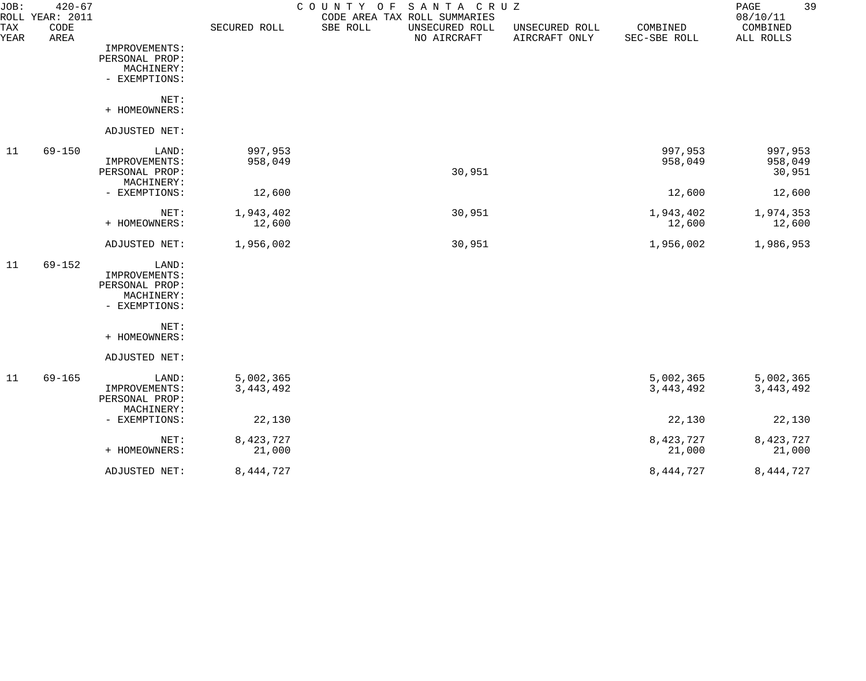| JOB:        | $420 - 67$<br>ROLL YEAR: 2011 |                                                                         |                          | SANTA CRUZ<br>COUNTY<br>O F<br>CODE AREA TAX ROLL SUMMARIES |                                 |                          | 39<br>PAGE<br>08/10/11       |
|-------------|-------------------------------|-------------------------------------------------------------------------|--------------------------|-------------------------------------------------------------|---------------------------------|--------------------------|------------------------------|
| TAX<br>YEAR | CODE<br>AREA                  |                                                                         | SECURED ROLL             | SBE ROLL<br>UNSECURED ROLL<br>NO AIRCRAFT                   | UNSECURED ROLL<br>AIRCRAFT ONLY | COMBINED<br>SEC-SBE ROLL | COMBINED<br>ALL ROLLS        |
|             |                               | IMPROVEMENTS:<br>PERSONAL PROP:<br>MACHINERY:<br>- EXEMPTIONS:          |                          |                                                             |                                 |                          |                              |
|             |                               | NET:<br>+ HOMEOWNERS:                                                   |                          |                                                             |                                 |                          |                              |
|             |                               | ADJUSTED NET:                                                           |                          |                                                             |                                 |                          |                              |
| 11          | $69 - 150$                    | LAND:<br>IMPROVEMENTS:<br>PERSONAL PROP:                                | 997,953<br>958,049       | 30,951                                                      |                                 | 997,953<br>958,049       | 997,953<br>958,049<br>30,951 |
|             |                               | MACHINERY:<br>- EXEMPTIONS:                                             | 12,600                   |                                                             |                                 | 12,600                   | 12,600                       |
|             |                               | NET:<br>+ HOMEOWNERS:                                                   | 1,943,402<br>12,600      | 30,951                                                      |                                 | 1,943,402<br>12,600      | 1,974,353<br>12,600          |
|             |                               | ADJUSTED NET:                                                           | 1,956,002                | 30,951                                                      |                                 | 1,956,002                | 1,986,953                    |
| 11          | $69 - 152$                    | LAND:<br>IMPROVEMENTS:<br>PERSONAL PROP:<br>MACHINERY:<br>- EXEMPTIONS: |                          |                                                             |                                 |                          |                              |
|             |                               | NET:<br>+ HOMEOWNERS:                                                   |                          |                                                             |                                 |                          |                              |
|             |                               | ADJUSTED NET:                                                           |                          |                                                             |                                 |                          |                              |
| 11          | $69 - 165$                    | LAND:<br>IMPROVEMENTS:<br>PERSONAL PROP:<br>MACHINERY:                  | 5,002,365<br>3, 443, 492 |                                                             |                                 | 5,002,365<br>3, 443, 492 | 5,002,365<br>3, 443, 492     |
|             |                               | - EXEMPTIONS:                                                           | 22,130                   |                                                             |                                 | 22,130                   | 22,130                       |
|             |                               | NET:<br>+ HOMEOWNERS:                                                   | 8,423,727<br>21,000      |                                                             |                                 | 8,423,727<br>21,000      | 8,423,727<br>21,000          |
|             |                               | ADJUSTED NET:                                                           | 8,444,727                |                                                             |                                 | 8, 444, 727              | 8, 444, 727                  |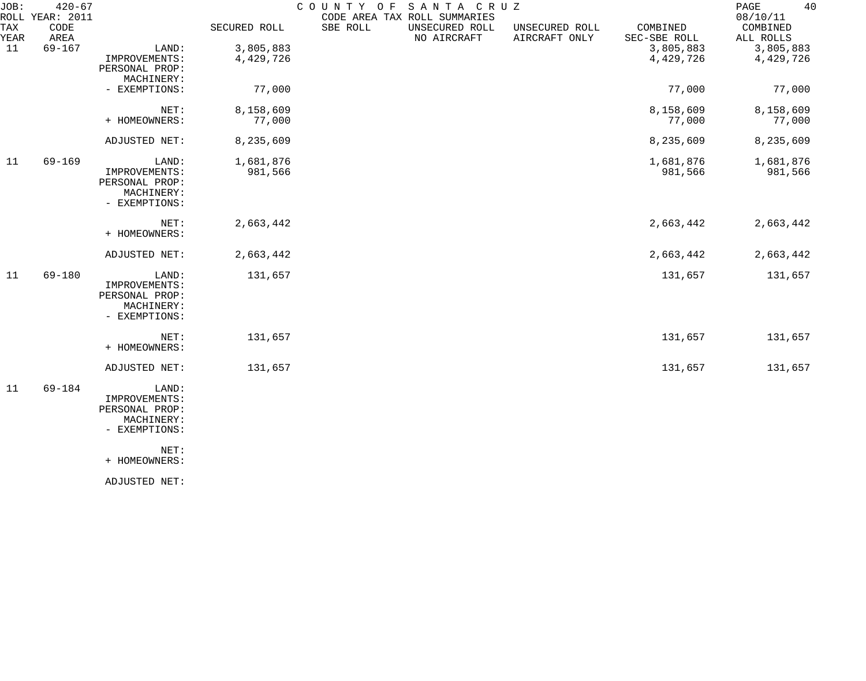| JOB:        | $420 - 67$<br>ROLL YEAR: 2011 |                |              | COUNTY OF | SANTA CRUZ<br>CODE AREA TAX ROLL SUMMARIES |                                 |                          | 40<br>PAGE<br>08/10/11 |
|-------------|-------------------------------|----------------|--------------|-----------|--------------------------------------------|---------------------------------|--------------------------|------------------------|
| TAX<br>YEAR | CODE<br>AREA                  |                | SECURED ROLL | SBE ROLL  | UNSECURED ROLL<br>NO AIRCRAFT              | UNSECURED ROLL<br>AIRCRAFT ONLY | COMBINED<br>SEC-SBE ROLL | COMBINED<br>ALL ROLLS  |
| 11          | $69 - 167$                    | LAND:          | 3,805,883    |           |                                            |                                 | 3,805,883                | 3,805,883              |
|             |                               | IMPROVEMENTS:  | 4,429,726    |           |                                            |                                 | 4,429,726                | 4,429,726              |
|             |                               | PERSONAL PROP: |              |           |                                            |                                 |                          |                        |
|             |                               | MACHINERY:     |              |           |                                            |                                 |                          |                        |
|             |                               | - EXEMPTIONS:  | 77,000       |           |                                            |                                 | 77,000                   | 77,000                 |
|             |                               | NET:           | 8,158,609    |           |                                            |                                 | 8,158,609                | 8,158,609              |
|             |                               | + HOMEOWNERS:  | 77,000       |           |                                            |                                 | 77,000                   | 77,000                 |
|             |                               |                |              |           |                                            |                                 |                          |                        |
|             |                               | ADJUSTED NET:  | 8,235,609    |           |                                            |                                 | 8,235,609                | 8,235,609              |
| 11          | $69 - 169$                    | LAND:          | 1,681,876    |           |                                            |                                 | 1,681,876                | 1,681,876              |
|             |                               | IMPROVEMENTS:  | 981,566      |           |                                            |                                 | 981,566                  | 981,566                |
|             |                               | PERSONAL PROP: |              |           |                                            |                                 |                          |                        |
|             |                               | MACHINERY:     |              |           |                                            |                                 |                          |                        |
|             |                               | - EXEMPTIONS:  |              |           |                                            |                                 |                          |                        |
|             |                               |                |              |           |                                            |                                 |                          |                        |
|             |                               | NET:           | 2,663,442    |           |                                            |                                 | 2,663,442                | 2,663,442              |
|             |                               | + HOMEOWNERS:  |              |           |                                            |                                 |                          |                        |
|             |                               | ADJUSTED NET:  | 2,663,442    |           |                                            |                                 | 2,663,442                | 2,663,442              |
| 11          | 69-180                        | LAND:          | 131,657      |           |                                            |                                 | 131,657                  | 131,657                |
|             |                               | IMPROVEMENTS:  |              |           |                                            |                                 |                          |                        |
|             |                               | PERSONAL PROP: |              |           |                                            |                                 |                          |                        |
|             |                               | MACHINERY:     |              |           |                                            |                                 |                          |                        |
|             |                               | - EXEMPTIONS:  |              |           |                                            |                                 |                          |                        |
|             |                               | NET:           | 131,657      |           |                                            |                                 | 131,657                  | 131,657                |
|             |                               | + HOMEOWNERS:  |              |           |                                            |                                 |                          |                        |
|             |                               | ADJUSTED NET:  | 131,657      |           |                                            |                                 | 131,657                  | 131,657                |
| 11          | 69-184                        | LAND:          |              |           |                                            |                                 |                          |                        |
|             |                               | IMPROVEMENTS:  |              |           |                                            |                                 |                          |                        |
|             |                               | PERSONAL PROP: |              |           |                                            |                                 |                          |                        |
|             |                               | MACHINERY:     |              |           |                                            |                                 |                          |                        |
|             |                               | - EXEMPTIONS:  |              |           |                                            |                                 |                          |                        |
|             |                               | NET:           |              |           |                                            |                                 |                          |                        |
|             |                               | + HOMEOWNERS:  |              |           |                                            |                                 |                          |                        |
|             |                               |                |              |           |                                            |                                 |                          |                        |

ADJUSTED NET: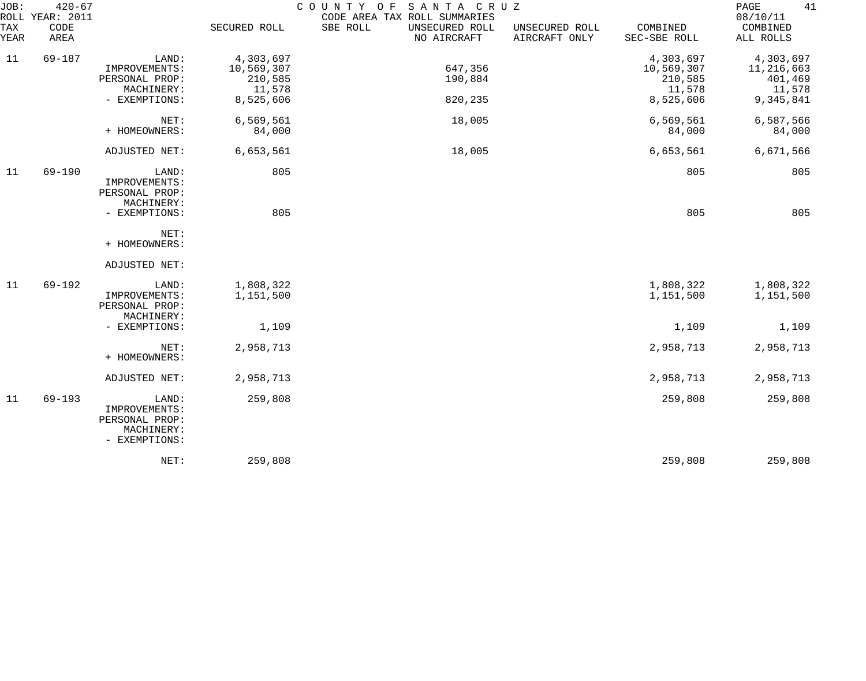| JOB:<br>TAX      | $420 - 67$<br>ROLL YEAR: 2011<br>CODE |                                                                         | SECURED ROLL                                 | SANTA CRUZ<br>COUNTY OF<br>CODE AREA TAX ROLL SUMMARIES<br>SBE ROLL<br>UNSECURED ROLL | UNSECURED ROLL | COMBINED                                     | 41<br>PAGE<br>08/10/11<br>COMBINED           |
|------------------|---------------------------------------|-------------------------------------------------------------------------|----------------------------------------------|---------------------------------------------------------------------------------------|----------------|----------------------------------------------|----------------------------------------------|
| YEAR             | AREA                                  |                                                                         |                                              | NO AIRCRAFT                                                                           | AIRCRAFT ONLY  | SEC-SBE ROLL                                 | ALL ROLLS                                    |
| 11<br>$69 - 187$ |                                       | LAND:<br>IMPROVEMENTS:<br>PERSONAL PROP:<br>MACHINERY:                  | 4,303,697<br>10,569,307<br>210,585<br>11,578 | 647,356<br>190,884                                                                    |                | 4,303,697<br>10,569,307<br>210,585<br>11,578 | 4,303,697<br>11,216,663<br>401,469<br>11,578 |
|                  |                                       | - EXEMPTIONS:                                                           | 8,525,606                                    | 820,235                                                                               |                | 8,525,606                                    | 9,345,841                                    |
|                  |                                       | NET:<br>+ HOMEOWNERS:                                                   | 6,569,561<br>84,000                          | 18,005                                                                                |                | 6,569,561<br>84,000                          | 6,587,566<br>84,000                          |
|                  |                                       | ADJUSTED NET:                                                           | 6,653,561                                    | 18,005                                                                                |                | 6,653,561                                    | 6,671,566                                    |
| 11               | $69 - 190$                            | LAND:<br>IMPROVEMENTS:<br>PERSONAL PROP:<br>MACHINERY:                  | 805                                          |                                                                                       |                | 805                                          | 805                                          |
|                  |                                       | - EXEMPTIONS:                                                           | 805                                          |                                                                                       |                | 805                                          | 805                                          |
|                  |                                       | NET:<br>+ HOMEOWNERS:                                                   |                                              |                                                                                       |                |                                              |                                              |
|                  |                                       | ADJUSTED NET:                                                           |                                              |                                                                                       |                |                                              |                                              |
| 11               | $69 - 192$                            | LAND:<br>IMPROVEMENTS:<br>PERSONAL PROP:<br>MACHINERY:                  | 1,808,322<br>1,151,500                       |                                                                                       |                | 1,808,322<br>1,151,500                       | 1,808,322<br>1,151,500                       |
|                  |                                       | - EXEMPTIONS:                                                           | 1,109                                        |                                                                                       |                | 1,109                                        | 1,109                                        |
|                  |                                       | NET:<br>+ HOMEOWNERS:                                                   | 2,958,713                                    |                                                                                       |                | 2,958,713                                    | 2,958,713                                    |
|                  |                                       | ADJUSTED NET:                                                           | 2,958,713                                    |                                                                                       |                | 2,958,713                                    | 2,958,713                                    |
| 11               | $69 - 193$                            | LAND:<br>IMPROVEMENTS:<br>PERSONAL PROP:<br>MACHINERY:<br>- EXEMPTIONS: | 259,808                                      |                                                                                       |                | 259,808                                      | 259,808                                      |
|                  |                                       | NET:                                                                    | 259,808                                      |                                                                                       |                | 259,808                                      | 259,808                                      |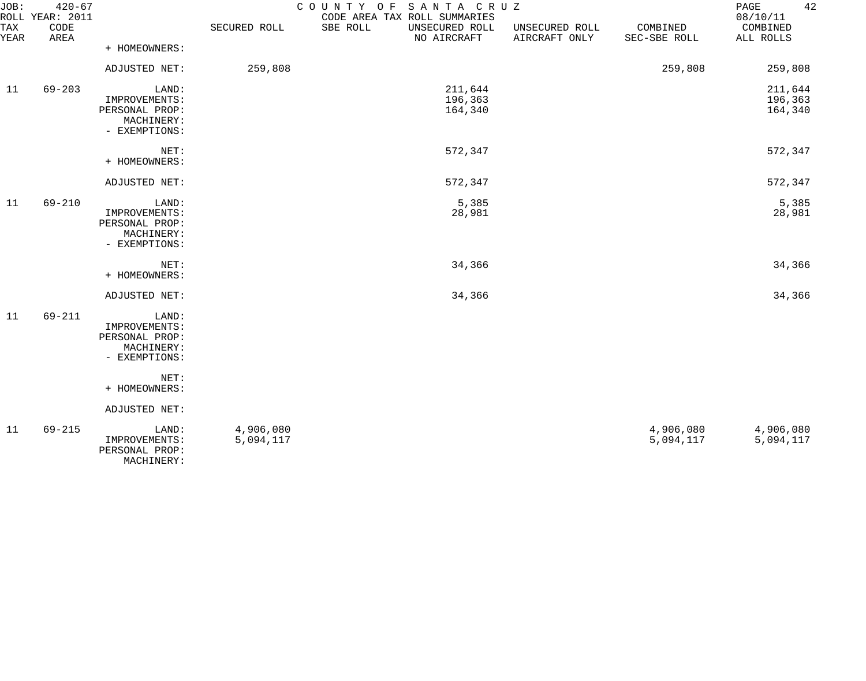| JOB:        | $420 - 67$<br>ROLL YEAR: 2011 |                                                                         |                        | COUNTY OF SANTA CRUZ<br>CODE AREA TAX ROLL SUMMARIES |                                 |                          | 42<br>PAGE<br>08/10/11        |
|-------------|-------------------------------|-------------------------------------------------------------------------|------------------------|------------------------------------------------------|---------------------------------|--------------------------|-------------------------------|
| TAX<br>YEAR | CODE<br>AREA                  |                                                                         | SECURED ROLL           | SBE ROLL<br>UNSECURED ROLL<br>NO AIRCRAFT            | UNSECURED ROLL<br>AIRCRAFT ONLY | COMBINED<br>SEC-SBE ROLL | COMBINED<br>ALL ROLLS         |
|             |                               | + HOMEOWNERS:                                                           |                        |                                                      |                                 |                          |                               |
|             |                               | ADJUSTED NET:                                                           | 259,808                |                                                      |                                 | 259,808                  | 259,808                       |
| 11          | $69 - 203$                    | LAND:<br>IMPROVEMENTS:<br>PERSONAL PROP:<br>MACHINERY:<br>- EXEMPTIONS: |                        | 211,644<br>196,363<br>164,340                        |                                 |                          | 211,644<br>196,363<br>164,340 |
|             |                               | NET:<br>+ HOMEOWNERS:                                                   |                        | 572,347                                              |                                 |                          | 572,347                       |
|             |                               | ADJUSTED NET:                                                           |                        | 572,347                                              |                                 |                          | 572,347                       |
| 11          | $69 - 210$                    | LAND:<br>IMPROVEMENTS:<br>PERSONAL PROP:<br>MACHINERY:<br>- EXEMPTIONS: |                        | 5,385<br>28,981                                      |                                 |                          | 5,385<br>28,981               |
|             |                               | NET:<br>+ HOMEOWNERS:                                                   |                        | 34,366                                               |                                 |                          | 34,366                        |
|             |                               | ADJUSTED NET:                                                           |                        | 34,366                                               |                                 |                          | 34,366                        |
| 11          | 69-211                        | LAND:<br>IMPROVEMENTS:<br>PERSONAL PROP:<br>MACHINERY:<br>- EXEMPTIONS: |                        |                                                      |                                 |                          |                               |
|             |                               | NET:<br>+ HOMEOWNERS:                                                   |                        |                                                      |                                 |                          |                               |
|             |                               | ADJUSTED NET:                                                           |                        |                                                      |                                 |                          |                               |
| 11          | $69 - 215$                    | LAND:<br>IMPROVEMENTS:<br>PERSONAL PROP:<br>MACHINERY:                  | 4,906,080<br>5,094,117 |                                                      |                                 | 4,906,080<br>5,094,117   | 4,906,080<br>5,094,117        |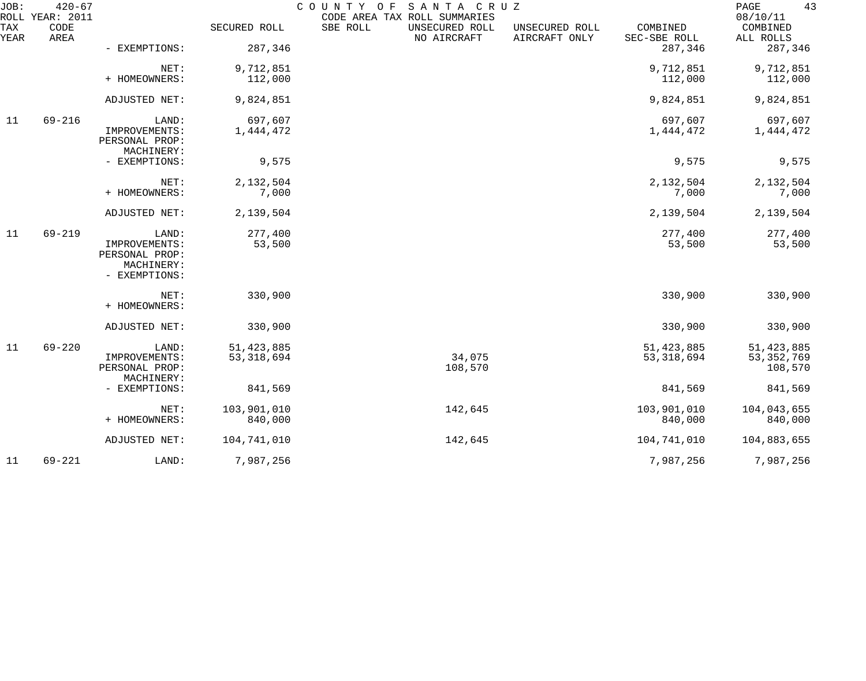| JOB:        | $420 - 67$<br>ROLL YEAR: 2011 |                                               |                      | COUNTY OF | SANTA CRUZ<br>CODE AREA TAX ROLL SUMMARIES |                                 |                          | 43<br>PAGE<br>08/10/11 |
|-------------|-------------------------------|-----------------------------------------------|----------------------|-----------|--------------------------------------------|---------------------------------|--------------------------|------------------------|
| TAX<br>YEAR | CODE<br>AREA                  |                                               | SECURED ROLL         | SBE ROLL  | UNSECURED ROLL<br>NO AIRCRAFT              | UNSECURED ROLL<br>AIRCRAFT ONLY | COMBINED<br>SEC-SBE ROLL | COMBINED<br>ALL ROLLS  |
|             |                               | - EXEMPTIONS:                                 | 287,346              |           |                                            |                                 | 287,346                  | 287,346                |
|             |                               | NET:<br>+ HOMEOWNERS:                         | 9,712,851<br>112,000 |           |                                            |                                 | 9,712,851<br>112,000     | 9,712,851<br>112,000   |
|             |                               |                                               |                      |           |                                            |                                 |                          |                        |
|             |                               | ADJUSTED NET:                                 | 9,824,851            |           |                                            |                                 | 9,824,851                | 9,824,851              |
| 11          | $69 - 216$                    | LAND:                                         | 697,607              |           |                                            |                                 | 697,607                  | 697,607                |
|             |                               | IMPROVEMENTS:<br>PERSONAL PROP:<br>MACHINERY: | 1,444,472            |           |                                            |                                 | 1,444,472                | 1,444,472              |
|             |                               | - EXEMPTIONS:                                 | 9,575                |           |                                            |                                 | 9,575                    | 9,575                  |
|             |                               | NET:                                          | 2,132,504            |           |                                            |                                 | 2,132,504                | 2,132,504              |
|             |                               | + HOMEOWNERS:                                 | 7,000                |           |                                            |                                 | 7,000                    | 7,000                  |
|             |                               | ADJUSTED NET:                                 | 2,139,504            |           |                                            |                                 | 2,139,504                | 2,139,504              |
| 11          | $69 - 219$                    | LAND:                                         | 277,400              |           |                                            |                                 | 277,400                  | 277,400                |
|             |                               | IMPROVEMENTS:<br>PERSONAL PROP:               | 53,500               |           |                                            |                                 | 53,500                   | 53,500                 |
|             |                               | MACHINERY:<br>- EXEMPTIONS:                   |                      |           |                                            |                                 |                          |                        |
|             |                               | NET:                                          | 330,900              |           |                                            |                                 | 330,900                  | 330,900                |
|             |                               | + HOMEOWNERS:                                 |                      |           |                                            |                                 |                          |                        |
|             |                               | ADJUSTED NET:                                 | 330,900              |           |                                            |                                 | 330,900                  | 330,900                |
| 11          | $69 - 220$                    | LAND:                                         | 51, 423, 885         |           |                                            |                                 | 51, 423, 885             | 51, 423, 885           |
|             |                               | IMPROVEMENTS:                                 | 53, 318, 694         |           | 34,075                                     |                                 | 53, 318, 694             | 53, 352, 769           |
|             |                               | PERSONAL PROP:<br>MACHINERY:                  |                      |           | 108,570                                    |                                 |                          | 108,570                |
|             |                               | - EXEMPTIONS:                                 | 841,569              |           |                                            |                                 | 841,569                  | 841,569                |
|             |                               | NET:                                          | 103,901,010          |           | 142,645                                    |                                 | 103,901,010              | 104,043,655            |
|             |                               | + HOMEOWNERS:                                 | 840,000              |           |                                            |                                 | 840,000                  | 840,000                |
|             |                               | ADJUSTED NET:                                 | 104,741,010          |           | 142,645                                    |                                 | 104,741,010              | 104,883,655            |
| 11          | $69 - 221$                    | LAND:                                         | 7,987,256            |           |                                            |                                 | 7,987,256                | 7,987,256              |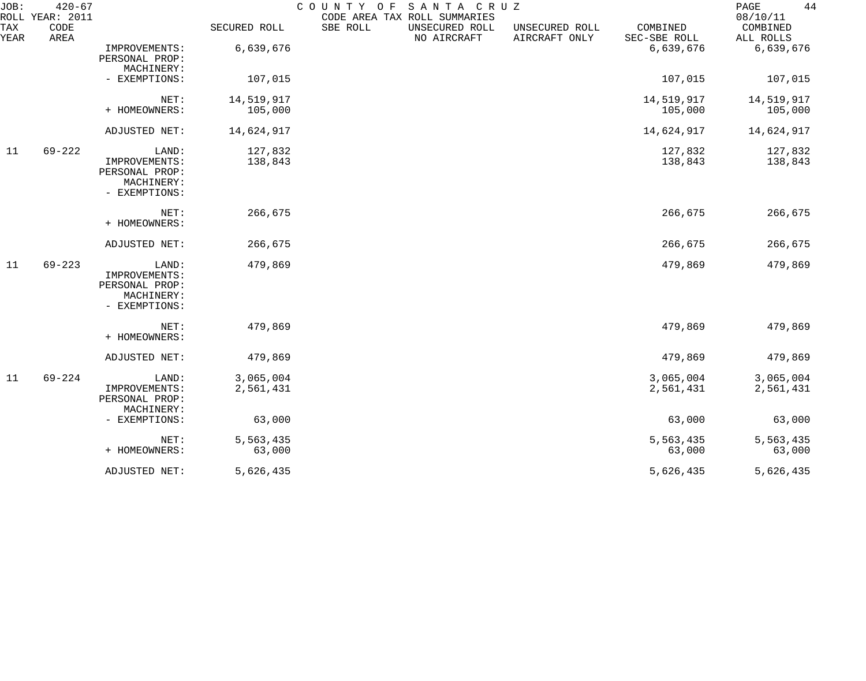| JOB:        | $420 - 67$<br>ROLL YEAR: 2011 |                                                                         |                        | COUNTY OF<br>CODE AREA TAX ROLL SUMMARIES | SANTA CRUZ                    |                                 |                          | 44<br>PAGE<br>08/10/11 |
|-------------|-------------------------------|-------------------------------------------------------------------------|------------------------|-------------------------------------------|-------------------------------|---------------------------------|--------------------------|------------------------|
| TAX<br>YEAR | CODE<br>AREA                  |                                                                         | SECURED ROLL           | SBE ROLL                                  | UNSECURED ROLL<br>NO AIRCRAFT | UNSECURED ROLL<br>AIRCRAFT ONLY | COMBINED<br>SEC-SBE ROLL | COMBINED<br>ALL ROLLS  |
|             |                               | IMPROVEMENTS:<br>PERSONAL PROP:<br>MACHINERY:                           | 6,639,676              |                                           |                               |                                 | 6,639,676                | 6,639,676              |
|             |                               | - EXEMPTIONS:                                                           | 107,015                |                                           |                               |                                 | 107,015                  | 107,015                |
|             |                               | NET:                                                                    | 14,519,917             |                                           |                               |                                 | 14,519,917               | 14,519,917             |
|             |                               | + HOMEOWNERS:                                                           | 105,000                |                                           |                               |                                 | 105,000                  | 105,000                |
|             |                               | ADJUSTED NET:                                                           | 14,624,917             |                                           |                               |                                 | 14,624,917               | 14,624,917             |
| 11          | $69 - 222$                    | LAND:                                                                   | 127,832                |                                           |                               |                                 | 127,832                  | 127,832                |
|             |                               | IMPROVEMENTS:<br>PERSONAL PROP:<br>MACHINERY:<br>- EXEMPTIONS:          | 138,843                |                                           |                               |                                 | 138,843                  | 138,843                |
|             |                               | NET:<br>+ HOMEOWNERS:                                                   | 266,675                |                                           |                               |                                 | 266,675                  | 266,675                |
|             |                               | ADJUSTED NET:                                                           | 266,675                |                                           |                               |                                 | 266,675                  | 266,675                |
| 11          | $69 - 223$                    | LAND:<br>IMPROVEMENTS:<br>PERSONAL PROP:<br>MACHINERY:<br>- EXEMPTIONS: | 479,869                |                                           |                               |                                 | 479,869                  | 479,869                |
|             |                               | NET:<br>+ HOMEOWNERS:                                                   | 479,869                |                                           |                               |                                 | 479,869                  | 479,869                |
|             |                               | ADJUSTED NET:                                                           | 479,869                |                                           |                               |                                 | 479,869                  | 479,869                |
| 11          | $69 - 224$                    | LAND:<br>IMPROVEMENTS:<br>PERSONAL PROP:<br>MACHINERY:                  | 3,065,004<br>2,561,431 |                                           |                               |                                 | 3,065,004<br>2,561,431   | 3,065,004<br>2,561,431 |
|             |                               | - EXEMPTIONS:                                                           | 63,000                 |                                           |                               |                                 | 63,000                   | 63,000                 |
|             |                               | NET:                                                                    | 5,563,435              |                                           |                               |                                 | 5,563,435                | 5,563,435              |
|             |                               | + HOMEOWNERS:                                                           | 63,000                 |                                           |                               |                                 | 63,000                   | 63,000                 |
|             |                               | ADJUSTED NET:                                                           | 5,626,435              |                                           |                               |                                 | 5,626,435                | 5,626,435              |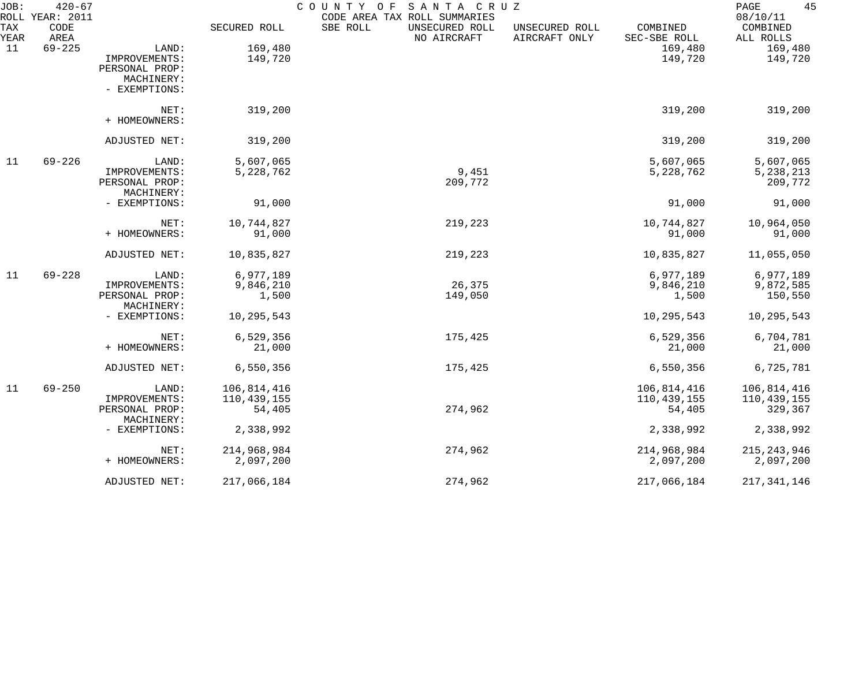| JOB:        | $420 - 67$<br>ROLL YEAR: 2011 |                              |              | COUNTY OF<br>SANTA CRUZ<br>CODE AREA TAX ROLL SUMMARIES |                                 |                          | 45<br>PAGE<br>08/10/11 |
|-------------|-------------------------------|------------------------------|--------------|---------------------------------------------------------|---------------------------------|--------------------------|------------------------|
| TAX<br>YEAR | CODE<br>AREA                  |                              | SECURED ROLL | SBE ROLL<br>UNSECURED ROLL<br>NO AIRCRAFT               | UNSECURED ROLL<br>AIRCRAFT ONLY | COMBINED<br>SEC-SBE ROLL | COMBINED<br>ALL ROLLS  |
| 11          | $69 - 225$                    | LAND:                        | 169,480      |                                                         |                                 | 169,480                  | 169,480                |
|             |                               | IMPROVEMENTS:                | 149,720      |                                                         |                                 | 149,720                  | 149,720                |
|             |                               | PERSONAL PROP:               |              |                                                         |                                 |                          |                        |
|             |                               | MACHINERY:                   |              |                                                         |                                 |                          |                        |
|             |                               | - EXEMPTIONS:                |              |                                                         |                                 |                          |                        |
|             |                               | NET:                         | 319,200      |                                                         |                                 | 319,200                  | 319,200                |
|             |                               | + HOMEOWNERS:                |              |                                                         |                                 |                          |                        |
|             |                               | ADJUSTED NET:                | 319,200      |                                                         |                                 | 319,200                  | 319,200                |
| 11          | $69 - 226$                    | LAND:                        | 5,607,065    |                                                         |                                 | 5,607,065                | 5,607,065              |
|             |                               | IMPROVEMENTS:                | 5,228,762    | 9,451                                                   |                                 | 5,228,762                | 5, 238, 213            |
|             |                               | PERSONAL PROP:               |              | 209,772                                                 |                                 |                          | 209,772                |
|             |                               | MACHINERY:                   |              |                                                         |                                 |                          |                        |
|             |                               | - EXEMPTIONS:                | 91,000       |                                                         |                                 | 91,000                   | 91,000                 |
|             |                               | NET:                         | 10,744,827   | 219,223                                                 |                                 | 10,744,827               | 10,964,050             |
|             |                               | + HOMEOWNERS:                | 91,000       |                                                         |                                 | 91,000                   | 91,000                 |
|             |                               | ADJUSTED NET:                | 10,835,827   | 219,223                                                 |                                 | 10,835,827               | 11,055,050             |
| 11          | $69 - 228$                    | LAND:                        | 6,977,189    |                                                         |                                 | 6,977,189                | 6,977,189              |
|             |                               | IMPROVEMENTS:                | 9,846,210    | 26,375                                                  |                                 | 9,846,210                | 9,872,585              |
|             |                               | PERSONAL PROP:               | 1,500        | 149,050                                                 |                                 | 1,500                    | 150,550                |
|             |                               | MACHINERY:                   |              |                                                         |                                 |                          |                        |
|             |                               | - EXEMPTIONS:                | 10,295,543   |                                                         |                                 | 10,295,543               | 10,295,543             |
|             |                               | NET:                         | 6,529,356    | 175,425                                                 |                                 | 6,529,356                | 6,704,781              |
|             |                               | + HOMEOWNERS:                | 21,000       |                                                         |                                 | 21,000                   | 21,000                 |
|             |                               | ADJUSTED NET:                | 6,550,356    | 175,425                                                 |                                 | 6,550,356                | 6,725,781              |
| 11          | $69 - 250$                    | LAND:                        | 106,814,416  |                                                         |                                 | 106,814,416              | 106,814,416            |
|             |                               | IMPROVEMENTS:                | 110,439,155  |                                                         |                                 | 110, 439, 155            | 110,439,155            |
|             |                               | PERSONAL PROP:<br>MACHINERY: | 54,405       | 274,962                                                 |                                 | 54,405                   | 329,367                |
|             |                               | - EXEMPTIONS:                | 2,338,992    |                                                         |                                 | 2,338,992                | 2,338,992              |
|             |                               | NET:                         | 214,968,984  | 274,962                                                 |                                 | 214,968,984              | 215, 243, 946          |
|             |                               | + HOMEOWNERS:                | 2,097,200    |                                                         |                                 | 2,097,200                | 2,097,200              |
|             |                               | ADJUSTED NET:                | 217,066,184  | 274,962                                                 |                                 | 217,066,184              | 217, 341, 146          |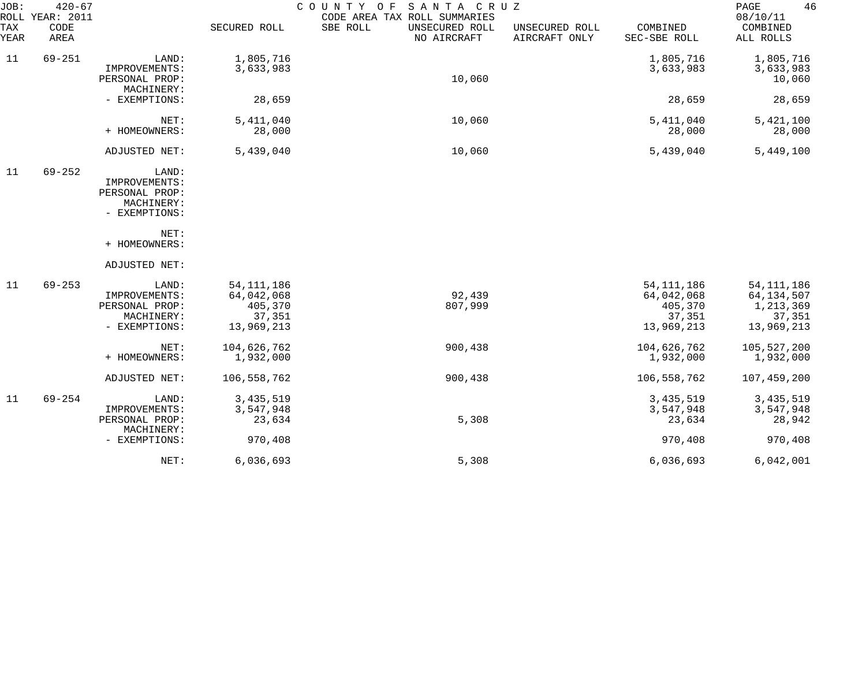| JOB:        | $420 - 67$<br>ROLL YEAR: 2011 |                                                                         |                                                               | SANTA CRUZ<br>COUNTY<br>O F<br>CODE AREA TAX ROLL SUMMARIES |                                 |                                                               | 46<br>PAGE<br>08/10/11                                            |
|-------------|-------------------------------|-------------------------------------------------------------------------|---------------------------------------------------------------|-------------------------------------------------------------|---------------------------------|---------------------------------------------------------------|-------------------------------------------------------------------|
| TAX<br>YEAR | CODE<br>AREA                  |                                                                         | SECURED ROLL                                                  | SBE ROLL<br>UNSECURED ROLL<br>NO AIRCRAFT                   | UNSECURED ROLL<br>AIRCRAFT ONLY | COMBINED<br>SEC-SBE ROLL                                      | COMBINED<br>ALL ROLLS                                             |
| 11          | $69 - 251$                    | LAND:                                                                   | 1,805,716                                                     |                                                             |                                 | 1,805,716                                                     | 1,805,716                                                         |
|             |                               | IMPROVEMENTS:<br>PERSONAL PROP:                                         | 3,633,983                                                     | 10,060                                                      |                                 | 3,633,983                                                     | 3,633,983<br>10,060                                               |
|             |                               | MACHINERY:<br>- EXEMPTIONS:                                             | 28,659                                                        |                                                             |                                 | 28,659                                                        | 28,659                                                            |
|             |                               | NET:<br>+ HOMEOWNERS:                                                   | 5, 411, 040<br>28,000                                         | 10,060                                                      |                                 | 5, 411, 040<br>28,000                                         | 5,421,100<br>28,000                                               |
|             |                               | ADJUSTED NET:                                                           | 5,439,040                                                     | 10,060                                                      |                                 | 5,439,040                                                     | 5,449,100                                                         |
| 11          | $69 - 252$                    | LAND:<br>IMPROVEMENTS:<br>PERSONAL PROP:<br>MACHINERY:<br>- EXEMPTIONS: |                                                               |                                                             |                                 |                                                               |                                                                   |
|             |                               | NET:<br>+ HOMEOWNERS:                                                   |                                                               |                                                             |                                 |                                                               |                                                                   |
|             |                               | ADJUSTED NET:                                                           |                                                               |                                                             |                                 |                                                               |                                                                   |
| 11          | $69 - 253$                    | LAND:<br>IMPROVEMENTS:<br>PERSONAL PROP:<br>MACHINERY:<br>- EXEMPTIONS: | 54, 111, 186<br>64,042,068<br>405,370<br>37,351<br>13,969,213 | 92,439<br>807,999                                           |                                 | 54, 111, 186<br>64,042,068<br>405,370<br>37,351<br>13,969,213 | 54, 111, 186<br>64, 134, 507<br>1,213,369<br>37,351<br>13,969,213 |
|             |                               | NET:<br>+ HOMEOWNERS:                                                   | 104,626,762<br>1,932,000                                      | 900,438                                                     |                                 | 104,626,762<br>1,932,000                                      | 105,527,200<br>1,932,000                                          |
|             |                               | ADJUSTED NET:                                                           | 106,558,762                                                   | 900,438                                                     |                                 | 106,558,762                                                   | 107,459,200                                                       |
| 11          | $69 - 254$                    | LAND:<br>IMPROVEMENTS:<br>PERSONAL PROP:<br>MACHINERY:                  | 3, 435, 519<br>3,547,948<br>23,634                            | 5,308                                                       |                                 | 3, 435, 519<br>3,547,948<br>23,634                            | 3, 435, 519<br>3,547,948<br>28,942                                |
|             |                               | - EXEMPTIONS:                                                           | 970,408                                                       |                                                             |                                 | 970,408                                                       | 970,408                                                           |
|             |                               | NET:                                                                    | 6,036,693                                                     | 5,308                                                       |                                 | 6,036,693                                                     | 6,042,001                                                         |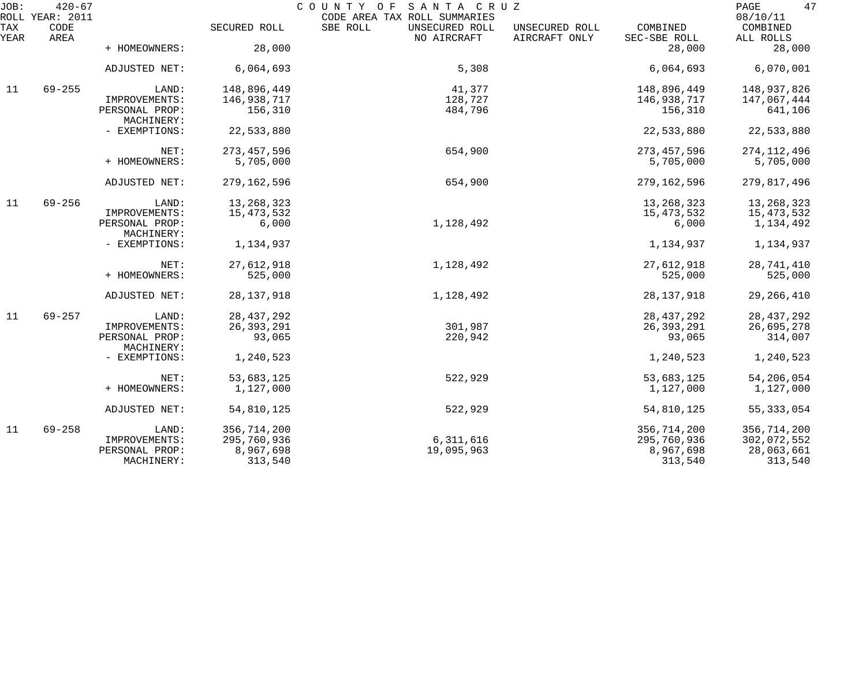| JOB:        | $420 - 67$<br>ROLL YEAR: 2011 |                              |               | SANTA CRUZ<br>COUNTY OF<br>CODE AREA TAX ROLL SUMMARIES |                                                             | 47<br>PAGE<br>08/10/11 |
|-------------|-------------------------------|------------------------------|---------------|---------------------------------------------------------|-------------------------------------------------------------|------------------------|
| TAX<br>YEAR | CODE<br>AREA                  |                              | SECURED ROLL  | SBE ROLL<br>UNSECURED ROLL<br>NO AIRCRAFT               | UNSECURED ROLL<br>COMBINED<br>AIRCRAFT ONLY<br>SEC-SBE ROLL | COMBINED<br>ALL ROLLS  |
|             |                               | + HOMEOWNERS:                | 28,000        |                                                         |                                                             | 28,000<br>28,000       |
|             |                               | ADJUSTED NET:                | 6,064,693     | 5,308                                                   | 6,064,693                                                   | 6,070,001              |
| 11          | $69 - 255$                    | LAND:                        | 148,896,449   | 41,377                                                  | 148,896,449                                                 | 148,937,826            |
|             |                               | IMPROVEMENTS:                | 146,938,717   | 128,727                                                 | 146,938,717                                                 | 147,067,444            |
|             |                               | PERSONAL PROP:<br>MACHINERY: | 156,310       | 484,796                                                 | 156,310                                                     | 641,106                |
|             |                               | - EXEMPTIONS:                | 22,533,880    |                                                         | 22,533,880                                                  | 22,533,880             |
|             |                               | NET:                         | 273, 457, 596 | 654,900                                                 | 273, 457, 596                                               | 274, 112, 496          |
|             |                               | + HOMEOWNERS:                | 5,705,000     |                                                         | 5,705,000                                                   | 5,705,000              |
|             |                               | ADJUSTED NET:                | 279,162,596   | 654,900                                                 | 279,162,596                                                 | 279,817,496            |
| 11          | $69 - 256$                    | LAND:                        | 13, 268, 323  |                                                         | 13, 268, 323                                                | 13,268,323             |
|             |                               | IMPROVEMENTS:                | 15, 473, 532  |                                                         | 15, 473, 532                                                | 15,473,532             |
|             |                               | PERSONAL PROP:<br>MACHINERY: | 6,000         | 1,128,492                                               |                                                             | 6,000<br>1,134,492     |
|             |                               | - EXEMPTIONS:                | 1,134,937     |                                                         | 1,134,937                                                   | 1,134,937              |
|             |                               | NET:                         | 27,612,918    | 1,128,492                                               | 27,612,918                                                  | 28,741,410             |
|             |                               | + HOMEOWNERS:                | 525,000       |                                                         |                                                             | 525,000<br>525,000     |
|             |                               | ADJUSTED NET:                | 28, 137, 918  | 1,128,492                                               | 28, 137, 918                                                | 29, 266, 410           |
| 11          | $69 - 257$                    | LAND:                        | 28, 437, 292  |                                                         | 28, 437, 292                                                | 28, 437, 292           |
|             |                               | IMPROVEMENTS:                | 26, 393, 291  | 301,987                                                 | 26, 393, 291                                                | 26,695,278             |
|             |                               | PERSONAL PROP:<br>MACHINERY: | 93,065        | 220,942                                                 |                                                             | 93,065<br>314,007      |
|             |                               | - EXEMPTIONS:                | 1,240,523     |                                                         | 1,240,523                                                   | 1,240,523              |
|             |                               | NET:                         | 53,683,125    | 522,929                                                 | 53,683,125                                                  | 54,206,054             |
|             |                               | + HOMEOWNERS:                | 1,127,000     |                                                         | 1,127,000                                                   | 1,127,000              |
|             |                               | ADJUSTED NET:                | 54,810,125    | 522,929                                                 | 54,810,125                                                  | 55, 333, 054           |
| 11          | $69 - 258$                    | LAND:                        | 356,714,200   |                                                         | 356,714,200                                                 | 356,714,200            |
|             |                               | IMPROVEMENTS:                | 295,760,936   | 6,311,616                                               | 295,760,936                                                 | 302,072,552            |
|             |                               | PERSONAL PROP:               | 8,967,698     | 19,095,963                                              | 8,967,698                                                   | 28,063,661             |
|             |                               | MACHINERY:                   | 313,540       |                                                         |                                                             | 313,540<br>313,540     |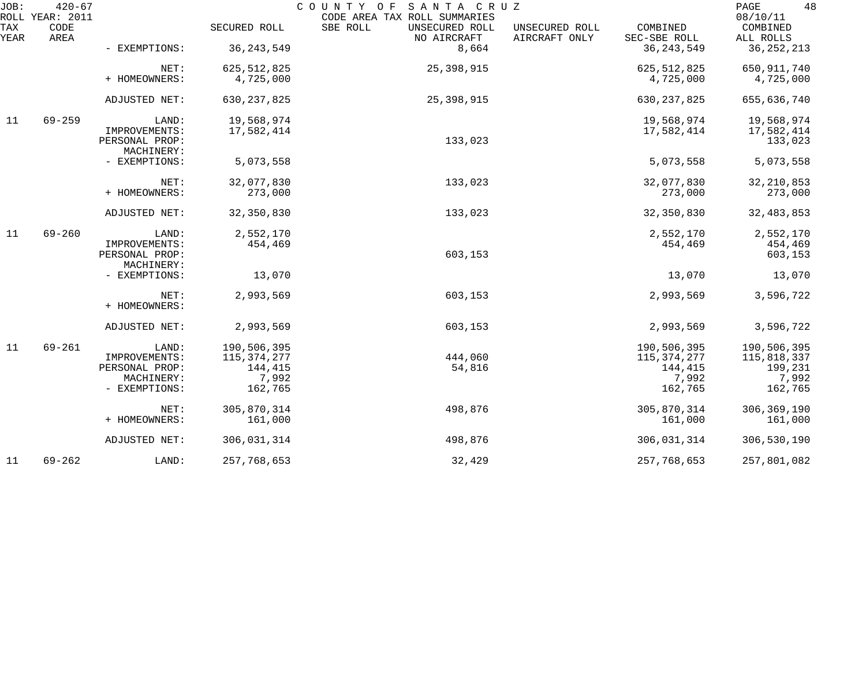| JOB:        | $420 - 67$<br>ROLL YEAR: 2011 |                                 |               | COUNTY OF SANTA CRUZ<br>CODE AREA TAX ROLL SUMMARIES |                                                             | 48<br>PAGE<br>08/10/11 |
|-------------|-------------------------------|---------------------------------|---------------|------------------------------------------------------|-------------------------------------------------------------|------------------------|
| TAX<br>YEAR | CODE<br>AREA                  |                                 | SECURED ROLL  | SBE ROLL<br>UNSECURED ROLL<br>NO AIRCRAFT            | COMBINED<br>UNSECURED ROLL<br>AIRCRAFT ONLY<br>SEC-SBE ROLL | COMBINED<br>ALL ROLLS  |
|             |                               | - EXEMPTIONS:                   | 36, 243, 549  | 8,664                                                | 36, 243, 549                                                | 36, 252, 213           |
|             |                               | NET:                            | 625, 512, 825 | 25,398,915                                           | 625, 512, 825                                               | 650,911,740            |
|             |                               | + HOMEOWNERS:                   | 4,725,000     |                                                      | 4,725,000                                                   | 4,725,000              |
|             |                               | ADJUSTED NET:                   | 630, 237, 825 | 25,398,915                                           | 630, 237, 825                                               | 655,636,740            |
| 11          | $69 - 259$                    | LAND:                           | 19,568,974    |                                                      | 19,568,974                                                  | 19,568,974             |
|             |                               | IMPROVEMENTS:<br>PERSONAL PROP: | 17,582,414    | 133,023                                              | 17,582,414                                                  | 17,582,414<br>133,023  |
|             |                               | MACHINERY:                      |               |                                                      |                                                             |                        |
|             |                               | - EXEMPTIONS:                   | 5,073,558     |                                                      | 5,073,558                                                   | 5,073,558              |
|             |                               | NET:                            | 32,077,830    | 133,023                                              | 32,077,830                                                  | 32, 210, 853           |
|             |                               | + HOMEOWNERS:                   | 273,000       |                                                      | 273,000                                                     | 273,000                |
|             |                               | ADJUSTED NET:                   | 32,350,830    | 133,023                                              | 32,350,830                                                  | 32, 483, 853           |
| 11          | $69 - 260$                    | LAND:                           | 2,552,170     |                                                      | 2,552,170                                                   | 2,552,170              |
|             |                               | IMPROVEMENTS:<br>PERSONAL PROP: | 454,469       | 603,153                                              | 454,469                                                     | 454,469<br>603,153     |
|             |                               | MACHINERY:                      |               |                                                      |                                                             |                        |
|             |                               | - EXEMPTIONS:                   | 13,070        |                                                      | 13,070                                                      | 13,070                 |
|             |                               | NET:<br>+ HOMEOWNERS:           | 2,993,569     | 603,153                                              | 2,993,569                                                   | 3,596,722              |
|             |                               | ADJUSTED NET:                   | 2,993,569     | 603,153                                              | 2,993,569                                                   | 3,596,722              |
|             |                               |                                 |               |                                                      |                                                             |                        |
| 11          | $69 - 261$                    | LAND:                           | 190,506,395   |                                                      | 190,506,395                                                 | 190,506,395            |
|             |                               | IMPROVEMENTS:                   | 115,374,277   | 444,060                                              | 115,374,277                                                 | 115,818,337            |
|             |                               | PERSONAL PROP:                  | 144,415       | 54,816                                               | 144,415                                                     | 199,231                |
|             |                               | MACHINERY:                      | 7,992         |                                                      | 7,992                                                       | 7,992                  |
|             |                               | - EXEMPTIONS:                   | 162,765       |                                                      | 162,765                                                     | 162,765                |
|             |                               | NET:                            | 305,870,314   | 498,876                                              | 305,870,314                                                 | 306, 369, 190          |
|             |                               | + HOMEOWNERS:                   | 161,000       |                                                      | 161,000                                                     | 161,000                |
|             |                               | ADJUSTED NET:                   | 306,031,314   | 498,876                                              | 306,031,314                                                 | 306,530,190            |
| 11          | $69 - 262$                    | LAND:                           | 257,768,653   | 32,429                                               | 257,768,653                                                 | 257,801,082            |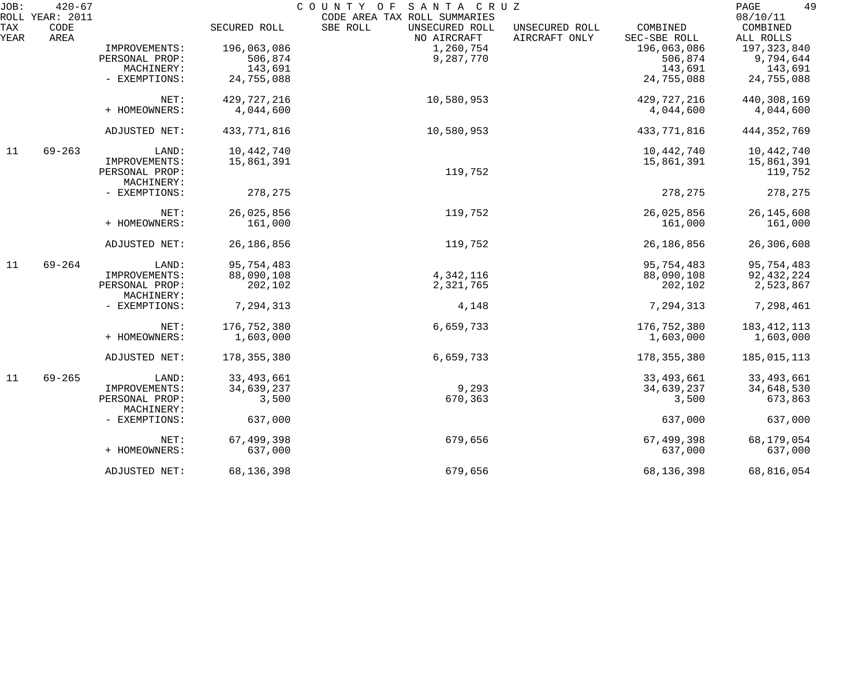| JOB:               | $420 - 67$<br>ROLL YEAR: 2011 |                              |               | COUNTY OF SANTA CRUZ<br>CODE AREA TAX ROLL SUMMARIES |                                 |                          | 49<br>PAGE<br>08/10/11 |
|--------------------|-------------------------------|------------------------------|---------------|------------------------------------------------------|---------------------------------|--------------------------|------------------------|
| <b>TAX</b><br>YEAR | CODE<br>AREA                  |                              | SECURED ROLL  | SBE ROLL<br>UNSECURED ROLL<br>NO AIRCRAFT            | UNSECURED ROLL<br>AIRCRAFT ONLY | COMBINED<br>SEC-SBE ROLL | COMBINED<br>ALL ROLLS  |
|                    |                               | IMPROVEMENTS:                | 196,063,086   | 1,260,754                                            |                                 | 196,063,086              | 197,323,840            |
|                    |                               | PERSONAL PROP:               | 506,874       | 9,287,770                                            |                                 | 506,874                  | 9,794,644              |
|                    |                               | MACHINERY:                   | 143,691       |                                                      |                                 | 143,691                  | 143,691                |
|                    |                               | - EXEMPTIONS:                | 24,755,088    |                                                      |                                 | 24,755,088               | 24,755,088             |
|                    |                               | NET:                         | 429, 727, 216 | 10,580,953                                           |                                 | 429, 727, 216            | 440,308,169            |
|                    |                               | + HOMEOWNERS:                | 4,044,600     |                                                      |                                 | 4,044,600                | 4,044,600              |
|                    |                               | ADJUSTED NET:                | 433,771,816   | 10,580,953                                           |                                 | 433,771,816              | 444, 352, 769          |
| 11                 | $69 - 263$                    | LAND:                        | 10,442,740    |                                                      |                                 | 10,442,740               | 10,442,740             |
|                    |                               | IMPROVEMENTS:                | 15,861,391    |                                                      |                                 | 15,861,391               | 15,861,391             |
|                    |                               | PERSONAL PROP:<br>MACHINERY: |               | 119,752                                              |                                 |                          | 119,752                |
|                    |                               | - EXEMPTIONS:                | 278,275       |                                                      |                                 | 278,275                  | 278,275                |
|                    |                               | NET:                         | 26,025,856    | 119,752                                              |                                 | 26,025,856               | 26, 145, 608           |
|                    |                               | + HOMEOWNERS:                | 161,000       |                                                      |                                 | 161,000                  | 161,000                |
|                    |                               | ADJUSTED NET:                | 26, 186, 856  | 119,752                                              |                                 | 26, 186, 856             | 26,306,608             |
| 11                 | $69 - 264$                    | LAND:                        | 95,754,483    |                                                      |                                 | 95,754,483               | 95,754,483             |
|                    |                               | IMPROVEMENTS:                | 88,090,108    | 4,342,116                                            |                                 | 88,090,108               | 92, 432, 224           |
|                    |                               | PERSONAL PROP:<br>MACHINERY: | 202,102       | 2,321,765                                            |                                 | 202,102                  | 2,523,867              |
|                    |                               | - EXEMPTIONS:                | 7,294,313     | 4,148                                                |                                 | 7,294,313                | 7,298,461              |
|                    |                               | NET:                         | 176,752,380   | 6,659,733                                            |                                 | 176,752,380              | 183, 412, 113          |
|                    |                               | + HOMEOWNERS:                | 1,603,000     |                                                      |                                 | 1,603,000                | 1,603,000              |
|                    |                               | ADJUSTED NET:                | 178, 355, 380 | 6,659,733                                            |                                 | 178, 355, 380            | 185,015,113            |
| 11                 | $69 - 265$                    | LAND:                        | 33,493,661    |                                                      |                                 | 33, 493, 661             | 33, 493, 661           |
|                    |                               | IMPROVEMENTS:                | 34,639,237    | 9,293                                                |                                 | 34,639,237               | 34,648,530             |
|                    |                               | PERSONAL PROP:<br>MACHINERY: | 3,500         | 670,363                                              |                                 | 3,500                    | 673,863                |
|                    |                               | - EXEMPTIONS:                | 637,000       |                                                      |                                 | 637,000                  | 637,000                |
|                    |                               | NET:                         | 67,499,398    | 679,656                                              |                                 | 67,499,398               | 68,179,054             |
|                    |                               | + HOMEOWNERS:                | 637,000       |                                                      |                                 | 637,000                  | 637,000                |
|                    |                               | ADJUSTED NET:                | 68,136,398    | 679,656                                              |                                 | 68,136,398               | 68,816,054             |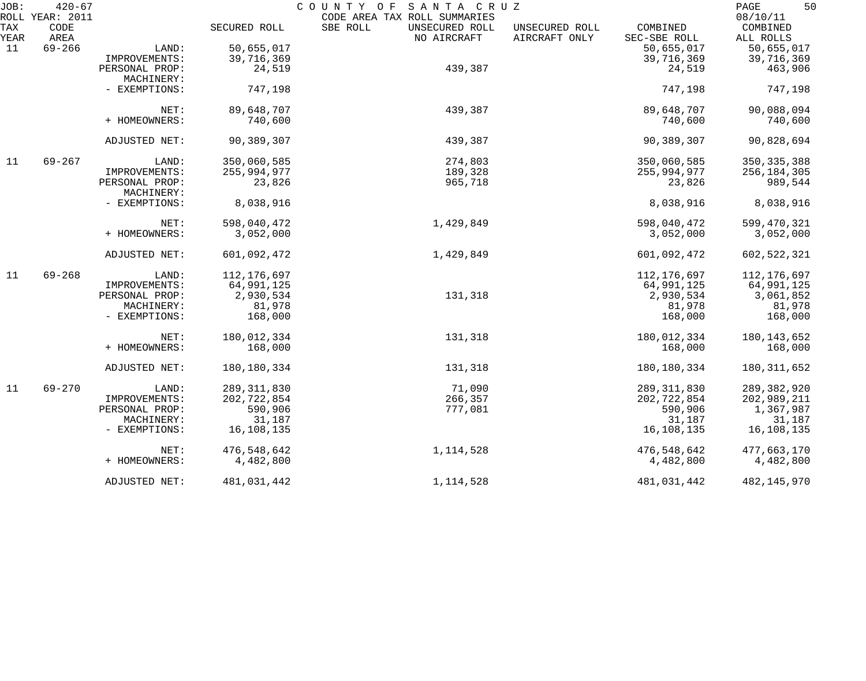| JOB:               | $420 - 67$<br>ROLL YEAR: 2011 |                |               | COUNTY OF<br>SANTA CRUZ<br>CODE AREA TAX ROLL SUMMARIES |                                 |                          | 50<br>PAGE<br>08/10/11 |
|--------------------|-------------------------------|----------------|---------------|---------------------------------------------------------|---------------------------------|--------------------------|------------------------|
| <b>TAX</b><br>YEAR | CODE<br>AREA                  |                | SECURED ROLL  | SBE ROLL<br>UNSECURED ROLL<br>NO AIRCRAFT               | UNSECURED ROLL<br>AIRCRAFT ONLY | COMBINED<br>SEC-SBE ROLL | COMBINED<br>ALL ROLLS  |
| 11                 | $69 - 266$                    | LAND:          | 50,655,017    |                                                         |                                 | 50,655,017               | 50,655,017             |
|                    |                               | IMPROVEMENTS:  | 39,716,369    |                                                         |                                 | 39,716,369               | 39,716,369             |
|                    |                               | PERSONAL PROP: | 24,519        | 439,387                                                 |                                 | 24,519                   | 463,906                |
|                    |                               | MACHINERY:     |               |                                                         |                                 |                          |                        |
|                    |                               | - EXEMPTIONS:  | 747,198       |                                                         |                                 | 747,198                  | 747,198                |
|                    |                               | NET:           | 89,648,707    | 439,387                                                 |                                 | 89,648,707               | 90,088,094             |
|                    |                               | + HOMEOWNERS:  | 740,600       |                                                         |                                 | 740,600                  | 740,600                |
|                    |                               | ADJUSTED NET:  | 90,389,307    | 439,387                                                 |                                 | 90,389,307               | 90,828,694             |
| 11                 | $69 - 267$                    | LAND:          | 350,060,585   | 274,803                                                 |                                 | 350,060,585              | 350, 335, 388          |
|                    |                               | IMPROVEMENTS:  | 255,994,977   | 189,328                                                 |                                 | 255,994,977              | 256, 184, 305          |
|                    |                               | PERSONAL PROP: | 23,826        | 965,718                                                 |                                 | 23,826                   | 989,544                |
|                    |                               | MACHINERY:     |               |                                                         |                                 |                          |                        |
|                    |                               | - EXEMPTIONS:  | 8,038,916     |                                                         |                                 | 8,038,916                | 8,038,916              |
|                    |                               | NET:           | 598,040,472   | 1,429,849                                               |                                 | 598,040,472              | 599,470,321            |
|                    |                               | + HOMEOWNERS:  | 3,052,000     |                                                         |                                 | 3,052,000                | 3,052,000              |
|                    |                               | ADJUSTED NET:  | 601,092,472   | 1,429,849                                               |                                 | 601,092,472              | 602, 522, 321          |
| 11                 | $69 - 268$                    | LAND:          | 112,176,697   |                                                         |                                 | 112,176,697              | 112,176,697            |
|                    |                               | IMPROVEMENTS:  | 64,991,125    |                                                         |                                 | 64,991,125               | 64,991,125             |
|                    |                               | PERSONAL PROP: | 2,930,534     | 131,318                                                 |                                 | 2,930,534                | 3,061,852              |
|                    |                               | MACHINERY:     | 81,978        |                                                         |                                 | 81,978                   | 81,978                 |
|                    |                               | - EXEMPTIONS:  | 168,000       |                                                         |                                 | 168,000                  | 168,000                |
|                    |                               | NET:           | 180,012,334   | 131,318                                                 |                                 | 180,012,334              | 180, 143, 652          |
|                    |                               | + HOMEOWNERS:  | 168,000       |                                                         |                                 | 168,000                  | 168,000                |
|                    |                               | ADJUSTED NET:  | 180,180,334   | 131,318                                                 |                                 | 180, 180, 334            | 180, 311, 652          |
| 11                 | $69 - 270$                    | LAND:          | 289, 311, 830 | 71,090                                                  |                                 | 289, 311, 830            | 289, 382, 920          |
|                    |                               | IMPROVEMENTS:  | 202, 722, 854 | 266,357                                                 |                                 | 202,722,854              | 202,989,211            |
|                    |                               | PERSONAL PROP: | 590,906       | 777,081                                                 |                                 | 590,906                  | 1,367,987              |
|                    |                               | MACHINERY:     | 31,187        |                                                         |                                 | 31,187                   | 31,187                 |
|                    |                               | - EXEMPTIONS:  | 16,108,135    |                                                         |                                 | 16,108,135               | 16,108,135             |
|                    |                               | NET:           | 476,548,642   | 1, 114, 528                                             |                                 | 476,548,642              | 477,663,170            |
|                    |                               | + HOMEOWNERS:  | 4,482,800     |                                                         |                                 | 4,482,800                | 4,482,800              |
|                    |                               | ADJUSTED NET:  | 481,031,442   | 1,114,528                                               |                                 | 481,031,442              | 482, 145, 970          |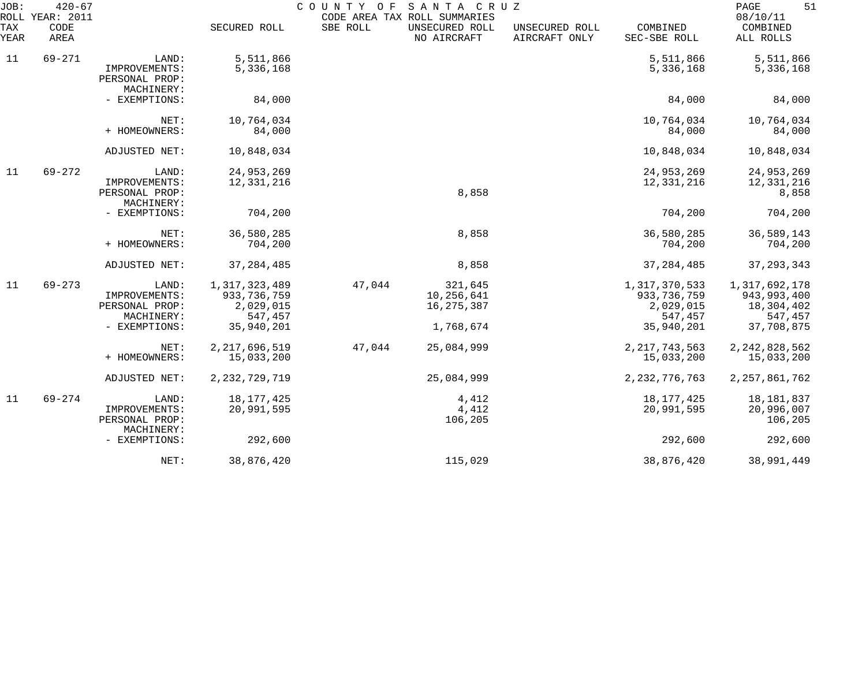| JOB:<br>ROLL       | $420 - 67$<br>YEAR: 2011 |                                                                         |                                                                      | COUNTY<br>O F | SANTA CRUZ<br>CODE AREA TAX ROLL SUMMARIES         |                                 |                                                                      | 51<br>PAGE<br>08/10/11                                                |
|--------------------|--------------------------|-------------------------------------------------------------------------|----------------------------------------------------------------------|---------------|----------------------------------------------------|---------------------------------|----------------------------------------------------------------------|-----------------------------------------------------------------------|
| <b>TAX</b><br>YEAR | CODE<br>AREA             |                                                                         | SECURED ROLL                                                         | SBE ROLL      | UNSECURED ROLL<br>NO AIRCRAFT                      | UNSECURED ROLL<br>AIRCRAFT ONLY | COMBINED<br>SEC-SBE ROLL                                             | COMBINED<br>ALL ROLLS                                                 |
| 11                 | $69 - 271$               | LAND:                                                                   | 5,511,866                                                            |               |                                                    |                                 | 5,511,866                                                            | 5,511,866                                                             |
|                    |                          | IMPROVEMENTS:<br>PERSONAL PROP:<br>MACHINERY:                           | 5,336,168                                                            |               |                                                    |                                 | 5,336,168                                                            | 5,336,168                                                             |
|                    |                          | - EXEMPTIONS:                                                           | 84,000                                                               |               |                                                    |                                 | 84,000                                                               | 84,000                                                                |
|                    |                          | NET:<br>+ HOMEOWNERS:                                                   | 10,764,034<br>84,000                                                 |               |                                                    |                                 | 10,764,034<br>84,000                                                 | 10,764,034<br>84,000                                                  |
|                    |                          | ADJUSTED NET:                                                           | 10,848,034                                                           |               |                                                    |                                 | 10,848,034                                                           | 10,848,034                                                            |
| 11                 | $69 - 272$               | LAND:<br>IMPROVEMENTS:<br>PERSONAL PROP:<br>MACHINERY:                  | 24,953,269<br>12,331,216                                             |               | 8,858                                              |                                 | 24,953,269<br>12,331,216                                             | 24,953,269<br>12,331,216<br>8,858                                     |
|                    |                          | - EXEMPTIONS:                                                           | 704,200                                                              |               |                                                    |                                 | 704,200                                                              | 704,200                                                               |
|                    |                          | NET:<br>+ HOMEOWNERS:                                                   | 36,580,285<br>704,200                                                |               | 8,858                                              |                                 | 36,580,285<br>704,200                                                | 36,589,143<br>704,200                                                 |
|                    |                          | ADJUSTED NET:                                                           | 37, 284, 485                                                         |               | 8,858                                              |                                 | 37, 284, 485                                                         | 37, 293, 343                                                          |
| 11                 | $69 - 273$               | LAND:<br>IMPROVEMENTS:<br>PERSONAL PROP:<br>MACHINERY:<br>- EXEMPTIONS: | 1,317,323,489<br>933, 736, 759<br>2,029,015<br>547,457<br>35,940,201 | 47,044        | 321,645<br>10,256,641<br>16, 275, 387<br>1,768,674 |                                 | 1,317,370,533<br>933, 736, 759<br>2,029,015<br>547,457<br>35,940,201 | 1,317,692,178<br>943, 993, 400<br>18,304,402<br>547,457<br>37,708,875 |
|                    |                          | NET:<br>+ HOMEOWNERS:                                                   | 2, 217, 696, 519<br>15,033,200                                       | 47,044        | 25,084,999                                         |                                 | 2, 217, 743, 563<br>15,033,200                                       | 2, 242, 828, 562<br>15,033,200                                        |
|                    |                          | ADJUSTED NET:                                                           | 2, 232, 729, 719                                                     |               | 25,084,999                                         |                                 | 2, 232, 776, 763                                                     | 2, 257, 861, 762                                                      |
| 11                 | $69 - 274$               | LAND:<br>IMPROVEMENTS:<br>PERSONAL PROP:<br>MACHINERY:                  | 18, 177, 425<br>20,991,595                                           |               | 4,412<br>4,412<br>106,205                          |                                 | 18, 177, 425<br>20,991,595                                           | 18, 181, 837<br>20,996,007<br>106,205                                 |
|                    |                          | - EXEMPTIONS:                                                           | 292,600                                                              |               |                                                    |                                 | 292,600                                                              | 292,600                                                               |
|                    |                          | NET:                                                                    | 38,876,420                                                           |               | 115,029                                            |                                 | 38,876,420                                                           | 38,991,449                                                            |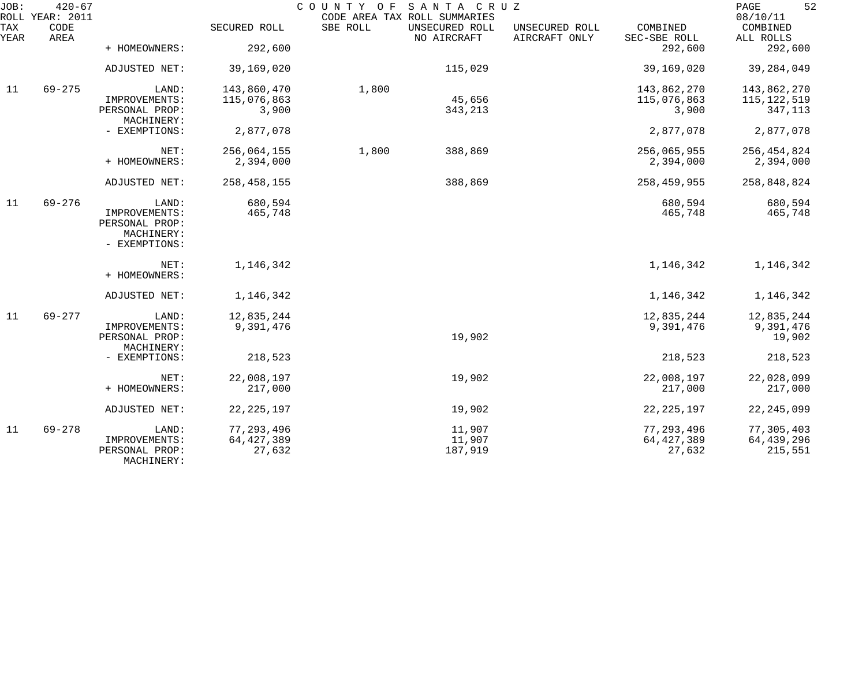| JOB:<br>ROLL | $420 - 67$<br><b>YEAR: 2011</b> |                |               | COUNTY OF | SANTA CRUZ<br>CODE AREA TAX ROLL SUMMARIES |                                 |                          | 52<br>PAGE<br>08/10/11 |
|--------------|---------------------------------|----------------|---------------|-----------|--------------------------------------------|---------------------------------|--------------------------|------------------------|
| TAX<br>YEAR  | CODE<br>AREA                    |                | SECURED ROLL  | SBE ROLL  | UNSECURED ROLL<br>NO AIRCRAFT              | UNSECURED ROLL<br>AIRCRAFT ONLY | COMBINED<br>SEC-SBE ROLL | COMBINED<br>ALL ROLLS  |
|              |                                 | + HOMEOWNERS:  | 292,600       |           |                                            |                                 | 292,600                  | 292,600                |
|              |                                 | ADJUSTED NET:  | 39,169,020    |           | 115,029                                    |                                 | 39,169,020               | 39, 284, 049           |
| 11           | $69 - 275$                      | LAND:          | 143,860,470   | 1,800     |                                            |                                 | 143,862,270              | 143,862,270            |
|              |                                 | IMPROVEMENTS:  | 115,076,863   |           | 45,656                                     |                                 | 115,076,863              | 115, 122, 519          |
|              |                                 | PERSONAL PROP: | 3,900         |           | 343,213                                    |                                 | 3,900                    | 347,113                |
|              |                                 | MACHINERY:     |               |           |                                            |                                 |                          |                        |
|              |                                 | - EXEMPTIONS:  | 2,877,078     |           |                                            |                                 | 2,877,078                | 2,877,078              |
|              |                                 | NET:           | 256,064,155   | 1,800     | 388,869                                    |                                 | 256,065,955              | 256, 454, 824          |
|              |                                 | + HOMEOWNERS:  | 2,394,000     |           |                                            |                                 | 2,394,000                | 2,394,000              |
|              |                                 | ADJUSTED NET:  | 258, 458, 155 |           | 388,869                                    |                                 | 258,459,955              | 258,848,824            |
| 11           | $69 - 276$                      | LAND:          | 680,594       |           |                                            |                                 | 680,594                  | 680,594                |
|              |                                 | IMPROVEMENTS:  | 465,748       |           |                                            |                                 | 465,748                  | 465,748                |
|              |                                 | PERSONAL PROP: |               |           |                                            |                                 |                          |                        |
|              |                                 | MACHINERY:     |               |           |                                            |                                 |                          |                        |
|              |                                 | - EXEMPTIONS:  |               |           |                                            |                                 |                          |                        |
|              |                                 | NET:           | 1,146,342     |           |                                            |                                 | 1,146,342                | 1,146,342              |
|              |                                 | + HOMEOWNERS:  |               |           |                                            |                                 |                          |                        |
|              |                                 | ADJUSTED NET:  | 1,146,342     |           |                                            |                                 | 1,146,342                | 1,146,342              |
| 11           | 69-277                          | LAND:          | 12,835,244    |           |                                            |                                 | 12,835,244               | 12,835,244             |
|              |                                 | IMPROVEMENTS:  | 9,391,476     |           |                                            |                                 | 9,391,476                | 9,391,476              |
|              |                                 | PERSONAL PROP: |               |           | 19,902                                     |                                 |                          | 19,902                 |
|              |                                 | MACHINERY:     |               |           |                                            |                                 |                          |                        |
|              |                                 | - EXEMPTIONS:  | 218,523       |           |                                            |                                 | 218,523                  | 218,523                |
|              |                                 | NET:           | 22,008,197    |           | 19,902                                     |                                 | 22,008,197               | 22,028,099             |
|              |                                 | + HOMEOWNERS:  | 217,000       |           |                                            |                                 | 217,000                  | 217,000                |
|              |                                 | ADJUSTED NET:  | 22, 225, 197  |           | 19,902                                     |                                 | 22, 225, 197             | 22, 245, 099           |
|              |                                 |                |               |           |                                            |                                 |                          |                        |
| 11           | $69 - 278$                      | LAND:          | 77, 293, 496  |           | 11,907                                     |                                 | 77, 293, 496             | 77,305,403             |
|              |                                 | IMPROVEMENTS:  | 64, 427, 389  |           | 11,907                                     |                                 | 64, 427, 389             | 64, 439, 296           |
|              |                                 | PERSONAL PROP: | 27,632        |           | 187,919                                    |                                 | 27,632                   | 215,551                |
|              |                                 | MACHINERY:     |               |           |                                            |                                 |                          |                        |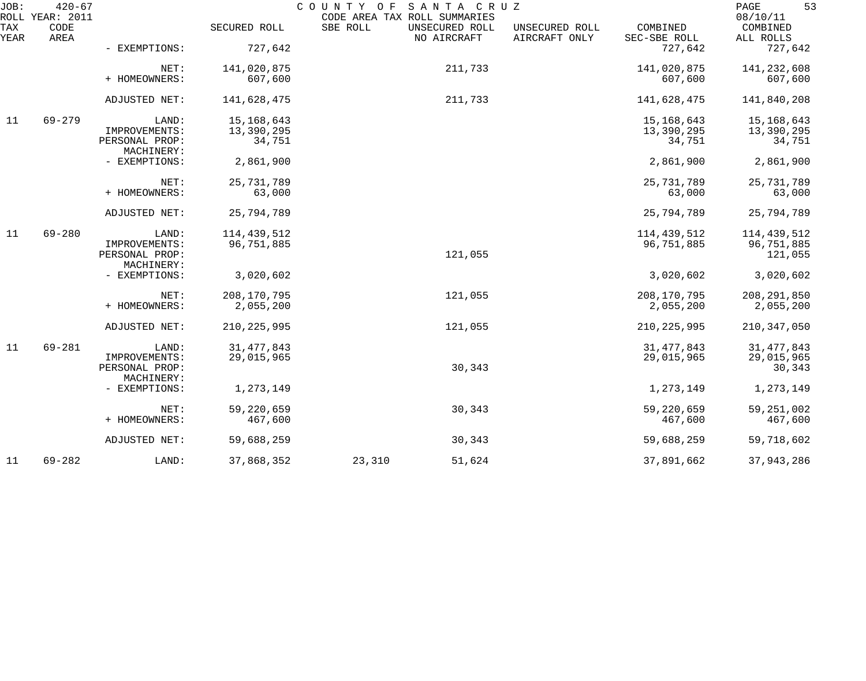| JOB:        | $420 - 67$<br>ROLL YEAR: 2011 |                              |               | COUNTY OF<br>CODE AREA TAX ROLL SUMMARIES | SANTA CRUZ                    |                                 |                          | 53<br>PAGE<br>08/10/11 |
|-------------|-------------------------------|------------------------------|---------------|-------------------------------------------|-------------------------------|---------------------------------|--------------------------|------------------------|
| TAX<br>YEAR | CODE<br>AREA                  |                              | SECURED ROLL  | SBE ROLL                                  | UNSECURED ROLL<br>NO AIRCRAFT | UNSECURED ROLL<br>AIRCRAFT ONLY | COMBINED<br>SEC-SBE ROLL | COMBINED<br>ALL ROLLS  |
|             |                               | - EXEMPTIONS:                | 727,642       |                                           |                               |                                 | 727,642                  | 727,642                |
|             |                               | NET:                         | 141,020,875   |                                           | 211,733                       |                                 | 141,020,875              | 141,232,608            |
|             |                               | + HOMEOWNERS:                | 607,600       |                                           |                               |                                 | 607,600                  | 607,600                |
|             |                               | ADJUSTED NET:                | 141,628,475   |                                           | 211,733                       |                                 | 141,628,475              | 141,840,208            |
| 11          | $69 - 279$                    | LAND:                        | 15, 168, 643  |                                           |                               |                                 | 15, 168, 643             | 15,168,643             |
|             |                               | IMPROVEMENTS:                | 13,390,295    |                                           |                               |                                 | 13,390,295               | 13,390,295             |
|             |                               | PERSONAL PROP:<br>MACHINERY: | 34,751        |                                           |                               |                                 | 34,751                   | 34,751                 |
|             |                               | - EXEMPTIONS:                | 2,861,900     |                                           |                               |                                 | 2,861,900                | 2,861,900              |
|             |                               | NET:                         | 25, 731, 789  |                                           |                               |                                 | 25, 731, 789             | 25,731,789             |
|             |                               | + HOMEOWNERS:                | 63,000        |                                           |                               |                                 | 63,000                   | 63,000                 |
|             |                               |                              |               |                                           |                               |                                 |                          |                        |
|             |                               | ADJUSTED NET:                | 25,794,789    |                                           |                               |                                 | 25,794,789               | 25,794,789             |
| 11          | $69 - 280$                    | LAND:                        | 114,439,512   |                                           |                               |                                 | 114,439,512              | 114,439,512            |
|             |                               | IMPROVEMENTS:                | 96,751,885    |                                           |                               |                                 | 96,751,885               | 96,751,885             |
|             |                               | PERSONAL PROP:               |               |                                           | 121,055                       |                                 |                          | 121,055                |
|             |                               | MACHINERY:                   |               |                                           |                               |                                 |                          |                        |
|             |                               | - EXEMPTIONS:                | 3,020,602     |                                           |                               |                                 | 3,020,602                | 3,020,602              |
|             |                               | NET:                         | 208, 170, 795 |                                           | 121,055                       |                                 | 208, 170, 795            | 208, 291, 850          |
|             |                               | + HOMEOWNERS:                | 2,055,200     |                                           |                               |                                 | 2,055,200                | 2,055,200              |
|             |                               | ADJUSTED NET:                | 210, 225, 995 |                                           | 121,055                       |                                 | 210, 225, 995            | 210, 347, 050          |
| 11          | $69 - 281$                    | LAND:                        | 31, 477, 843  |                                           |                               |                                 | 31, 477, 843             | 31, 477, 843           |
|             |                               | IMPROVEMENTS:                | 29,015,965    |                                           |                               |                                 | 29,015,965               | 29,015,965             |
|             |                               | PERSONAL PROP:               |               |                                           | 30,343                        |                                 |                          | 30,343                 |
|             |                               | MACHINERY:                   |               |                                           |                               |                                 |                          |                        |
|             |                               | - EXEMPTIONS:                | 1,273,149     |                                           |                               |                                 | 1,273,149                | 1,273,149              |
|             |                               | NET:                         | 59,220,659    |                                           | 30,343                        |                                 | 59,220,659               | 59, 251, 002           |
|             |                               | + HOMEOWNERS:                | 467,600       |                                           |                               |                                 | 467,600                  | 467,600                |
|             |                               | ADJUSTED NET:                | 59,688,259    |                                           | 30,343                        |                                 | 59,688,259               | 59,718,602             |
| 11          | $69 - 282$                    | LAND:                        | 37,868,352    | 23,310                                    | 51,624                        |                                 | 37,891,662               | 37,943,286             |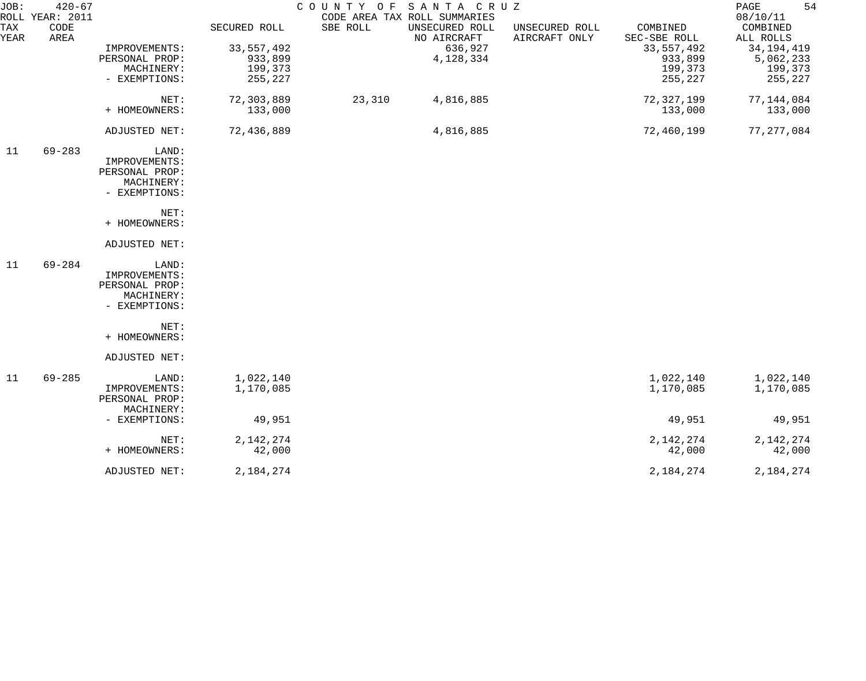| JOB:<br>ROLL | $420 - 67$<br><b>YEAR: 2011</b> |                                                                         |                                                               | COUNTY OF | SANTA CRUZ<br>CODE AREA TAX ROLL SUMMARIES            |                                 |                                                                           | 54<br>PAGE<br>08/10/11                                                   |
|--------------|---------------------------------|-------------------------------------------------------------------------|---------------------------------------------------------------|-----------|-------------------------------------------------------|---------------------------------|---------------------------------------------------------------------------|--------------------------------------------------------------------------|
| TAX<br>YEAR  | CODE<br>AREA                    | IMPROVEMENTS:<br>PERSONAL PROP:<br>MACHINERY:<br>- EXEMPTIONS:          | SECURED ROLL<br>33, 557, 492<br>933,899<br>199,373<br>255,227 | SBE ROLL  | UNSECURED ROLL<br>NO AIRCRAFT<br>636,927<br>4,128,334 | UNSECURED ROLL<br>AIRCRAFT ONLY | COMBINED<br>SEC-SBE ROLL<br>33, 557, 492<br>933,899<br>199,373<br>255,227 | COMBINED<br>ALL ROLLS<br>34, 194, 419<br>5,062,233<br>199,373<br>255,227 |
|              |                                 | NET:<br>+ HOMEOWNERS:                                                   | 72,303,889<br>133,000                                         | 23,310    | 4,816,885                                             |                                 | 72,327,199<br>133,000                                                     | 77, 144, 084<br>133,000                                                  |
|              |                                 | ADJUSTED NET:                                                           | 72,436,889                                                    |           | 4,816,885                                             |                                 | 72,460,199                                                                | 77, 277, 084                                                             |
| 11           | $69 - 283$                      | LAND:<br>IMPROVEMENTS:<br>PERSONAL PROP:<br>MACHINERY:<br>- EXEMPTIONS: |                                                               |           |                                                       |                                 |                                                                           |                                                                          |
|              |                                 | NET:<br>+ HOMEOWNERS:                                                   |                                                               |           |                                                       |                                 |                                                                           |                                                                          |
|              |                                 | ADJUSTED NET:                                                           |                                                               |           |                                                       |                                 |                                                                           |                                                                          |
| 11           | $69 - 284$                      | LAND:<br>IMPROVEMENTS:<br>PERSONAL PROP:<br>MACHINERY:<br>- EXEMPTIONS: |                                                               |           |                                                       |                                 |                                                                           |                                                                          |
|              |                                 | NET:<br>+ HOMEOWNERS:                                                   |                                                               |           |                                                       |                                 |                                                                           |                                                                          |
|              |                                 | ADJUSTED NET:                                                           |                                                               |           |                                                       |                                 |                                                                           |                                                                          |
| 11           | $69 - 285$                      | LAND:<br>IMPROVEMENTS:<br>PERSONAL PROP:<br>MACHINERY:                  | 1,022,140<br>1,170,085                                        |           |                                                       |                                 | 1,022,140<br>1,170,085                                                    | 1,022,140<br>1,170,085                                                   |
|              |                                 | - EXEMPTIONS:                                                           | 49,951                                                        |           |                                                       |                                 | 49,951                                                                    | 49,951                                                                   |
|              |                                 | NET:<br>+ HOMEOWNERS:                                                   | 2, 142, 274<br>42,000                                         |           |                                                       |                                 | 2, 142, 274<br>42,000                                                     | 2, 142, 274<br>42,000                                                    |
|              |                                 | ADJUSTED NET:                                                           | 2,184,274                                                     |           |                                                       |                                 | 2,184,274                                                                 | 2,184,274                                                                |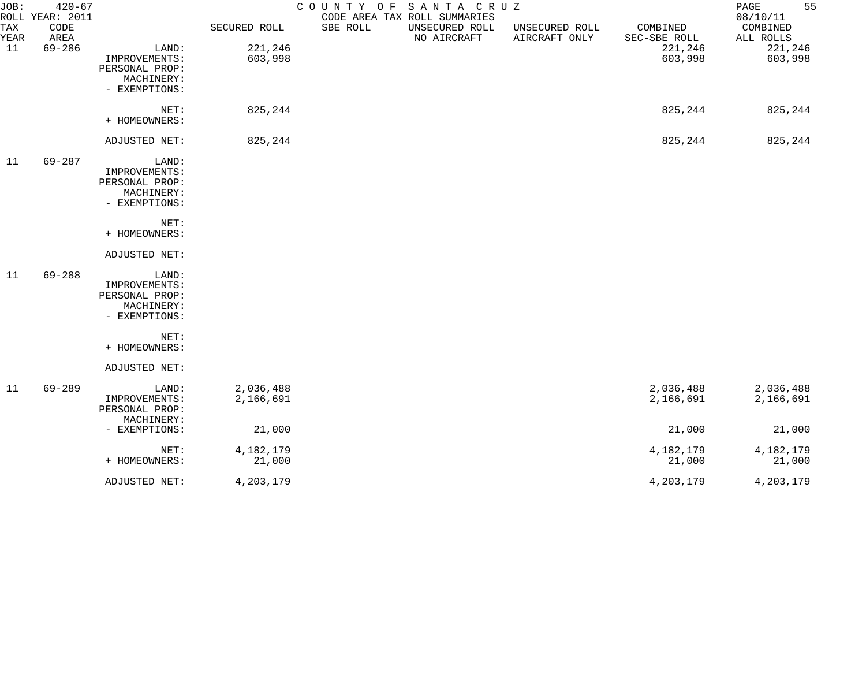| JOB:        | $420 - 67$<br>ROLL YEAR: 2011 |                                                                         |                        | COUNTY OF | SANTA CRUZ<br>CODE AREA TAX ROLL SUMMARIES |                                 |                          | 55<br>PAGE<br>08/10/11 |
|-------------|-------------------------------|-------------------------------------------------------------------------|------------------------|-----------|--------------------------------------------|---------------------------------|--------------------------|------------------------|
| TAX<br>YEAR | CODE<br>AREA                  |                                                                         | SECURED ROLL           | SBE ROLL  | UNSECURED ROLL<br>NO AIRCRAFT              | UNSECURED ROLL<br>AIRCRAFT ONLY | COMBINED<br>SEC-SBE ROLL | COMBINED<br>ALL ROLLS  |
| 11          | $69 - 286$                    | LAND:<br>IMPROVEMENTS:<br>PERSONAL PROP:<br>MACHINERY:<br>- EXEMPTIONS: | 221,246<br>603,998     |           |                                            |                                 | 221,246<br>603,998       | 221,246<br>603,998     |
|             |                               | NET:<br>+ HOMEOWNERS:                                                   | 825,244                |           |                                            |                                 | 825,244                  | 825,244                |
|             |                               | ADJUSTED NET:                                                           | 825,244                |           |                                            |                                 | 825,244                  | 825,244                |
| 11          | $69 - 287$                    | LAND:<br>IMPROVEMENTS:<br>PERSONAL PROP:<br>MACHINERY:<br>- EXEMPTIONS: |                        |           |                                            |                                 |                          |                        |
|             |                               | NET:<br>+ HOMEOWNERS:                                                   |                        |           |                                            |                                 |                          |                        |
|             |                               | ADJUSTED NET:                                                           |                        |           |                                            |                                 |                          |                        |
| 11          | $69 - 288$                    | LAND:<br>IMPROVEMENTS:<br>PERSONAL PROP:<br>MACHINERY:<br>- EXEMPTIONS: |                        |           |                                            |                                 |                          |                        |
|             |                               | NET:<br>+ HOMEOWNERS:                                                   |                        |           |                                            |                                 |                          |                        |
|             |                               | ADJUSTED NET:                                                           |                        |           |                                            |                                 |                          |                        |
| 11          | $69 - 289$                    | LAND:<br>IMPROVEMENTS:<br>PERSONAL PROP:<br>MACHINERY:                  | 2,036,488<br>2,166,691 |           |                                            |                                 | 2,036,488<br>2,166,691   | 2,036,488<br>2,166,691 |
|             |                               | - EXEMPTIONS:                                                           | 21,000                 |           |                                            |                                 | 21,000                   | 21,000                 |
|             |                               | NET:<br>+ HOMEOWNERS:                                                   | 4,182,179<br>21,000    |           |                                            |                                 | 4,182,179<br>21,000      | 4,182,179<br>21,000    |
|             |                               | ADJUSTED NET:                                                           | 4,203,179              |           |                                            |                                 | 4, 203, 179              | 4,203,179              |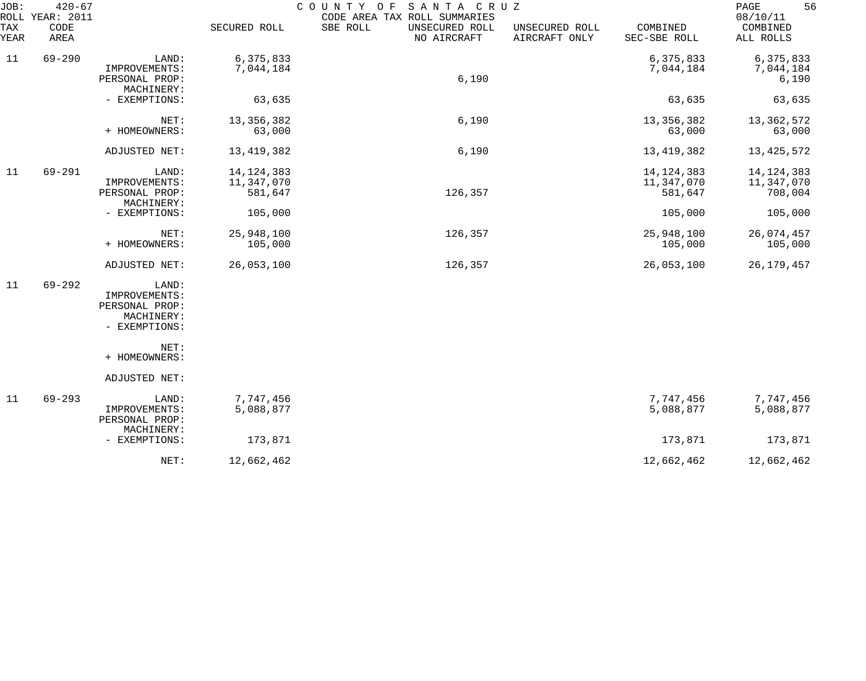| JOB:<br>TAX<br>YEAR | $420 - 67$<br>ROLL YEAR: 2011<br>CODE<br>AREA |                                                                         | SECURED ROLL                          | COUNTY OF<br>SANTA CRUZ<br>CODE AREA TAX ROLL SUMMARIES<br>SBE ROLL<br>UNSECURED ROLL<br>NO AIRCRAFT | UNSECURED ROLL<br>AIRCRAFT ONLY | COMBINED<br>SEC-SBE ROLL              | 56<br>PAGE<br>08/10/11<br>COMBINED<br>ALL ROLLS |
|---------------------|-----------------------------------------------|-------------------------------------------------------------------------|---------------------------------------|------------------------------------------------------------------------------------------------------|---------------------------------|---------------------------------------|-------------------------------------------------|
| 11                  | $69 - 290$                                    | LAND:<br>IMPROVEMENTS:<br>PERSONAL PROP:<br>MACHINERY:                  | 6,375,833<br>7,044,184                | 6,190                                                                                                |                                 | 6,375,833<br>7,044,184                | 6,375,833<br>7,044,184<br>6,190                 |
|                     |                                               | - EXEMPTIONS:                                                           | 63,635                                |                                                                                                      |                                 | 63,635                                | 63,635                                          |
|                     |                                               | NET:<br>+ HOMEOWNERS:                                                   | 13, 356, 382<br>63,000                | 6,190                                                                                                |                                 | 13,356,382<br>63,000                  | 13, 362, 572<br>63,000                          |
|                     |                                               | ADJUSTED NET:                                                           | 13, 419, 382                          | 6,190                                                                                                |                                 | 13, 419, 382                          | 13, 425, 572                                    |
| 11                  | $69 - 291$                                    | LAND:<br>IMPROVEMENTS:<br>PERSONAL PROP:<br>MACHINERY:                  | 14, 124, 383<br>11,347,070<br>581,647 | 126,357                                                                                              |                                 | 14, 124, 383<br>11,347,070<br>581,647 | 14, 124, 383<br>11,347,070<br>708,004           |
|                     |                                               | - EXEMPTIONS:                                                           | 105,000                               |                                                                                                      |                                 | 105,000                               | 105,000                                         |
|                     |                                               | NET:<br>+ HOMEOWNERS:                                                   | 25,948,100<br>105,000                 | 126,357                                                                                              |                                 | 25,948,100<br>105,000                 | 26,074,457<br>105,000                           |
|                     |                                               | ADJUSTED NET:                                                           | 26,053,100                            | 126,357                                                                                              |                                 | 26,053,100                            | 26, 179, 457                                    |
| 11                  | $69 - 292$                                    | LAND:<br>IMPROVEMENTS:<br>PERSONAL PROP:<br>MACHINERY:<br>- EXEMPTIONS: |                                       |                                                                                                      |                                 |                                       |                                                 |
|                     |                                               | NET:<br>+ HOMEOWNERS:                                                   |                                       |                                                                                                      |                                 |                                       |                                                 |
|                     |                                               | ADJUSTED NET:                                                           |                                       |                                                                                                      |                                 |                                       |                                                 |
| 11                  | $69 - 293$                                    | LAND:<br>IMPROVEMENTS:<br>PERSONAL PROP:<br>MACHINERY:                  | 7,747,456<br>5,088,877                |                                                                                                      |                                 | 7,747,456<br>5,088,877                | 7,747,456<br>5,088,877                          |
|                     |                                               | - EXEMPTIONS:                                                           | 173,871                               |                                                                                                      |                                 | 173,871                               | 173,871                                         |
|                     |                                               | NET:                                                                    | 12,662,462                            |                                                                                                      |                                 | 12,662,462                            | 12,662,462                                      |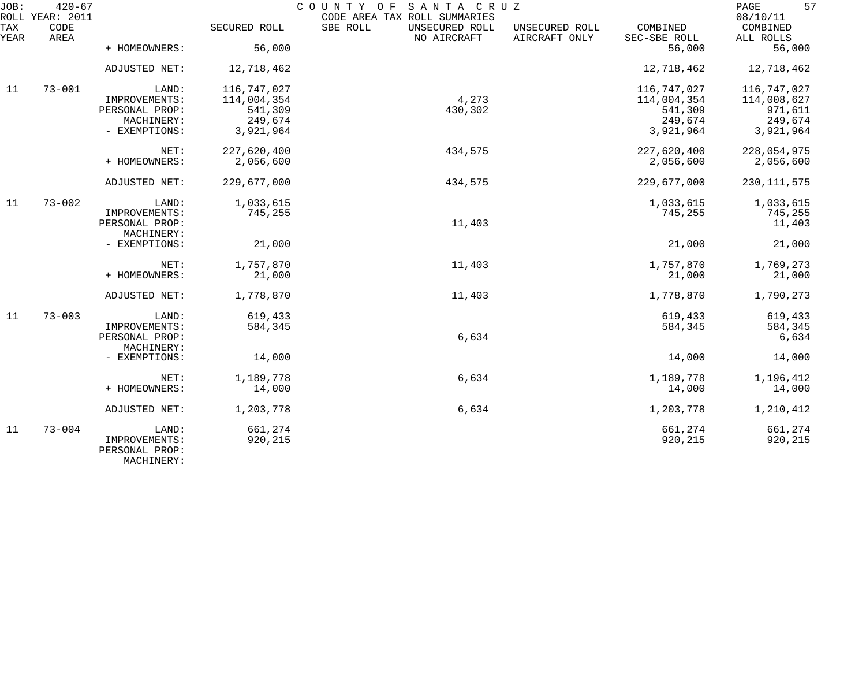| JOB:        | $420 - 67$<br>ROLL YEAR: 2011 |                                               |              | COUNTY OF<br>SANTA CRUZ<br>CODE AREA TAX ROLL SUMMARIES |                                 |                          | 57<br>PAGE<br>08/10/11 |
|-------------|-------------------------------|-----------------------------------------------|--------------|---------------------------------------------------------|---------------------------------|--------------------------|------------------------|
| TAX<br>YEAR | CODE<br>AREA                  |                                               | SECURED ROLL | SBE ROLL<br>UNSECURED ROLL<br>NO AIRCRAFT               | UNSECURED ROLL<br>AIRCRAFT ONLY | COMBINED<br>SEC-SBE ROLL | COMBINED<br>ALL ROLLS  |
|             |                               | + HOMEOWNERS:                                 | 56,000       |                                                         |                                 | 56,000                   | 56,000                 |
|             |                               | ADJUSTED NET:                                 | 12,718,462   |                                                         |                                 | 12,718,462               | 12,718,462             |
| 11          | $73 - 001$                    | LAND:                                         | 116,747,027  |                                                         |                                 | 116,747,027              | 116,747,027            |
|             |                               | IMPROVEMENTS:                                 | 114,004,354  | 4,273                                                   |                                 | 114,004,354              | 114,008,627            |
|             |                               | PERSONAL PROP:                                | 541,309      | 430,302                                                 |                                 | 541,309                  | 971,611                |
|             |                               | MACHINERY:                                    | 249,674      |                                                         |                                 | 249,674                  | 249,674                |
|             |                               | - EXEMPTIONS:                                 | 3,921,964    |                                                         |                                 | 3,921,964                | 3,921,964              |
|             |                               | NET:                                          | 227,620,400  | 434,575                                                 |                                 | 227,620,400              | 228,054,975            |
|             |                               | + HOMEOWNERS:                                 | 2,056,600    |                                                         |                                 | 2,056,600                | 2,056,600              |
|             |                               | ADJUSTED NET:                                 | 229,677,000  | 434,575                                                 |                                 | 229,677,000              | 230, 111, 575          |
| 11          | $73 - 002$                    | LAND:                                         | 1,033,615    |                                                         |                                 | 1,033,615                | 1,033,615              |
|             |                               | IMPROVEMENTS:                                 | 745,255      |                                                         |                                 | 745,255                  | 745,255                |
|             |                               | PERSONAL PROP:                                |              | 11,403                                                  |                                 |                          | 11,403                 |
|             |                               | MACHINERY:                                    |              |                                                         |                                 |                          |                        |
|             |                               | - EXEMPTIONS:                                 | 21,000       |                                                         |                                 | 21,000                   | 21,000                 |
|             |                               | NET:                                          | 1,757,870    | 11,403                                                  |                                 | 1,757,870                | 1,769,273              |
|             |                               | + HOMEOWNERS:                                 | 21,000       |                                                         |                                 | 21,000                   | 21,000                 |
|             |                               | ADJUSTED NET:                                 | 1,778,870    | 11,403                                                  |                                 | 1,778,870                | 1,790,273              |
| 11          | $73 - 003$                    | LAND:                                         | 619,433      |                                                         |                                 | 619,433                  | 619,433                |
|             |                               | IMPROVEMENTS:                                 | 584,345      |                                                         |                                 | 584,345                  | 584,345                |
|             |                               | PERSONAL PROP:                                |              | 6,634                                                   |                                 |                          | 6,634                  |
|             |                               | MACHINERY:                                    |              |                                                         |                                 |                          |                        |
|             |                               | - EXEMPTIONS:                                 | 14,000       |                                                         |                                 | 14,000                   | 14,000                 |
|             |                               | NET:                                          | 1,189,778    | 6,634                                                   |                                 | 1,189,778                | 1,196,412              |
|             |                               | + HOMEOWNERS:                                 | 14,000       |                                                         |                                 | 14,000                   | 14,000                 |
|             |                               | ADJUSTED NET:                                 | 1,203,778    | 6,634                                                   |                                 | 1,203,778                | 1,210,412              |
| 11          | $73 - 004$                    | LAND:                                         | 661,274      |                                                         |                                 | 661,274                  | 661,274                |
|             |                               | IMPROVEMENTS:<br>PERSONAL PROP:<br>MACHINERY: | 920,215      |                                                         |                                 | 920,215                  | 920,215                |
|             |                               |                                               |              |                                                         |                                 |                          |                        |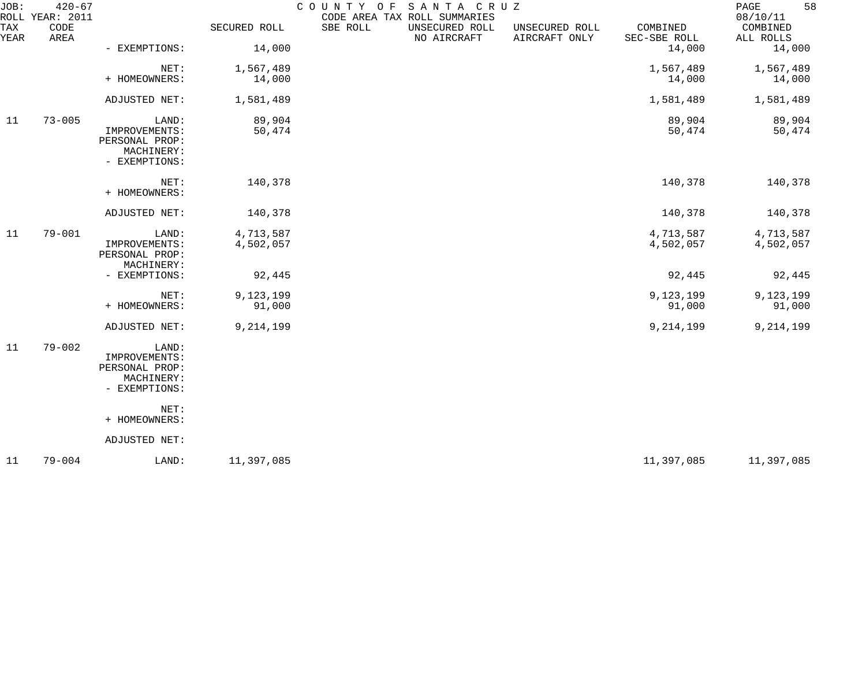| JOB:        | $420 - 67$<br>ROLL YEAR: 2011 |                                                                         |                        | COUNTY OF<br>SANTA CRUZ<br>CODE AREA TAX ROLL SUMMARIES                                                  | 58<br>PAGE<br>08/10/11     |
|-------------|-------------------------------|-------------------------------------------------------------------------|------------------------|----------------------------------------------------------------------------------------------------------|----------------------------|
| TAX<br>YEAR | CODE<br>AREA                  |                                                                         | SECURED ROLL           | SBE ROLL<br>COMBINED<br>UNSECURED ROLL<br>UNSECURED ROLL<br>NO AIRCRAFT<br>AIRCRAFT ONLY<br>SEC-SBE ROLL | COMBINED<br>ALL ROLLS      |
|             |                               | - EXEMPTIONS:                                                           | 14,000                 | 14,000                                                                                                   | 14,000                     |
|             |                               | NET:<br>+ HOMEOWNERS:                                                   | 1,567,489<br>14,000    | 1,567,489<br>14,000                                                                                      | 1,567,489<br>14,000        |
|             |                               | ADJUSTED NET:                                                           | 1,581,489              | 1,581,489                                                                                                | 1,581,489                  |
| 11          | $73 - 005$                    | LAND:<br>IMPROVEMENTS:<br>PERSONAL PROP:<br>MACHINERY:<br>- EXEMPTIONS: | 89,904<br>50,474       | 89,904                                                                                                   | 89,904<br>50,474<br>50,474 |
|             |                               | NET:<br>+ HOMEOWNERS:                                                   | 140,378                | 140,378                                                                                                  | 140,378                    |
|             |                               | ADJUSTED NET:                                                           | 140,378                | 140,378                                                                                                  | 140,378                    |
| 11          | $79 - 001$                    | LAND:<br>IMPROVEMENTS:<br>PERSONAL PROP:<br>MACHINERY:                  | 4,713,587<br>4,502,057 | 4,713,587<br>4,502,057                                                                                   | 4,713,587<br>4,502,057     |
|             |                               | - EXEMPTIONS:                                                           | 92,445                 | 92,445                                                                                                   | 92,445                     |
|             |                               | NET:<br>+ HOMEOWNERS:                                                   | 9,123,199<br>91,000    | 9,123,199<br>91,000                                                                                      | 9,123,199<br>91,000        |
|             |                               | ADJUSTED NET:                                                           | 9,214,199              | 9,214,199                                                                                                | 9,214,199                  |
| 11          | $79 - 002$                    | LAND:<br>IMPROVEMENTS:<br>PERSONAL PROP:<br>MACHINERY:<br>- EXEMPTIONS: |                        |                                                                                                          |                            |
|             |                               | NET:<br>+ HOMEOWNERS:                                                   |                        |                                                                                                          |                            |
|             |                               | ADJUSTED NET:                                                           |                        |                                                                                                          |                            |
| 11          | $79 - 004$                    | LAND:                                                                   | 11,397,085             | 11,397,085                                                                                               | 11,397,085                 |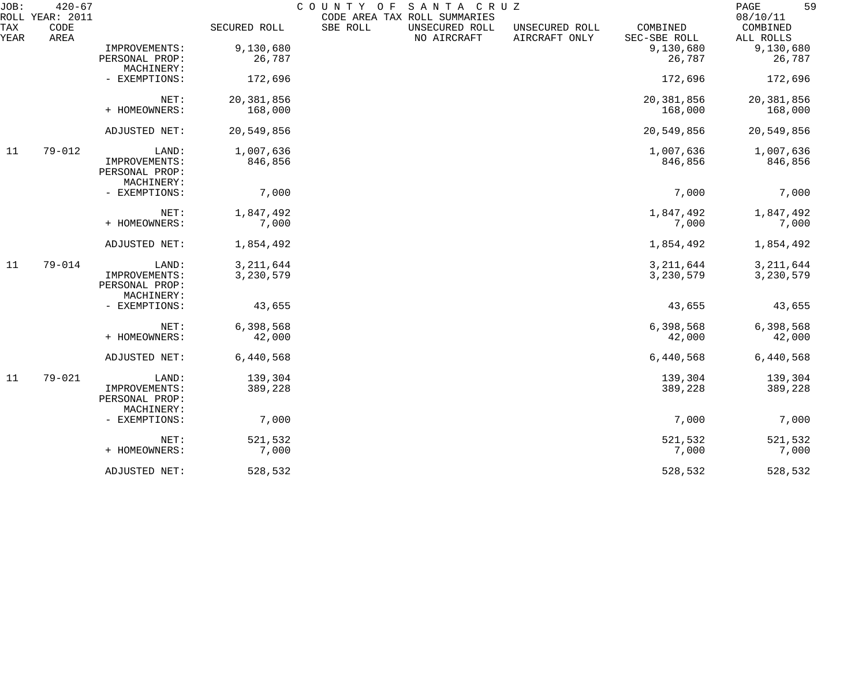| JOB:               | $420 - 67$<br>ROLL YEAR: 2011 |                                               |              | COUNTY OF | SANTA CRUZ<br>CODE AREA TAX ROLL SUMMARIES |                                 |                          | 59<br>PAGE<br>08/10/11 |
|--------------------|-------------------------------|-----------------------------------------------|--------------|-----------|--------------------------------------------|---------------------------------|--------------------------|------------------------|
| <b>TAX</b><br>YEAR | CODE<br>AREA                  |                                               | SECURED ROLL | SBE ROLL  | UNSECURED ROLL<br>NO AIRCRAFT              | UNSECURED ROLL<br>AIRCRAFT ONLY | COMBINED<br>SEC-SBE ROLL | COMBINED<br>ALL ROLLS  |
|                    |                               | IMPROVEMENTS:                                 | 9,130,680    |           |                                            |                                 | 9,130,680                | 9,130,680              |
|                    |                               | PERSONAL PROP:<br>MACHINERY:                  | 26,787       |           |                                            |                                 | 26,787                   | 26,787                 |
|                    |                               | - EXEMPTIONS:                                 | 172,696      |           |                                            |                                 | 172,696                  | 172,696                |
|                    |                               | NET:                                          | 20,381,856   |           |                                            |                                 | 20,381,856               | 20,381,856             |
|                    |                               | + HOMEOWNERS:                                 | 168,000      |           |                                            |                                 | 168,000                  | 168,000                |
|                    |                               | ADJUSTED NET:                                 | 20,549,856   |           |                                            |                                 | 20,549,856               | 20,549,856             |
| 11                 | $79 - 012$                    | LAND:                                         | 1,007,636    |           |                                            |                                 | 1,007,636                | 1,007,636              |
|                    |                               | IMPROVEMENTS:<br>PERSONAL PROP:<br>MACHINERY: | 846,856      |           |                                            |                                 | 846,856                  | 846,856                |
|                    |                               | - EXEMPTIONS:                                 | 7,000        |           |                                            |                                 | 7,000                    | 7,000                  |
|                    |                               | NET:                                          | 1,847,492    |           |                                            |                                 | 1,847,492                | 1,847,492              |
|                    |                               | + HOMEOWNERS:                                 | 7,000        |           |                                            |                                 | 7,000                    | 7,000                  |
|                    |                               | ADJUSTED NET:                                 | 1,854,492    |           |                                            |                                 | 1,854,492                | 1,854,492              |
| 11                 | $79 - 014$                    | LAND:                                         | 3, 211, 644  |           |                                            |                                 | 3, 211, 644              | 3, 211, 644            |
|                    |                               | IMPROVEMENTS:<br>PERSONAL PROP:<br>MACHINERY: | 3,230,579    |           |                                            |                                 | 3,230,579                | 3,230,579              |
|                    |                               | - EXEMPTIONS:                                 | 43,655       |           |                                            |                                 | 43,655                   | 43,655                 |
|                    |                               | NET:                                          | 6,398,568    |           |                                            |                                 | 6,398,568                | 6,398,568              |
|                    |                               | + HOMEOWNERS:                                 | 42,000       |           |                                            |                                 | 42,000                   | 42,000                 |
|                    |                               | ADJUSTED NET:                                 | 6,440,568    |           |                                            |                                 | 6,440,568                | 6,440,568              |
| 11                 | $79 - 021$                    | LAND:                                         | 139,304      |           |                                            |                                 | 139,304                  | 139,304                |
|                    |                               | IMPROVEMENTS:<br>PERSONAL PROP:<br>MACHINERY: | 389,228      |           |                                            |                                 | 389,228                  | 389,228                |
|                    |                               | - EXEMPTIONS:                                 | 7,000        |           |                                            |                                 | 7,000                    | 7,000                  |
|                    |                               | NET:                                          | 521,532      |           |                                            |                                 | 521,532                  | 521,532                |
|                    |                               | + HOMEOWNERS:                                 | 7,000        |           |                                            |                                 | 7,000                    | 7,000                  |
|                    |                               | ADJUSTED NET:                                 | 528,532      |           |                                            |                                 | 528,532                  | 528,532                |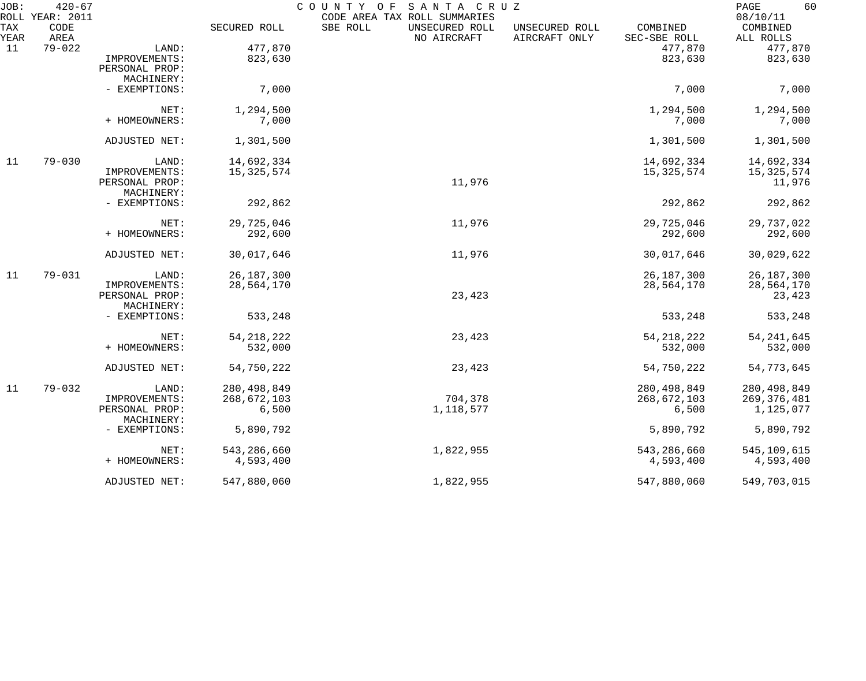| JOB:        | $420 - 67$<br>ROLL YEAR: 2011 |                              |               | COUNTY OF<br>SANTA CRUZ<br>CODE AREA TAX ROLL SUMMARIES |                                 |                          | 60<br>PAGE<br>08/10/11 |
|-------------|-------------------------------|------------------------------|---------------|---------------------------------------------------------|---------------------------------|--------------------------|------------------------|
| TAX<br>YEAR | CODE<br>AREA                  |                              | SECURED ROLL  | SBE ROLL<br>UNSECURED ROLL<br>NO AIRCRAFT               | UNSECURED ROLL<br>AIRCRAFT ONLY | COMBINED<br>SEC-SBE ROLL | COMBINED<br>ALL ROLLS  |
| 11          | $79 - 022$                    | LAND:                        | 477,870       |                                                         |                                 | 477,870                  | 477,870                |
|             |                               | IMPROVEMENTS:                | 823,630       |                                                         |                                 | 823,630                  | 823,630                |
|             |                               | PERSONAL PROP:               |               |                                                         |                                 |                          |                        |
|             |                               | MACHINERY:                   |               |                                                         |                                 |                          |                        |
|             |                               | - EXEMPTIONS:                | 7,000         |                                                         |                                 | 7,000                    | 7,000                  |
|             |                               | NET:                         | 1,294,500     |                                                         |                                 | 1,294,500                | 1,294,500              |
|             |                               | + HOMEOWNERS:                | 7,000         |                                                         |                                 | 7,000                    | 7,000                  |
|             |                               | ADJUSTED NET:                | 1,301,500     |                                                         |                                 | 1,301,500                | 1,301,500              |
| 11          | $79 - 030$                    | LAND:                        | 14,692,334    |                                                         |                                 | 14,692,334               | 14,692,334             |
|             |                               | IMPROVEMENTS:                | 15, 325, 574  |                                                         |                                 | 15, 325, 574             | 15, 325, 574           |
|             |                               | PERSONAL PROP:               |               | 11,976                                                  |                                 |                          | 11,976                 |
|             |                               | MACHINERY:                   |               |                                                         |                                 |                          |                        |
|             |                               | - EXEMPTIONS:                | 292,862       |                                                         |                                 | 292,862                  | 292,862                |
|             |                               | NET:                         | 29,725,046    | 11,976                                                  |                                 | 29,725,046               | 29,737,022             |
|             |                               | + HOMEOWNERS:                | 292,600       |                                                         |                                 | 292,600                  | 292,600                |
|             |                               | ADJUSTED NET:                | 30,017,646    | 11,976                                                  |                                 | 30,017,646               | 30,029,622             |
| 11          | $79 - 031$                    | LAND:                        | 26, 187, 300  |                                                         |                                 | 26, 187, 300             | 26, 187, 300           |
|             |                               | IMPROVEMENTS:                | 28,564,170    |                                                         |                                 | 28,564,170               | 28,564,170             |
|             |                               | PERSONAL PROP:               |               | 23,423                                                  |                                 |                          | 23,423                 |
|             |                               | MACHINERY:                   |               |                                                         |                                 |                          |                        |
|             |                               | - EXEMPTIONS:                | 533,248       |                                                         |                                 | 533,248                  | 533,248                |
|             |                               | NET:                         | 54, 218, 222  | 23,423                                                  |                                 | 54, 218, 222             | 54, 241, 645           |
|             |                               | + HOMEOWNERS:                | 532,000       |                                                         |                                 | 532,000                  | 532,000                |
|             |                               | ADJUSTED NET:                | 54,750,222    | 23,423                                                  |                                 | 54,750,222               | 54,773,645             |
| 11          | $79 - 032$                    | LAND:                        | 280, 498, 849 |                                                         |                                 | 280, 498, 849            | 280, 498, 849          |
|             |                               | IMPROVEMENTS:                | 268,672,103   | 704,378                                                 |                                 | 268,672,103              | 269, 376, 481          |
|             |                               | PERSONAL PROP:<br>MACHINERY: | 6,500         | 1,118,577                                               |                                 | 6,500                    | 1,125,077              |
|             |                               | - EXEMPTIONS:                | 5,890,792     |                                                         |                                 | 5,890,792                | 5,890,792              |
|             |                               | NET:                         | 543,286,660   | 1,822,955                                               |                                 | 543,286,660              | 545, 109, 615          |
|             |                               | + HOMEOWNERS:                | 4,593,400     |                                                         |                                 | 4,593,400                | 4,593,400              |
|             |                               | ADJUSTED NET:                | 547,880,060   | 1,822,955                                               |                                 | 547,880,060              | 549,703,015            |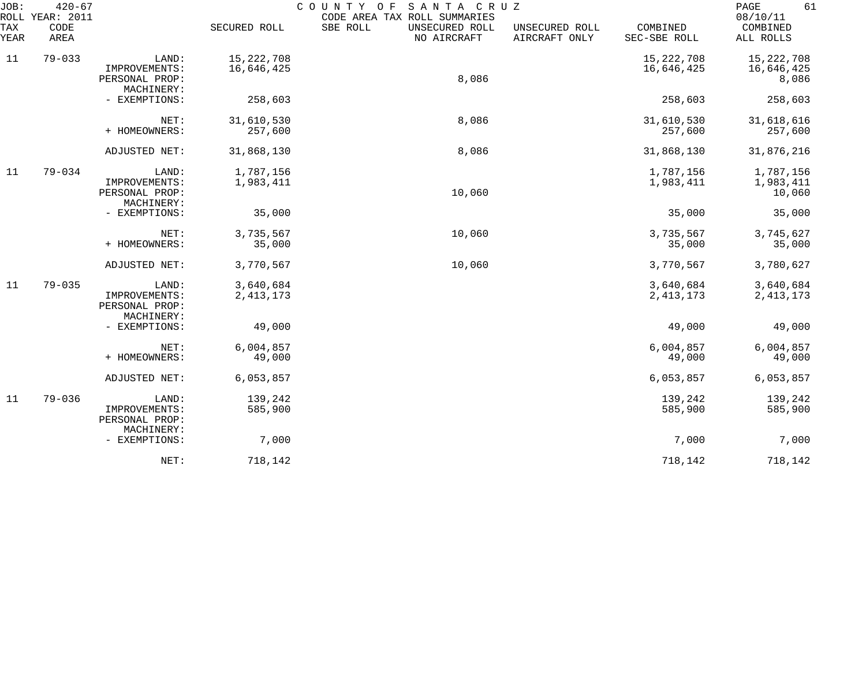| JOB:<br>ROLL | $420 - 67$<br>YEAR: 2011 |                                                        |                            | COUNTY<br>SANTA CRUZ<br>O F<br>CODE AREA TAX ROLL SUMMARIES |                                 |                            | 61<br>PAGE<br>08/10/11            |
|--------------|--------------------------|--------------------------------------------------------|----------------------------|-------------------------------------------------------------|---------------------------------|----------------------------|-----------------------------------|
| TAX<br>YEAR  | CODE<br>AREA             |                                                        | SECURED ROLL               | SBE ROLL<br>UNSECURED ROLL<br>NO AIRCRAFT                   | UNSECURED ROLL<br>AIRCRAFT ONLY | COMBINED<br>SEC-SBE ROLL   | COMBINED<br>ALL ROLLS             |
| 11           | $79 - 033$               | LAND:<br>IMPROVEMENTS:<br>PERSONAL PROP:<br>MACHINERY: | 15, 222, 708<br>16,646,425 | 8,086                                                       |                                 | 15, 222, 708<br>16,646,425 | 15,222,708<br>16,646,425<br>8,086 |
|              |                          | - EXEMPTIONS:                                          | 258,603                    |                                                             |                                 | 258,603                    | 258,603                           |
|              |                          | NET:<br>+ HOMEOWNERS:                                  | 31,610,530<br>257,600      | 8,086                                                       |                                 | 31,610,530<br>257,600      | 31,618,616<br>257,600             |
|              |                          | ADJUSTED NET:                                          | 31,868,130                 | 8,086                                                       |                                 | 31,868,130                 | 31,876,216                        |
| 11           | $79 - 034$               | LAND:<br>IMPROVEMENTS:<br>PERSONAL PROP:               | 1,787,156<br>1,983,411     | 10,060                                                      |                                 | 1,787,156<br>1,983,411     | 1,787,156<br>1,983,411<br>10,060  |
|              |                          | MACHINERY:<br>- EXEMPTIONS:                            | 35,000                     |                                                             |                                 | 35,000                     | 35,000                            |
|              |                          | NET:<br>+ HOMEOWNERS:                                  | 3,735,567<br>35,000        | 10,060                                                      |                                 | 3,735,567<br>35,000        | 3,745,627<br>35,000               |
|              |                          | ADJUSTED NET:                                          | 3,770,567                  | 10,060                                                      |                                 | 3,770,567                  | 3,780,627                         |
| 11           | $79 - 035$               | LAND:<br>IMPROVEMENTS:<br>PERSONAL PROP:<br>MACHINERY: | 3,640,684<br>2, 413, 173   |                                                             |                                 | 3,640,684<br>2, 413, 173   | 3,640,684<br>2, 413, 173          |
|              |                          | - EXEMPTIONS:                                          | 49,000                     |                                                             |                                 | 49,000                     | 49,000                            |
|              |                          | NET:<br>+ HOMEOWNERS:                                  | 6,004,857<br>49,000        |                                                             |                                 | 6,004,857<br>49,000        | 6,004,857<br>49,000               |
|              |                          | ADJUSTED NET:                                          | 6,053,857                  |                                                             |                                 | 6,053,857                  | 6,053,857                         |
| 11           | $79 - 036$               | LAND:<br>IMPROVEMENTS:<br>PERSONAL PROP:               | 139,242<br>585,900         |                                                             |                                 | 139,242<br>585,900         | 139,242<br>585,900                |
|              |                          | MACHINERY:<br>- EXEMPTIONS:                            | 7,000                      |                                                             |                                 | 7,000                      | 7,000                             |
|              |                          | NET:                                                   | 718,142                    |                                                             |                                 | 718,142                    | 718,142                           |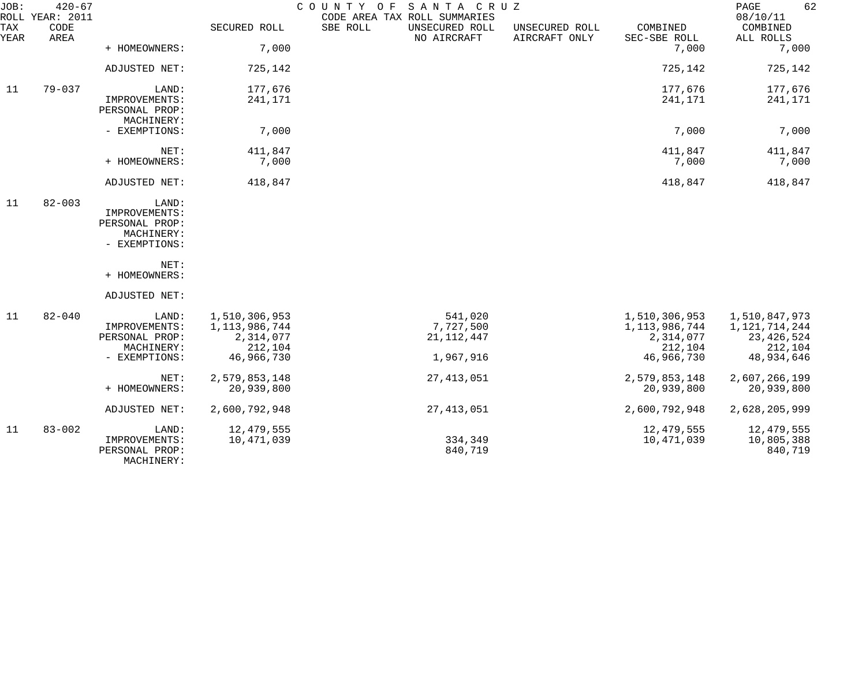| JOB:<br>ROLL | $420 - 67$<br>YEAR: 2011 |                                                                                                  |                                                                         | COUNTY OF<br>SANTA CRUZ<br>CODE AREA TAX ROLL SUMMARIES |                                 |                                                                         | 62<br>PAGE<br>08/10/11                                                  |
|--------------|--------------------------|--------------------------------------------------------------------------------------------------|-------------------------------------------------------------------------|---------------------------------------------------------|---------------------------------|-------------------------------------------------------------------------|-------------------------------------------------------------------------|
| TAX<br>YEAR  | CODE<br>AREA             |                                                                                                  | SECURED ROLL                                                            | SBE ROLL<br>UNSECURED ROLL<br>NO AIRCRAFT               | UNSECURED ROLL<br>AIRCRAFT ONLY | COMBINED<br>SEC-SBE ROLL                                                | COMBINED<br>ALL ROLLS                                                   |
|              |                          | + HOMEOWNERS:                                                                                    | 7,000                                                                   |                                                         |                                 | 7,000                                                                   | 7,000                                                                   |
|              |                          | ADJUSTED NET:                                                                                    | 725,142                                                                 |                                                         |                                 | 725,142                                                                 | 725,142                                                                 |
| 11           | $79 - 037$               | LAND:<br>IMPROVEMENTS:<br>PERSONAL PROP:<br>MACHINERY:                                           | 177,676<br>241,171                                                      |                                                         |                                 | 177,676<br>241,171                                                      | 177,676<br>241,171                                                      |
|              |                          | - EXEMPTIONS:                                                                                    | 7,000                                                                   |                                                         |                                 | 7,000                                                                   | 7,000                                                                   |
|              |                          | NET:<br>+ HOMEOWNERS:                                                                            | 411,847<br>7,000                                                        |                                                         |                                 | 411,847<br>7,000                                                        | 411,847<br>7,000                                                        |
|              |                          | ADJUSTED NET:                                                                                    | 418,847                                                                 |                                                         |                                 | 418,847                                                                 | 418,847                                                                 |
| 11           | $82 - 003$               | LAND:<br>IMPROVEMENTS:<br>PERSONAL PROP:<br>MACHINERY:<br>- EXEMPTIONS:<br>NET:<br>+ HOMEOWNERS: |                                                                         |                                                         |                                 |                                                                         |                                                                         |
|              |                          | ADJUSTED NET:                                                                                    |                                                                         |                                                         |                                 |                                                                         |                                                                         |
| 11           | $82 - 040$               | LAND:<br>IMPROVEMENTS:<br>PERSONAL PROP:<br>MACHINERY:<br>- EXEMPTIONS:                          | 1,510,306,953<br>1, 113, 986, 744<br>2,314,077<br>212,104<br>46,966,730 | 541,020<br>7,727,500<br>21, 112, 447<br>1,967,916       |                                 | 1,510,306,953<br>1, 113, 986, 744<br>2,314,077<br>212,104<br>46,966,730 | 1,510,847,973<br>1,121,714,244<br>23, 426, 524<br>212,104<br>48,934,646 |
|              |                          | NET:<br>+ HOMEOWNERS:                                                                            | 2,579,853,148<br>20,939,800                                             | 27, 413, 051                                            |                                 | 2,579,853,148<br>20,939,800                                             | 2,607,266,199<br>20,939,800                                             |
|              |                          | ADJUSTED NET:                                                                                    | 2,600,792,948                                                           | 27, 413, 051                                            |                                 | 2,600,792,948                                                           | 2,628,205,999                                                           |
| 11           | $83 - 002$               | LAND:<br>IMPROVEMENTS:<br>PERSONAL PROP:<br>MACHINERY:                                           | 12,479,555<br>10,471,039                                                | 334,349<br>840,719                                      |                                 | 12,479,555<br>10,471,039                                                | 12,479,555<br>10,805,388<br>840,719                                     |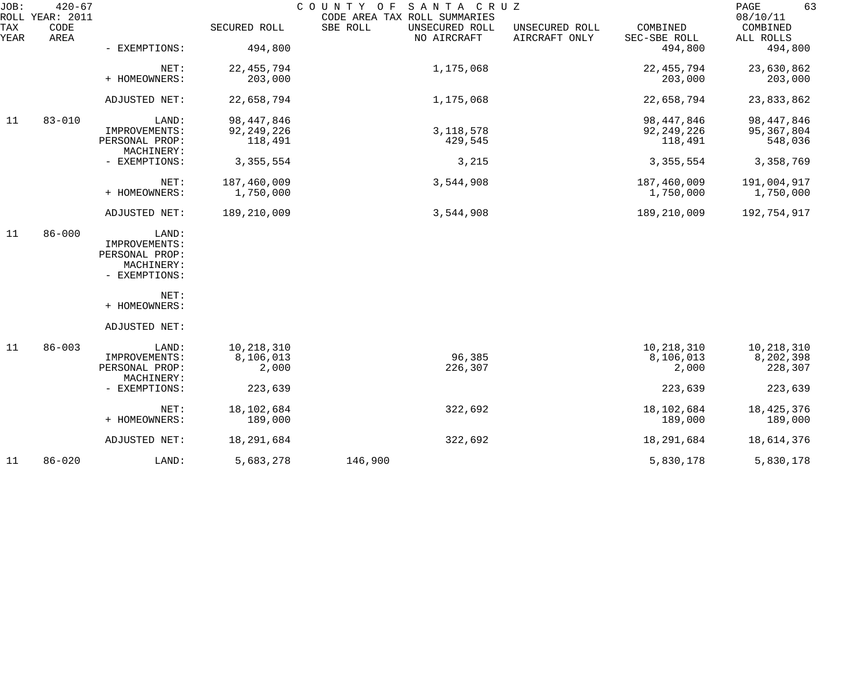| JOB:        | $420 - 67$<br>ROLL YEAR: 2011 |                              |               | COUNTY OF SANTA CRUZ<br>CODE AREA TAX ROLL SUMMARIES |                                 |                          | PAGE<br>63<br>08/10/11 |
|-------------|-------------------------------|------------------------------|---------------|------------------------------------------------------|---------------------------------|--------------------------|------------------------|
| TAX<br>YEAR | CODE<br>AREA                  |                              | SECURED ROLL  | SBE ROLL<br>UNSECURED ROLL<br>NO AIRCRAFT            | UNSECURED ROLL<br>AIRCRAFT ONLY | COMBINED<br>SEC-SBE ROLL | COMBINED<br>ALL ROLLS  |
|             |                               | - EXEMPTIONS:                | 494,800       |                                                      |                                 | 494,800                  | 494,800                |
|             |                               | NET:<br>+ HOMEOWNERS:        | 22, 455, 794  | 1,175,068                                            |                                 | 22, 455, 794             | 23,630,862             |
|             |                               |                              | 203,000       |                                                      |                                 | 203,000                  | 203,000                |
|             |                               | ADJUSTED NET:                | 22,658,794    | 1,175,068                                            |                                 | 22,658,794               | 23,833,862             |
| 11          | $83 - 010$                    | LAND:                        | 98, 447, 846  |                                                      |                                 | 98, 447, 846             | 98, 447, 846           |
|             |                               | IMPROVEMENTS:                | 92, 249, 226  | 3, 118, 578                                          |                                 | 92, 249, 226             | 95, 367, 804           |
|             |                               | PERSONAL PROP:<br>MACHINERY: | 118,491       | 429,545                                              |                                 | 118,491                  | 548,036                |
|             |                               | - EXEMPTIONS:                | 3, 355, 554   | 3,215                                                |                                 | 3, 355, 554              | 3,358,769              |
|             |                               | NET:                         | 187,460,009   | 3,544,908                                            |                                 | 187,460,009              | 191,004,917            |
|             |                               | + HOMEOWNERS:                | 1,750,000     |                                                      |                                 | 1,750,000                | 1,750,000              |
|             |                               | ADJUSTED NET:                | 189, 210, 009 | 3,544,908                                            |                                 | 189, 210, 009            | 192,754,917            |
| 11          | $86 - 000$                    | LAND:                        |               |                                                      |                                 |                          |                        |
|             |                               | IMPROVEMENTS:                |               |                                                      |                                 |                          |                        |
|             |                               | PERSONAL PROP:               |               |                                                      |                                 |                          |                        |
|             |                               | MACHINERY:                   |               |                                                      |                                 |                          |                        |
|             |                               | - EXEMPTIONS:                |               |                                                      |                                 |                          |                        |
|             |                               | NET:                         |               |                                                      |                                 |                          |                        |
|             |                               | + HOMEOWNERS:                |               |                                                      |                                 |                          |                        |
|             |                               | ADJUSTED NET:                |               |                                                      |                                 |                          |                        |
| 11          | $86 - 003$                    | LAND:                        | 10,218,310    |                                                      |                                 | 10,218,310               | 10,218,310             |
|             |                               | IMPROVEMENTS:                | 8,106,013     | 96,385                                               |                                 | 8,106,013                | 8,202,398              |
|             |                               | PERSONAL PROP:               | 2,000         | 226,307                                              |                                 | 2,000                    | 228,307                |
|             |                               | MACHINERY:                   |               |                                                      |                                 |                          |                        |
|             |                               | - EXEMPTIONS:                | 223,639       |                                                      |                                 | 223,639                  | 223,639                |
|             |                               | NET:                         | 18, 102, 684  | 322,692                                              |                                 | 18,102,684               | 18, 425, 376           |
|             |                               | + HOMEOWNERS:                | 189,000       |                                                      |                                 | 189,000                  | 189,000                |
|             |                               | ADJUSTED NET:                | 18, 291, 684  | 322,692                                              |                                 | 18,291,684               | 18,614,376             |
| 11          | $86 - 020$                    | LAND:                        | 5,683,278     | 146,900                                              |                                 | 5,830,178                | 5,830,178              |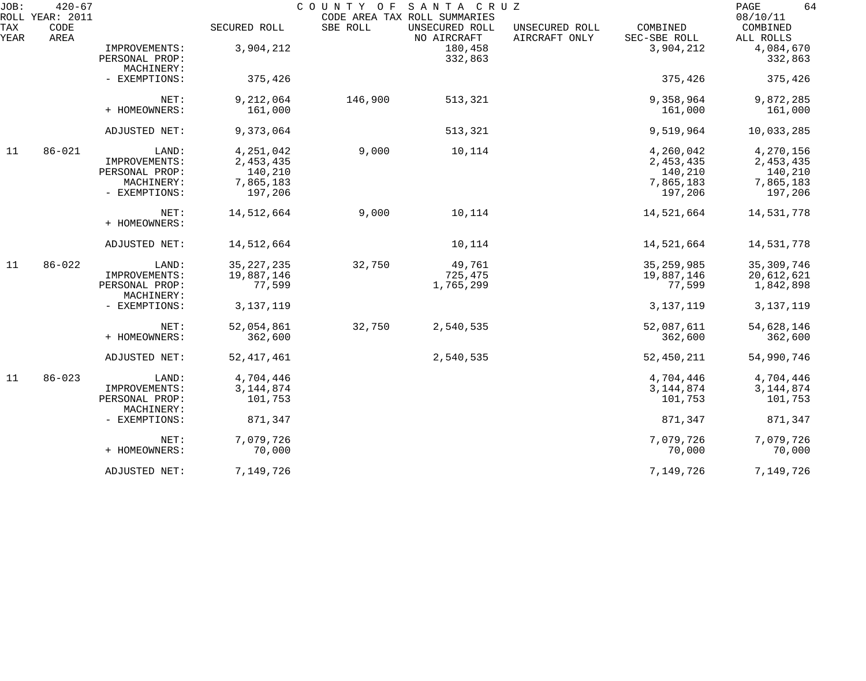| JOB:<br>ROLL | $420 - 67$<br><b>YEAR: 2011</b> |                                                                         |                                                             | COUNTY OF | SANTA CRUZ<br>CODE AREA TAX ROLL SUMMARIES |                                 |                                                           | 64<br>PAGE<br>08/10/11                                    |
|--------------|---------------------------------|-------------------------------------------------------------------------|-------------------------------------------------------------|-----------|--------------------------------------------|---------------------------------|-----------------------------------------------------------|-----------------------------------------------------------|
| TAX<br>YEAR  | CODE<br>AREA                    |                                                                         | SECURED ROLL                                                | SBE ROLL  | UNSECURED ROLL<br>NO AIRCRAFT              | UNSECURED ROLL<br>AIRCRAFT ONLY | COMBINED<br>SEC-SBE ROLL                                  | COMBINED<br>ALL ROLLS                                     |
|              |                                 | IMPROVEMENTS:<br>PERSONAL PROP:<br>MACHINERY:                           | 3,904,212                                                   |           | 180,458<br>332,863                         |                                 | 3,904,212                                                 | 4,084,670<br>332,863                                      |
|              |                                 | - EXEMPTIONS:                                                           | 375,426                                                     |           |                                            |                                 | 375,426                                                   | 375,426                                                   |
|              |                                 | NET:<br>+ HOMEOWNERS:                                                   | 9,212,064<br>161,000                                        | 146,900   | 513,321                                    |                                 | 9,358,964<br>161,000                                      | 9,872,285<br>161,000                                      |
|              |                                 | ADJUSTED NET:                                                           | 9,373,064                                                   |           | 513,321                                    |                                 | 9,519,964                                                 | 10,033,285                                                |
| 11           | $86 - 021$                      | LAND:<br>IMPROVEMENTS:<br>PERSONAL PROP:<br>MACHINERY:<br>- EXEMPTIONS: | 4,251,042<br>2, 453, 435<br>140,210<br>7,865,183<br>197,206 | 9,000     | 10,114                                     |                                 | 4,260,042<br>2,453,435<br>140,210<br>7,865,183<br>197,206 | 4,270,156<br>2,453,435<br>140,210<br>7,865,183<br>197,206 |
|              |                                 | NET:<br>+ HOMEOWNERS:                                                   | 14,512,664                                                  | 9,000     | 10,114                                     |                                 | 14,521,664                                                | 14,531,778                                                |
|              |                                 | ADJUSTED NET:                                                           | 14,512,664                                                  |           | 10,114                                     |                                 | 14,521,664                                                | 14,531,778                                                |
| 11           | $86 - 022$                      | LAND:<br>IMPROVEMENTS:<br>PERSONAL PROP:<br>MACHINERY:<br>- EXEMPTIONS: | 35, 227, 235<br>19,887,146<br>77,599<br>3, 137, 119         | 32,750    | 49,761<br>725,475<br>1,765,299             |                                 | 35, 259, 985<br>19,887,146<br>77,599<br>3, 137, 119       | 35, 309, 746<br>20,612,621<br>1,842,898<br>3, 137, 119    |
|              |                                 | NET:<br>+ HOMEOWNERS:                                                   | 52,054,861<br>362,600                                       | 32,750    | 2,540,535                                  |                                 | 52,087,611<br>362,600                                     | 54,628,146<br>362,600                                     |
|              |                                 | ADJUSTED NET:                                                           | 52, 417, 461                                                |           | 2,540,535                                  |                                 | 52,450,211                                                | 54,990,746                                                |
| 11           | $86 - 023$                      | LAND:<br>IMPROVEMENTS:<br>PERSONAL PROP:<br>MACHINERY:                  | 4,704,446<br>3, 144, 874<br>101,753                         |           |                                            |                                 | 4,704,446<br>3, 144, 874<br>101,753                       | 4,704,446<br>3, 144, 874<br>101,753                       |
|              |                                 | - EXEMPTIONS:                                                           | 871,347                                                     |           |                                            |                                 | 871,347                                                   | 871,347                                                   |
|              |                                 | NET:<br>+ HOMEOWNERS:                                                   | 7,079,726<br>70,000                                         |           |                                            |                                 | 7,079,726<br>70,000                                       | 7,079,726<br>70,000                                       |
|              |                                 | ADJUSTED NET:                                                           | 7,149,726                                                   |           |                                            |                                 | 7,149,726                                                 | 7,149,726                                                 |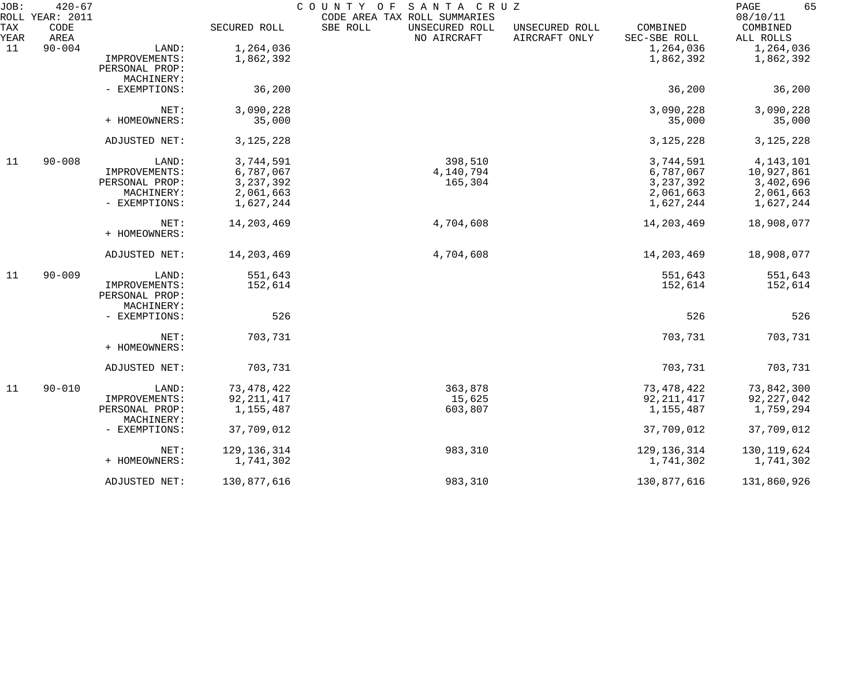| JOB:               | $420 - 67$<br>ROLL YEAR: 2011 |                              |               | COUNTY OF<br>SANTA CRUZ<br>CODE AREA TAX ROLL SUMMARIES |                                 |                          | 65<br>PAGE<br>08/10/11 |
|--------------------|-------------------------------|------------------------------|---------------|---------------------------------------------------------|---------------------------------|--------------------------|------------------------|
| <b>TAX</b><br>YEAR | CODE<br>AREA                  |                              | SECURED ROLL  | SBE ROLL<br>UNSECURED ROLL<br>NO AIRCRAFT               | UNSECURED ROLL<br>AIRCRAFT ONLY | COMBINED<br>SEC-SBE ROLL | COMBINED<br>ALL ROLLS  |
| 11                 | $90 - 004$                    | LAND:                        | 1,264,036     |                                                         |                                 | 1,264,036                | 1,264,036              |
|                    |                               | IMPROVEMENTS:                | 1,862,392     |                                                         |                                 | 1,862,392                | 1,862,392              |
|                    |                               | PERSONAL PROP:               |               |                                                         |                                 |                          |                        |
|                    |                               | MACHINERY:                   |               |                                                         |                                 |                          |                        |
|                    |                               | - EXEMPTIONS:                | 36,200        |                                                         |                                 | 36,200                   | 36,200                 |
|                    |                               | NET:                         | 3,090,228     |                                                         |                                 | 3,090,228                | 3,090,228              |
|                    |                               | + HOMEOWNERS:                | 35,000        |                                                         |                                 | 35,000                   | 35,000                 |
|                    |                               | ADJUSTED NET:                | 3, 125, 228   |                                                         |                                 | 3, 125, 228              | 3, 125, 228            |
| 11                 | $90 - 008$                    | LAND:                        | 3,744,591     | 398,510                                                 |                                 | 3,744,591                | 4, 143, 101            |
|                    |                               | IMPROVEMENTS:                | 6,787,067     | 4,140,794                                               |                                 | 6,787,067                | 10,927,861             |
|                    |                               | PERSONAL PROP:               | 3, 237, 392   | 165,304                                                 |                                 | 3, 237, 392              | 3,402,696              |
|                    |                               | MACHINERY:                   | 2,061,663     |                                                         |                                 | 2,061,663                | 2,061,663              |
|                    |                               | - EXEMPTIONS:                | 1,627,244     |                                                         |                                 | 1,627,244                | 1,627,244              |
|                    |                               | NET:                         | 14, 203, 469  | 4,704,608                                               |                                 | 14, 203, 469             | 18,908,077             |
|                    |                               | + HOMEOWNERS:                |               |                                                         |                                 |                          |                        |
|                    |                               | ADJUSTED NET:                | 14,203,469    | 4,704,608                                               |                                 | 14, 203, 469             | 18,908,077             |
| 11                 | $90 - 009$                    | LAND:                        | 551,643       |                                                         |                                 | 551,643                  | 551,643                |
|                    |                               | IMPROVEMENTS:                | 152,614       |                                                         |                                 | 152,614                  | 152,614                |
|                    |                               | PERSONAL PROP:               |               |                                                         |                                 |                          |                        |
|                    |                               | MACHINERY:                   |               |                                                         |                                 |                          |                        |
|                    |                               | - EXEMPTIONS:                | 526           |                                                         |                                 | 526                      | 526                    |
|                    |                               | NET:                         | 703,731       |                                                         |                                 | 703,731                  | 703,731                |
|                    |                               | + HOMEOWNERS:                |               |                                                         |                                 |                          |                        |
|                    |                               | ADJUSTED NET:                | 703,731       |                                                         |                                 | 703,731                  | 703,731                |
| 11                 | $90 - 010$                    | LAND:                        | 73, 478, 422  | 363,878                                                 |                                 | 73, 478, 422             | 73,842,300             |
|                    |                               | IMPROVEMENTS:                | 92, 211, 417  | 15,625                                                  |                                 | 92, 211, 417             | 92,227,042             |
|                    |                               | PERSONAL PROP:<br>MACHINERY: | 1,155,487     | 603,807                                                 |                                 | 1,155,487                | 1,759,294              |
|                    |                               | - EXEMPTIONS:                | 37,709,012    |                                                         |                                 | 37,709,012               | 37,709,012             |
|                    |                               | NET:                         | 129, 136, 314 | 983,310                                                 |                                 | 129, 136, 314            | 130, 119, 624          |
|                    |                               | + HOMEOWNERS:                | 1,741,302     |                                                         |                                 | 1,741,302                | 1,741,302              |
|                    |                               | ADJUSTED NET:                | 130,877,616   | 983,310                                                 |                                 | 130,877,616              | 131,860,926            |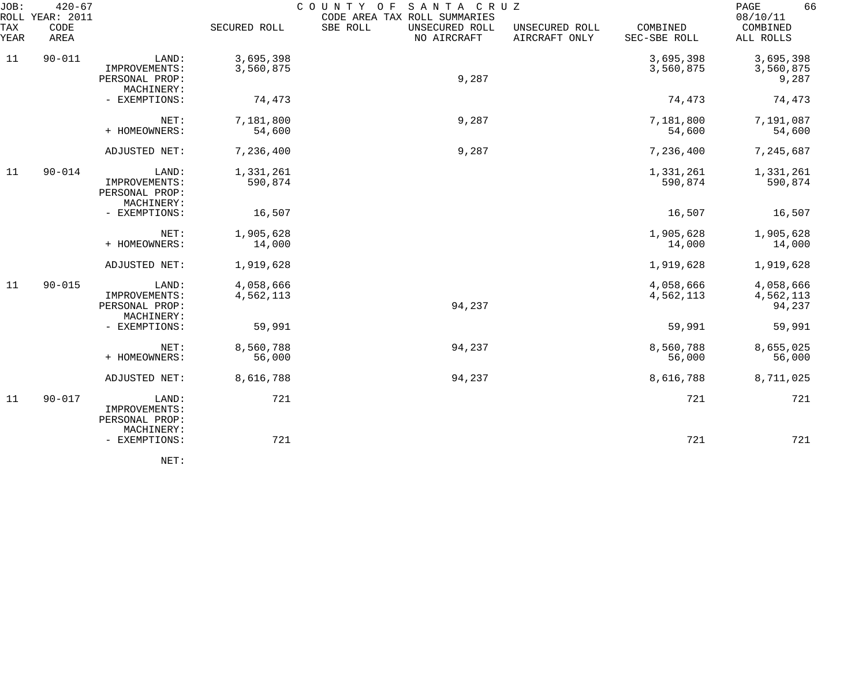| JOB:               | $420 - 67$<br>ROLL YEAR: 2011 |                                                        |                        | COUNTY<br>SANTA CRUZ<br>O F<br>CODE AREA TAX ROLL SUMMARIES |                                 |                          | 66<br>PAGE<br>08/10/11           |
|--------------------|-------------------------------|--------------------------------------------------------|------------------------|-------------------------------------------------------------|---------------------------------|--------------------------|----------------------------------|
| <b>TAX</b><br>YEAR | CODE<br>AREA                  |                                                        | SECURED ROLL           | SBE ROLL<br>UNSECURED ROLL<br>NO AIRCRAFT                   | UNSECURED ROLL<br>AIRCRAFT ONLY | COMBINED<br>SEC-SBE ROLL | COMBINED<br>ALL ROLLS            |
| 11                 | $90 - 011$                    | LAND:<br>IMPROVEMENTS:                                 | 3,695,398<br>3,560,875 |                                                             |                                 | 3,695,398<br>3,560,875   | 3,695,398<br>3,560,875           |
|                    |                               | PERSONAL PROP:<br>MACHINERY:                           |                        | 9,287                                                       |                                 |                          | 9,287                            |
|                    |                               | - EXEMPTIONS:                                          | 74,473                 |                                                             |                                 | 74,473                   | 74,473                           |
|                    |                               | NET:<br>+ HOMEOWNERS:                                  | 7,181,800<br>54,600    | 9,287                                                       |                                 | 7,181,800<br>54,600      | 7,191,087<br>54,600              |
|                    |                               | ADJUSTED NET:                                          | 7,236,400              | 9,287                                                       |                                 | 7,236,400                | 7,245,687                        |
| 11                 | $90 - 014$                    | LAND:<br>IMPROVEMENTS:<br>PERSONAL PROP:               | 1,331,261<br>590,874   |                                                             |                                 | 1,331,261<br>590,874     | 1,331,261<br>590,874             |
|                    |                               | MACHINERY:<br>- EXEMPTIONS:                            | 16,507                 |                                                             |                                 | 16,507                   | 16,507                           |
|                    |                               | NET:<br>+ HOMEOWNERS:                                  | 1,905,628<br>14,000    |                                                             |                                 | 1,905,628<br>14,000      | 1,905,628<br>14,000              |
|                    |                               | ADJUSTED NET:                                          | 1,919,628              |                                                             |                                 | 1,919,628                | 1,919,628                        |
| 11                 | $90 - 015$                    | LAND:<br>IMPROVEMENTS:<br>PERSONAL PROP:               | 4,058,666<br>4,562,113 | 94,237                                                      |                                 | 4,058,666<br>4,562,113   | 4,058,666<br>4,562,113<br>94,237 |
|                    |                               | MACHINERY:<br>- EXEMPTIONS:                            | 59,991                 |                                                             |                                 | 59,991                   | 59,991                           |
|                    |                               | NET:<br>+ HOMEOWNERS:                                  | 8,560,788<br>56,000    | 94,237                                                      |                                 | 8,560,788<br>56,000      | 8,655,025<br>56,000              |
|                    |                               | ADJUSTED NET:                                          | 8,616,788              | 94,237                                                      |                                 | 8,616,788                | 8,711,025                        |
| 11                 | $90 - 017$                    | LAND:<br>IMPROVEMENTS:<br>PERSONAL PROP:<br>MACHINERY: | 721                    |                                                             |                                 | 721                      | 721                              |
|                    |                               | - EXEMPTIONS:                                          | 721                    |                                                             |                                 | 721                      | 721                              |
|                    |                               | NET:                                                   |                        |                                                             |                                 |                          |                                  |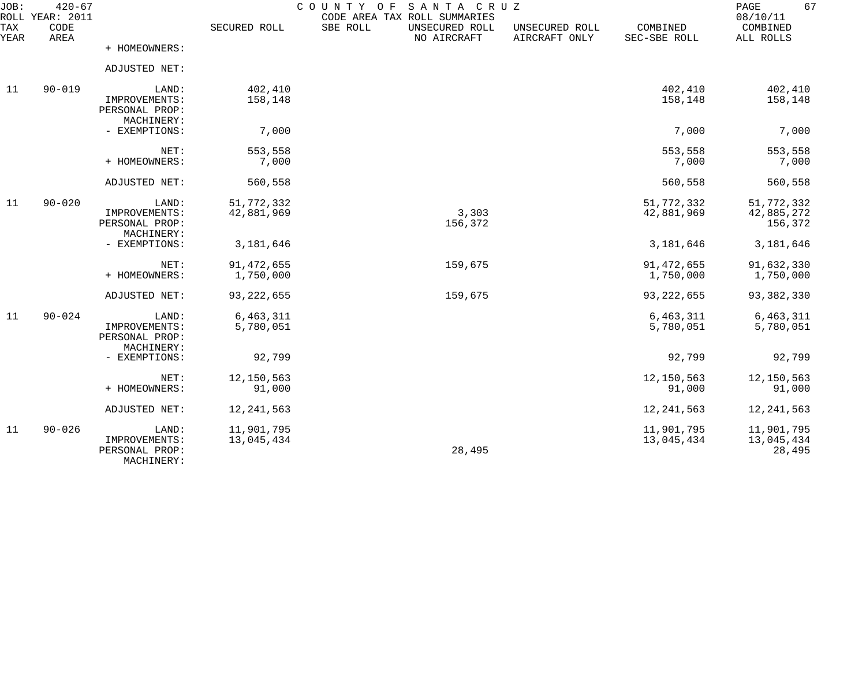| JOB:        | $420 - 67$<br>ROLL YEAR: 2011 |                                                        |                           | SANTA CRUZ<br>COUNTY OF<br>CODE AREA TAX ROLL SUMMARIES |                                 |                           | 67<br>PAGE<br>08/10/11              |
|-------------|-------------------------------|--------------------------------------------------------|---------------------------|---------------------------------------------------------|---------------------------------|---------------------------|-------------------------------------|
| TAX<br>YEAR | CODE<br>AREA                  |                                                        | SECURED ROLL              | SBE ROLL<br>UNSECURED ROLL<br>NO AIRCRAFT               | UNSECURED ROLL<br>AIRCRAFT ONLY | COMBINED<br>SEC-SBE ROLL  | COMBINED<br>ALL ROLLS               |
|             |                               | + HOMEOWNERS:                                          |                           |                                                         |                                 |                           |                                     |
|             |                               | ADJUSTED NET:                                          |                           |                                                         |                                 |                           |                                     |
| 11          | $90 - 019$                    | LAND:<br>IMPROVEMENTS:<br>PERSONAL PROP:<br>MACHINERY: | 402,410<br>158,148        |                                                         |                                 | 402,410<br>158,148        | 402,410<br>158,148                  |
|             |                               | - EXEMPTIONS:                                          | 7,000                     |                                                         |                                 | 7,000                     | 7,000                               |
|             |                               | NET:<br>+ HOMEOWNERS:                                  | 553,558<br>7,000          |                                                         |                                 | 553,558<br>7,000          | 553,558<br>7,000                    |
|             |                               | ADJUSTED NET:                                          | 560,558                   |                                                         |                                 | 560,558                   | 560,558                             |
| 11          | $90 - 020$                    | LAND:<br>IMPROVEMENTS:<br>PERSONAL PROP:<br>MACHINERY: | 51,772,332<br>42,881,969  | 3,303<br>156,372                                        |                                 | 51,772,332<br>42,881,969  | 51,772,332<br>42,885,272<br>156,372 |
|             |                               | - EXEMPTIONS:                                          | 3,181,646                 |                                                         |                                 | 3,181,646                 | 3,181,646                           |
|             |                               | NET:<br>+ HOMEOWNERS:                                  | 91, 472, 655<br>1,750,000 | 159,675                                                 |                                 | 91, 472, 655<br>1,750,000 | 91,632,330<br>1,750,000             |
|             |                               | ADJUSTED NET:                                          | 93, 222, 655              | 159,675                                                 |                                 | 93, 222, 655              | 93, 382, 330                        |
| 11          | $90 - 024$                    | LAND:<br>IMPROVEMENTS:<br>PERSONAL PROP:<br>MACHINERY: | 6,463,311<br>5,780,051    |                                                         |                                 | 6,463,311<br>5,780,051    | 6,463,311<br>5,780,051              |
|             |                               | - EXEMPTIONS:                                          | 92,799                    |                                                         |                                 | 92,799                    | 92,799                              |
|             |                               | NET:<br>+ HOMEOWNERS:                                  | 12,150,563<br>91,000      |                                                         |                                 | 12,150,563<br>91,000      | 12,150,563<br>91,000                |
|             |                               | ADJUSTED NET:                                          | 12, 241, 563              |                                                         |                                 | 12, 241, 563              | 12, 241, 563                        |
| 11          | $90 - 026$                    | LAND:<br>IMPROVEMENTS:<br>PERSONAL PROP:<br>MACHINERY: | 11,901,795<br>13,045,434  | 28,495                                                  |                                 | 11,901,795<br>13,045,434  | 11,901,795<br>13,045,434<br>28,495  |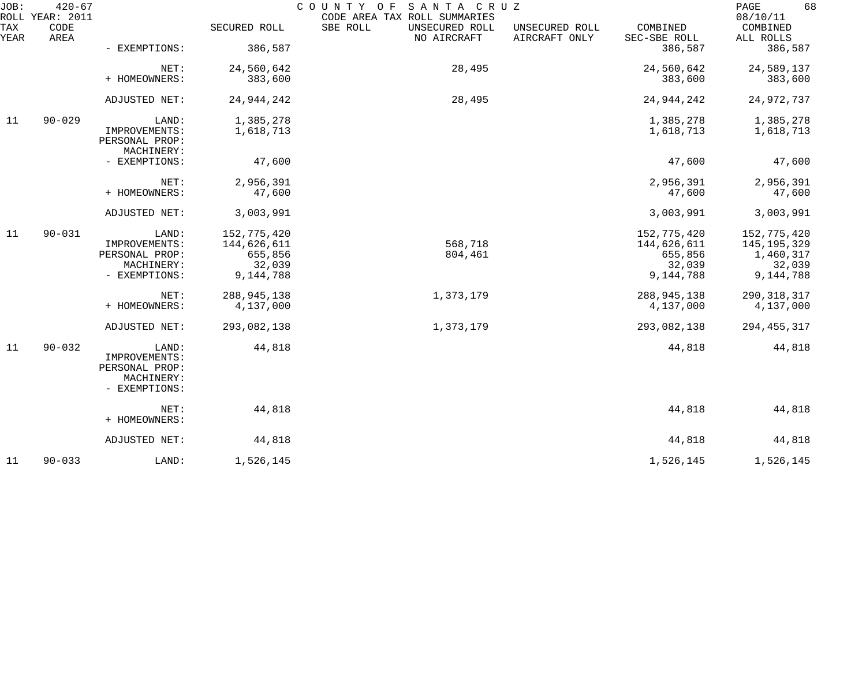| JOB:        | $420 - 67$<br>ROLL YEAR: 2011 |                                               |               | SANTA CRUZ<br>COUNTY OF<br>CODE AREA TAX ROLL SUMMARIES |                                 |                          | 68<br>PAGE<br>08/10/11 |
|-------------|-------------------------------|-----------------------------------------------|---------------|---------------------------------------------------------|---------------------------------|--------------------------|------------------------|
| TAX<br>YEAR | CODE<br>AREA                  |                                               | SECURED ROLL  | SBE ROLL<br>UNSECURED ROLL<br>NO AIRCRAFT               | UNSECURED ROLL<br>AIRCRAFT ONLY | COMBINED<br>SEC-SBE ROLL | COMBINED<br>ALL ROLLS  |
|             |                               | - EXEMPTIONS:                                 | 386,587       |                                                         |                                 | 386,587                  | 386,587                |
|             |                               | NET:                                          | 24,560,642    | 28,495                                                  |                                 | 24,560,642               | 24,589,137             |
|             |                               | + HOMEOWNERS:                                 | 383,600       |                                                         |                                 | 383,600                  | 383,600                |
|             |                               | ADJUSTED NET:                                 | 24,944,242    | 28,495                                                  |                                 | 24,944,242               | 24,972,737             |
| 11          | $90 - 029$                    | LAND:                                         | 1,385,278     |                                                         |                                 | 1,385,278                | 1,385,278              |
|             |                               | IMPROVEMENTS:<br>PERSONAL PROP:<br>MACHINERY: | 1,618,713     |                                                         |                                 | 1,618,713                | 1,618,713              |
|             |                               | - EXEMPTIONS:                                 | 47,600        |                                                         |                                 | 47,600                   | 47,600                 |
|             |                               | NET:                                          | 2,956,391     |                                                         |                                 | 2,956,391                | 2,956,391              |
|             |                               | + HOMEOWNERS:                                 | 47,600        |                                                         |                                 | 47,600                   | 47,600                 |
|             |                               | ADJUSTED NET:                                 | 3,003,991     |                                                         |                                 | 3,003,991                | 3,003,991              |
| 11          | $90 - 031$                    | LAND:                                         | 152,775,420   |                                                         |                                 | 152,775,420              | 152,775,420            |
|             |                               | IMPROVEMENTS:                                 | 144,626,611   | 568,718                                                 |                                 | 144,626,611              | 145,195,329            |
|             |                               | PERSONAL PROP:                                | 655,856       | 804,461                                                 |                                 | 655,856                  | 1,460,317              |
|             |                               | MACHINERY:<br>- EXEMPTIONS:                   | 32,039        |                                                         |                                 | 32,039<br>9,144,788      | 32,039<br>9,144,788    |
|             |                               |                                               | 9,144,788     |                                                         |                                 |                          |                        |
|             |                               | NET:                                          | 288, 945, 138 | 1,373,179                                               |                                 | 288, 945, 138            | 290, 318, 317          |
|             |                               | + HOMEOWNERS:                                 | 4,137,000     |                                                         |                                 | 4,137,000                | 4,137,000              |
|             |                               | ADJUSTED NET:                                 | 293,082,138   | 1,373,179                                               |                                 | 293,082,138              | 294, 455, 317          |
| 11          | $90 - 032$                    | LAND:                                         | 44,818        |                                                         |                                 | 44,818                   | 44,818                 |
|             |                               | IMPROVEMENTS:                                 |               |                                                         |                                 |                          |                        |
|             |                               | PERSONAL PROP:                                |               |                                                         |                                 |                          |                        |
|             |                               | MACHINERY:<br>- EXEMPTIONS:                   |               |                                                         |                                 |                          |                        |
|             |                               | NET:                                          | 44,818        |                                                         |                                 | 44,818                   | 44,818                 |
|             |                               | + HOMEOWNERS:                                 |               |                                                         |                                 |                          |                        |
|             |                               | ADJUSTED NET:                                 | 44,818        |                                                         |                                 | 44,818                   | 44,818                 |
| 11          | $90 - 033$                    | LAND:                                         | 1,526,145     |                                                         |                                 | 1,526,145                | 1,526,145              |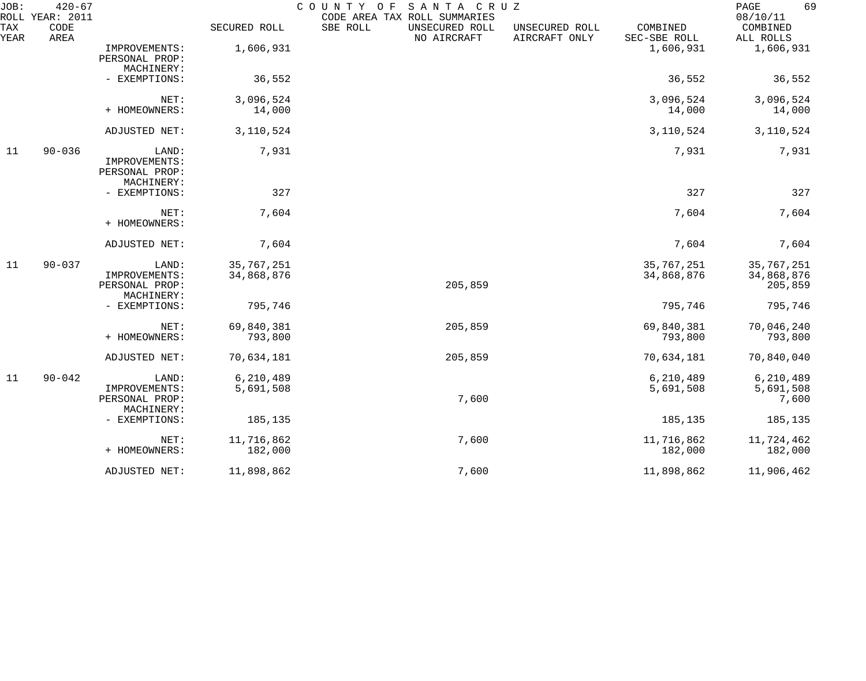| JOB:        | $420 - 67$<br>ROLL YEAR: 2011 |                                                        |                          | COUNTY OF<br>SANTA CRUZ<br>CODE AREA TAX ROLL SUMMARIES |                                 |                          | 69<br>PAGE<br>08/10/11              |
|-------------|-------------------------------|--------------------------------------------------------|--------------------------|---------------------------------------------------------|---------------------------------|--------------------------|-------------------------------------|
| TAX<br>YEAR | CODE<br>AREA                  |                                                        | SECURED ROLL             | SBE ROLL<br>UNSECURED ROLL<br>NO AIRCRAFT               | UNSECURED ROLL<br>AIRCRAFT ONLY | COMBINED<br>SEC-SBE ROLL | COMBINED<br>ALL ROLLS               |
|             |                               | IMPROVEMENTS:<br>PERSONAL PROP:<br>MACHINERY:          | 1,606,931                |                                                         |                                 | 1,606,931                | 1,606,931                           |
|             |                               | - EXEMPTIONS:                                          | 36,552                   |                                                         |                                 | 36,552                   | 36,552                              |
|             |                               | NET:<br>+ HOMEOWNERS:                                  | 3,096,524<br>14,000      |                                                         |                                 | 3,096,524<br>14,000      | 3,096,524<br>14,000                 |
|             |                               | ADJUSTED NET:                                          | 3,110,524                |                                                         |                                 | 3,110,524                | 3, 110, 524                         |
| 11          | $90 - 036$                    | LAND:<br>IMPROVEMENTS:<br>PERSONAL PROP:<br>MACHINERY: | 7,931                    |                                                         |                                 | 7,931                    | 7,931                               |
|             |                               | - EXEMPTIONS:                                          | 327                      |                                                         |                                 | 327                      | 327                                 |
|             |                               | NET:<br>+ HOMEOWNERS:                                  | 7,604                    |                                                         |                                 | 7,604                    | 7,604                               |
|             |                               | ADJUSTED NET:                                          | 7,604                    |                                                         |                                 | 7,604                    | 7,604                               |
| 11          | $90 - 037$                    | LAND:<br>IMPROVEMENTS:<br>PERSONAL PROP:<br>MACHINERY: | 35,767,251<br>34,868,876 | 205,859                                                 |                                 | 35,767,251<br>34,868,876 | 35,767,251<br>34,868,876<br>205,859 |
|             |                               | - EXEMPTIONS:                                          | 795,746                  |                                                         |                                 | 795,746                  | 795,746                             |
|             |                               | NET:<br>+ HOMEOWNERS:                                  | 69,840,381<br>793,800    | 205,859                                                 |                                 | 69,840,381<br>793,800    | 70,046,240<br>793,800               |
|             |                               | ADJUSTED NET:                                          | 70,634,181               | 205,859                                                 |                                 | 70,634,181               | 70,840,040                          |
| 11          | $90 - 042$                    | LAND:<br>IMPROVEMENTS:<br>PERSONAL PROP:<br>MACHINERY: | 6,210,489<br>5,691,508   | 7,600                                                   |                                 | 6,210,489<br>5,691,508   | 6,210,489<br>5,691,508<br>7,600     |
|             |                               | - EXEMPTIONS:                                          | 185,135                  |                                                         |                                 | 185,135                  | 185,135                             |
|             |                               | NET:<br>+ HOMEOWNERS:                                  | 11,716,862<br>182,000    | 7,600                                                   |                                 | 11,716,862<br>182,000    | 11,724,462<br>182,000               |
|             |                               | ADJUSTED NET:                                          | 11,898,862               | 7,600                                                   |                                 | 11,898,862               | 11,906,462                          |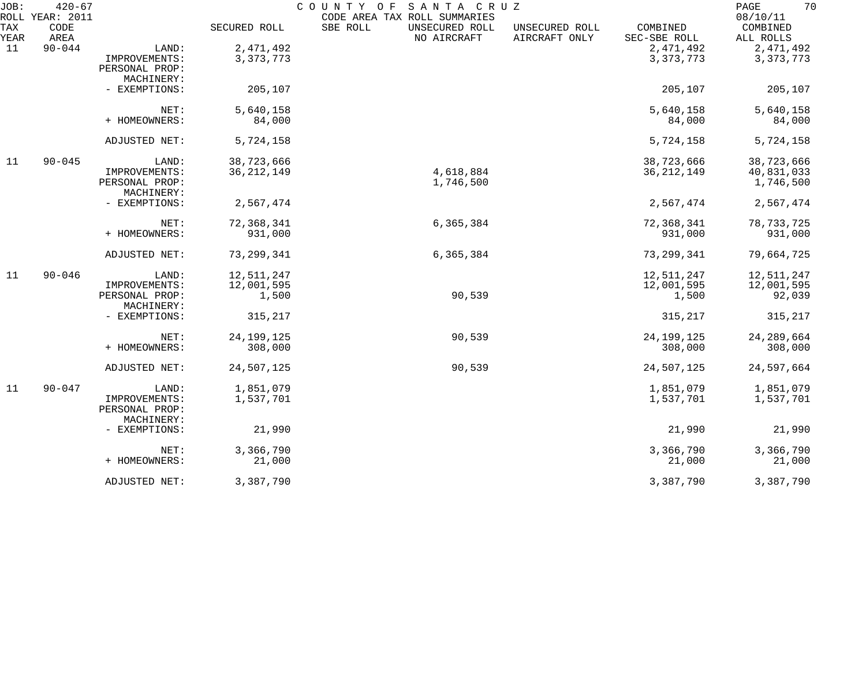| JOB:               | $420 - 67$<br>ROLL YEAR: 2011 |                |              | COUNTY OF<br>SANTA CRUZ<br>CODE AREA TAX ROLL SUMMARIES |                                 |                          | 70<br>PAGE<br>08/10/11 |
|--------------------|-------------------------------|----------------|--------------|---------------------------------------------------------|---------------------------------|--------------------------|------------------------|
| <b>TAX</b><br>YEAR | CODE<br>AREA                  |                | SECURED ROLL | SBE ROLL<br>UNSECURED ROLL<br>NO AIRCRAFT               | UNSECURED ROLL<br>AIRCRAFT ONLY | COMBINED<br>SEC-SBE ROLL | COMBINED<br>ALL ROLLS  |
| 11                 | $90 - 044$                    | LAND:          | 2,471,492    |                                                         |                                 | 2, 471, 492              | 2,471,492              |
|                    |                               | IMPROVEMENTS:  | 3, 373, 773  |                                                         |                                 | 3, 373, 773              | 3, 373, 773            |
|                    |                               | PERSONAL PROP: |              |                                                         |                                 |                          |                        |
|                    |                               | MACHINERY:     |              |                                                         |                                 |                          |                        |
|                    |                               |                | 205,107      |                                                         |                                 | 205,107                  |                        |
|                    |                               | - EXEMPTIONS:  |              |                                                         |                                 |                          | 205,107                |
|                    |                               | NET:           | 5,640,158    |                                                         |                                 | 5,640,158                | 5,640,158              |
|                    |                               | + HOMEOWNERS:  | 84,000       |                                                         |                                 | 84,000                   | 84,000                 |
|                    |                               |                |              |                                                         |                                 |                          |                        |
|                    |                               | ADJUSTED NET:  | 5,724,158    |                                                         |                                 | 5,724,158                | 5,724,158              |
| 11                 | $90 - 045$                    | LAND:          | 38,723,666   |                                                         |                                 | 38,723,666               | 38,723,666             |
|                    |                               | IMPROVEMENTS:  | 36, 212, 149 | 4,618,884                                               |                                 | 36, 212, 149             | 40,831,033             |
|                    |                               | PERSONAL PROP: |              | 1,746,500                                               |                                 |                          | 1,746,500              |
|                    |                               | MACHINERY:     |              |                                                         |                                 |                          |                        |
|                    |                               | - EXEMPTIONS:  | 2,567,474    |                                                         |                                 | 2,567,474                | 2,567,474              |
|                    |                               | NET:           | 72,368,341   | 6,365,384                                               |                                 | 72,368,341               | 78, 733, 725           |
|                    |                               | + HOMEOWNERS:  | 931,000      |                                                         |                                 | 931,000                  | 931,000                |
|                    |                               |                |              |                                                         |                                 |                          |                        |
|                    |                               | ADJUSTED NET:  | 73,299,341   | 6,365,384                                               |                                 | 73, 299, 341             | 79,664,725             |
| 11                 | $90 - 046$                    | LAND:          | 12,511,247   |                                                         |                                 | 12,511,247               | 12,511,247             |
|                    |                               | IMPROVEMENTS:  | 12,001,595   |                                                         |                                 | 12,001,595               | 12,001,595             |
|                    |                               | PERSONAL PROP: | 1,500        | 90,539                                                  |                                 | 1,500                    | 92,039                 |
|                    |                               | MACHINERY:     |              |                                                         |                                 |                          |                        |
|                    |                               | - EXEMPTIONS:  | 315,217      |                                                         |                                 | 315,217                  | 315,217                |
|                    |                               | NET:           | 24, 199, 125 | 90,539                                                  |                                 | 24, 199, 125             | 24, 289, 664           |
|                    |                               | + HOMEOWNERS:  | 308,000      |                                                         |                                 | 308,000                  | 308,000                |
|                    |                               |                |              |                                                         |                                 |                          |                        |
|                    |                               | ADJUSTED NET:  | 24,507,125   | 90,539                                                  |                                 | 24,507,125               | 24,597,664             |
| 11                 | $90 - 047$                    | LAND:          | 1,851,079    |                                                         |                                 | 1,851,079                | 1,851,079              |
|                    |                               | IMPROVEMENTS:  | 1,537,701    |                                                         |                                 | 1,537,701                | 1,537,701              |
|                    |                               | PERSONAL PROP: |              |                                                         |                                 |                          |                        |
|                    |                               | MACHINERY:     |              |                                                         |                                 |                          |                        |
|                    |                               | - EXEMPTIONS:  | 21,990       |                                                         |                                 | 21,990                   | 21,990                 |
|                    |                               | NET:           | 3,366,790    |                                                         |                                 | 3,366,790                | 3,366,790              |
|                    |                               | + HOMEOWNERS:  |              |                                                         |                                 |                          |                        |
|                    |                               |                | 21,000       |                                                         |                                 | 21,000                   | 21,000                 |
|                    |                               | ADJUSTED NET:  | 3,387,790    |                                                         |                                 | 3,387,790                | 3,387,790              |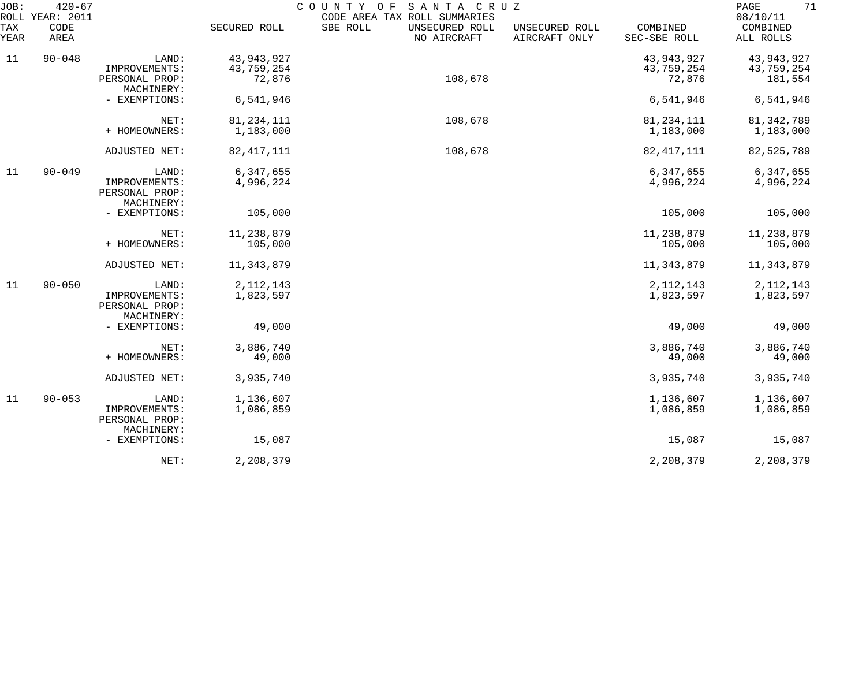| JOB:<br>ROLL | $420 - 67$<br><b>YEAR: 2011</b> |                                                        |                           | SANTA CRUZ<br>COUNTY OF<br>CODE AREA TAX ROLL SUMMARIES |                                 |                            | 71<br>PAGE<br>08/10/11    |
|--------------|---------------------------------|--------------------------------------------------------|---------------------------|---------------------------------------------------------|---------------------------------|----------------------------|---------------------------|
| TAX<br>YEAR  | CODE<br>AREA                    |                                                        | SECURED ROLL              | SBE ROLL<br>UNSECURED ROLL<br>NO AIRCRAFT               | UNSECURED ROLL<br>AIRCRAFT ONLY | COMBINED<br>SEC-SBE ROLL   | COMBINED<br>ALL ROLLS     |
| 11           | $90 - 048$                      | LAND:<br>IMPROVEMENTS:                                 | 43,943,927<br>43,759,254  |                                                         |                                 | 43, 943, 927<br>43,759,254 | 43,943,927<br>43,759,254  |
|              |                                 | PERSONAL PROP:<br>MACHINERY:                           | 72,876                    | 108,678                                                 |                                 | 72,876                     | 181,554                   |
|              |                                 | - EXEMPTIONS:                                          | 6,541,946                 |                                                         |                                 | 6,541,946                  | 6,541,946                 |
|              |                                 | NET:<br>+ HOMEOWNERS:                                  | 81, 234, 111<br>1,183,000 | 108,678                                                 |                                 | 81, 234, 111<br>1,183,000  | 81, 342, 789<br>1,183,000 |
|              |                                 | ADJUSTED NET:                                          | 82, 417, 111              | 108,678                                                 |                                 | 82, 417, 111               | 82,525,789                |
| 11           | $90 - 049$                      | LAND:<br>IMPROVEMENTS:<br>PERSONAL PROP:<br>MACHINERY: | 6,347,655<br>4,996,224    |                                                         |                                 | 6,347,655<br>4,996,224     | 6,347,655<br>4,996,224    |
|              |                                 | - EXEMPTIONS:                                          | 105,000                   |                                                         |                                 | 105,000                    | 105,000                   |
|              |                                 | NET:<br>+ HOMEOWNERS:                                  | 11, 238, 879<br>105,000   |                                                         |                                 | 11,238,879<br>105,000      | 11,238,879<br>105,000     |
|              |                                 | ADJUSTED NET:                                          | 11, 343, 879              |                                                         |                                 | 11,343,879                 | 11,343,879                |
| 11           | $90 - 050$                      | LAND:<br>IMPROVEMENTS:<br>PERSONAL PROP:<br>MACHINERY: | 2, 112, 143<br>1,823,597  |                                                         |                                 | 2, 112, 143<br>1,823,597   | 2, 112, 143<br>1,823,597  |
|              |                                 | - EXEMPTIONS:                                          | 49,000                    |                                                         |                                 | 49,000                     | 49,000                    |
|              |                                 | NET:<br>+ HOMEOWNERS:                                  | 3,886,740<br>49,000       |                                                         |                                 | 3,886,740<br>49,000        | 3,886,740<br>49,000       |
|              |                                 | ADJUSTED NET:                                          | 3,935,740                 |                                                         |                                 | 3,935,740                  | 3,935,740                 |
| 11           | $90 - 053$                      | LAND:<br>IMPROVEMENTS:<br>PERSONAL PROP:<br>MACHINERY: | 1,136,607<br>1,086,859    |                                                         |                                 | 1,136,607<br>1,086,859     | 1,136,607<br>1,086,859    |
|              |                                 | - EXEMPTIONS:                                          | 15,087                    |                                                         |                                 | 15,087                     | 15,087                    |
|              |                                 | NET:                                                   | 2,208,379                 |                                                         |                                 | 2,208,379                  | 2,208,379                 |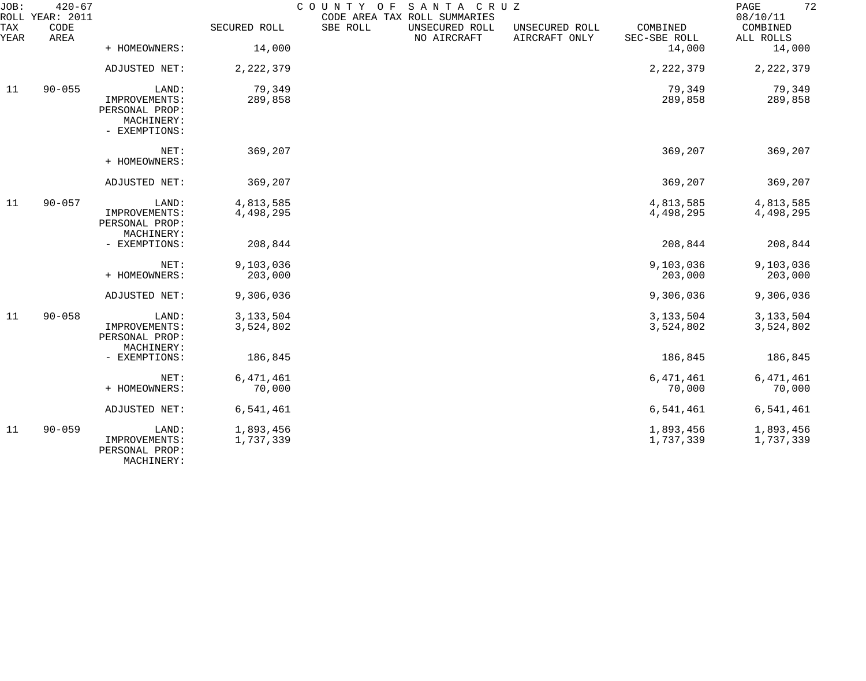| JOB:             | $420 - 67$<br>ROLL YEAR: 2011                                           |                                                        |                          | COUNTY OF<br>CODE AREA TAX ROLL SUMMARIES | SANTA CRUZ                    |                                 |                          | 72<br>$\mathop{\mathtt{PAGE}}$<br>08/10/11 |
|------------------|-------------------------------------------------------------------------|--------------------------------------------------------|--------------------------|-------------------------------------------|-------------------------------|---------------------------------|--------------------------|--------------------------------------------|
| TAX<br>YEAR      | CODE<br>AREA                                                            |                                                        | SECURED ROLL             | SBE ROLL                                  | UNSECURED ROLL<br>NO AIRCRAFT | UNSECURED ROLL<br>AIRCRAFT ONLY | COMBINED<br>SEC-SBE ROLL | COMBINED<br>ALL ROLLS                      |
|                  |                                                                         | + HOMEOWNERS:                                          | 14,000                   |                                           |                               |                                 | 14,000                   | 14,000                                     |
|                  |                                                                         | ADJUSTED NET:                                          | 2, 222, 379              |                                           |                               |                                 | 2, 222, 379              | 2, 222, 379                                |
| $90 - 055$<br>11 | LAND:<br>IMPROVEMENTS:<br>PERSONAL PROP:<br>MACHINERY:<br>- EXEMPTIONS: | 79,349<br>289,858                                      |                          |                                           |                               | 79,349<br>289,858               | 79,349<br>289,858        |                                            |
|                  |                                                                         | NET:<br>+ HOMEOWNERS:                                  | 369,207                  |                                           |                               |                                 | 369,207                  | 369,207                                    |
|                  |                                                                         | ADJUSTED NET:                                          | 369,207                  |                                           |                               |                                 | 369,207                  | 369,207                                    |
| 11               | $90 - 057$                                                              | LAND:<br>IMPROVEMENTS:<br>PERSONAL PROP:<br>MACHINERY: | 4,813,585<br>4,498,295   |                                           |                               |                                 | 4,813,585<br>4,498,295   | 4,813,585<br>4,498,295                     |
|                  |                                                                         | - EXEMPTIONS:                                          | 208,844                  |                                           |                               |                                 | 208,844                  | 208,844                                    |
|                  |                                                                         | NET:<br>+ HOMEOWNERS:                                  | 9,103,036<br>203,000     |                                           |                               |                                 | 9,103,036<br>203,000     | 9,103,036<br>203,000                       |
|                  |                                                                         | ADJUSTED NET:                                          | 9,306,036                |                                           |                               |                                 | 9,306,036                | 9,306,036                                  |
| 11               | $90 - 058$                                                              | LAND:<br>IMPROVEMENTS:<br>PERSONAL PROP:<br>MACHINERY: | 3, 133, 504<br>3,524,802 |                                           |                               |                                 | 3, 133, 504<br>3,524,802 | 3, 133, 504<br>3,524,802                   |
|                  |                                                                         | - EXEMPTIONS:                                          | 186,845                  |                                           |                               |                                 | 186,845                  | 186,845                                    |
|                  |                                                                         | NET:<br>+ HOMEOWNERS:                                  | 6,471,461<br>70,000      |                                           |                               |                                 | 6, 471, 461<br>70,000    | 6,471,461<br>70,000                        |
|                  |                                                                         | ADJUSTED NET:                                          | 6,541,461                |                                           |                               |                                 | 6,541,461                | 6,541,461                                  |
| 11               | $90 - 059$                                                              | LAND:<br>IMPROVEMENTS:<br>PERSONAL PROP:<br>MACHINERY: | 1,893,456<br>1,737,339   |                                           |                               |                                 | 1,893,456<br>1,737,339   | 1,893,456<br>1,737,339                     |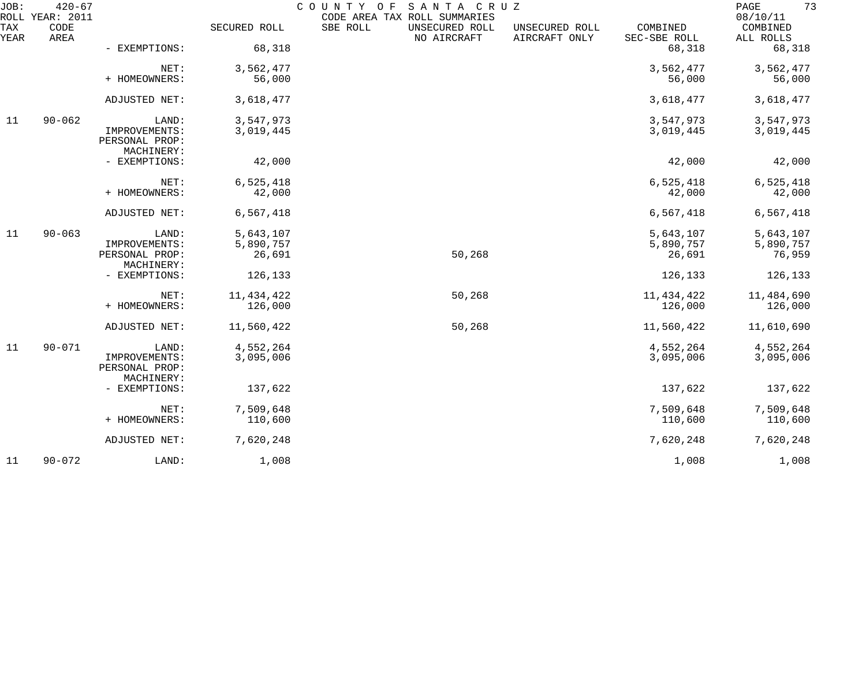| JOB:        | $420 - 67$<br>ROLL YEAR: 2011 |                                               |                     | COUNTY<br>SANTA CRUZ<br>O F<br>CODE AREA TAX ROLL SUMMARIES |                                 |                          | 73<br>$\mathop{\mathrm{PAGE}}$<br>08/10/11 |
|-------------|-------------------------------|-----------------------------------------------|---------------------|-------------------------------------------------------------|---------------------------------|--------------------------|--------------------------------------------|
| TAX<br>YEAR | CODE<br>AREA                  |                                               | SECURED ROLL        | SBE ROLL<br>UNSECURED ROLL<br>NO AIRCRAFT                   | UNSECURED ROLL<br>AIRCRAFT ONLY | COMBINED<br>SEC-SBE ROLL | COMBINED<br>ALL ROLLS                      |
|             |                               | - EXEMPTIONS:                                 | 68,318              |                                                             |                                 | 68,318                   | 68,318                                     |
|             |                               | NET:                                          | 3,562,477           |                                                             |                                 | 3,562,477                | 3,562,477                                  |
|             |                               | + HOMEOWNERS:                                 | 56,000              |                                                             |                                 | 56,000                   | 56,000                                     |
|             |                               | ADJUSTED NET:                                 | 3,618,477           |                                                             |                                 | 3,618,477                | 3,618,477                                  |
| 11          | $90 - 062$                    | LAND:                                         | 3,547,973           |                                                             |                                 | 3,547,973                | 3,547,973                                  |
|             |                               | IMPROVEMENTS:<br>PERSONAL PROP:<br>MACHINERY: | 3,019,445           |                                                             |                                 | 3,019,445                | 3,019,445                                  |
|             |                               | - EXEMPTIONS:                                 | 42,000              |                                                             |                                 | 42,000                   | 42,000                                     |
|             |                               | NET:                                          | 6,525,418           |                                                             |                                 | 6,525,418                | 6,525,418                                  |
|             |                               | + HOMEOWNERS:                                 | 42,000              |                                                             |                                 | 42,000                   | 42,000                                     |
|             |                               | ADJUSTED NET:                                 | 6,567,418           |                                                             |                                 | 6,567,418                | 6,567,418                                  |
| 11          | $90 - 063$                    | LAND:                                         | 5,643,107           |                                                             |                                 | 5,643,107                | 5,643,107                                  |
|             |                               | IMPROVEMENTS:<br>PERSONAL PROP:               | 5,890,757<br>26,691 | 50,268                                                      |                                 | 5,890,757<br>26,691      | 5,890,757<br>76,959                        |
|             |                               | MACHINERY:                                    |                     |                                                             |                                 |                          |                                            |
|             |                               | - EXEMPTIONS:                                 | 126,133             |                                                             |                                 | 126,133                  | 126,133                                    |
|             |                               | NET:                                          | 11, 434, 422        | 50,268                                                      |                                 | 11, 434, 422             | 11,484,690                                 |
|             |                               | + HOMEOWNERS:                                 | 126,000             |                                                             |                                 | 126,000                  | 126,000                                    |
|             |                               | ADJUSTED NET:                                 | 11,560,422          | 50,268                                                      |                                 | 11,560,422               | 11,610,690                                 |
| 11          | $90 - 071$                    | LAND:                                         | 4,552,264           |                                                             |                                 | 4,552,264                | 4,552,264                                  |
|             |                               | IMPROVEMENTS:<br>PERSONAL PROP:<br>MACHINERY: | 3,095,006           |                                                             |                                 | 3,095,006                | 3,095,006                                  |
|             |                               | - EXEMPTIONS:                                 | 137,622             |                                                             |                                 | 137,622                  | 137,622                                    |
|             |                               | NET:                                          | 7,509,648           |                                                             |                                 | 7,509,648                | 7,509,648                                  |
|             |                               | + HOMEOWNERS:                                 | 110,600             |                                                             |                                 | 110,600                  | 110,600                                    |
|             |                               | ADJUSTED NET:                                 | 7,620,248           |                                                             |                                 | 7,620,248                | 7,620,248                                  |
| 11          | $90 - 072$                    | LAND:                                         | 1,008               |                                                             |                                 | 1,008                    | 1,008                                      |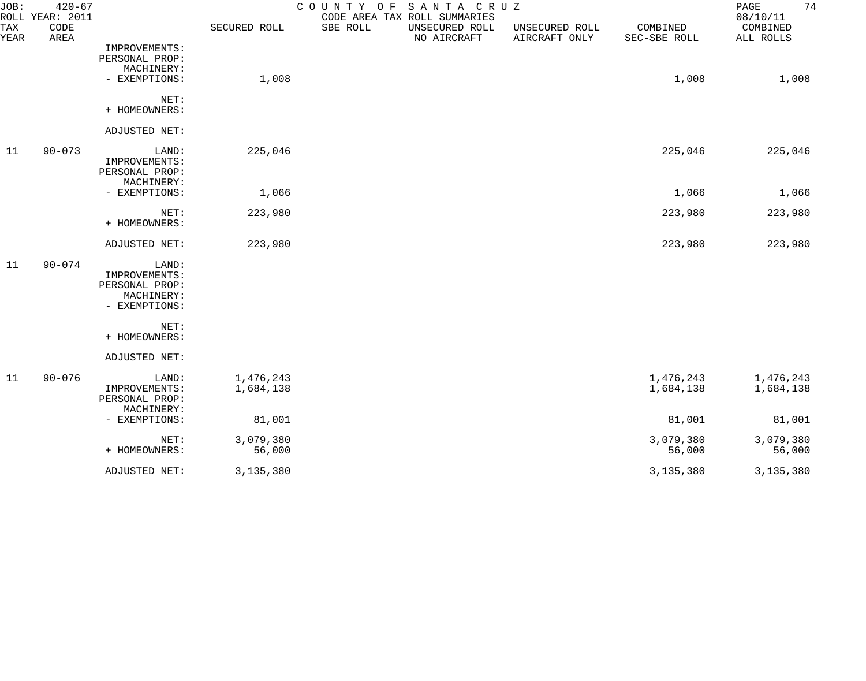| JOB:        | $420 - 67$<br>ROLL YEAR: 2011 |                |              | SANTA CRUZ<br>COUNTY OF<br>CODE AREA TAX ROLL SUMMARIES |                                 |                          | 74<br>PAGE<br>08/10/11 |
|-------------|-------------------------------|----------------|--------------|---------------------------------------------------------|---------------------------------|--------------------------|------------------------|
| TAX<br>YEAR | CODE<br>AREA                  |                | SECURED ROLL | SBE ROLL<br>UNSECURED ROLL<br>NO AIRCRAFT               | UNSECURED ROLL<br>AIRCRAFT ONLY | COMBINED<br>SEC-SBE ROLL | COMBINED<br>ALL ROLLS  |
|             |                               | IMPROVEMENTS:  |              |                                                         |                                 |                          |                        |
|             |                               | PERSONAL PROP: |              |                                                         |                                 |                          |                        |
|             |                               | MACHINERY:     |              |                                                         |                                 |                          |                        |
|             |                               | - EXEMPTIONS:  | 1,008        |                                                         |                                 | 1,008                    | 1,008                  |
|             |                               | NET:           |              |                                                         |                                 |                          |                        |
|             |                               | + HOMEOWNERS:  |              |                                                         |                                 |                          |                        |
|             |                               | ADJUSTED NET:  |              |                                                         |                                 |                          |                        |
| 11          | $90 - 073$                    | LAND:          | 225,046      |                                                         |                                 | 225,046                  | 225,046                |
|             |                               | IMPROVEMENTS:  |              |                                                         |                                 |                          |                        |
|             |                               | PERSONAL PROP: |              |                                                         |                                 |                          |                        |
|             |                               | MACHINERY:     |              |                                                         |                                 |                          |                        |
|             |                               | - EXEMPTIONS:  | 1,066        |                                                         |                                 | 1,066                    | 1,066                  |
|             |                               | NET:           | 223,980      |                                                         |                                 | 223,980                  | 223,980                |
|             |                               | + HOMEOWNERS:  |              |                                                         |                                 |                          |                        |
|             |                               | ADJUSTED NET:  | 223,980      |                                                         |                                 | 223,980                  | 223,980                |
| 11          | $90 - 074$                    | LAND:          |              |                                                         |                                 |                          |                        |
|             |                               | IMPROVEMENTS:  |              |                                                         |                                 |                          |                        |
|             |                               | PERSONAL PROP: |              |                                                         |                                 |                          |                        |
|             |                               | MACHINERY:     |              |                                                         |                                 |                          |                        |
|             |                               | - EXEMPTIONS:  |              |                                                         |                                 |                          |                        |
|             |                               | NET:           |              |                                                         |                                 |                          |                        |
|             |                               | + HOMEOWNERS:  |              |                                                         |                                 |                          |                        |
|             |                               | ADJUSTED NET:  |              |                                                         |                                 |                          |                        |
| 11          | $90 - 076$                    | LAND:          | 1,476,243    |                                                         |                                 | 1,476,243                | 1,476,243              |
|             |                               | IMPROVEMENTS:  | 1,684,138    |                                                         |                                 | 1,684,138                | 1,684,138              |
|             |                               | PERSONAL PROP: |              |                                                         |                                 |                          |                        |
|             |                               | MACHINERY:     |              |                                                         |                                 |                          |                        |
|             |                               | - EXEMPTIONS:  | 81,001       |                                                         |                                 | 81,001                   | 81,001                 |
|             |                               | NET:           | 3,079,380    |                                                         |                                 | 3,079,380                | 3,079,380              |
|             |                               | + HOMEOWNERS:  | 56,000       |                                                         |                                 | 56,000                   | 56,000                 |
|             |                               | ADJUSTED NET:  | 3,135,380    |                                                         |                                 | 3, 135, 380              | 3, 135, 380            |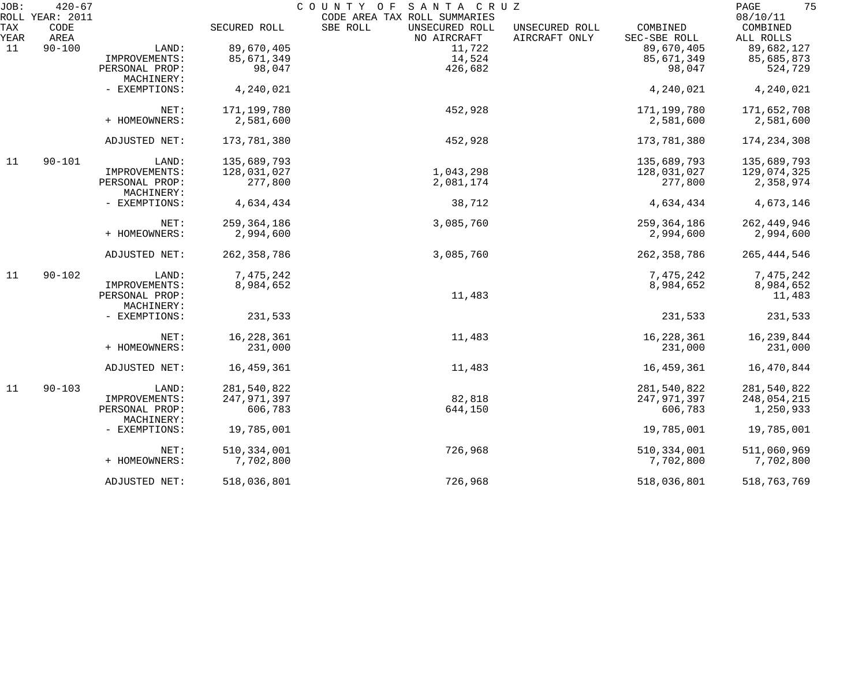| JOB: | $420 - 67$              |                |               | COUNTY OF<br>SANTA CRUZ                                    |                |               | 75<br>PAGE<br>08/10/11 |
|------|-------------------------|----------------|---------------|------------------------------------------------------------|----------------|---------------|------------------------|
| TAX  | ROLL YEAR: 2011<br>CODE |                | SECURED ROLL  | CODE AREA TAX ROLL SUMMARIES<br>SBE ROLL<br>UNSECURED ROLL | UNSECURED ROLL | COMBINED      | COMBINED               |
| YEAR | AREA                    |                |               | NO AIRCRAFT                                                | AIRCRAFT ONLY  | SEC-SBE ROLL  | ALL ROLLS              |
| 11   | $90 - 100$              | LAND:          | 89,670,405    | 11,722                                                     |                | 89,670,405    | 89,682,127             |
|      |                         | IMPROVEMENTS:  | 85,671,349    | 14,524                                                     |                | 85,671,349    | 85,685,873             |
|      |                         | PERSONAL PROP: | 98,047        | 426,682                                                    |                | 98,047        | 524,729                |
|      |                         | MACHINERY:     |               |                                                            |                |               |                        |
|      |                         | - EXEMPTIONS:  | 4,240,021     |                                                            |                | 4,240,021     | 4,240,021              |
|      |                         |                |               |                                                            |                |               |                        |
|      |                         | NET:           | 171,199,780   | 452,928                                                    |                | 171,199,780   | 171,652,708            |
|      |                         | + HOMEOWNERS:  | 2,581,600     |                                                            |                | 2,581,600     | 2,581,600              |
|      |                         |                |               |                                                            |                |               |                        |
|      |                         | ADJUSTED NET:  | 173,781,380   | 452,928                                                    |                | 173,781,380   | 174, 234, 308          |
| 11   | $90 - 101$              | LAND:          | 135,689,793   |                                                            |                | 135,689,793   | 135,689,793            |
|      |                         | IMPROVEMENTS:  | 128,031,027   | 1,043,298                                                  |                | 128,031,027   | 129,074,325            |
|      |                         | PERSONAL PROP: | 277,800       | 2,081,174                                                  |                | 277,800       | 2,358,974              |
|      |                         | MACHINERY:     |               |                                                            |                |               |                        |
|      |                         | - EXEMPTIONS:  | 4,634,434     | 38,712                                                     |                | 4,634,434     | 4,673,146              |
|      |                         |                |               |                                                            |                |               |                        |
|      |                         | NET:           | 259, 364, 186 | 3,085,760                                                  |                | 259, 364, 186 | 262, 449, 946          |
|      |                         | + HOMEOWNERS:  | 2,994,600     |                                                            |                | 2,994,600     | 2,994,600              |
|      |                         | ADJUSTED NET:  | 262, 358, 786 | 3,085,760                                                  |                | 262, 358, 786 | 265, 444, 546          |
| 11   | $90 - 102$              | LAND:          | 7,475,242     |                                                            |                | 7,475,242     | 7,475,242              |
|      |                         | IMPROVEMENTS:  | 8,984,652     |                                                            |                | 8,984,652     | 8,984,652              |
|      |                         | PERSONAL PROP: |               | 11,483                                                     |                |               | 11,483                 |
|      |                         | MACHINERY:     |               |                                                            |                |               |                        |
|      |                         | - EXEMPTIONS:  | 231,533       |                                                            |                | 231,533       | 231,533                |
|      |                         | NET:           | 16,228,361    | 11,483                                                     |                | 16,228,361    | 16,239,844             |
|      |                         | + HOMEOWNERS:  | 231,000       |                                                            |                | 231,000       | 231,000                |
|      |                         |                |               |                                                            |                |               |                        |
|      |                         | ADJUSTED NET:  | 16,459,361    | 11,483                                                     |                | 16,459,361    | 16,470,844             |
| 11   | $90 - 103$              | LAND:          | 281,540,822   |                                                            |                | 281,540,822   | 281,540,822            |
|      |                         | IMPROVEMENTS:  | 247,971,397   | 82,818                                                     |                | 247,971,397   | 248,054,215            |
|      |                         | PERSONAL PROP: | 606,783       | 644,150                                                    |                | 606,783       | 1,250,933              |
|      |                         | MACHINERY:     |               |                                                            |                |               |                        |
|      |                         | - EXEMPTIONS:  | 19,785,001    |                                                            |                | 19,785,001    | 19,785,001             |
|      |                         |                |               |                                                            |                |               |                        |
|      |                         | NET:           | 510,334,001   | 726,968                                                    |                | 510, 334, 001 | 511,060,969            |
|      |                         | + HOMEOWNERS:  | 7,702,800     |                                                            |                | 7,702,800     | 7,702,800              |
|      |                         | ADJUSTED NET:  | 518,036,801   | 726,968                                                    |                | 518,036,801   | 518,763,769            |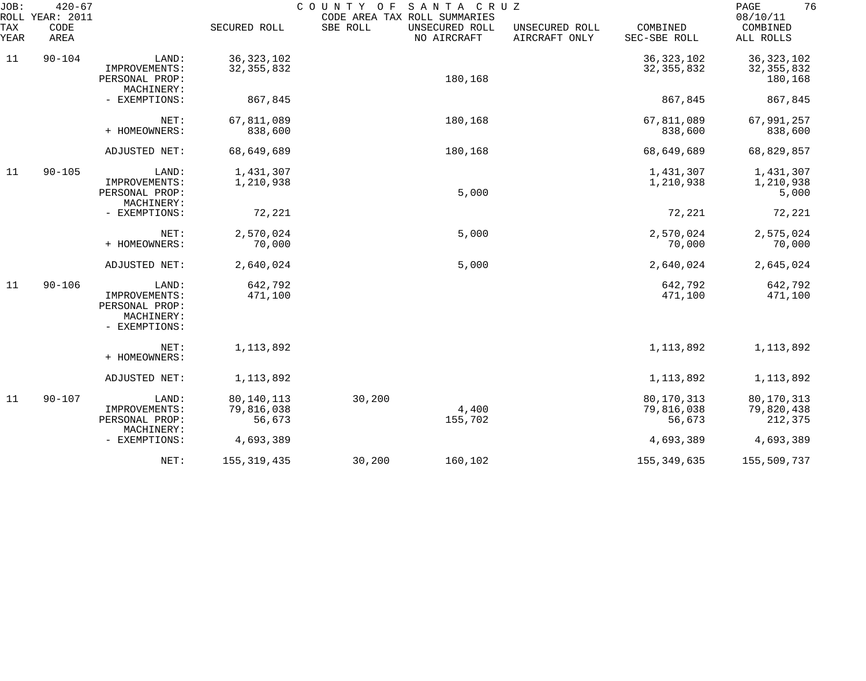| JOB:<br>ROLL | $420 - 67$<br>YEAR: 2011 |                                                                         |                                      | COUNTY<br>O F | SANTA CRUZ<br>CODE AREA TAX ROLL SUMMARIES |                                 |                                    | 76<br>PAGE<br>08/10/11                  |
|--------------|--------------------------|-------------------------------------------------------------------------|--------------------------------------|---------------|--------------------------------------------|---------------------------------|------------------------------------|-----------------------------------------|
| TAX<br>YEAR  | CODE<br>AREA             |                                                                         | SECURED ROLL                         | SBE ROLL      | UNSECURED ROLL<br>NO AIRCRAFT              | UNSECURED ROLL<br>AIRCRAFT ONLY | COMBINED<br>SEC-SBE ROLL           | COMBINED<br>ALL ROLLS                   |
| 11           | $90 - 104$               | LAND:<br>IMPROVEMENTS:<br>PERSONAL PROP:<br>MACHINERY:                  | 36, 323, 102<br>32, 355, 832         |               | 180,168                                    |                                 | 36, 323, 102<br>32, 355, 832       | 36, 323, 102<br>32, 355, 832<br>180,168 |
|              |                          | - EXEMPTIONS:                                                           | 867,845                              |               |                                            |                                 | 867,845                            | 867,845                                 |
|              |                          | NET:<br>+ HOMEOWNERS:                                                   | 67,811,089<br>838,600                |               | 180,168                                    |                                 | 67,811,089<br>838,600              | 67,991,257<br>838,600                   |
|              |                          | ADJUSTED NET:                                                           | 68,649,689                           |               | 180,168                                    |                                 | 68,649,689                         | 68,829,857                              |
| 11           | $90 - 105$               | LAND:<br>IMPROVEMENTS:<br>PERSONAL PROP:<br>MACHINERY:                  | 1,431,307<br>1,210,938               |               | 5,000                                      |                                 | 1,431,307<br>1,210,938             | 1,431,307<br>1,210,938<br>5,000         |
|              |                          | - EXEMPTIONS:                                                           | 72,221                               |               |                                            |                                 | 72,221                             | 72,221                                  |
|              |                          | NET:<br>+ HOMEOWNERS:                                                   | 2,570,024<br>70,000                  |               | 5,000                                      |                                 | 2,570,024<br>70,000                | 2,575,024<br>70,000                     |
|              |                          | ADJUSTED NET:                                                           | 2,640,024                            |               | 5,000                                      |                                 | 2,640,024                          | 2,645,024                               |
| 11           | $90 - 106$               | LAND:<br>IMPROVEMENTS:<br>PERSONAL PROP:<br>MACHINERY:<br>- EXEMPTIONS: | 642,792<br>471,100                   |               |                                            |                                 | 642,792<br>471,100                 | 642,792<br>471,100                      |
|              |                          | NET:<br>+ HOMEOWNERS:                                                   | 1, 113, 892                          |               |                                            |                                 | 1, 113, 892                        | 1,113,892                               |
|              |                          | ADJUSTED NET:                                                           | 1, 113, 892                          |               |                                            |                                 | 1, 113, 892                        | 1,113,892                               |
| 11           | $90 - 107$               | LAND:<br>IMPROVEMENTS:<br>PERSONAL PROP:                                | 80, 140, 113<br>79,816,038<br>56,673 | 30,200        | 4,400<br>155,702                           |                                 | 80,170,313<br>79,816,038<br>56,673 | 80,170,313<br>79,820,438<br>212,375     |
|              |                          | MACHINERY:<br>- EXEMPTIONS:                                             | 4,693,389                            |               |                                            |                                 | 4,693,389                          | 4,693,389                               |
|              |                          | NET:                                                                    | 155, 319, 435                        | 30,200        | 160,102                                    |                                 | 155, 349, 635                      | 155,509,737                             |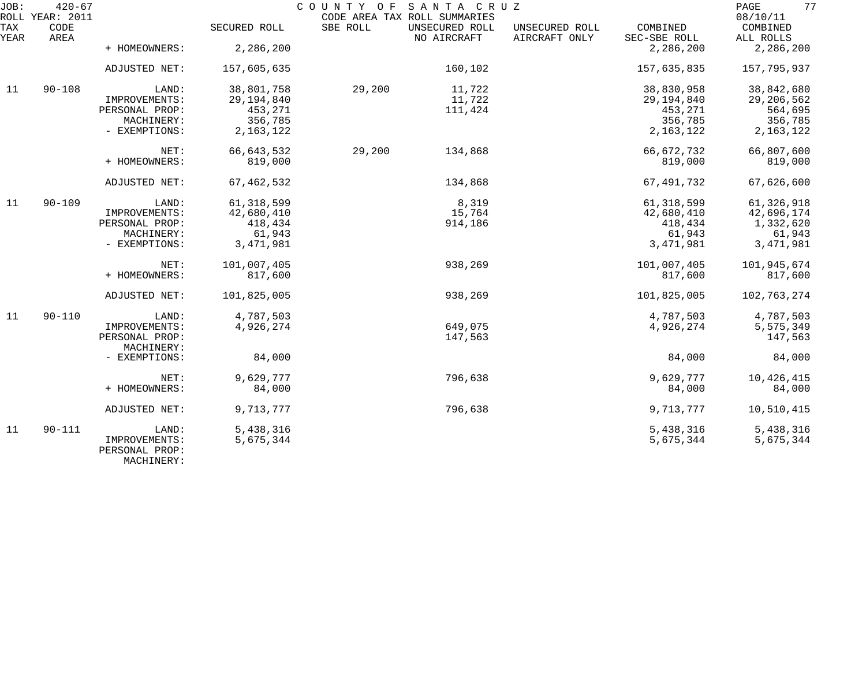| JOB:        | $420 - 67$<br>ROLL YEAR: 2011 |                              |              | COUNTY OF | SANTA CRUZ<br>CODE AREA TAX ROLL SUMMARIES |                                 |                          | 77<br>PAGE<br>08/10/11 |
|-------------|-------------------------------|------------------------------|--------------|-----------|--------------------------------------------|---------------------------------|--------------------------|------------------------|
| TAX<br>YEAR | CODE<br>AREA                  |                              | SECURED ROLL | SBE ROLL  | UNSECURED ROLL<br>NO AIRCRAFT              | UNSECURED ROLL<br>AIRCRAFT ONLY | COMBINED<br>SEC-SBE ROLL | COMBINED<br>ALL ROLLS  |
|             |                               | + HOMEOWNERS:                | 2,286,200    |           |                                            |                                 | 2,286,200                | 2,286,200              |
|             |                               | ADJUSTED NET:                | 157,605,635  |           | 160,102                                    |                                 | 157,635,835              | 157,795,937            |
| 11          | $90 - 108$                    | LAND:                        | 38,801,758   | 29,200    | 11,722                                     |                                 | 38,830,958               | 38,842,680             |
|             |                               | IMPROVEMENTS:                | 29, 194, 840 |           | 11,722                                     |                                 | 29, 194, 840             | 29, 206, 562           |
|             |                               | PERSONAL PROP:               | 453,271      |           | 111,424                                    |                                 | 453,271                  | 564,695                |
|             |                               | MACHINERY:                   | 356,785      |           |                                            |                                 | 356,785                  | 356,785                |
|             |                               | - EXEMPTIONS:                | 2, 163, 122  |           |                                            |                                 | 2, 163, 122              | 2, 163, 122            |
|             |                               | NET:                         | 66, 643, 532 | 29,200    | 134,868                                    |                                 | 66,672,732               | 66,807,600             |
|             |                               | + HOMEOWNERS:                | 819,000      |           |                                            |                                 | 819,000                  | 819,000                |
|             |                               | ADJUSTED NET:                | 67, 462, 532 |           | 134,868                                    |                                 | 67, 491, 732             | 67,626,600             |
| 11          | $90 - 109$                    | LAND:                        | 61, 318, 599 |           | 8,319                                      |                                 | 61, 318, 599             | 61,326,918             |
|             |                               | IMPROVEMENTS:                | 42,680,410   |           | 15,764                                     |                                 | 42,680,410               | 42,696,174             |
|             |                               | PERSONAL PROP:               | 418,434      |           | 914,186                                    |                                 | 418,434                  | 1,332,620              |
|             |                               | MACHINERY:                   | 61,943       |           |                                            |                                 | 61,943                   | 61,943                 |
|             |                               | - EXEMPTIONS:                | 3, 471, 981  |           |                                            |                                 | 3,471,981                | 3, 471, 981            |
|             |                               | NET:                         | 101,007,405  |           | 938,269                                    |                                 | 101,007,405              | 101,945,674            |
|             |                               | + HOMEOWNERS:                | 817,600      |           |                                            |                                 | 817,600                  | 817,600                |
|             |                               | ADJUSTED NET:                | 101,825,005  |           | 938,269                                    |                                 | 101,825,005              | 102,763,274            |
| 11          | $90 - 110$                    | LAND:                        | 4,787,503    |           |                                            |                                 | 4,787,503                | 4,787,503              |
|             |                               | IMPROVEMENTS:                | 4,926,274    |           | 649,075                                    |                                 | 4,926,274                | 5,575,349              |
|             |                               | PERSONAL PROP:<br>MACHINERY: |              |           | 147,563                                    |                                 |                          | 147,563                |
|             |                               | - EXEMPTIONS:                | 84,000       |           |                                            |                                 | 84,000                   | 84,000                 |
|             |                               | NET:                         | 9,629,777    |           | 796,638                                    |                                 | 9,629,777                | 10,426,415             |
|             |                               | + HOMEOWNERS:                | 84,000       |           |                                            |                                 | 84,000                   | 84,000                 |
|             |                               |                              |              |           |                                            |                                 |                          |                        |
|             |                               | ADJUSTED NET:                | 9,713,777    |           | 796,638                                    |                                 | 9,713,777                | 10,510,415             |
| 11          | $90 - 111$                    | LAND:                        | 5,438,316    |           |                                            |                                 | 5,438,316                | 5,438,316              |
|             |                               | IMPROVEMENTS:                | 5,675,344    |           |                                            |                                 | 5,675,344                | 5,675,344              |
|             |                               | PERSONAL PROP:               |              |           |                                            |                                 |                          |                        |

MACHINERY: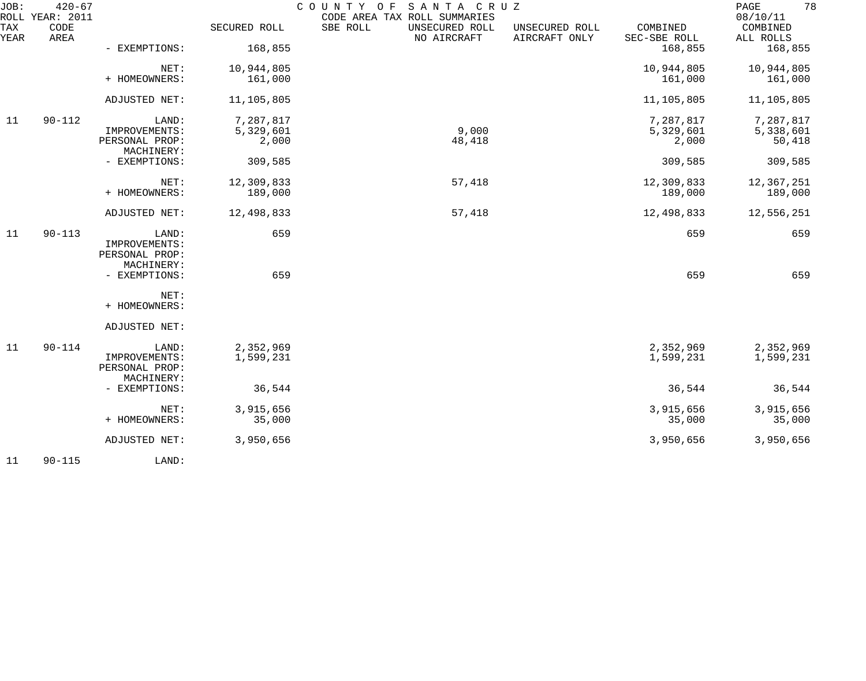| JOB:        | $420 - 67$<br>ROLL YEAR: 2011 |                              |                       | COUNTY OF<br>SANTA CRUZ<br>CODE AREA TAX ROLL SUMMARIES |                                 |                          | 78<br>PAGE<br>08/10/11 |
|-------------|-------------------------------|------------------------------|-----------------------|---------------------------------------------------------|---------------------------------|--------------------------|------------------------|
| TAX<br>YEAR | CODE<br>AREA                  |                              | SECURED ROLL          | SBE ROLL<br>UNSECURED ROLL<br>NO AIRCRAFT               | UNSECURED ROLL<br>AIRCRAFT ONLY | COMBINED<br>SEC-SBE ROLL | COMBINED<br>ALL ROLLS  |
|             |                               | - EXEMPTIONS:                | 168,855               |                                                         |                                 | 168,855                  | 168,855                |
|             |                               | NET:<br>+ HOMEOWNERS:        | 10,944,805<br>161,000 |                                                         |                                 | 10,944,805<br>161,000    | 10,944,805<br>161,000  |
|             |                               |                              |                       |                                                         |                                 |                          |                        |
|             |                               | ADJUSTED NET:                | 11,105,805            |                                                         |                                 | 11,105,805               | 11,105,805             |
| 11          | $90 - 112$                    | LAND:                        | 7,287,817             |                                                         |                                 | 7,287,817                | 7,287,817              |
|             |                               | IMPROVEMENTS:                | 5,329,601             | 9,000                                                   |                                 | 5,329,601                | 5,338,601              |
|             |                               | PERSONAL PROP:<br>MACHINERY: | 2,000                 | 48,418                                                  |                                 | 2,000                    | 50,418                 |
|             |                               | - EXEMPTIONS:                | 309,585               |                                                         |                                 | 309,585                  | 309,585                |
|             |                               | NET:                         | 12,309,833            | 57,418                                                  |                                 | 12,309,833               | 12,367,251             |
|             |                               | + HOMEOWNERS:                | 189,000               |                                                         |                                 | 189,000                  | 189,000                |
|             |                               | ADJUSTED NET:                | 12,498,833            | 57,418                                                  |                                 | 12,498,833               | 12,556,251             |
| 11          | $90 - 113$                    | LAND:                        | 659                   |                                                         |                                 | 659                      | 659                    |
|             |                               | IMPROVEMENTS:                |                       |                                                         |                                 |                          |                        |
|             |                               | PERSONAL PROP:<br>MACHINERY: |                       |                                                         |                                 |                          |                        |
|             |                               | - EXEMPTIONS:                | 659                   |                                                         |                                 | 659                      | 659                    |
|             |                               |                              |                       |                                                         |                                 |                          |                        |
|             |                               | NET:                         |                       |                                                         |                                 |                          |                        |
|             |                               | + HOMEOWNERS:                |                       |                                                         |                                 |                          |                        |
|             |                               | ADJUSTED NET:                |                       |                                                         |                                 |                          |                        |
| 11          | $90 - 114$                    | LAND:                        | 2,352,969             |                                                         |                                 | 2,352,969                | 2,352,969              |
|             |                               | IMPROVEMENTS:                | 1,599,231             |                                                         |                                 | 1,599,231                | 1,599,231              |
|             |                               | PERSONAL PROP:               |                       |                                                         |                                 |                          |                        |
|             |                               | MACHINERY:                   |                       |                                                         |                                 |                          |                        |
|             |                               | - EXEMPTIONS:                | 36,544                |                                                         |                                 | 36,544                   | 36,544                 |
|             |                               | NET:                         | 3,915,656             |                                                         |                                 | 3,915,656                | 3,915,656              |
|             |                               | + HOMEOWNERS:                | 35,000                |                                                         |                                 | 35,000                   | 35,000                 |
|             |                               | ADJUSTED NET:                | 3,950,656             |                                                         |                                 | 3,950,656                | 3,950,656              |
| 11          | $90 - 115$                    | LAND:                        |                       |                                                         |                                 |                          |                        |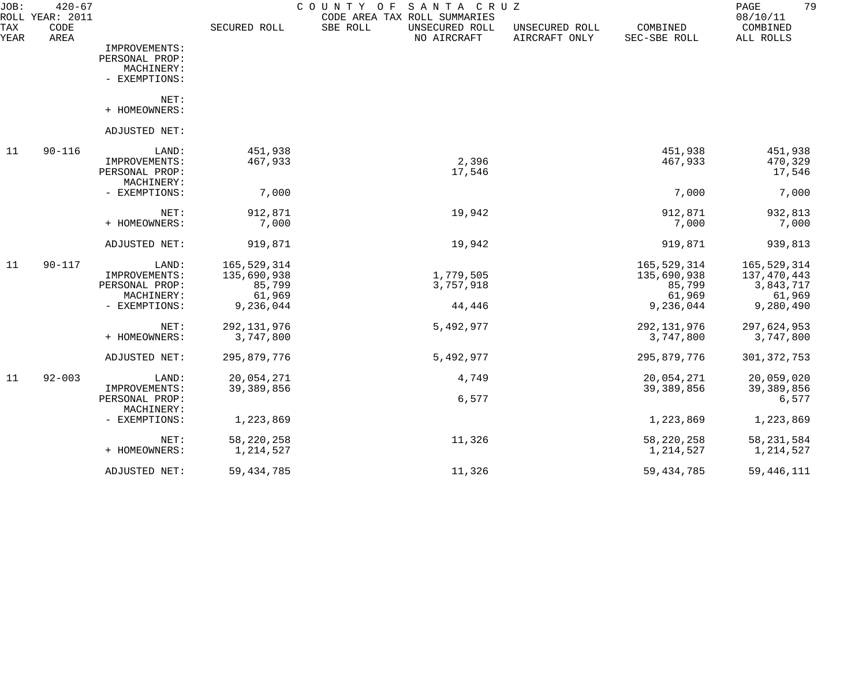| JOB:               | $420 - 67$<br>ROLL YEAR: 2011 |                |              | COUNTY<br>SANTA CRUZ<br>O F<br>CODE AREA TAX ROLL SUMMARIES |                                 |                          | 79<br>PAGE<br>08/10/11 |
|--------------------|-------------------------------|----------------|--------------|-------------------------------------------------------------|---------------------------------|--------------------------|------------------------|
| <b>TAX</b><br>YEAR | CODE<br>AREA                  |                | SECURED ROLL | SBE ROLL<br>UNSECURED ROLL<br>NO AIRCRAFT                   | UNSECURED ROLL<br>AIRCRAFT ONLY | COMBINED<br>SEC-SBE ROLL | COMBINED<br>ALL ROLLS  |
|                    |                               | IMPROVEMENTS:  |              |                                                             |                                 |                          |                        |
|                    |                               | PERSONAL PROP: |              |                                                             |                                 |                          |                        |
|                    |                               | MACHINERY:     |              |                                                             |                                 |                          |                        |
|                    |                               | - EXEMPTIONS:  |              |                                                             |                                 |                          |                        |
|                    |                               | NET:           |              |                                                             |                                 |                          |                        |
|                    |                               | + HOMEOWNERS:  |              |                                                             |                                 |                          |                        |
|                    |                               | ADJUSTED NET:  |              |                                                             |                                 |                          |                        |
| 11                 | $90 - 116$                    | LAND:          | 451,938      |                                                             |                                 | 451,938                  | 451,938                |
|                    |                               | IMPROVEMENTS:  | 467,933      | 2,396                                                       |                                 | 467,933                  | 470,329                |
|                    |                               | PERSONAL PROP: |              | 17,546                                                      |                                 |                          | 17,546                 |
|                    |                               | MACHINERY:     |              |                                                             |                                 |                          |                        |
|                    |                               | - EXEMPTIONS:  | 7,000        |                                                             |                                 | 7,000                    | 7,000                  |
|                    |                               | NET:           | 912,871      | 19,942                                                      |                                 | 912,871                  | 932,813                |
|                    |                               | + HOMEOWNERS:  | 7,000        |                                                             |                                 | 7,000                    | 7,000                  |
|                    |                               | ADJUSTED NET:  | 919,871      | 19,942                                                      |                                 | 919,871                  | 939,813                |
| 11                 | $90 - 117$                    | LAND:          | 165,529,314  |                                                             |                                 | 165,529,314              | 165,529,314            |
|                    |                               | IMPROVEMENTS:  | 135,690,938  | 1,779,505                                                   |                                 | 135,690,938              | 137,470,443            |
|                    |                               | PERSONAL PROP: | 85,799       | 3,757,918                                                   |                                 | 85,799                   | 3,843,717              |
|                    |                               | MACHINERY:     | 61,969       |                                                             |                                 | 61,969                   | 61,969                 |
|                    |                               | - EXEMPTIONS:  | 9,236,044    | 44,446                                                      |                                 | 9,236,044                | 9,280,490              |
|                    |                               | NET:           | 292,131,976  | 5,492,977                                                   |                                 | 292, 131, 976            | 297,624,953            |
|                    |                               | + HOMEOWNERS:  | 3,747,800    |                                                             |                                 | 3,747,800                | 3,747,800              |
|                    |                               | ADJUSTED NET:  | 295,879,776  | 5,492,977                                                   |                                 | 295,879,776              | 301, 372, 753          |
| 11                 | $92 - 003$                    | LAND:          | 20,054,271   | 4,749                                                       |                                 | 20,054,271               | 20,059,020             |
|                    |                               | IMPROVEMENTS:  | 39,389,856   |                                                             |                                 | 39,389,856               | 39,389,856             |
|                    |                               | PERSONAL PROP: |              | 6,577                                                       |                                 |                          | 6,577                  |
|                    |                               | MACHINERY:     |              |                                                             |                                 |                          |                        |
|                    |                               | - EXEMPTIONS:  | 1,223,869    |                                                             |                                 | 1,223,869                | 1,223,869              |
|                    |                               | NET:           | 58, 220, 258 | 11,326                                                      |                                 | 58, 220, 258             | 58, 231, 584           |
|                    |                               | + HOMEOWNERS:  | 1,214,527    |                                                             |                                 | 1,214,527                | 1,214,527              |
|                    |                               | ADJUSTED NET:  | 59, 434, 785 | 11,326                                                      |                                 | 59, 434, 785             | 59, 446, 111           |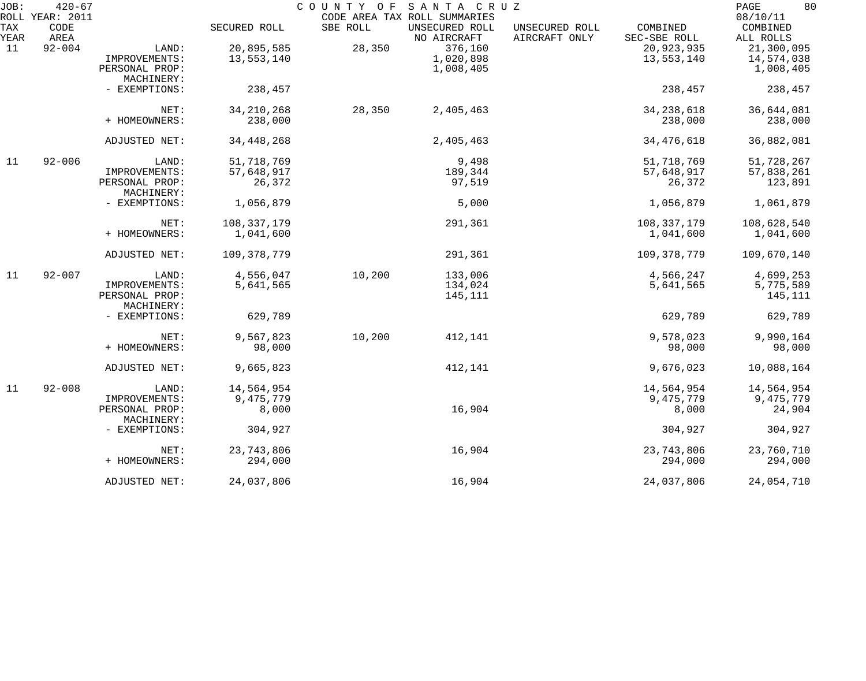| JOB:        | $420 - 67$                      |                              |               |          | COUNTY OF SANTA CRUZ                                          |                                 |                          | 80<br>PAGE                        |
|-------------|---------------------------------|------------------------------|---------------|----------|---------------------------------------------------------------|---------------------------------|--------------------------|-----------------------------------|
| TAX<br>YEAR | ROLL YEAR: 2011<br>CODE<br>AREA |                              | SECURED ROLL  | SBE ROLL | CODE AREA TAX ROLL SUMMARIES<br>UNSECURED ROLL<br>NO AIRCRAFT | UNSECURED ROLL<br>AIRCRAFT ONLY | COMBINED<br>SEC-SBE ROLL | 08/10/11<br>COMBINED<br>ALL ROLLS |
| 11          | $92 - 004$                      | LAND:                        | 20,895,585    | 28,350   | 376,160                                                       |                                 | 20,923,935               | 21,300,095                        |
|             |                                 | IMPROVEMENTS:                | 13,553,140    |          | 1,020,898                                                     |                                 | 13,553,140               | 14,574,038                        |
|             |                                 | PERSONAL PROP:               |               |          | 1,008,405                                                     |                                 |                          | 1,008,405                         |
|             |                                 | MACHINERY:                   |               |          |                                                               |                                 |                          |                                   |
|             |                                 | - EXEMPTIONS:                | 238,457       |          |                                                               |                                 | 238,457                  | 238,457                           |
|             |                                 | NET:                         | 34, 210, 268  | 28,350   | 2,405,463                                                     |                                 | 34, 238, 618             | 36,644,081                        |
|             |                                 | + HOMEOWNERS:                | 238,000       |          |                                                               |                                 | 238,000                  | 238,000                           |
|             |                                 | ADJUSTED NET:                | 34, 448, 268  |          | 2,405,463                                                     |                                 | 34, 476, 618             | 36,882,081                        |
| 11          | $92 - 006$                      | LAND:                        | 51,718,769    |          | 9,498                                                         |                                 | 51,718,769               | 51,728,267                        |
|             |                                 | IMPROVEMENTS:                | 57,648,917    |          | 189,344                                                       |                                 | 57,648,917               | 57,838,261                        |
|             |                                 | PERSONAL PROP:<br>MACHINERY: | 26,372        |          | 97,519                                                        |                                 | 26,372                   | 123,891                           |
|             |                                 | - EXEMPTIONS:                | 1,056,879     |          | 5,000                                                         |                                 | 1,056,879                | 1,061,879                         |
|             |                                 | NET:                         | 108, 337, 179 |          | 291,361                                                       |                                 | 108, 337, 179            | 108,628,540                       |
|             |                                 | + HOMEOWNERS:                | 1,041,600     |          |                                                               |                                 | 1,041,600                | 1,041,600                         |
|             |                                 | ADJUSTED NET:                | 109,378,779   |          | 291,361                                                       |                                 | 109, 378, 779            | 109,670,140                       |
| 11          | $92 - 007$                      | LAND:                        | 4,556,047     | 10,200   | 133,006                                                       |                                 | 4,566,247                | 4,699,253                         |
|             |                                 | IMPROVEMENTS:                | 5,641,565     |          | 134,024                                                       |                                 | 5,641,565                | 5,775,589                         |
|             |                                 | PERSONAL PROP:<br>MACHINERY: |               |          | 145,111                                                       |                                 |                          | 145,111                           |
|             |                                 | - EXEMPTIONS:                | 629,789       |          |                                                               |                                 | 629,789                  | 629,789                           |
|             |                                 | NET:                         | 9,567,823     | 10,200   | 412,141                                                       |                                 | 9,578,023                | 9,990,164                         |
|             |                                 | + HOMEOWNERS:                | 98,000        |          |                                                               |                                 | 98,000                   | 98,000                            |
|             |                                 | ADJUSTED NET:                | 9,665,823     |          | 412,141                                                       |                                 | 9,676,023                | 10,088,164                        |
| 11          | $92 - 008$                      | LAND:                        | 14,564,954    |          |                                                               |                                 | 14,564,954               | 14,564,954                        |
|             |                                 | IMPROVEMENTS:                | 9,475,779     |          |                                                               |                                 | 9,475,779                | 9,475,779                         |
|             |                                 | PERSONAL PROP:<br>MACHINERY: | 8,000         |          | 16,904                                                        |                                 | 8,000                    | 24,904                            |
|             |                                 | - EXEMPTIONS:                | 304,927       |          |                                                               |                                 | 304,927                  | 304,927                           |
|             |                                 | NET:                         | 23,743,806    |          | 16,904                                                        |                                 | 23,743,806               | 23,760,710                        |
|             |                                 | + HOMEOWNERS:                | 294,000       |          |                                                               |                                 | 294,000                  | 294,000                           |
|             |                                 | ADJUSTED NET:                | 24,037,806    |          | 16,904                                                        |                                 | 24,037,806               | 24,054,710                        |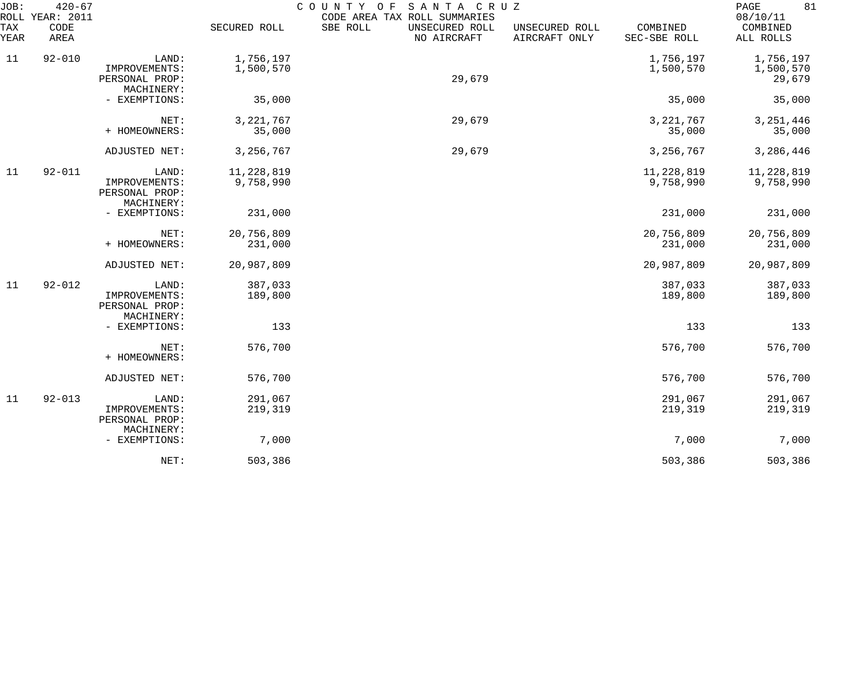| JOB:<br>ROLL | $420 - 67$<br><b>YEAR: 2011</b> |                                                        |                         | COUNTY<br>SANTA CRUZ<br>O F<br>CODE AREA TAX ROLL SUMMARIES |                                 |                          | 81<br>PAGE<br>08/10/11           |
|--------------|---------------------------------|--------------------------------------------------------|-------------------------|-------------------------------------------------------------|---------------------------------|--------------------------|----------------------------------|
| TAX<br>YEAR  | CODE<br>AREA                    |                                                        | SECURED ROLL            | SBE ROLL<br>UNSECURED ROLL<br>NO AIRCRAFT                   | UNSECURED ROLL<br>AIRCRAFT ONLY | COMBINED<br>SEC-SBE ROLL | COMBINED<br>ALL ROLLS            |
| 11           | $92 - 010$                      | LAND:<br>IMPROVEMENTS:<br>PERSONAL PROP:<br>MACHINERY: | 1,756,197<br>1,500,570  | 29,679                                                      |                                 | 1,756,197<br>1,500,570   | 1,756,197<br>1,500,570<br>29,679 |
|              |                                 | - EXEMPTIONS:                                          | 35,000                  |                                                             |                                 | 35,000                   | 35,000                           |
|              |                                 | NET:<br>+ HOMEOWNERS:                                  | 3, 221, 767<br>35,000   | 29,679                                                      |                                 | 3, 221, 767<br>35,000    | 3, 251, 446<br>35,000            |
|              |                                 | ADJUSTED NET:                                          | 3,256,767               | 29,679                                                      |                                 | 3,256,767                | 3,286,446                        |
| 11           | $92 - 011$                      | LAND:<br>IMPROVEMENTS:<br>PERSONAL PROP:<br>MACHINERY: | 11,228,819<br>9,758,990 |                                                             |                                 | 11,228,819<br>9,758,990  | 11,228,819<br>9,758,990          |
|              |                                 | - EXEMPTIONS:                                          | 231,000                 |                                                             |                                 | 231,000                  | 231,000                          |
|              |                                 | NET:<br>+ HOMEOWNERS:                                  | 20,756,809<br>231,000   |                                                             |                                 | 20,756,809<br>231,000    | 20,756,809<br>231,000            |
|              |                                 | ADJUSTED NET:                                          | 20,987,809              |                                                             |                                 | 20,987,809               | 20,987,809                       |
| 11           | $92 - 012$                      | LAND:<br>IMPROVEMENTS:<br>PERSONAL PROP:<br>MACHINERY: | 387,033<br>189,800      |                                                             |                                 | 387,033<br>189,800       | 387,033<br>189,800               |
|              |                                 | - EXEMPTIONS:                                          | 133                     |                                                             |                                 | 133                      | 133                              |
|              |                                 | NET:<br>+ HOMEOWNERS:                                  | 576,700                 |                                                             |                                 | 576,700                  | 576,700                          |
|              |                                 | ADJUSTED NET:                                          | 576,700                 |                                                             |                                 | 576,700                  | 576,700                          |
| 11           | $92 - 013$                      | LAND:<br>IMPROVEMENTS:<br>PERSONAL PROP:<br>MACHINERY: | 291,067<br>219,319      |                                                             |                                 | 291,067<br>219,319       | 291,067<br>219,319               |
|              |                                 | - EXEMPTIONS:                                          | 7,000                   |                                                             |                                 | 7,000                    | 7,000                            |
|              |                                 | NET:                                                   | 503,386                 |                                                             |                                 | 503,386                  | 503,386                          |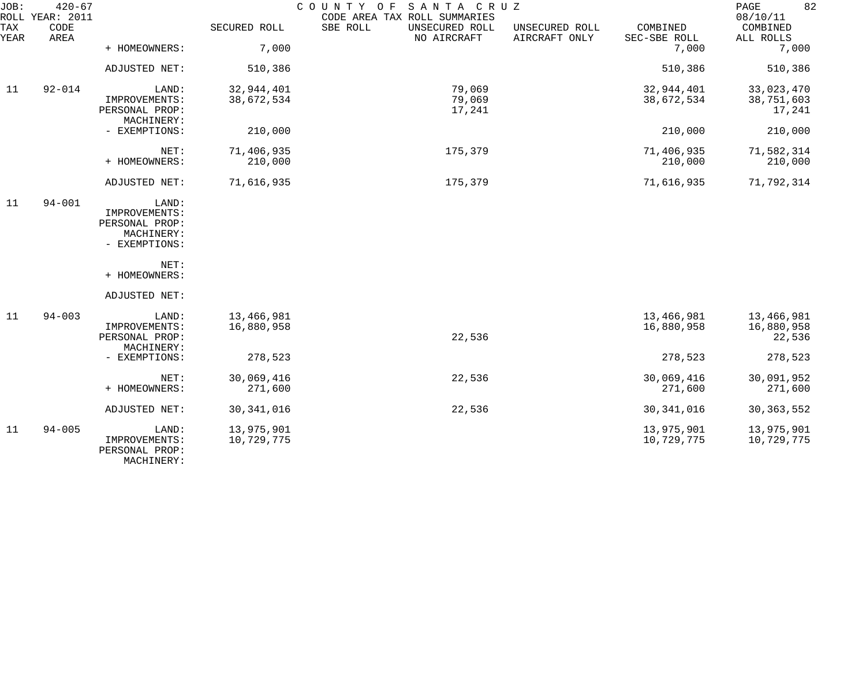| JOB:        | $420 - 67$<br>ROLL YEAR: 2011 |                                                                         |                          | COUNTY OF<br>SANTA CRUZ<br>CODE AREA TAX ROLL SUMMARIES |                                 |                          | 82<br>PAGE<br>08/10/11             |
|-------------|-------------------------------|-------------------------------------------------------------------------|--------------------------|---------------------------------------------------------|---------------------------------|--------------------------|------------------------------------|
| TAX<br>YEAR | CODE<br>AREA                  |                                                                         | SECURED ROLL             | SBE ROLL<br>UNSECURED ROLL<br>NO AIRCRAFT               | UNSECURED ROLL<br>AIRCRAFT ONLY | COMBINED<br>SEC-SBE ROLL | COMBINED<br>ALL ROLLS              |
|             |                               | + HOMEOWNERS:                                                           | 7,000                    |                                                         |                                 | 7,000                    | 7,000                              |
|             |                               | ADJUSTED NET:                                                           | 510,386                  |                                                         |                                 | 510,386                  | 510,386                            |
| 11          | $92 - 014$                    | LAND:                                                                   | 32,944,401               | 79,069                                                  |                                 | 32,944,401               | 33,023,470                         |
|             |                               | IMPROVEMENTS:<br>PERSONAL PROP:<br>MACHINERY:                           | 38,672,534               | 79,069<br>17,241                                        |                                 | 38,672,534               | 38,751,603<br>17,241               |
|             |                               | - EXEMPTIONS:                                                           | 210,000                  |                                                         |                                 | 210,000                  | 210,000                            |
|             |                               | NET:<br>+ HOMEOWNERS:                                                   | 71,406,935<br>210,000    | 175,379                                                 |                                 | 71,406,935<br>210,000    | 71,582,314<br>210,000              |
|             |                               | ADJUSTED NET:                                                           | 71,616,935               | 175,379                                                 |                                 | 71,616,935               | 71,792,314                         |
| 11          | $94 - 001$                    | LAND:<br>IMPROVEMENTS:<br>PERSONAL PROP:<br>MACHINERY:<br>- EXEMPTIONS: |                          |                                                         |                                 |                          |                                    |
|             |                               | NET:<br>+ HOMEOWNERS:                                                   |                          |                                                         |                                 |                          |                                    |
|             |                               | ADJUSTED NET:                                                           |                          |                                                         |                                 |                          |                                    |
| 11          | $94 - 003$                    | LAND:<br>IMPROVEMENTS:<br>PERSONAL PROP:<br>MACHINERY:                  | 13,466,981<br>16,880,958 | 22,536                                                  |                                 | 13,466,981<br>16,880,958 | 13,466,981<br>16,880,958<br>22,536 |
|             |                               | - EXEMPTIONS:                                                           | 278,523                  |                                                         |                                 | 278,523                  | 278,523                            |
|             |                               | NET:<br>+ HOMEOWNERS:                                                   | 30,069,416<br>271,600    | 22,536                                                  |                                 | 30,069,416<br>271,600    | 30,091,952<br>271,600              |
|             |                               | ADJUSTED NET:                                                           | 30, 341, 016             | 22,536                                                  |                                 | 30, 341, 016             | 30, 363, 552                       |
| 11          | $94 - 005$                    | LAND:<br>IMPROVEMENTS:<br>PERSONAL PROP:<br>MACHINERY:                  | 13,975,901<br>10,729,775 |                                                         |                                 | 13,975,901<br>10,729,775 | 13,975,901<br>10,729,775           |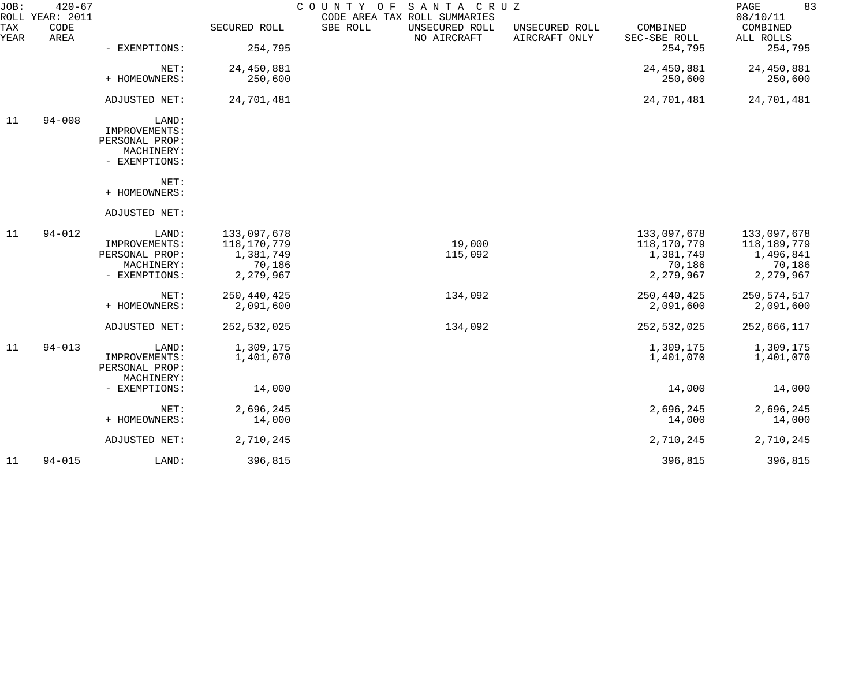| $420 - 67$   |                                                                         |                                                                |                                           |                                           |                                                                | 83<br>PAGE<br>08/10/11                                         |
|--------------|-------------------------------------------------------------------------|----------------------------------------------------------------|-------------------------------------------|-------------------------------------------|----------------------------------------------------------------|----------------------------------------------------------------|
| CODE<br>AREA |                                                                         | SECURED ROLL                                                   | SBE ROLL<br>UNSECURED ROLL<br>NO AIRCRAFT | UNSECURED ROLL<br>AIRCRAFT ONLY           | COMBINED<br>SEC-SBE ROLL                                       | COMBINED<br>ALL ROLLS                                          |
|              | - EXEMPTIONS:                                                           |                                                                |                                           |                                           |                                                                | 254,795                                                        |
|              | NET:                                                                    | 24,450,881                                                     |                                           |                                           | 24,450,881                                                     | 24,450,881                                                     |
|              |                                                                         |                                                                |                                           |                                           |                                                                | 250,600                                                        |
|              | ADJUSTED NET:                                                           | 24,701,481                                                     |                                           |                                           | 24,701,481                                                     | 24,701,481                                                     |
| $94 - 008$   | LAND:<br>IMPROVEMENTS:<br>PERSONAL PROP:<br>MACHINERY:<br>- EXEMPTIONS: |                                                                |                                           |                                           |                                                                |                                                                |
|              | NET:<br>+ HOMEOWNERS:                                                   |                                                                |                                           |                                           |                                                                |                                                                |
|              | ADJUSTED NET:                                                           |                                                                |                                           |                                           |                                                                |                                                                |
| $94 - 012$   | LAND:<br>IMPROVEMENTS:<br>PERSONAL PROP:<br>MACHINERY:<br>- EXEMPTIONS: | 133,097,678<br>118,170,779<br>1,381,749<br>70,186<br>2,279,967 | 19,000<br>115,092                         |                                           | 133,097,678<br>118,170,779<br>1,381,749<br>70,186<br>2,279,967 | 133,097,678<br>118,189,779<br>1,496,841<br>70,186<br>2,279,967 |
|              | NET:<br>+ HOMEOWNERS:                                                   | 250,440,425<br>2,091,600                                       | 134,092                                   |                                           | 250, 440, 425<br>2,091,600                                     | 250, 574, 517<br>2,091,600                                     |
|              | ADJUSTED NET:                                                           | 252, 532, 025                                                  | 134,092                                   |                                           | 252,532,025                                                    | 252,666,117                                                    |
| $94 - 013$   | LAND:<br>IMPROVEMENTS:<br>PERSONAL PROP:                                | 1,309,175<br>1,401,070                                         |                                           |                                           | 1,309,175<br>1,401,070                                         | 1,309,175<br>1,401,070                                         |
|              | - EXEMPTIONS:                                                           | 14,000                                                         |                                           |                                           | 14,000                                                         | 14,000                                                         |
|              | NET:<br>+ HOMEOWNERS:                                                   | 2,696,245<br>14,000                                            |                                           |                                           | 2,696,245<br>14,000                                            | 2,696,245<br>14,000                                            |
|              | ADJUSTED NET:                                                           | 2,710,245                                                      |                                           |                                           | 2,710,245                                                      | 2,710,245                                                      |
| $94 - 015$   | LAND:                                                                   | 396,815                                                        |                                           |                                           | 396,815                                                        | 396,815                                                        |
|              | ROLL YEAR: 2011                                                         | + HOMEOWNERS:<br>MACHINERY:                                    | 254,795<br>250,600                        | COUNTY OF<br>CODE AREA TAX ROLL SUMMARIES | SANTA CRUZ                                                     | 254,795<br>250,600                                             |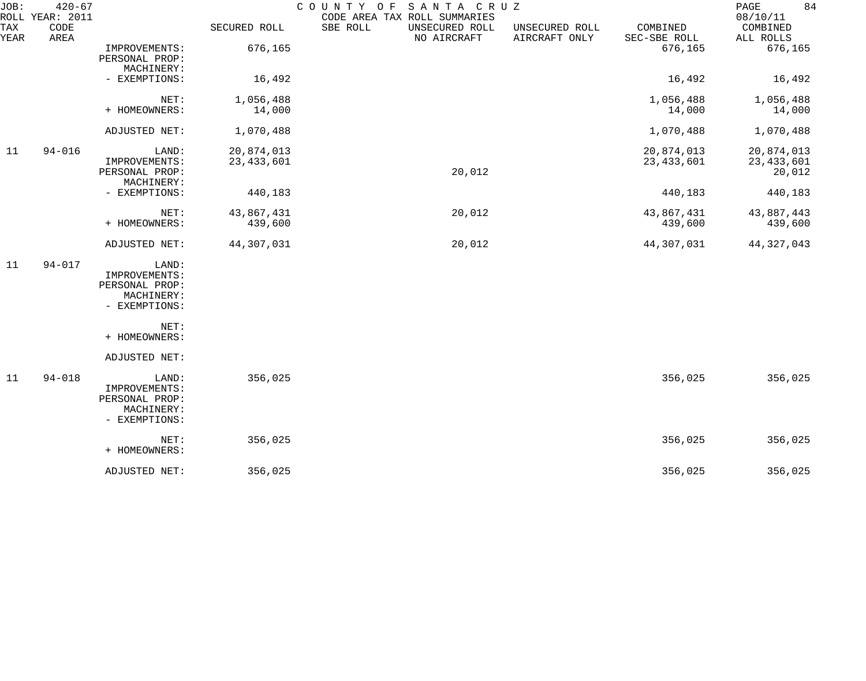| JOB:<br>ROLL | $420 - 67$<br>YEAR: 2011 |                                                                         |                            | COUNTY<br>O F<br>SANTA CRUZ<br>CODE AREA TAX ROLL SUMMARIES |                                 |                            | 84<br>PAGE<br>08/10/11               |
|--------------|--------------------------|-------------------------------------------------------------------------|----------------------------|-------------------------------------------------------------|---------------------------------|----------------------------|--------------------------------------|
| TAX<br>YEAR  | CODE<br>AREA             |                                                                         | SECURED ROLL               | SBE ROLL<br>UNSECURED ROLL<br>NO AIRCRAFT                   | UNSECURED ROLL<br>AIRCRAFT ONLY | COMBINED<br>SEC-SBE ROLL   | COMBINED<br>ALL ROLLS                |
|              |                          | IMPROVEMENTS:<br>PERSONAL PROP:<br>MACHINERY:                           | 676,165                    |                                                             |                                 | 676,165                    | 676,165                              |
|              |                          | - EXEMPTIONS:                                                           | 16,492                     |                                                             |                                 | 16,492                     | 16,492                               |
|              |                          | NET:<br>+ HOMEOWNERS:                                                   | 1,056,488<br>14,000        |                                                             |                                 | 1,056,488<br>14,000        | 1,056,488<br>14,000                  |
|              |                          | ADJUSTED NET:                                                           | 1,070,488                  |                                                             |                                 | 1,070,488                  | 1,070,488                            |
| 11           | $94 - 016$               | LAND:<br>IMPROVEMENTS:<br>PERSONAL PROP:<br>MACHINERY:                  | 20,874,013<br>23, 433, 601 | 20,012                                                      |                                 | 20,874,013<br>23, 433, 601 | 20,874,013<br>23, 433, 601<br>20,012 |
|              |                          | - EXEMPTIONS:                                                           | 440,183                    |                                                             |                                 | 440,183                    | 440,183                              |
|              |                          | NET:<br>+ HOMEOWNERS:                                                   | 43,867,431<br>439,600      | 20,012                                                      |                                 | 43,867,431<br>439,600      | 43,887,443<br>439,600                |
|              |                          | ADJUSTED NET:                                                           | 44,307,031                 | 20,012                                                      |                                 | 44,307,031                 | 44, 327, 043                         |
| 11           | $94 - 017$               | LAND:<br>IMPROVEMENTS:<br>PERSONAL PROP:<br>MACHINERY:<br>- EXEMPTIONS: |                            |                                                             |                                 |                            |                                      |
|              |                          | NET:<br>+ HOMEOWNERS:                                                   |                            |                                                             |                                 |                            |                                      |
|              |                          | ADJUSTED NET:                                                           |                            |                                                             |                                 |                            |                                      |
| 11           | $94 - 018$               | LAND:<br>IMPROVEMENTS:<br>PERSONAL PROP:<br>MACHINERY:<br>- EXEMPTIONS: | 356,025                    |                                                             |                                 | 356,025                    | 356,025                              |
|              |                          | NET:<br>+ HOMEOWNERS:                                                   | 356,025                    |                                                             |                                 | 356,025                    | 356,025                              |
|              |                          | ADJUSTED NET:                                                           | 356,025                    |                                                             |                                 | 356,025                    | 356,025                              |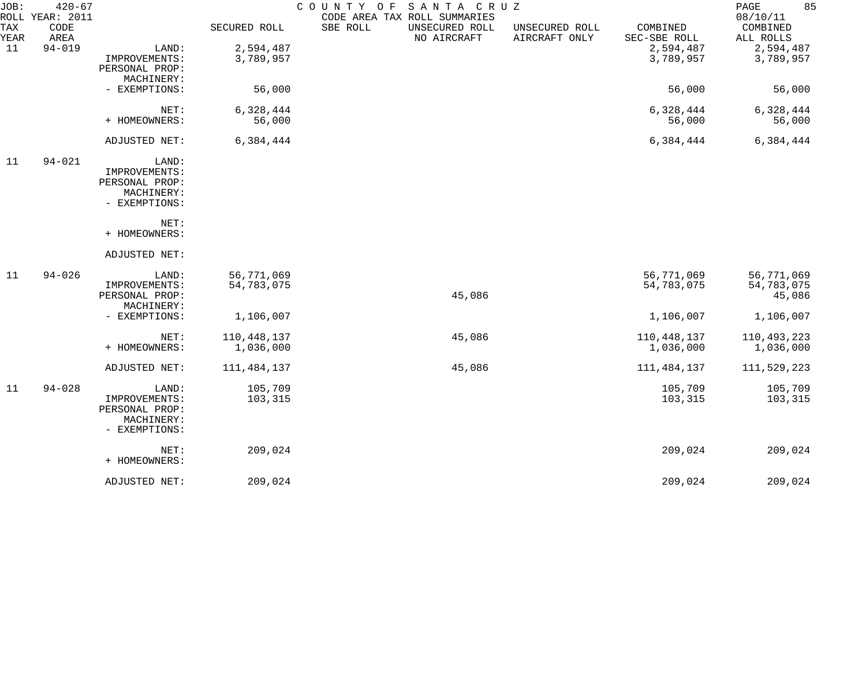| JOB:               | $420 - 67$<br>ROLL YEAR: 2011 |                |              | COUNTY OF | SANTA CRUZ<br>CODE AREA TAX ROLL SUMMARIES |                                 |                          | 85<br>PAGE<br>08/10/11 |
|--------------------|-------------------------------|----------------|--------------|-----------|--------------------------------------------|---------------------------------|--------------------------|------------------------|
| <b>TAX</b><br>YEAR | CODE<br>AREA                  |                | SECURED ROLL | SBE ROLL  | UNSECURED ROLL<br>NO AIRCRAFT              | UNSECURED ROLL<br>AIRCRAFT ONLY | COMBINED<br>SEC-SBE ROLL | COMBINED<br>ALL ROLLS  |
| 11                 | $94 - 019$                    | LAND:          | 2,594,487    |           |                                            |                                 | 2,594,487                | 2,594,487              |
|                    |                               | IMPROVEMENTS:  | 3,789,957    |           |                                            |                                 | 3,789,957                | 3,789,957              |
|                    |                               | PERSONAL PROP: |              |           |                                            |                                 |                          |                        |
|                    |                               | MACHINERY:     |              |           |                                            |                                 |                          |                        |
|                    |                               | - EXEMPTIONS:  | 56,000       |           |                                            |                                 | 56,000                   | 56,000                 |
|                    |                               | NET:           | 6,328,444    |           |                                            |                                 | 6,328,444                | 6,328,444              |
|                    |                               | + HOMEOWNERS:  | 56,000       |           |                                            |                                 | 56,000                   | 56,000                 |
|                    |                               |                |              |           |                                            |                                 |                          |                        |
|                    |                               | ADJUSTED NET:  | 6,384,444    |           |                                            |                                 | 6,384,444                | 6,384,444              |
| 11                 | $94 - 021$                    | LAND:          |              |           |                                            |                                 |                          |                        |
|                    |                               | IMPROVEMENTS:  |              |           |                                            |                                 |                          |                        |
|                    |                               | PERSONAL PROP: |              |           |                                            |                                 |                          |                        |
|                    |                               | MACHINERY:     |              |           |                                            |                                 |                          |                        |
|                    |                               | - EXEMPTIONS:  |              |           |                                            |                                 |                          |                        |
|                    |                               | NET:           |              |           |                                            |                                 |                          |                        |
|                    |                               | + HOMEOWNERS:  |              |           |                                            |                                 |                          |                        |
|                    |                               | ADJUSTED NET:  |              |           |                                            |                                 |                          |                        |
| 11                 | $94 - 026$                    | LAND:          | 56,771,069   |           |                                            |                                 | 56,771,069               | 56,771,069             |
|                    |                               | IMPROVEMENTS:  | 54,783,075   |           |                                            |                                 | 54,783,075               | 54,783,075             |
|                    |                               | PERSONAL PROP: |              |           | 45,086                                     |                                 |                          | 45,086                 |
|                    |                               | MACHINERY:     |              |           |                                            |                                 |                          |                        |
|                    |                               | - EXEMPTIONS:  | 1,106,007    |           |                                            |                                 | 1,106,007                | 1,106,007              |
|                    |                               | NET:           | 110,448,137  |           | 45,086                                     |                                 | 110,448,137              | 110,493,223            |
|                    |                               | + HOMEOWNERS:  | 1,036,000    |           |                                            |                                 | 1,036,000                | 1,036,000              |
|                    |                               | ADJUSTED NET:  | 111,484,137  |           | 45,086                                     |                                 | 111, 484, 137            | 111,529,223            |
| 11                 | $94 - 028$                    | LAND:          | 105,709      |           |                                            |                                 | 105,709                  | 105,709                |
|                    |                               | IMPROVEMENTS:  | 103,315      |           |                                            |                                 | 103,315                  | 103,315                |
|                    |                               | PERSONAL PROP: |              |           |                                            |                                 |                          |                        |
|                    |                               | MACHINERY:     |              |           |                                            |                                 |                          |                        |
|                    |                               | - EXEMPTIONS:  |              |           |                                            |                                 |                          |                        |
|                    |                               | NET:           | 209,024      |           |                                            |                                 | 209,024                  | 209,024                |
|                    |                               | + HOMEOWNERS:  |              |           |                                            |                                 |                          |                        |
|                    |                               | ADJUSTED NET:  | 209,024      |           |                                            |                                 | 209,024                  | 209,024                |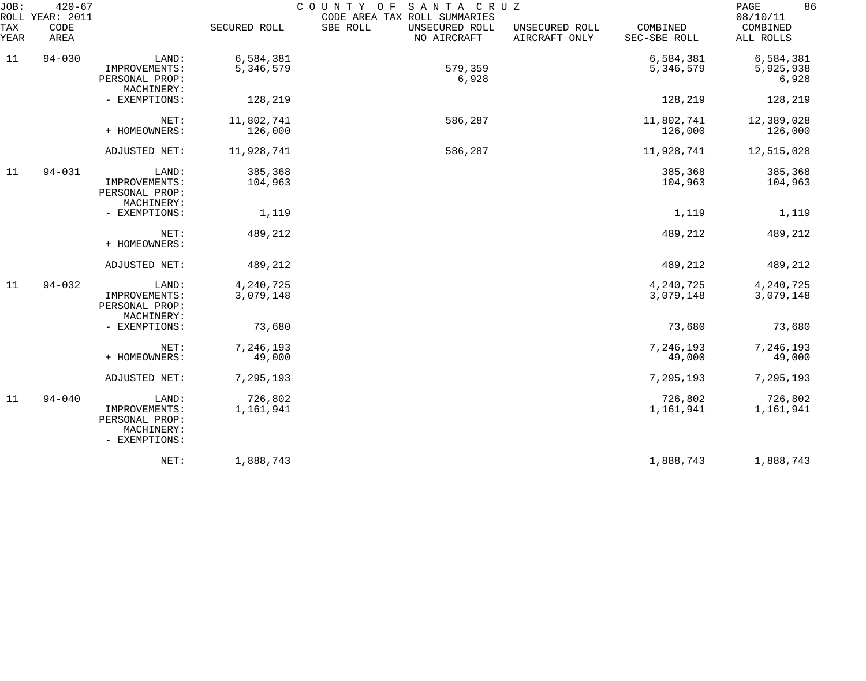| JOB:<br><b>TAX</b><br>YEAR | $420 - 67$<br>ROLL YEAR: 2011<br>CODE<br>AREA |                                                                         | SECURED ROLL           | COUNTY OF<br>SANTA CRUZ<br>CODE AREA TAX ROLL SUMMARIES<br>SBE ROLL<br>UNSECURED ROLL<br>NO AIRCRAFT | UNSECURED ROLL<br>AIRCRAFT ONLY | COMBINED<br>SEC-SBE ROLL | 86<br>PAGE<br>08/10/11<br>COMBINED<br>ALL ROLLS |
|----------------------------|-----------------------------------------------|-------------------------------------------------------------------------|------------------------|------------------------------------------------------------------------------------------------------|---------------------------------|--------------------------|-------------------------------------------------|
| 11                         | $94 - 030$                                    | LAND:<br>IMPROVEMENTS:<br>PERSONAL PROP:<br>MACHINERY:                  | 6,584,381<br>5,346,579 | 579,359<br>6,928                                                                                     |                                 | 6,584,381<br>5,346,579   | 6,584,381<br>5,925,938<br>6,928                 |
|                            |                                               | - EXEMPTIONS:                                                           | 128,219                |                                                                                                      |                                 | 128,219                  | 128,219                                         |
|                            |                                               | NET:<br>+ HOMEOWNERS:                                                   | 11,802,741<br>126,000  | 586,287                                                                                              |                                 | 11,802,741<br>126,000    | 12,389,028<br>126,000                           |
|                            |                                               | ADJUSTED NET:                                                           | 11,928,741             | 586,287                                                                                              |                                 | 11,928,741               | 12,515,028                                      |
| 11                         | $94 - 031$                                    | LAND:<br>IMPROVEMENTS:<br>PERSONAL PROP:<br>MACHINERY:                  | 385,368<br>104,963     |                                                                                                      |                                 | 385,368<br>104,963       | 385,368<br>104,963                              |
|                            |                                               | - EXEMPTIONS:                                                           | 1,119                  |                                                                                                      |                                 | 1,119                    | 1,119                                           |
|                            |                                               | NET:<br>+ HOMEOWNERS:                                                   | 489,212                |                                                                                                      |                                 | 489,212                  | 489,212                                         |
|                            |                                               | ADJUSTED NET:                                                           | 489,212                |                                                                                                      |                                 | 489,212                  | 489,212                                         |
| 11                         | $94 - 032$                                    | LAND:<br>IMPROVEMENTS:<br>PERSONAL PROP:<br>MACHINERY:                  | 4,240,725<br>3,079,148 |                                                                                                      |                                 | 4,240,725<br>3,079,148   | 4,240,725<br>3,079,148                          |
|                            |                                               | - EXEMPTIONS:                                                           | 73,680                 |                                                                                                      |                                 | 73,680                   | 73,680                                          |
|                            |                                               | NET:<br>+ HOMEOWNERS:                                                   | 7,246,193<br>49,000    |                                                                                                      |                                 | 7,246,193<br>49,000      | 7,246,193<br>49,000                             |
|                            |                                               | ADJUSTED NET:                                                           | 7,295,193              |                                                                                                      |                                 | 7,295,193                | 7,295,193                                       |
| 11                         | $94 - 040$                                    | LAND:<br>IMPROVEMENTS:<br>PERSONAL PROP:<br>MACHINERY:<br>- EXEMPTIONS: | 726,802<br>1,161,941   |                                                                                                      |                                 | 726,802<br>1,161,941     | 726,802<br>1,161,941                            |
|                            |                                               | NET:                                                                    | 1,888,743              |                                                                                                      |                                 | 1,888,743                | 1,888,743                                       |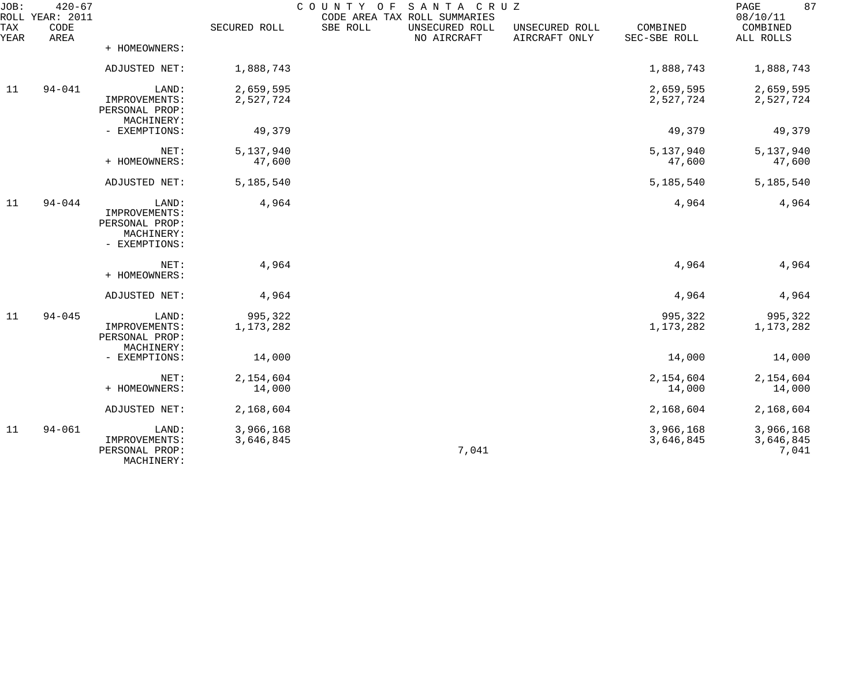| JOB:        | $420 - 67$<br>ROLL YEAR: 2011 |                                                                         |                        | COUNTY OF SANTA CRUZ | CODE AREA TAX ROLL SUMMARIES  |                                 |                          | 87<br>PAGE<br>08/10/11          |
|-------------|-------------------------------|-------------------------------------------------------------------------|------------------------|----------------------|-------------------------------|---------------------------------|--------------------------|---------------------------------|
| TAX<br>YEAR | CODE<br>AREA                  |                                                                         | SECURED ROLL           | SBE ROLL             | UNSECURED ROLL<br>NO AIRCRAFT | UNSECURED ROLL<br>AIRCRAFT ONLY | COMBINED<br>SEC-SBE ROLL | COMBINED<br>ALL ROLLS           |
|             |                               | + HOMEOWNERS:                                                           |                        |                      |                               |                                 |                          |                                 |
|             |                               | ADJUSTED NET:                                                           | 1,888,743              |                      |                               |                                 | 1,888,743                | 1,888,743                       |
| 11          | $94 - 041$                    | LAND:<br>IMPROVEMENTS:<br>PERSONAL PROP:                                | 2,659,595<br>2,527,724 |                      |                               |                                 | 2,659,595<br>2,527,724   | 2,659,595<br>2,527,724          |
|             |                               | MACHINERY:<br>- EXEMPTIONS:                                             | 49,379                 |                      |                               |                                 | 49,379                   | 49,379                          |
|             |                               | NET:<br>+ HOMEOWNERS:                                                   | 5,137,940<br>47,600    |                      |                               |                                 | 5,137,940<br>47,600      | 5,137,940<br>47,600             |
|             |                               | ADJUSTED NET:                                                           | 5,185,540              |                      |                               |                                 | 5,185,540                | 5,185,540                       |
| 11          | $94 - 044$                    | LAND:<br>IMPROVEMENTS:<br>PERSONAL PROP:<br>MACHINERY:<br>- EXEMPTIONS: | 4,964                  |                      |                               |                                 | 4,964                    | 4,964                           |
|             |                               | NET:<br>+ HOMEOWNERS:                                                   | 4,964                  |                      |                               |                                 | 4,964                    | 4,964                           |
|             |                               | ADJUSTED NET:                                                           | 4,964                  |                      |                               |                                 | 4,964                    | 4,964                           |
| 11          | $94 - 045$                    | LAND:<br>IMPROVEMENTS:<br>PERSONAL PROP:<br>MACHINERY:                  | 995,322<br>1,173,282   |                      |                               |                                 | 995,322<br>1,173,282     | 995,322<br>1,173,282            |
|             |                               | - EXEMPTIONS:                                                           | 14,000                 |                      |                               |                                 | 14,000                   | 14,000                          |
|             |                               | NET:<br>+ HOMEOWNERS:                                                   | 2,154,604<br>14,000    |                      |                               |                                 | 2,154,604<br>14,000      | 2,154,604<br>14,000             |
|             |                               | ADJUSTED NET:                                                           | 2,168,604              |                      |                               |                                 | 2,168,604                | 2,168,604                       |
| 11          | $94 - 061$                    | LAND:<br>IMPROVEMENTS:<br>PERSONAL PROP:<br>MACHINERY:                  | 3,966,168<br>3,646,845 |                      | 7,041                         |                                 | 3,966,168<br>3,646,845   | 3,966,168<br>3,646,845<br>7,041 |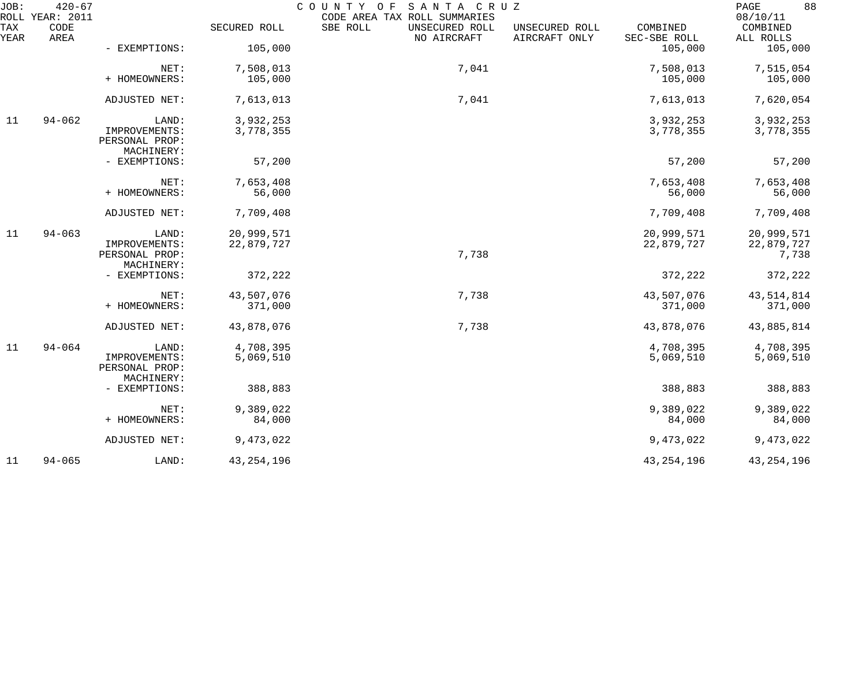| JOB:        | $420 - 67$<br>ROLL YEAR: 2011 |                                                        |                          | COUNTY OF<br>SANTA CRUZ<br>CODE AREA TAX ROLL SUMMARIES |                                 |                          | 88<br>PAGE<br>08/10/11            |
|-------------|-------------------------------|--------------------------------------------------------|--------------------------|---------------------------------------------------------|---------------------------------|--------------------------|-----------------------------------|
| TAX<br>YEAR | CODE<br>AREA                  |                                                        | SECURED ROLL             | SBE ROLL<br>UNSECURED ROLL<br>NO AIRCRAFT               | UNSECURED ROLL<br>AIRCRAFT ONLY | COMBINED<br>SEC-SBE ROLL | COMBINED<br>ALL ROLLS             |
|             |                               | - EXEMPTIONS:                                          | 105,000                  |                                                         |                                 | 105,000                  | 105,000                           |
|             |                               | NET:<br>+ HOMEOWNERS:                                  | 7,508,013<br>105,000     | 7,041                                                   |                                 | 7,508,013<br>105,000     | 7,515,054<br>105,000              |
|             |                               |                                                        |                          |                                                         |                                 |                          |                                   |
|             |                               | ADJUSTED NET:                                          | 7,613,013                | 7,041                                                   |                                 | 7,613,013                | 7,620,054                         |
| 11          | $94 - 062$                    | LAND:<br>IMPROVEMENTS:<br>PERSONAL PROP:<br>MACHINERY: | 3,932,253<br>3,778,355   |                                                         |                                 | 3,932,253<br>3,778,355   | 3,932,253<br>3,778,355            |
|             |                               | - EXEMPTIONS:                                          | 57,200                   |                                                         |                                 | 57,200                   | 57,200                            |
|             |                               | NET:<br>+ HOMEOWNERS:                                  | 7,653,408<br>56,000      |                                                         |                                 | 7,653,408<br>56,000      | 7,653,408<br>56,000               |
|             |                               | ADJUSTED NET:                                          | 7,709,408                |                                                         |                                 | 7,709,408                | 7,709,408                         |
| 11          | $94 - 063$                    | LAND:<br>IMPROVEMENTS:<br>PERSONAL PROP:<br>MACHINERY: | 20,999,571<br>22,879,727 | 7,738                                                   |                                 | 20,999,571<br>22,879,727 | 20,999,571<br>22,879,727<br>7,738 |
|             |                               | - EXEMPTIONS:                                          | 372,222                  |                                                         |                                 | 372,222                  | 372,222                           |
|             |                               | NET:<br>+ HOMEOWNERS:                                  | 43,507,076<br>371,000    | 7,738                                                   |                                 | 43,507,076<br>371,000    | 43, 514, 814<br>371,000           |
|             |                               | ADJUSTED NET:                                          | 43,878,076               | 7,738                                                   |                                 | 43,878,076               | 43,885,814                        |
| 11          | $94 - 064$                    | LAND:<br>IMPROVEMENTS:<br>PERSONAL PROP:<br>MACHINERY: | 4,708,395<br>5,069,510   |                                                         |                                 | 4,708,395<br>5,069,510   | 4,708,395<br>5,069,510            |
|             |                               | - EXEMPTIONS:                                          | 388,883                  |                                                         |                                 | 388,883                  | 388,883                           |
|             |                               | NET:<br>+ HOMEOWNERS:                                  | 9,389,022<br>84,000      |                                                         |                                 | 9,389,022<br>84,000      | 9,389,022<br>84,000               |
|             |                               | ADJUSTED NET:                                          | 9,473,022                |                                                         |                                 | 9,473,022                | 9,473,022                         |
| 11          | $94 - 065$                    | LAND:                                                  | 43, 254, 196             |                                                         |                                 | 43, 254, 196             | 43, 254, 196                      |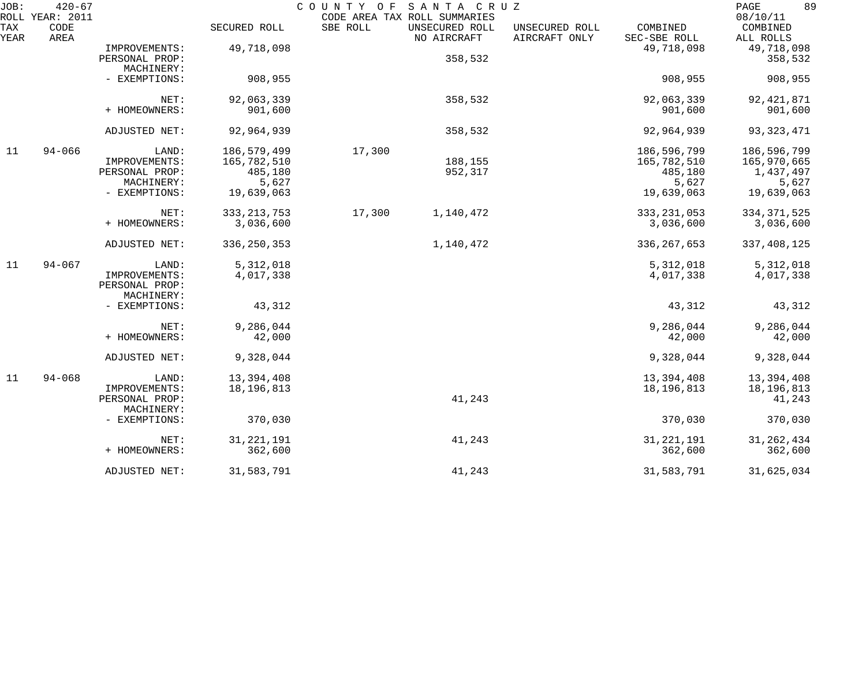| JOB:<br>ROLL | $420 - 67$<br><b>YEAR: 2011</b> |                                 |               | COUNTY OF | SANTA CRUZ<br>CODE AREA TAX ROLL SUMMARIES |                                 |                          | 89<br>PAGE<br>08/10/11 |
|--------------|---------------------------------|---------------------------------|---------------|-----------|--------------------------------------------|---------------------------------|--------------------------|------------------------|
| TAX<br>YEAR  | CODE<br>AREA                    |                                 | SECURED ROLL  | SBE ROLL  | UNSECURED ROLL<br>NO AIRCRAFT              | UNSECURED ROLL<br>AIRCRAFT ONLY | COMBINED<br>SEC-SBE ROLL | COMBINED<br>ALL ROLLS  |
|              |                                 | IMPROVEMENTS:                   | 49,718,098    |           |                                            |                                 | 49,718,098               | 49,718,098             |
|              |                                 | PERSONAL PROP:                  |               |           | 358,532                                    |                                 |                          | 358,532                |
|              |                                 | MACHINERY:                      |               |           |                                            |                                 |                          |                        |
|              |                                 | - EXEMPTIONS:                   | 908,955       |           |                                            |                                 | 908,955                  | 908,955                |
|              |                                 | NET:                            | 92,063,339    |           | 358,532                                    |                                 | 92,063,339               | 92, 421, 871           |
|              |                                 | + HOMEOWNERS:                   | 901,600       |           |                                            |                                 | 901,600                  | 901,600                |
|              |                                 | ADJUSTED NET:                   | 92,964,939    |           | 358,532                                    |                                 | 92,964,939               | 93, 323, 471           |
| 11           | $94 - 066$                      | LAND:                           | 186, 579, 499 | 17,300    |                                            |                                 | 186,596,799              | 186,596,799            |
|              |                                 | IMPROVEMENTS:                   | 165,782,510   |           | 188,155                                    |                                 | 165,782,510              | 165,970,665            |
|              |                                 | PERSONAL PROP:                  | 485,180       |           | 952,317                                    |                                 | 485,180                  | 1,437,497              |
|              |                                 | MACHINERY:                      | 5,627         |           |                                            |                                 | 5,627                    | 5,627                  |
|              |                                 | - EXEMPTIONS:                   | 19,639,063    |           |                                            |                                 | 19,639,063               | 19,639,063             |
|              |                                 | NET:                            | 333, 213, 753 | 17,300    | 1,140,472                                  |                                 | 333, 231, 053            | 334, 371, 525          |
|              |                                 | + HOMEOWNERS:                   | 3,036,600     |           |                                            |                                 | 3,036,600                | 3,036,600              |
|              |                                 | ADJUSTED NET:                   | 336, 250, 353 |           | 1,140,472                                  |                                 | 336, 267, 653            | 337, 408, 125          |
| 11           | $94 - 067$                      | LAND:                           | 5, 312, 018   |           |                                            |                                 | 5,312,018                | 5, 312, 018            |
|              |                                 | IMPROVEMENTS:<br>PERSONAL PROP: | 4,017,338     |           |                                            |                                 | 4,017,338                | 4,017,338              |
|              |                                 | MACHINERY:                      |               |           |                                            |                                 |                          |                        |
|              |                                 | - EXEMPTIONS:                   | 43,312        |           |                                            |                                 | 43,312                   | 43,312                 |
|              |                                 | NET:                            | 9,286,044     |           |                                            |                                 | 9,286,044                | 9,286,044              |
|              |                                 | + HOMEOWNERS:                   | 42,000        |           |                                            |                                 | 42,000                   | 42,000                 |
|              |                                 | ADJUSTED NET:                   | 9,328,044     |           |                                            |                                 | 9,328,044                | 9,328,044              |
| 11           | $94 - 068$                      | LAND:                           | 13,394,408    |           |                                            |                                 | 13,394,408               | 13,394,408             |
|              |                                 | IMPROVEMENTS:                   | 18, 196, 813  |           |                                            |                                 | 18, 196, 813             | 18, 196, 813           |
|              |                                 | PERSONAL PROP:                  |               |           | 41,243                                     |                                 |                          | 41,243                 |
|              |                                 | MACHINERY:                      |               |           |                                            |                                 |                          |                        |
|              |                                 | - EXEMPTIONS:                   | 370,030       |           |                                            |                                 | 370,030                  | 370,030                |
|              |                                 | NET:                            | 31, 221, 191  |           | 41,243                                     |                                 | 31, 221, 191             | 31, 262, 434           |
|              |                                 | + HOMEOWNERS:                   | 362,600       |           |                                            |                                 | 362,600                  | 362,600                |
|              |                                 | ADJUSTED NET:                   | 31,583,791    |           | 41,243                                     |                                 | 31,583,791               | 31,625,034             |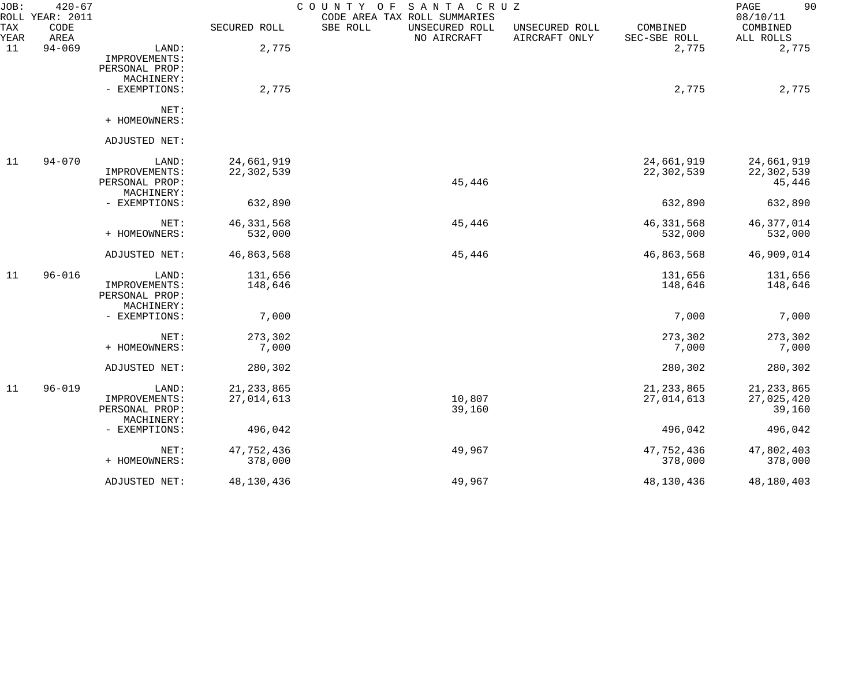| JOB:        | $420 - 67$<br>ROLL YEAR: 2011 |                                          |              | SANTA CRUZ<br>COUNTY OF<br>CODE AREA TAX ROLL SUMMARIES |                                 |                          | 90<br>PAGE<br>08/10/11 |
|-------------|-------------------------------|------------------------------------------|--------------|---------------------------------------------------------|---------------------------------|--------------------------|------------------------|
| TAX<br>YEAR | CODE<br>AREA                  |                                          | SECURED ROLL | SBE ROLL<br>UNSECURED ROLL<br>NO AIRCRAFT               | UNSECURED ROLL<br>AIRCRAFT ONLY | COMBINED<br>SEC-SBE ROLL | COMBINED<br>ALL ROLLS  |
| 11          | $94 - 069$                    | LAND:<br>IMPROVEMENTS:<br>PERSONAL PROP: | 2,775        |                                                         |                                 | 2,775                    | 2,775                  |
|             |                               | MACHINERY:                               |              |                                                         |                                 |                          |                        |
|             |                               | - EXEMPTIONS:                            | 2,775        |                                                         |                                 | 2,775                    | 2,775                  |
|             |                               | NET:                                     |              |                                                         |                                 |                          |                        |
|             |                               | + HOMEOWNERS:                            |              |                                                         |                                 |                          |                        |
|             |                               | ADJUSTED NET:                            |              |                                                         |                                 |                          |                        |
| 11          | $94 - 070$                    | LAND:                                    | 24,661,919   |                                                         |                                 | 24,661,919               | 24,661,919             |
|             |                               | IMPROVEMENTS:<br>PERSONAL PROP:          | 22,302,539   | 45,446                                                  |                                 | 22,302,539               | 22,302,539<br>45,446   |
|             |                               | MACHINERY:                               |              |                                                         |                                 |                          |                        |
|             |                               | - EXEMPTIONS:                            | 632,890      |                                                         |                                 | 632,890                  | 632,890                |
|             |                               | NET:                                     | 46, 331, 568 | 45,446                                                  |                                 | 46, 331, 568             | 46, 377, 014           |
|             |                               | + HOMEOWNERS:                            | 532,000      |                                                         |                                 | 532,000                  | 532,000                |
|             |                               | ADJUSTED NET:                            | 46,863,568   | 45,446                                                  |                                 | 46,863,568               | 46,909,014             |
| 11          | $96 - 016$                    | LAND:                                    | 131,656      |                                                         |                                 | 131,656                  | 131,656                |
|             |                               | IMPROVEMENTS:                            | 148,646      |                                                         |                                 | 148,646                  | 148,646                |
|             |                               | PERSONAL PROP:                           |              |                                                         |                                 |                          |                        |
|             |                               | MACHINERY:<br>- EXEMPTIONS:              | 7,000        |                                                         |                                 | 7,000                    | 7,000                  |
|             |                               | NET:                                     | 273,302      |                                                         |                                 | 273,302                  | 273,302                |
|             |                               | + HOMEOWNERS:                            | 7,000        |                                                         |                                 | 7,000                    | 7,000                  |
|             |                               | ADJUSTED NET:                            | 280,302      |                                                         |                                 | 280,302                  | 280,302                |
| 11          | $96 - 019$                    | LAND:                                    | 21, 233, 865 |                                                         |                                 | 21, 233, 865             | 21, 233, 865           |
|             |                               | IMPROVEMENTS:                            | 27,014,613   | 10,807                                                  |                                 | 27,014,613               | 27,025,420             |
|             |                               | PERSONAL PROP:<br>MACHINERY:             |              | 39,160                                                  |                                 |                          | 39,160                 |
|             |                               | - EXEMPTIONS:                            | 496,042      |                                                         |                                 | 496,042                  | 496,042                |
|             |                               | NET:                                     | 47,752,436   | 49,967                                                  |                                 | 47,752,436               | 47,802,403             |
|             |                               | + HOMEOWNERS:                            | 378,000      |                                                         |                                 | 378,000                  | 378,000                |
|             |                               | ADJUSTED NET:                            | 48,130,436   | 49,967                                                  |                                 | 48,130,436               | 48,180,403             |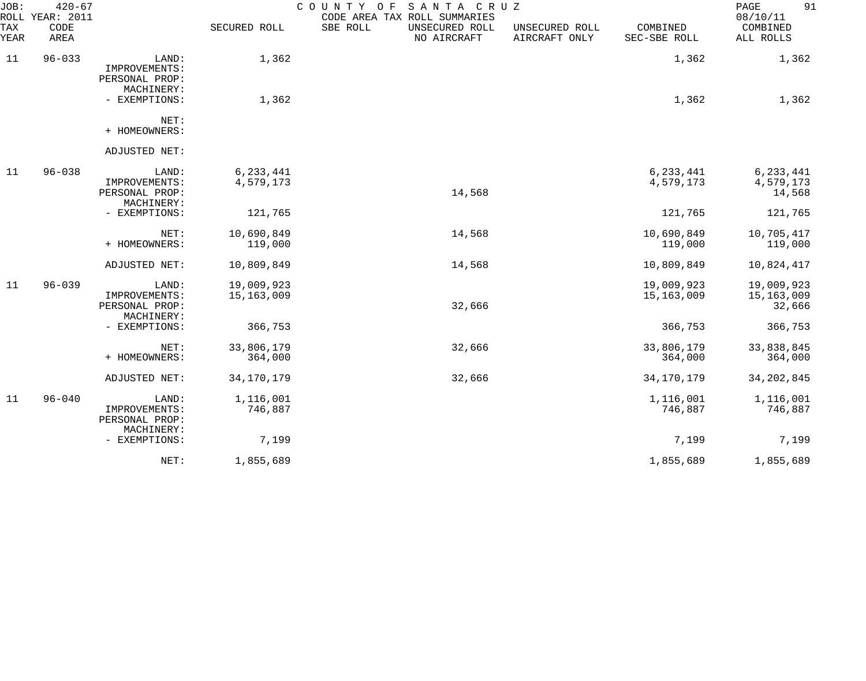| JOB:<br>ROLL | $420 - 67$<br><b>YEAR: 2011</b> |                                                        |                          | COUNTY OF<br>SANTA CRUZ<br>CODE AREA TAX ROLL SUMMARIES |                                 |                          | 91<br>PAGE<br>08/10/11             |
|--------------|---------------------------------|--------------------------------------------------------|--------------------------|---------------------------------------------------------|---------------------------------|--------------------------|------------------------------------|
| TAX<br>YEAR  | CODE<br>AREA                    |                                                        | SECURED ROLL             | SBE ROLL<br>UNSECURED ROLL<br>NO AIRCRAFT               | UNSECURED ROLL<br>AIRCRAFT ONLY | COMBINED<br>SEC-SBE ROLL | COMBINED<br>ALL ROLLS              |
| 11           | $96 - 033$                      | LAND:<br>IMPROVEMENTS:<br>PERSONAL PROP:<br>MACHINERY: | 1,362                    |                                                         |                                 | 1,362                    | 1,362                              |
|              |                                 | - EXEMPTIONS:                                          | 1,362                    |                                                         |                                 | 1,362                    | 1,362                              |
|              |                                 | NET:<br>+ HOMEOWNERS:                                  |                          |                                                         |                                 |                          |                                    |
|              |                                 | ADJUSTED NET:                                          |                          |                                                         |                                 |                          |                                    |
| 11           | $96 - 038$                      | LAND:<br>IMPROVEMENTS:<br>PERSONAL PROP:<br>MACHINERY: | 6,233,441<br>4,579,173   | 14,568                                                  |                                 | 6, 233, 441<br>4,579,173 | 6, 233, 441<br>4,579,173<br>14,568 |
|              |                                 | - EXEMPTIONS:                                          | 121,765                  |                                                         |                                 | 121,765                  | 121,765                            |
|              |                                 | NET:<br>+ HOMEOWNERS:                                  | 10,690,849<br>119,000    | 14,568                                                  |                                 | 10,690,849<br>119,000    | 10,705,417<br>119,000              |
|              |                                 | ADJUSTED NET:                                          | 10,809,849               | 14,568                                                  |                                 | 10,809,849               | 10,824,417                         |
| 11           | $96 - 039$                      | LAND:<br>IMPROVEMENTS:<br>PERSONAL PROP:<br>MACHINERY: | 19,009,923<br>15,163,009 | 32,666                                                  |                                 | 19,009,923<br>15,163,009 | 19,009,923<br>15,163,009<br>32,666 |
|              |                                 | - EXEMPTIONS:                                          | 366,753                  |                                                         |                                 | 366,753                  | 366,753                            |
|              |                                 | NET:<br>+ HOMEOWNERS:                                  | 33,806,179<br>364,000    | 32,666                                                  |                                 | 33,806,179<br>364,000    | 33,838,845<br>364,000              |
|              |                                 | ADJUSTED NET:                                          | 34, 170, 179             | 32,666                                                  |                                 | 34, 170, 179             | 34, 202, 845                       |
| 11           | $96 - 040$                      | LAND:<br>IMPROVEMENTS:<br>PERSONAL PROP:               | 1,116,001<br>746,887     |                                                         |                                 | 1,116,001<br>746,887     | 1,116,001<br>746,887               |
|              |                                 | MACHINERY:<br>- EXEMPTIONS:                            | 7,199                    |                                                         |                                 | 7,199                    | 7,199                              |
|              |                                 | NET:                                                   | 1,855,689                |                                                         |                                 | 1,855,689                | 1,855,689                          |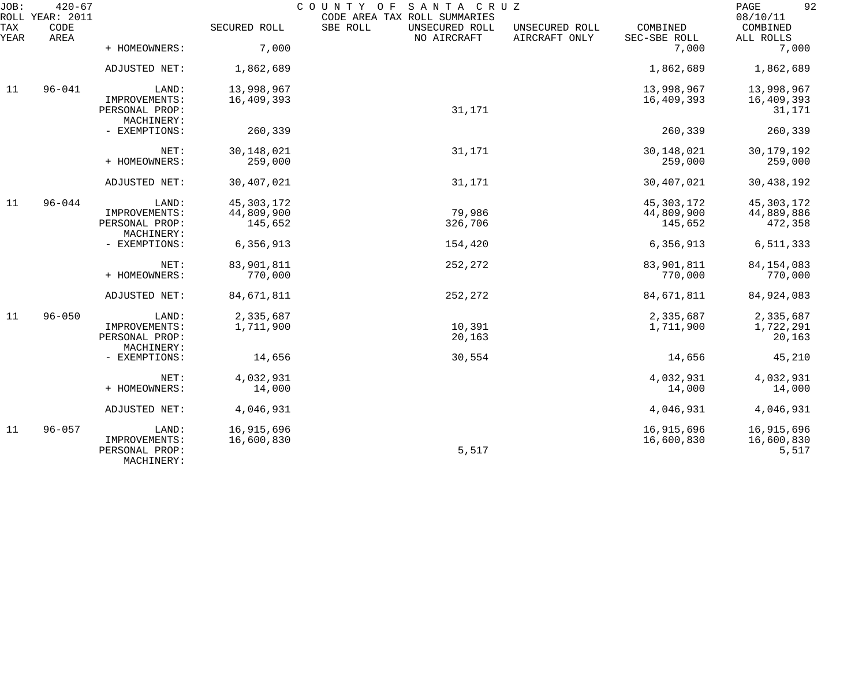| JOB:        | $420 - 67$<br>ROLL YEAR: 2011 |                                               |              | COUNTY OF<br>SANTA CRUZ<br>CODE AREA TAX ROLL SUMMARIES |                                 |                          | 92<br>PAGE<br>08/10/11 |
|-------------|-------------------------------|-----------------------------------------------|--------------|---------------------------------------------------------|---------------------------------|--------------------------|------------------------|
| TAX<br>YEAR | CODE<br>AREA                  |                                               | SECURED ROLL | SBE ROLL<br>UNSECURED ROLL<br>NO AIRCRAFT               | UNSECURED ROLL<br>AIRCRAFT ONLY | COMBINED<br>SEC-SBE ROLL | COMBINED<br>ALL ROLLS  |
|             |                               | + HOMEOWNERS:                                 | 7,000        |                                                         |                                 | 7,000                    | 7,000                  |
|             |                               | ADJUSTED NET:                                 | 1,862,689    |                                                         |                                 | 1,862,689                | 1,862,689              |
| 11          | $96 - 041$                    | LAND:                                         | 13,998,967   |                                                         |                                 | 13,998,967               | 13,998,967             |
|             |                               | IMPROVEMENTS:<br>PERSONAL PROP:<br>MACHINERY: | 16,409,393   | 31,171                                                  |                                 | 16,409,393               | 16,409,393<br>31,171   |
|             |                               | - EXEMPTIONS:                                 | 260,339      |                                                         |                                 | 260,339                  | 260,339                |
|             |                               | NET:                                          | 30, 148, 021 | 31,171                                                  |                                 | 30,148,021               | 30, 179, 192           |
|             |                               | + HOMEOWNERS:                                 | 259,000      |                                                         |                                 | 259,000                  | 259,000                |
|             |                               | ADJUSTED NET:                                 | 30,407,021   | 31,171                                                  |                                 | 30,407,021               | 30,438,192             |
| 11          | $96 - 044$                    | LAND:                                         | 45, 303, 172 |                                                         |                                 | 45, 303, 172             | 45, 303, 172           |
|             |                               | IMPROVEMENTS:                                 | 44,809,900   | 79,986                                                  |                                 | 44,809,900               | 44,889,886             |
|             |                               | PERSONAL PROP:<br>MACHINERY:                  | 145,652      | 326,706                                                 |                                 | 145,652                  | 472,358                |
|             |                               | - EXEMPTIONS:                                 | 6,356,913    | 154,420                                                 |                                 | 6,356,913                | 6,511,333              |
|             |                               | NET:                                          | 83,901,811   | 252,272                                                 |                                 | 83,901,811               | 84, 154, 083           |
|             |                               | + HOMEOWNERS:                                 | 770,000      |                                                         |                                 | 770,000                  | 770,000                |
|             |                               | ADJUSTED NET:                                 | 84,671,811   | 252,272                                                 |                                 | 84,671,811               | 84, 924, 083           |
| 11          | $96 - 050$                    | LAND:                                         | 2,335,687    |                                                         |                                 | 2,335,687                | 2,335,687              |
|             |                               | IMPROVEMENTS:                                 | 1,711,900    | 10,391                                                  |                                 | 1,711,900                | 1,722,291              |
|             |                               | PERSONAL PROP:<br>MACHINERY:                  |              | 20,163                                                  |                                 |                          | 20,163                 |
|             |                               | - EXEMPTIONS:                                 | 14,656       | 30,554                                                  |                                 | 14,656                   | 45,210                 |
|             |                               | NET:                                          | 4,032,931    |                                                         |                                 | 4,032,931                | 4,032,931              |
|             |                               | + HOMEOWNERS:                                 | 14,000       |                                                         |                                 | 14,000                   | 14,000                 |
|             |                               | ADJUSTED NET:                                 | 4,046,931    |                                                         |                                 | 4,046,931                | 4,046,931              |
| 11          | $96 - 057$                    | LAND:                                         | 16,915,696   |                                                         |                                 | 16,915,696               | 16,915,696             |
|             |                               | IMPROVEMENTS:<br>PERSONAL PROP:<br>MACHINERY: | 16,600,830   | 5,517                                                   |                                 | 16,600,830               | 16,600,830<br>5,517    |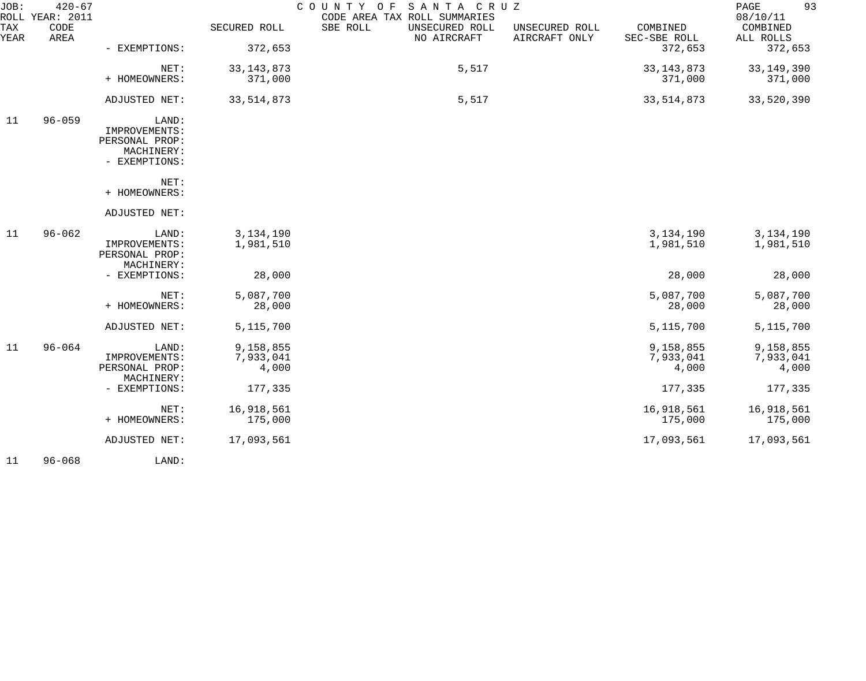| JOB:<br>ROLL | $420 - 67$<br><b>YEAR: 2011</b> |                                                                         |                                 | COUNTY OF<br>SANTA CRUZ<br>CODE AREA TAX ROLL SUMMARIES |                                 |                                 | 93<br>PAGE<br>08/10/11          |
|--------------|---------------------------------|-------------------------------------------------------------------------|---------------------------------|---------------------------------------------------------|---------------------------------|---------------------------------|---------------------------------|
| TAX<br>YEAR  | CODE<br>AREA                    |                                                                         | SECURED ROLL                    | SBE ROLL<br>UNSECURED ROLL<br>NO AIRCRAFT               | UNSECURED ROLL<br>AIRCRAFT ONLY | COMBINED<br>SEC-SBE ROLL        | COMBINED<br>ALL ROLLS           |
|              |                                 | - EXEMPTIONS:                                                           | 372,653                         |                                                         |                                 | 372,653                         | 372,653                         |
|              |                                 | NET:<br>+ HOMEOWNERS:                                                   | 33, 143, 873<br>371,000         | 5,517                                                   |                                 | 33, 143, 873<br>371,000         | 33, 149, 390<br>371,000         |
|              |                                 | ADJUSTED NET:                                                           | 33, 514, 873                    | 5,517                                                   |                                 | 33, 514, 873                    | 33,520,390                      |
| 11           | $96 - 059$                      | LAND:<br>IMPROVEMENTS:<br>PERSONAL PROP:<br>MACHINERY:<br>- EXEMPTIONS: |                                 |                                                         |                                 |                                 |                                 |
|              |                                 | NET:<br>+ HOMEOWNERS:                                                   |                                 |                                                         |                                 |                                 |                                 |
|              |                                 | ADJUSTED NET:                                                           |                                 |                                                         |                                 |                                 |                                 |
| 11           | $96 - 062$                      | LAND:<br>IMPROVEMENTS:<br>PERSONAL PROP:<br>MACHINERY:                  | 3, 134, 190<br>1,981,510        |                                                         |                                 | 3, 134, 190<br>1,981,510        | 3, 134, 190<br>1,981,510        |
|              |                                 | - EXEMPTIONS:                                                           | 28,000                          |                                                         |                                 | 28,000                          | 28,000                          |
|              |                                 | NET:<br>+ HOMEOWNERS:                                                   | 5,087,700<br>28,000             |                                                         |                                 | 5,087,700<br>28,000             | 5,087,700<br>28,000             |
|              |                                 | ADJUSTED NET:                                                           | 5, 115, 700                     |                                                         |                                 | 5, 115, 700                     | 5, 115, 700                     |
| 11           | $96 - 064$                      | LAND:<br>IMPROVEMENTS:<br>PERSONAL PROP:                                | 9,158,855<br>7,933,041<br>4,000 |                                                         |                                 | 9,158,855<br>7,933,041<br>4,000 | 9,158,855<br>7,933,041<br>4,000 |
|              |                                 | MACHINERY:<br>- EXEMPTIONS:                                             | 177,335                         |                                                         |                                 | 177,335                         | 177,335                         |
|              |                                 | NET:<br>+ HOMEOWNERS:                                                   | 16,918,561<br>175,000           |                                                         |                                 | 16,918,561<br>175,000           | 16,918,561<br>175,000           |
|              |                                 | ADJUSTED NET:                                                           | 17,093,561                      |                                                         |                                 | 17,093,561                      | 17,093,561                      |
|              |                                 |                                                                         |                                 |                                                         |                                 |                                 |                                 |

11 96-068 LAND: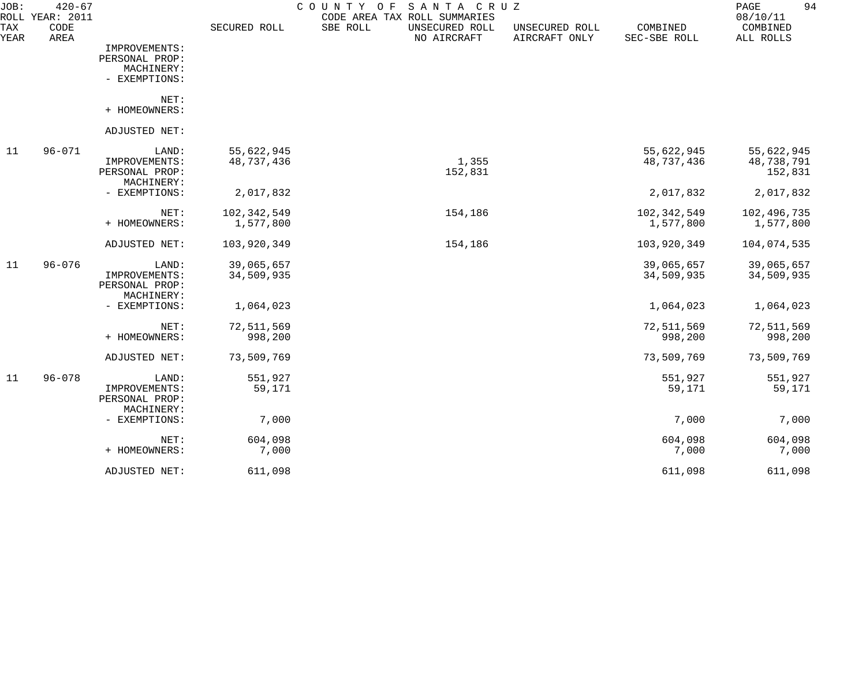| JOB:        | $420 - 67$<br>ROLL YEAR: 2011 |                                                        |                          | C O U N T Y<br>O F<br>SANTA CRUZ<br>CODE AREA TAX ROLL SUMMARIES |                                 |                            | 94<br>PAGE<br>08/10/11              |
|-------------|-------------------------------|--------------------------------------------------------|--------------------------|------------------------------------------------------------------|---------------------------------|----------------------------|-------------------------------------|
| TAX<br>YEAR | CODE<br>AREA                  |                                                        | SECURED ROLL             | SBE ROLL<br>UNSECURED ROLL<br>NO AIRCRAFT                        | UNSECURED ROLL<br>AIRCRAFT ONLY | COMBINED<br>SEC-SBE ROLL   | COMBINED<br>ALL ROLLS               |
|             |                               | IMPROVEMENTS:<br>PERSONAL PROP:<br>MACHINERY:          |                          |                                                                  |                                 |                            |                                     |
|             |                               | - EXEMPTIONS:                                          |                          |                                                                  |                                 |                            |                                     |
|             |                               | NET:<br>+ HOMEOWNERS:                                  |                          |                                                                  |                                 |                            |                                     |
|             |                               | ADJUSTED NET:                                          |                          |                                                                  |                                 |                            |                                     |
| 11          | $96 - 071$                    | LAND:<br>IMPROVEMENTS:<br>PERSONAL PROP:<br>MACHINERY: | 55,622,945<br>48,737,436 | 1,355<br>152,831                                                 |                                 | 55,622,945<br>48,737,436   | 55,622,945<br>48,738,791<br>152,831 |
|             |                               | - EXEMPTIONS:                                          | 2,017,832                |                                                                  |                                 | 2,017,832                  | 2,017,832                           |
|             |                               | NET:<br>+ HOMEOWNERS:                                  | 102,342,549<br>1,577,800 | 154,186                                                          |                                 | 102, 342, 549<br>1,577,800 | 102,496,735<br>1,577,800            |
|             |                               | ADJUSTED NET:                                          | 103,920,349              | 154,186                                                          |                                 | 103,920,349                | 104,074,535                         |
| 11          | $96 - 076$                    | LAND:<br>IMPROVEMENTS:<br>PERSONAL PROP:               | 39,065,657<br>34,509,935 |                                                                  |                                 | 39,065,657<br>34,509,935   | 39,065,657<br>34,509,935            |
|             |                               | MACHINERY:<br>- EXEMPTIONS:                            | 1,064,023                |                                                                  |                                 | 1,064,023                  | 1,064,023                           |
|             |                               | NET:<br>+ HOMEOWNERS:                                  | 72,511,569<br>998,200    |                                                                  |                                 | 72,511,569<br>998,200      | 72,511,569<br>998,200               |
|             |                               | ADJUSTED NET:                                          | 73,509,769               |                                                                  |                                 | 73,509,769                 | 73,509,769                          |
| 11          | $96 - 078$                    | LAND:<br>IMPROVEMENTS:<br>PERSONAL PROP:<br>MACHINERY: | 551,927<br>59,171        |                                                                  |                                 | 551,927<br>59,171          | 551,927<br>59,171                   |
|             |                               | - EXEMPTIONS:                                          | 7,000                    |                                                                  |                                 | 7,000                      | 7,000                               |
|             |                               | NET:<br>+ HOMEOWNERS:                                  | 604,098<br>7,000         |                                                                  |                                 | 604,098<br>7,000           | 604,098<br>7,000                    |
|             |                               | ADJUSTED NET:                                          | 611,098                  |                                                                  |                                 | 611,098                    | 611,098                             |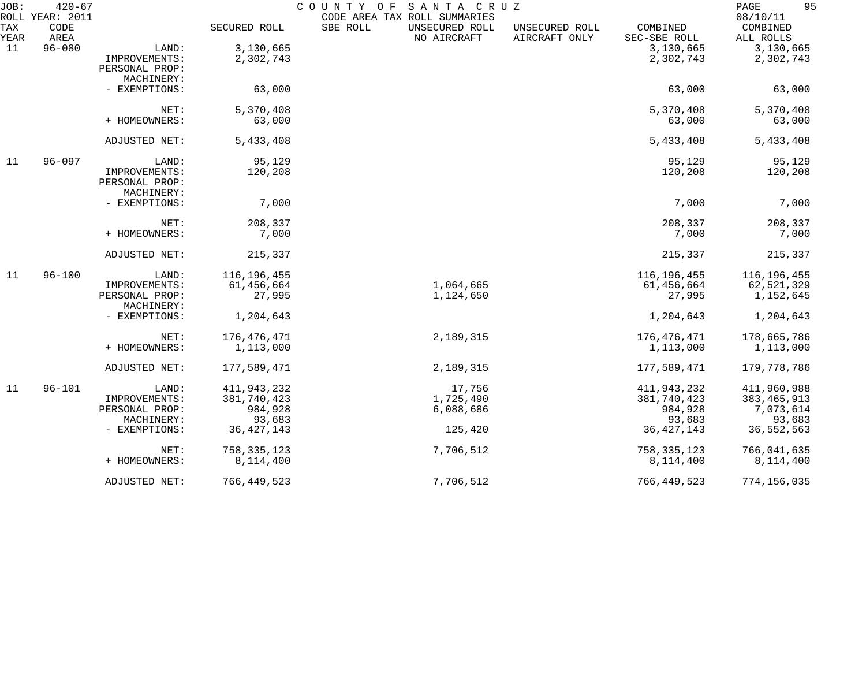| JOB:               | $420 - 67$<br>ROLL YEAR: 2011 |                              |               | COUNTY OF<br>SANTA CRUZ<br>CODE AREA TAX ROLL SUMMARIES |                                 |                          | 95<br>PAGE<br>08/10/11 |
|--------------------|-------------------------------|------------------------------|---------------|---------------------------------------------------------|---------------------------------|--------------------------|------------------------|
| <b>TAX</b><br>YEAR | CODE<br>AREA                  |                              | SECURED ROLL  | SBE ROLL<br>UNSECURED ROLL<br>NO AIRCRAFT               | UNSECURED ROLL<br>AIRCRAFT ONLY | COMBINED<br>SEC-SBE ROLL | COMBINED<br>ALL ROLLS  |
| 11                 | $96 - 080$                    | LAND:                        | 3,130,665     |                                                         |                                 | 3,130,665                | 3,130,665              |
|                    |                               | IMPROVEMENTS:                | 2,302,743     |                                                         |                                 | 2,302,743                | 2,302,743              |
|                    |                               | PERSONAL PROP:               |               |                                                         |                                 |                          |                        |
|                    |                               | MACHINERY:                   |               |                                                         |                                 |                          |                        |
|                    |                               | - EXEMPTIONS:                | 63,000        |                                                         |                                 | 63,000                   | 63,000                 |
|                    |                               | NET:                         | 5,370,408     |                                                         |                                 | 5,370,408                | 5,370,408              |
|                    |                               | + HOMEOWNERS:                | 63,000        |                                                         |                                 | 63,000                   | 63,000                 |
|                    |                               | ADJUSTED NET:                | 5,433,408     |                                                         |                                 | 5,433,408                | 5,433,408              |
| 11                 | $96 - 097$                    | LAND:                        | 95,129        |                                                         |                                 | 95,129                   | 95,129                 |
|                    |                               | IMPROVEMENTS:                | 120,208       |                                                         |                                 | 120,208                  | 120,208                |
|                    |                               | PERSONAL PROP:               |               |                                                         |                                 |                          |                        |
|                    |                               | MACHINERY:                   |               |                                                         |                                 |                          |                        |
|                    |                               | - EXEMPTIONS:                | 7,000         |                                                         |                                 | 7,000                    | 7,000                  |
|                    |                               | NET:                         | 208,337       |                                                         |                                 | 208,337                  | 208,337                |
|                    |                               | + HOMEOWNERS:                | 7,000         |                                                         |                                 | 7,000                    | 7,000                  |
|                    |                               | ADJUSTED NET:                | 215,337       |                                                         |                                 | 215,337                  | 215,337                |
| 11                 | $96 - 100$                    | LAND:                        | 116, 196, 455 |                                                         |                                 | 116,196,455              | 116, 196, 455          |
|                    |                               | IMPROVEMENTS:                | 61,456,664    | 1,064,665                                               |                                 | 61,456,664               | 62,521,329             |
|                    |                               | PERSONAL PROP:<br>MACHINERY: | 27,995        | 1,124,650                                               |                                 | 27,995                   | 1,152,645              |
|                    |                               | - EXEMPTIONS:                | 1,204,643     |                                                         |                                 | 1,204,643                | 1,204,643              |
|                    |                               | NET:                         | 176,476,471   | 2,189,315                                               |                                 | 176,476,471              | 178,665,786            |
|                    |                               | + HOMEOWNERS:                | 1,113,000     |                                                         |                                 | 1,113,000                | 1,113,000              |
|                    |                               | ADJUSTED NET:                | 177,589,471   | 2,189,315                                               |                                 | 177,589,471              | 179,778,786            |
| 11                 | $96 - 101$                    | LAND:                        | 411,943,232   | 17,756                                                  |                                 | 411,943,232              | 411,960,988            |
|                    |                               | IMPROVEMENTS:                | 381,740,423   | 1,725,490                                               |                                 | 381,740,423              | 383, 465, 913          |
|                    |                               | PERSONAL PROP:               | 984,928       | 6,088,686                                               |                                 | 984,928                  | 7,073,614              |
|                    |                               | MACHINERY:                   | 93,683        |                                                         |                                 | 93,683                   | 93,683                 |
|                    |                               | - EXEMPTIONS:                | 36, 427, 143  | 125,420                                                 |                                 | 36, 427, 143             | 36, 552, 563           |
|                    |                               | NET:                         | 758,335,123   | 7,706,512                                               |                                 | 758, 335, 123            | 766,041,635            |
|                    |                               | + HOMEOWNERS:                | 8,114,400     |                                                         |                                 | 8,114,400                | 8,114,400              |
|                    |                               | ADJUSTED NET:                | 766,449,523   | 7,706,512                                               |                                 | 766, 449, 523            | 774,156,035            |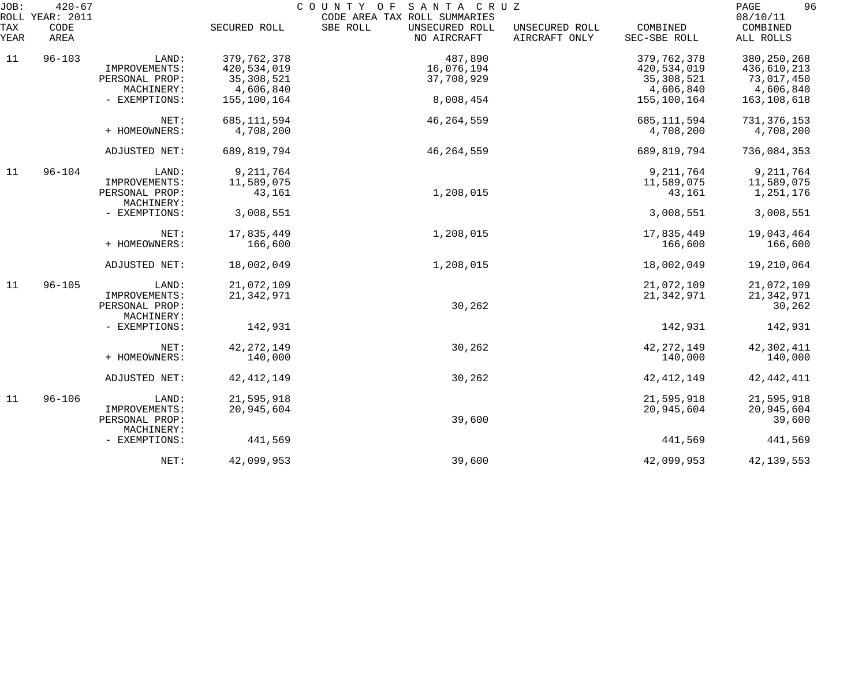| JOB:        | $420 - 67$<br>ROLL YEAR: 2011 |                              |               | COUNTY OF<br>SANTA CRUZ<br>CODE AREA TAX ROLL SUMMARIES |                                 |                          | 96<br>PAGE<br>08/10/11 |
|-------------|-------------------------------|------------------------------|---------------|---------------------------------------------------------|---------------------------------|--------------------------|------------------------|
| TAX<br>YEAR | CODE<br>AREA                  |                              | SECURED ROLL  | SBE ROLL<br>UNSECURED ROLL<br>NO AIRCRAFT               | UNSECURED ROLL<br>AIRCRAFT ONLY | COMBINED<br>SEC-SBE ROLL | COMBINED<br>ALL ROLLS  |
| 11          | $96 - 103$                    | LAND:                        | 379,762,378   | 487,890                                                 |                                 | 379,762,378              | 380, 250, 268          |
|             |                               | IMPROVEMENTS:                | 420,534,019   | 16,076,194                                              |                                 | 420,534,019              | 436,610,213            |
|             |                               | PERSONAL PROP:               | 35, 308, 521  | 37,708,929                                              |                                 | 35,308,521               | 73,017,450             |
|             |                               | MACHINERY:                   | 4,606,840     |                                                         |                                 | 4,606,840                | 4,606,840              |
|             |                               | - EXEMPTIONS:                | 155,100,164   | 8,008,454                                               |                                 | 155,100,164              | 163,108,618            |
|             |                               | NET:                         | 685, 111, 594 | 46, 264, 559                                            |                                 | 685, 111, 594            | 731, 376, 153          |
|             |                               | + HOMEOWNERS:                | 4,708,200     |                                                         |                                 | 4,708,200                | 4,708,200              |
|             |                               | ADJUSTED NET:                | 689,819,794   | 46, 264, 559                                            |                                 | 689,819,794              | 736,084,353            |
| 11          | $96 - 104$                    | LAND:                        | 9,211,764     |                                                         |                                 | 9, 211, 764              | 9, 211, 764            |
|             |                               | IMPROVEMENTS:                | 11,589,075    |                                                         |                                 | 11,589,075               | 11,589,075             |
|             |                               | PERSONAL PROP:               | 43,161        | 1,208,015                                               |                                 | 43,161                   | 1,251,176              |
|             |                               | MACHINERY:                   |               |                                                         |                                 |                          |                        |
|             |                               | - EXEMPTIONS:                | 3,008,551     |                                                         |                                 | 3,008,551                | 3,008,551              |
|             |                               | NET:                         | 17,835,449    | 1,208,015                                               |                                 | 17,835,449               | 19,043,464             |
|             |                               | + HOMEOWNERS:                | 166,600       |                                                         |                                 | 166,600                  | 166,600                |
|             |                               | ADJUSTED NET:                | 18,002,049    | 1,208,015                                               |                                 | 18,002,049               | 19,210,064             |
| 11          | $96 - 105$                    | LAND:                        | 21,072,109    |                                                         |                                 | 21,072,109               | 21,072,109             |
|             |                               | IMPROVEMENTS:                | 21,342,971    |                                                         |                                 | 21, 342, 971             | 21, 342, 971           |
|             |                               | PERSONAL PROP:<br>MACHINERY: |               | 30,262                                                  |                                 |                          | 30,262                 |
|             |                               | - EXEMPTIONS:                | 142,931       |                                                         |                                 | 142,931                  | 142,931                |
|             |                               | NET:                         | 42, 272, 149  | 30,262                                                  |                                 | 42, 272, 149             | 42,302,411             |
|             |                               | + HOMEOWNERS:                | 140,000       |                                                         |                                 | 140,000                  | 140,000                |
|             |                               | ADJUSTED NET:                | 42, 412, 149  | 30,262                                                  |                                 | 42, 412, 149             | 42, 442, 411           |
| 11          | $96 - 106$                    | LAND:                        | 21,595,918    |                                                         |                                 | 21,595,918               | 21,595,918             |
|             |                               | IMPROVEMENTS:                | 20,945,604    |                                                         |                                 | 20,945,604               | 20,945,604             |
|             |                               | PERSONAL PROP:               |               | 39,600                                                  |                                 |                          | 39,600                 |
|             |                               | MACHINERY:<br>- EXEMPTIONS:  | 441,569       |                                                         |                                 | 441,569                  | 441,569                |
|             |                               | NET:                         | 42,099,953    | 39,600                                                  |                                 | 42,099,953               | 42, 139, 553           |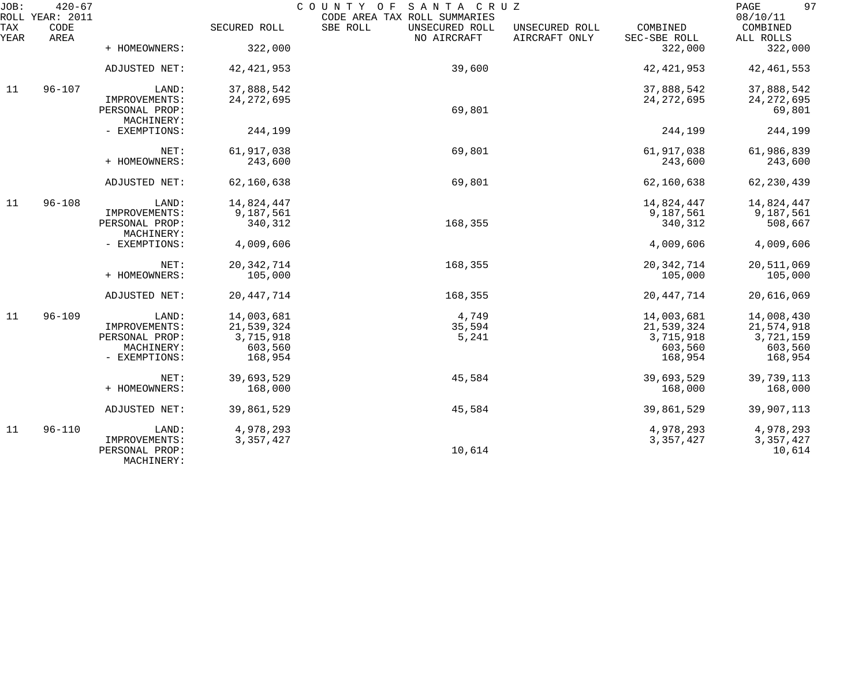| JOB:        | $420 - 67$<br>ROLL YEAR: 2011 |                                               |              | COUNTY OF<br>SANTA CRUZ<br>CODE AREA TAX ROLL SUMMARIES |                                 |                          | 97<br>PAGE<br>08/10/11 |
|-------------|-------------------------------|-----------------------------------------------|--------------|---------------------------------------------------------|---------------------------------|--------------------------|------------------------|
| TAX<br>YEAR | CODE<br>AREA                  |                                               | SECURED ROLL | SBE ROLL<br>UNSECURED ROLL<br>NO AIRCRAFT               | UNSECURED ROLL<br>AIRCRAFT ONLY | COMBINED<br>SEC-SBE ROLL | COMBINED<br>ALL ROLLS  |
|             |                               | + HOMEOWNERS:                                 | 322,000      |                                                         |                                 | 322,000                  | 322,000                |
|             |                               | ADJUSTED NET:                                 | 42, 421, 953 | 39,600                                                  |                                 | 42, 421, 953             | 42, 461, 553           |
| 11          | $96 - 107$                    | LAND:                                         | 37,888,542   |                                                         |                                 | 37,888,542               | 37,888,542             |
|             |                               | IMPROVEMENTS:<br>PERSONAL PROP:<br>MACHINERY: | 24, 272, 695 | 69,801                                                  |                                 | 24, 272, 695             | 24, 272, 695<br>69,801 |
|             |                               | - EXEMPTIONS:                                 | 244,199      |                                                         |                                 | 244,199                  | 244,199                |
|             |                               | NET:                                          | 61,917,038   | 69,801                                                  |                                 | 61,917,038               | 61,986,839             |
|             |                               | + HOMEOWNERS:                                 | 243,600      |                                                         |                                 | 243,600                  | 243,600                |
|             |                               | ADJUSTED NET:                                 | 62,160,638   | 69,801                                                  |                                 | 62,160,638               | 62, 230, 439           |
| 11          | $96 - 108$                    | LAND:                                         | 14,824,447   |                                                         |                                 | 14,824,447               | 14,824,447             |
|             |                               | IMPROVEMENTS:                                 | 9,187,561    |                                                         |                                 | 9,187,561                | 9,187,561              |
|             |                               | PERSONAL PROP:<br>MACHINERY:                  | 340,312      | 168,355                                                 |                                 | 340,312                  | 508,667                |
|             |                               | - EXEMPTIONS:                                 | 4,009,606    |                                                         |                                 | 4,009,606                | 4,009,606              |
|             |                               | NET:                                          | 20, 342, 714 | 168,355                                                 |                                 | 20, 342, 714             | 20,511,069             |
|             |                               | + HOMEOWNERS:                                 | 105,000      |                                                         |                                 | 105,000                  | 105,000                |
|             |                               | ADJUSTED NET:                                 | 20, 447, 714 | 168,355                                                 |                                 | 20, 447, 714             | 20,616,069             |
| 11          | $96 - 109$                    | LAND:                                         | 14,003,681   | 4,749                                                   |                                 | 14,003,681               | 14,008,430             |
|             |                               | IMPROVEMENTS:                                 | 21,539,324   | 35,594                                                  |                                 | 21,539,324               | 21,574,918             |
|             |                               | PERSONAL PROP:                                | 3,715,918    | 5,241                                                   |                                 | 3,715,918                | 3,721,159              |
|             |                               | MACHINERY:                                    | 603,560      |                                                         |                                 | 603,560                  | 603,560                |
|             |                               | - EXEMPTIONS:                                 | 168,954      |                                                         |                                 | 168,954                  | 168,954                |
|             |                               | NET:                                          | 39,693,529   | 45,584                                                  |                                 | 39,693,529               | 39,739,113             |
|             |                               | + HOMEOWNERS:                                 | 168,000      |                                                         |                                 | 168,000                  | 168,000                |
|             |                               | ADJUSTED NET:                                 | 39,861,529   | 45,584                                                  |                                 | 39,861,529               | 39,907,113             |
| 11          | $96 - 110$                    | LAND:                                         | 4,978,293    |                                                         |                                 | 4,978,293                | 4,978,293              |
|             |                               | IMPROVEMENTS:<br>PERSONAL PROP:<br>MACHINERY: | 3, 357, 427  | 10,614                                                  |                                 | 3, 357, 427              | 3, 357, 427<br>10,614  |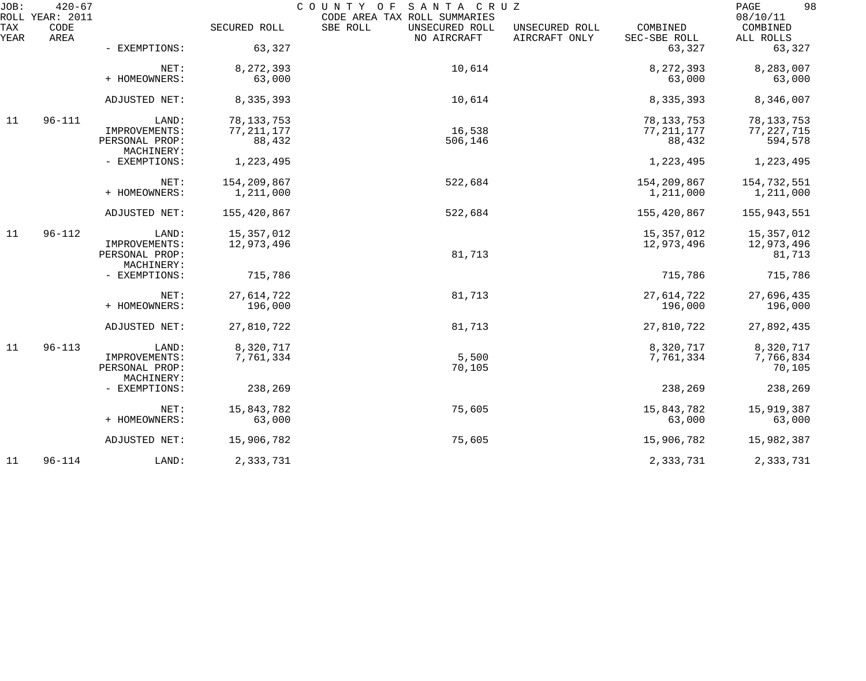| JOB:        | $420 - 67$<br>ROLL YEAR: 2011 | COUNTY OF SANTA CRUZ<br>CODE AREA TAX ROLL SUMMARIES |                        |                                           |                                 |                          |                         |
|-------------|-------------------------------|------------------------------------------------------|------------------------|-------------------------------------------|---------------------------------|--------------------------|-------------------------|
| TAX<br>YEAR | CODE<br>AREA                  |                                                      | SECURED ROLL           | SBE ROLL<br>UNSECURED ROLL<br>NO AIRCRAFT | UNSECURED ROLL<br>AIRCRAFT ONLY | COMBINED<br>SEC-SBE ROLL | COMBINED<br>ALL ROLLS   |
|             |                               | - EXEMPTIONS:                                        | 63,327                 |                                           |                                 | 63,327                   | 63,327                  |
|             |                               | NET:                                                 | 8,272,393              | 10,614                                    |                                 | 8,272,393                | 8,283,007               |
|             |                               | + HOMEOWNERS:                                        | 63,000                 |                                           |                                 | 63,000                   | 63,000                  |
|             |                               | ADJUSTED NET:                                        | 8,335,393              | 10,614                                    |                                 | 8,335,393                | 8,346,007               |
| 11          | $96 - 111$                    | LAND:                                                | 78, 133, 753           |                                           |                                 | 78, 133, 753             | 78, 133, 753            |
|             |                               | IMPROVEMENTS:<br>PERSONAL PROP:                      | 77, 211, 177<br>88,432 | 16,538<br>506,146                         |                                 | 77, 211, 177<br>88,432   | 77, 227, 715<br>594,578 |
|             |                               | MACHINERY:                                           |                        |                                           |                                 |                          |                         |
|             |                               | - EXEMPTIONS:                                        | 1,223,495              |                                           |                                 | 1,223,495                | 1,223,495               |
|             |                               | NET:                                                 | 154,209,867            | 522,684                                   |                                 | 154,209,867              | 154,732,551             |
|             |                               | + HOMEOWNERS:                                        | 1,211,000              |                                           |                                 | 1,211,000                | 1,211,000               |
|             |                               | ADJUSTED NET:                                        | 155,420,867            | 522,684                                   |                                 | 155,420,867              | 155,943,551             |
| 11          | $96 - 112$                    | LAND:                                                | 15, 357, 012           |                                           |                                 | 15, 357, 012             | 15,357,012              |
|             |                               | IMPROVEMENTS:                                        | 12,973,496             |                                           |                                 | 12,973,496               | 12,973,496              |
|             |                               | PERSONAL PROP:<br>MACHINERY:                         |                        | 81,713                                    |                                 |                          | 81,713                  |
|             |                               | - EXEMPTIONS:                                        | 715,786                |                                           |                                 | 715,786                  | 715,786                 |
|             |                               | NET:                                                 | 27,614,722             | 81,713                                    |                                 | 27,614,722               | 27,696,435              |
|             |                               | + HOMEOWNERS:                                        | 196,000                |                                           |                                 | 196,000                  | 196,000                 |
|             |                               | ADJUSTED NET:                                        | 27,810,722             | 81,713                                    |                                 | 27,810,722               | 27,892,435              |
| 11          | $96 - 113$                    | LAND:                                                | 8,320,717              |                                           |                                 | 8,320,717                | 8,320,717               |
|             |                               | IMPROVEMENTS:                                        | 7,761,334              | 5,500                                     |                                 | 7,761,334                | 7,766,834               |
|             |                               | PERSONAL PROP:<br>MACHINERY:                         |                        | 70,105                                    |                                 |                          | 70,105                  |
|             |                               | - EXEMPTIONS:                                        | 238,269                |                                           |                                 | 238,269                  | 238,269                 |
|             |                               | NET:                                                 | 15,843,782             | 75,605                                    |                                 | 15,843,782               | 15,919,387              |
|             |                               | + HOMEOWNERS:                                        | 63,000                 |                                           |                                 | 63,000                   | 63,000                  |
|             |                               | ADJUSTED NET:                                        | 15,906,782             | 75,605                                    |                                 | 15,906,782               | 15,982,387              |
| 11          | $96 - 114$                    | LAND:                                                | 2,333,731              |                                           |                                 | 2,333,731                | 2,333,731               |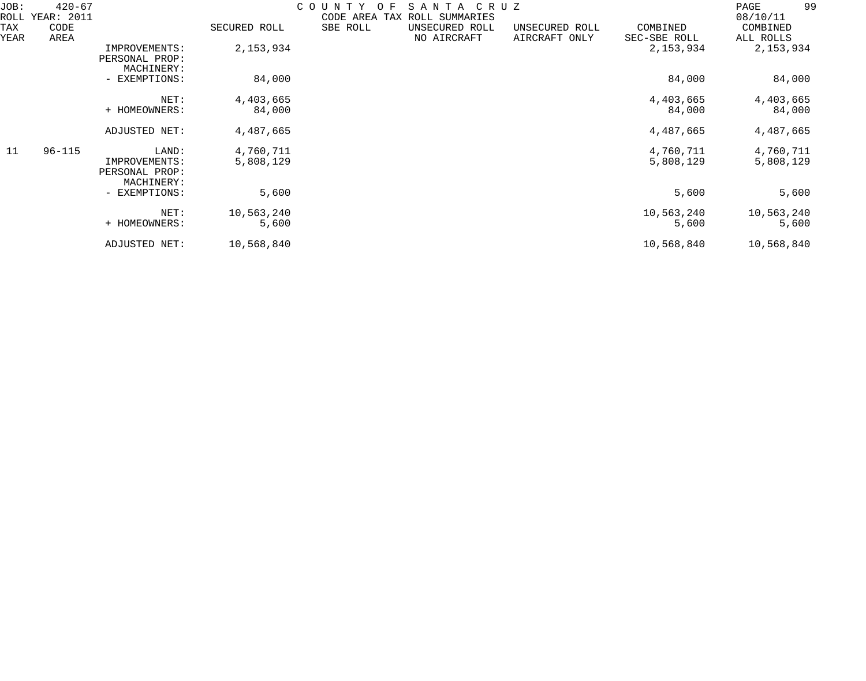| JOB:<br>ROLL | $420 - 67$<br>YEAR: 2011 |                                                        |                        | COUNTY<br>CODE<br>AREA | S A N T A<br>C R U Z<br>F<br>ROLL SUMMARIES<br>TAX |                                 |                          | 99<br>PAGE<br>08/10/11 |
|--------------|--------------------------|--------------------------------------------------------|------------------------|------------------------|----------------------------------------------------|---------------------------------|--------------------------|------------------------|
| TAX<br>YEAR  | CODE<br>AREA             |                                                        | SECURED ROLL           | SBE ROLL               | UNSECURED ROLL<br>NO AIRCRAFT                      | UNSECURED ROLL<br>AIRCRAFT ONLY | COMBINED<br>SEC-SBE ROLL | COMBINED<br>ALL ROLLS  |
|              |                          | IMPROVEMENTS:<br>PERSONAL PROP:<br>MACHINERY:          | 2, 153, 934            |                        |                                                    |                                 | 2,153,934                | 2,153,934              |
|              |                          | - EXEMPTIONS:                                          | 84,000                 |                        |                                                    |                                 | 84,000                   | 84,000                 |
|              |                          | NET:<br>+ HOMEOWNERS:                                  | 4,403,665<br>84,000    |                        |                                                    |                                 | 4,403,665<br>84,000      | 4,403,665<br>84,000    |
|              |                          | ADJUSTED NET:                                          | 4,487,665              |                        |                                                    |                                 | 4,487,665                | 4,487,665              |
| 11           | $96 - 115$               | LAND:<br>IMPROVEMENTS:<br>PERSONAL PROP:<br>MACHINERY: | 4,760,711<br>5,808,129 |                        |                                                    |                                 | 4,760,711<br>5,808,129   | 4,760,711<br>5,808,129 |
|              |                          | - EXEMPTIONS:                                          | 5,600                  |                        |                                                    |                                 | 5,600                    | 5,600                  |
|              |                          | NET:<br>+ HOMEOWNERS:                                  | 10,563,240<br>5,600    |                        |                                                    |                                 | 10,563,240<br>5,600      | 10,563,240<br>5,600    |
|              |                          | ADJUSTED NET:                                          | 10,568,840             |                        |                                                    |                                 | 10,568,840               | 10,568,840             |